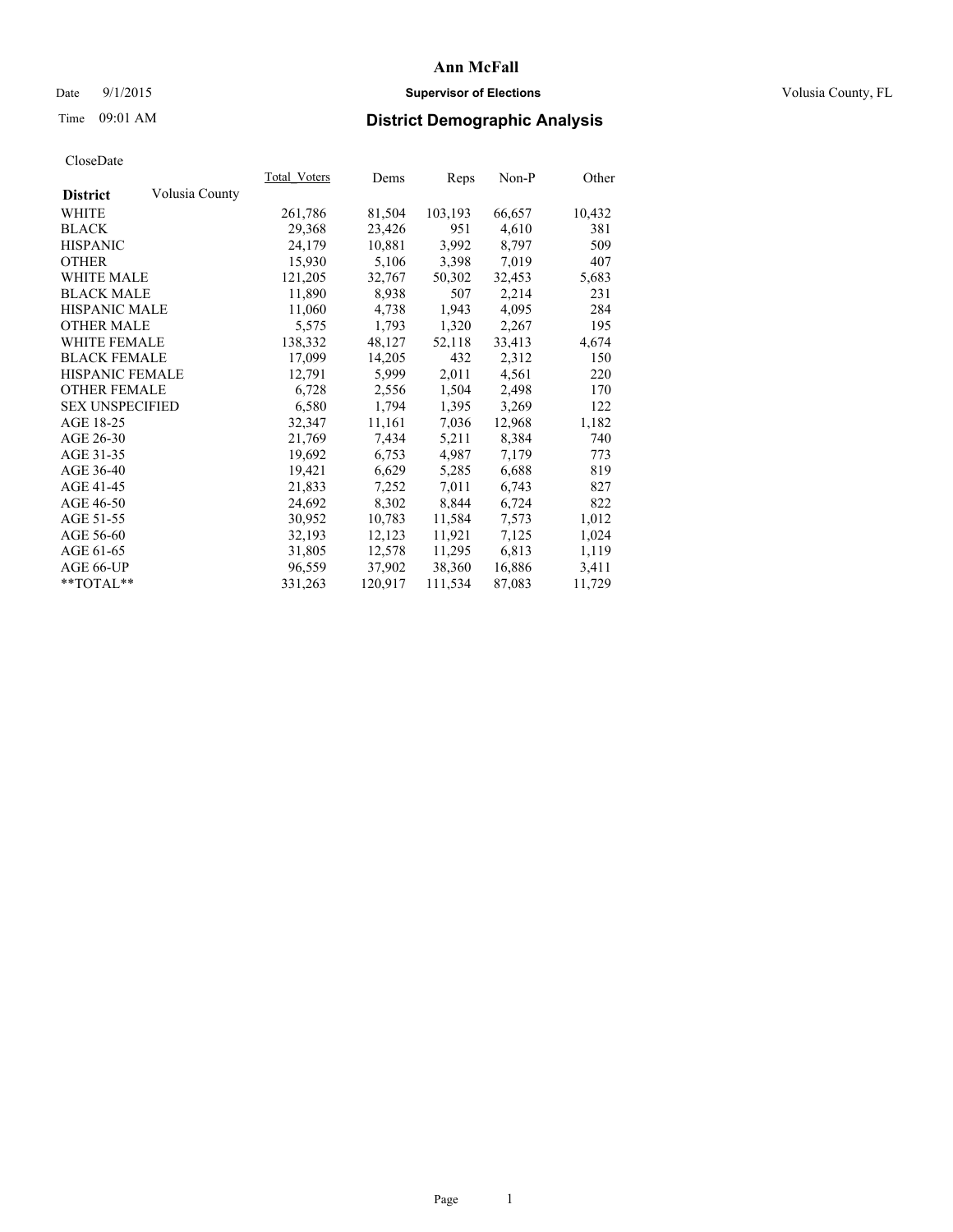### Date 9/1/2015 **Supervisor of Elections Supervisor of Elections** Volusia County, FL

# Time 09:01 AM **District Demographic Analysis**

| Total Voters | Dems    | <b>Reps</b> | Non-P  | Other  |
|--------------|---------|-------------|--------|--------|
|              |         |             |        |        |
| 261,786      | 81,504  | 103,193     | 66,657 | 10,432 |
| 29,368       | 23,426  | 951         | 4,610  | 381    |
| 24,179       | 10,881  | 3,992       | 8,797  | 509    |
| 15,930       | 5,106   | 3,398       | 7,019  | 407    |
| 121,205      | 32,767  | 50,302      | 32,453 | 5,683  |
| 11,890       | 8,938   | 507         | 2,214  | 231    |
| 11,060       | 4,738   | 1,943       | 4,095  | 284    |
| 5,575        | 1,793   | 1,320       | 2,267  | 195    |
| 138,332      | 48,127  | 52,118      | 33,413 | 4,674  |
| 17,099       | 14,205  | 432         | 2,312  | 150    |
| 12,791       | 5,999   | 2,011       | 4,561  | 220    |
| 6,728        | 2,556   | 1,504       | 2,498  | 170    |
| 6,580        | 1,794   | 1,395       | 3,269  | 122    |
| 32,347       | 11,161  | 7,036       | 12,968 | 1,182  |
| 21,769       | 7,434   | 5,211       | 8,384  | 740    |
| 19,692       | 6,753   | 4,987       | 7,179  | 773    |
| 19,421       | 6,629   | 5,285       | 6,688  | 819    |
| 21,833       | 7,252   | 7.011       | 6,743  | 827    |
| 24,692       | 8,302   | 8,844       | 6,724  | 822    |
| 30,952       | 10,783  | 11,584      | 7,573  | 1,012  |
| 32,193       | 12,123  | 11,921      | 7,125  | 1,024  |
| 31,805       | 12,578  | 11,295      | 6,813  | 1,119  |
| 96,559       | 37,902  | 38,360      | 16,886 | 3,411  |
| 331,263      | 120,917 | 111,534     | 87,083 | 11,729 |
|              |         |             |        |        |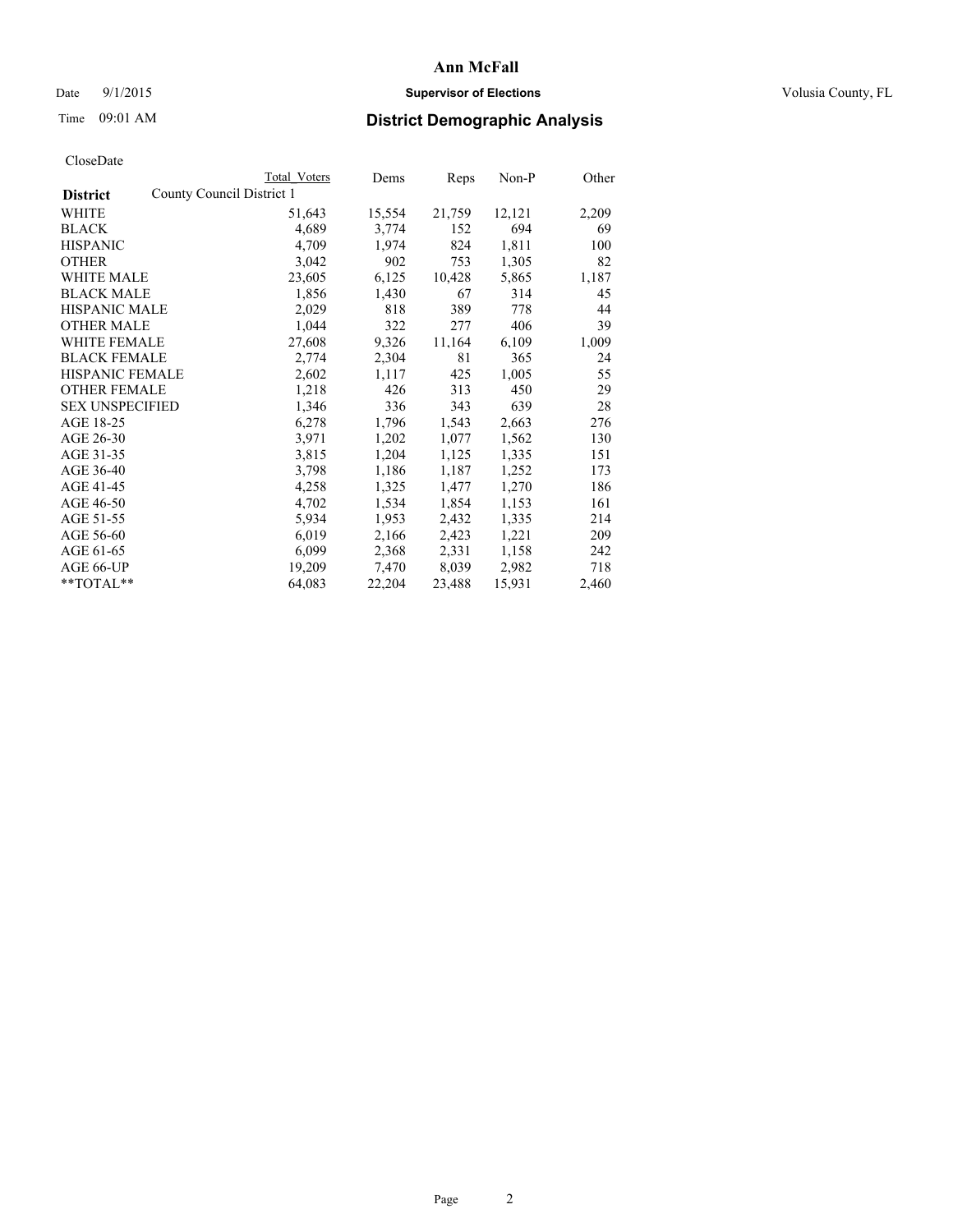### Date 9/1/2015 **Supervisor of Elections Supervisor of Elections** Volusia County, FL

|                                              | <b>Total Voters</b> | Dems   | Reps   | Non-P  | Other |
|----------------------------------------------|---------------------|--------|--------|--------|-------|
| County Council District 1<br><b>District</b> |                     |        |        |        |       |
| <b>WHITE</b>                                 | 51,643              | 15,554 | 21,759 | 12,121 | 2,209 |
| <b>BLACK</b>                                 | 4,689               | 3,774  | 152    | 694    | 69    |
| <b>HISPANIC</b>                              | 4,709               | 1,974  | 824    | 1,811  | 100   |
| <b>OTHER</b>                                 | 3,042               | 902    | 753    | 1,305  | 82    |
| <b>WHITE MALE</b>                            | 23,605              | 6,125  | 10,428 | 5,865  | 1,187 |
| <b>BLACK MALE</b>                            | 1,856               | 1,430  | 67     | 314    | 45    |
| <b>HISPANIC MALE</b>                         | 2,029               | 818    | 389    | 778    | 44    |
| <b>OTHER MALE</b>                            | 1,044               | 322    | 277    | 406    | 39    |
| WHITE FEMALE                                 | 27,608              | 9,326  | 11,164 | 6,109  | 1,009 |
| <b>BLACK FEMALE</b>                          | 2,774               | 2,304  | 81     | 365    | 24    |
| HISPANIC FEMALE                              | 2,602               | 1,117  | 425    | 1,005  | 55    |
| <b>OTHER FEMALE</b>                          | 1,218               | 426    | 313    | 450    | 29    |
| <b>SEX UNSPECIFIED</b>                       | 1,346               | 336    | 343    | 639    | 28    |
| AGE 18-25                                    | 6,278               | 1,796  | 1,543  | 2,663  | 276   |
| AGE 26-30                                    | 3,971               | 1,202  | 1,077  | 1,562  | 130   |
| AGE 31-35                                    | 3,815               | 1,204  | 1,125  | 1,335  | 151   |
| AGE 36-40                                    | 3,798               | 1,186  | 1,187  | 1,252  | 173   |
| AGE 41-45                                    | 4,258               | 1,325  | 1,477  | 1,270  | 186   |
| AGE 46-50                                    | 4,702               | 1,534  | 1,854  | 1,153  | 161   |
| AGE 51-55                                    | 5,934               | 1,953  | 2,432  | 1,335  | 214   |
| AGE 56-60                                    | 6,019               | 2,166  | 2,423  | 1,221  | 209   |
| AGE 61-65                                    | 6,099               | 2,368  | 2,331  | 1,158  | 242   |
| AGE 66-UP                                    | 19,209              | 7,470  | 8,039  | 2,982  | 718   |
| **TOTAL**                                    | 64,083              | 22,204 | 23,488 | 15,931 | 2,460 |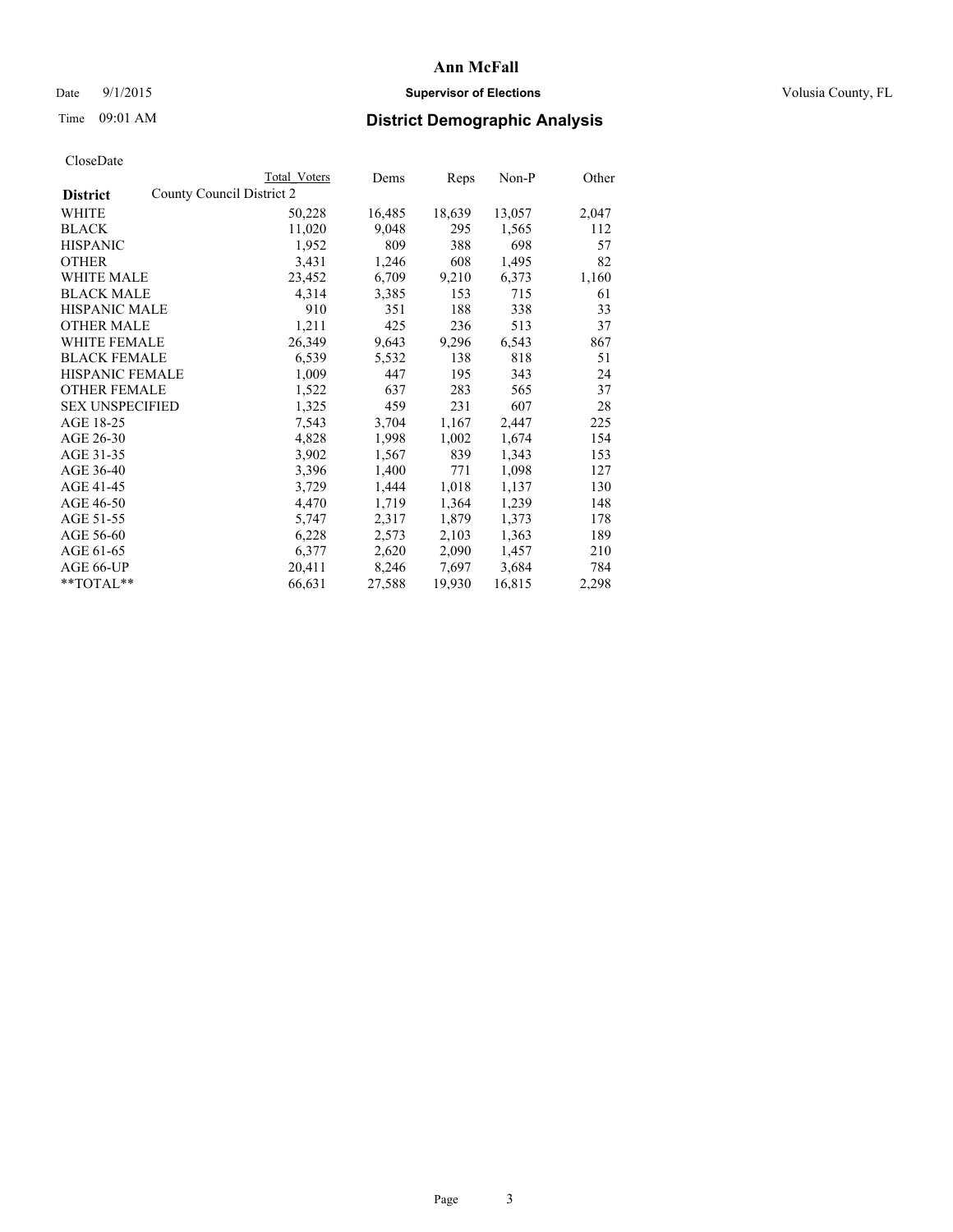### Date 9/1/2015 **Supervisor of Elections Supervisor of Elections** Volusia County, FL

|                        | Total Voters              | Dems   | Reps   | Non-P  | Other |
|------------------------|---------------------------|--------|--------|--------|-------|
| <b>District</b>        | County Council District 2 |        |        |        |       |
| WHITE                  | 50,228                    | 16,485 | 18,639 | 13,057 | 2,047 |
| <b>BLACK</b>           | 11,020                    | 9,048  | 295    | 1,565  | 112   |
| <b>HISPANIC</b>        | 1,952                     | 809    | 388    | 698    | 57    |
| <b>OTHER</b>           | 3,431                     | 1,246  | 608    | 1,495  | 82    |
| WHITE MALE             | 23,452                    | 6,709  | 9,210  | 6,373  | 1,160 |
| <b>BLACK MALE</b>      | 4,314                     | 3,385  | 153    | 715    | 61    |
| <b>HISPANIC MALE</b>   | 910                       | 351    | 188    | 338    | 33    |
| <b>OTHER MALE</b>      | 1,211                     | 425    | 236    | 513    | 37    |
| <b>WHITE FEMALE</b>    | 26,349                    | 9,643  | 9,296  | 6,543  | 867   |
| <b>BLACK FEMALE</b>    | 6,539                     | 5,532  | 138    | 818    | 51    |
| HISPANIC FEMALE        | 1,009                     | 447    | 195    | 343    | 24    |
| <b>OTHER FEMALE</b>    | 1,522                     | 637    | 283    | 565    | 37    |
| <b>SEX UNSPECIFIED</b> | 1,325                     | 459    | 231    | 607    | 28    |
| AGE 18-25              | 7,543                     | 3,704  | 1,167  | 2,447  | 225   |
| AGE 26-30              | 4,828                     | 1,998  | 1,002  | 1,674  | 154   |
| AGE 31-35              | 3,902                     | 1,567  | 839    | 1,343  | 153   |
| AGE 36-40              | 3,396                     | 1,400  | 771    | 1,098  | 127   |
| AGE 41-45              | 3,729                     | 1,444  | 1,018  | 1,137  | 130   |
| AGE 46-50              | 4,470                     | 1,719  | 1,364  | 1,239  | 148   |
| AGE 51-55              | 5,747                     | 2,317  | 1,879  | 1,373  | 178   |
| AGE 56-60              | 6,228                     | 2,573  | 2,103  | 1,363  | 189   |
| AGE 61-65              | 6,377                     | 2,620  | 2,090  | 1,457  | 210   |
| AGE 66-UP              | 20,411                    | 8,246  | 7,697  | 3,684  | 784   |
| $*$ TOTAL $*$          | 66,631                    | 27,588 | 19,930 | 16,815 | 2,298 |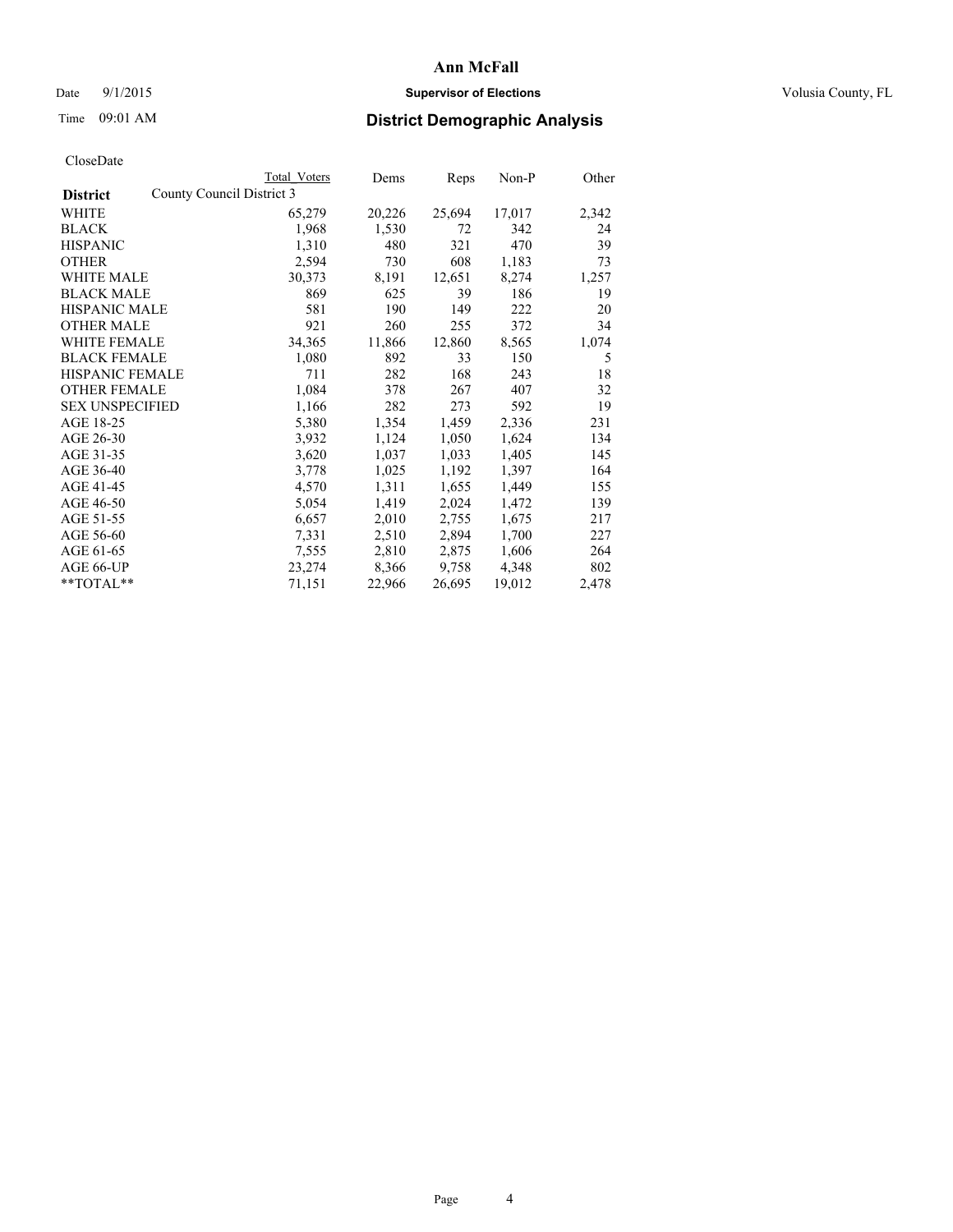### Date 9/1/2015 **Supervisor of Elections Supervisor of Elections** Volusia County, FL

|                        |                           | Total Voters | Dems   | Reps   | $Non-P$ | Other |
|------------------------|---------------------------|--------------|--------|--------|---------|-------|
| <b>District</b>        | County Council District 3 |              |        |        |         |       |
| WHITE                  |                           | 65,279       | 20,226 | 25,694 | 17,017  | 2,342 |
| <b>BLACK</b>           |                           | 1,968        | 1,530  | 72     | 342     | 24    |
| <b>HISPANIC</b>        |                           | 1,310        | 480    | 321    | 470     | 39    |
| <b>OTHER</b>           |                           | 2,594        | 730    | 608    | 1,183   | 73    |
| <b>WHITE MALE</b>      |                           | 30,373       | 8,191  | 12,651 | 8,274   | 1,257 |
| <b>BLACK MALE</b>      |                           | 869          | 625    | 39     | 186     | 19    |
| <b>HISPANIC MALE</b>   |                           | 581          | 190    | 149    | 222     | 20    |
| <b>OTHER MALE</b>      |                           | 921          | 260    | 255    | 372     | 34    |
| <b>WHITE FEMALE</b>    |                           | 34,365       | 11,866 | 12,860 | 8,565   | 1,074 |
| <b>BLACK FEMALE</b>    |                           | 1,080        | 892    | 33     | 150     | 5     |
| HISPANIC FEMALE        |                           | 711          | 282    | 168    | 243     | 18    |
| <b>OTHER FEMALE</b>    |                           | 1,084        | 378    | 267    | 407     | 32    |
| <b>SEX UNSPECIFIED</b> |                           | 1,166        | 282    | 273    | 592     | 19    |
| AGE 18-25              |                           | 5,380        | 1,354  | 1,459  | 2,336   | 231   |
| AGE 26-30              |                           | 3,932        | 1,124  | 1,050  | 1,624   | 134   |
| AGE 31-35              |                           | 3,620        | 1,037  | 1,033  | 1,405   | 145   |
| AGE 36-40              |                           | 3,778        | 1,025  | 1,192  | 1,397   | 164   |
| AGE 41-45              |                           | 4,570        | 1,311  | 1,655  | 1,449   | 155   |
| AGE 46-50              |                           | 5,054        | 1,419  | 2,024  | 1,472   | 139   |
| AGE 51-55              |                           | 6,657        | 2,010  | 2,755  | 1,675   | 217   |
| AGE 56-60              |                           | 7,331        | 2,510  | 2,894  | 1,700   | 227   |
| AGE 61-65              |                           | 7,555        | 2,810  | 2,875  | 1,606   | 264   |
| AGE 66-UP              |                           | 23,274       | 8,366  | 9,758  | 4,348   | 802   |
| $*$ TOTAL $*$          |                           | 71,151       | 22,966 | 26,695 | 19,012  | 2,478 |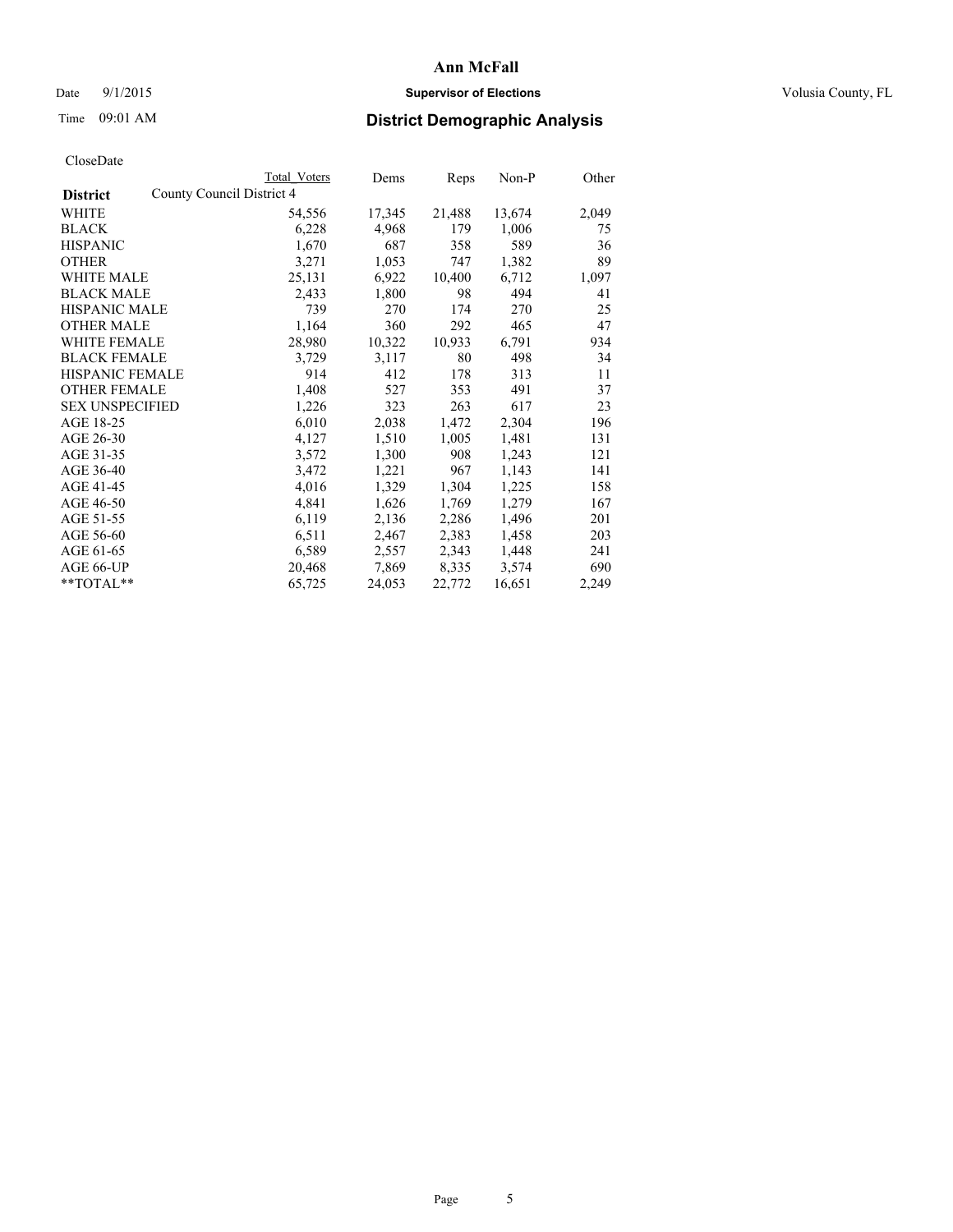### Date 9/1/2015 **Supervisor of Elections Supervisor of Elections** Volusia County, FL

|                        |                           | Total Voters | Dems   | Reps   | $Non-P$ | Other |
|------------------------|---------------------------|--------------|--------|--------|---------|-------|
| <b>District</b>        | County Council District 4 |              |        |        |         |       |
| WHITE                  |                           | 54,556       | 17,345 | 21,488 | 13,674  | 2,049 |
| <b>BLACK</b>           |                           | 6,228        | 4,968  | 179    | 1,006   | 75    |
| <b>HISPANIC</b>        |                           | 1,670        | 687    | 358    | 589     | 36    |
| <b>OTHER</b>           |                           | 3,271        | 1,053  | 747    | 1,382   | 89    |
| <b>WHITE MALE</b>      |                           | 25,131       | 6,922  | 10,400 | 6,712   | 1,097 |
| <b>BLACK MALE</b>      |                           | 2,433        | 1,800  | 98     | 494     | 41    |
| <b>HISPANIC MALE</b>   |                           | 739          | 270    | 174    | 270     | 25    |
| <b>OTHER MALE</b>      |                           | 1,164        | 360    | 292    | 465     | 47    |
| WHITE FEMALE           |                           | 28,980       | 10,322 | 10,933 | 6,791   | 934   |
| <b>BLACK FEMALE</b>    |                           | 3,729        | 3,117  | 80     | 498     | 34    |
| HISPANIC FEMALE        |                           | 914          | 412    | 178    | 313     | 11    |
| <b>OTHER FEMALE</b>    |                           | 1,408        | 527    | 353    | 491     | 37    |
| <b>SEX UNSPECIFIED</b> |                           | 1,226        | 323    | 263    | 617     | 23    |
| AGE 18-25              |                           | 6,010        | 2,038  | 1,472  | 2,304   | 196   |
| AGE 26-30              |                           | 4,127        | 1,510  | 1,005  | 1,481   | 131   |
| AGE 31-35              |                           | 3,572        | 1,300  | 908    | 1,243   | 121   |
| AGE 36-40              |                           | 3,472        | 1,221  | 967    | 1,143   | 141   |
| AGE 41-45              |                           | 4,016        | 1,329  | 1,304  | 1,225   | 158   |
| AGE 46-50              |                           | 4,841        | 1,626  | 1,769  | 1,279   | 167   |
| AGE 51-55              |                           | 6,119        | 2,136  | 2,286  | 1,496   | 201   |
| AGE 56-60              |                           | 6,511        | 2,467  | 2,383  | 1,458   | 203   |
| AGE 61-65              |                           | 6,589        | 2,557  | 2,343  | 1,448   | 241   |
| AGE 66-UP              |                           | 20,468       | 7,869  | 8,335  | 3,574   | 690   |
| **TOTAL**              |                           | 65,725       | 24,053 | 22,772 | 16,651  | 2,249 |
|                        |                           |              |        |        |         |       |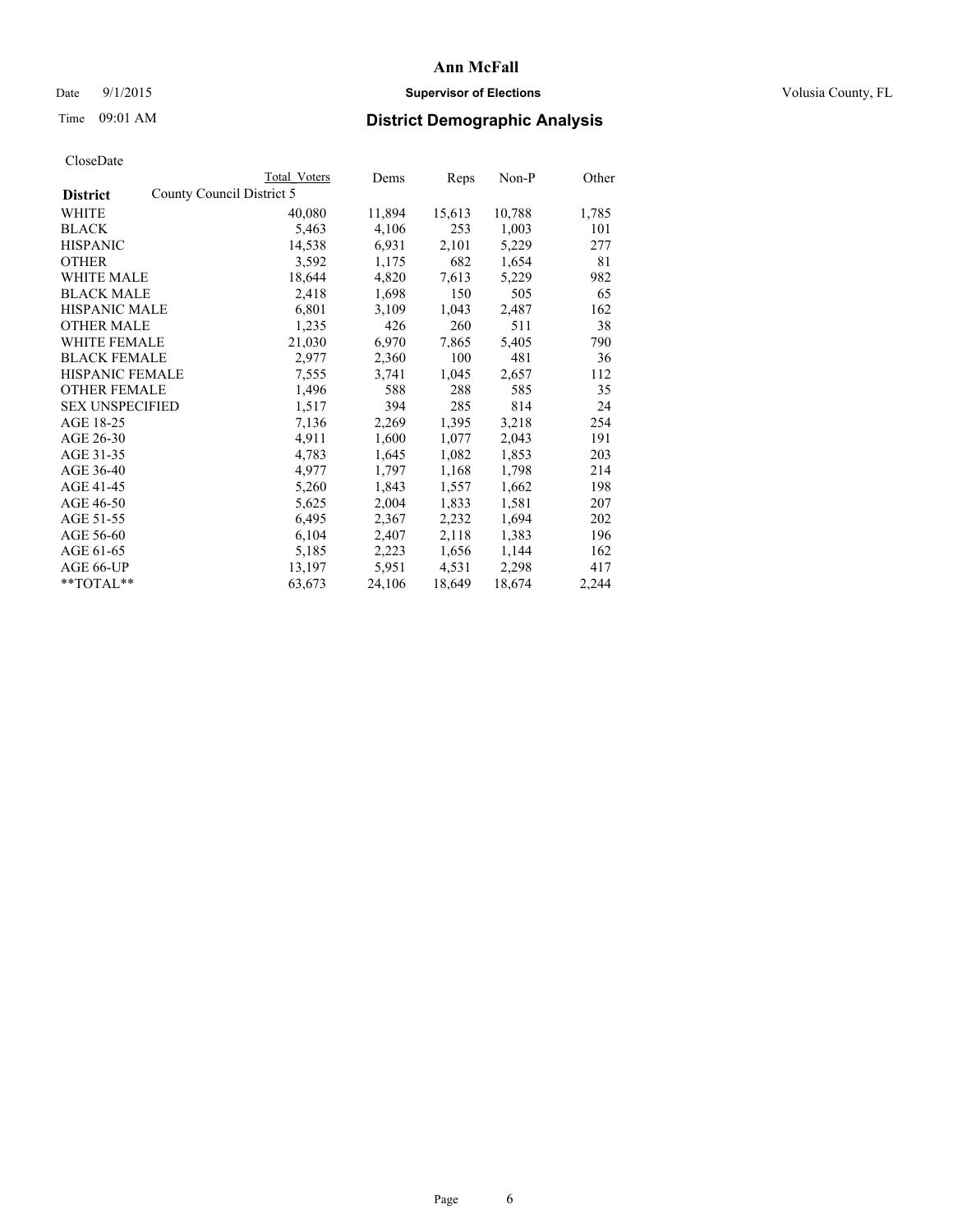### Date 9/1/2015 **Supervisor of Elections Supervisor of Elections** Volusia County, FL

|                                              | Total Voters | Dems   | Reps   | Non-P  | Other |
|----------------------------------------------|--------------|--------|--------|--------|-------|
| County Council District 5<br><b>District</b> |              |        |        |        |       |
| WHITE                                        | 40,080       | 11,894 | 15,613 | 10,788 | 1,785 |
| <b>BLACK</b>                                 | 5,463        | 4,106  | 253    | 1,003  | 101   |
| <b>HISPANIC</b>                              | 14,538       | 6,931  | 2,101  | 5,229  | 277   |
| <b>OTHER</b>                                 | 3,592        | 1,175  | 682    | 1,654  | 81    |
| WHITE MALE                                   | 18,644       | 4,820  | 7,613  | 5,229  | 982   |
| <b>BLACK MALE</b>                            | 2,418        | 1,698  | 150    | 505    | 65    |
| <b>HISPANIC MALE</b>                         | 6,801        | 3,109  | 1,043  | 2,487  | 162   |
| <b>OTHER MALE</b>                            | 1,235        | 426    | 260    | 511    | 38    |
| <b>WHITE FEMALE</b>                          | 21,030       | 6,970  | 7,865  | 5,405  | 790   |
| <b>BLACK FEMALE</b>                          | 2,977        | 2,360  | 100    | 481    | 36    |
| HISPANIC FEMALE                              | 7,555        | 3,741  | 1,045  | 2,657  | 112   |
| <b>OTHER FEMALE</b>                          | 1,496        | 588    | 288    | 585    | 35    |
| <b>SEX UNSPECIFIED</b>                       | 1,517        | 394    | 285    | 814    | 24    |
| AGE 18-25                                    | 7,136        | 2,269  | 1,395  | 3,218  | 254   |
| AGE 26-30                                    | 4,911        | 1,600  | 1,077  | 2,043  | 191   |
| AGE 31-35                                    | 4,783        | 1,645  | 1,082  | 1,853  | 203   |
| AGE 36-40                                    | 4,977        | 1,797  | 1,168  | 1,798  | 214   |
| AGE 41-45                                    | 5,260        | 1,843  | 1,557  | 1,662  | 198   |
| AGE 46-50                                    | 5,625        | 2,004  | 1,833  | 1,581  | 207   |
| AGE 51-55                                    | 6,495        | 2,367  | 2,232  | 1,694  | 202   |
| AGE 56-60                                    | 6,104        | 2,407  | 2,118  | 1,383  | 196   |
| AGE 61-65                                    | 5,185        | 2,223  | 1,656  | 1,144  | 162   |
| AGE 66-UP                                    | 13,197       | 5,951  | 4,531  | 2,298  | 417   |
| $*$ TOTAL $*$                                | 63,673       | 24,106 | 18,649 | 18,674 | 2,244 |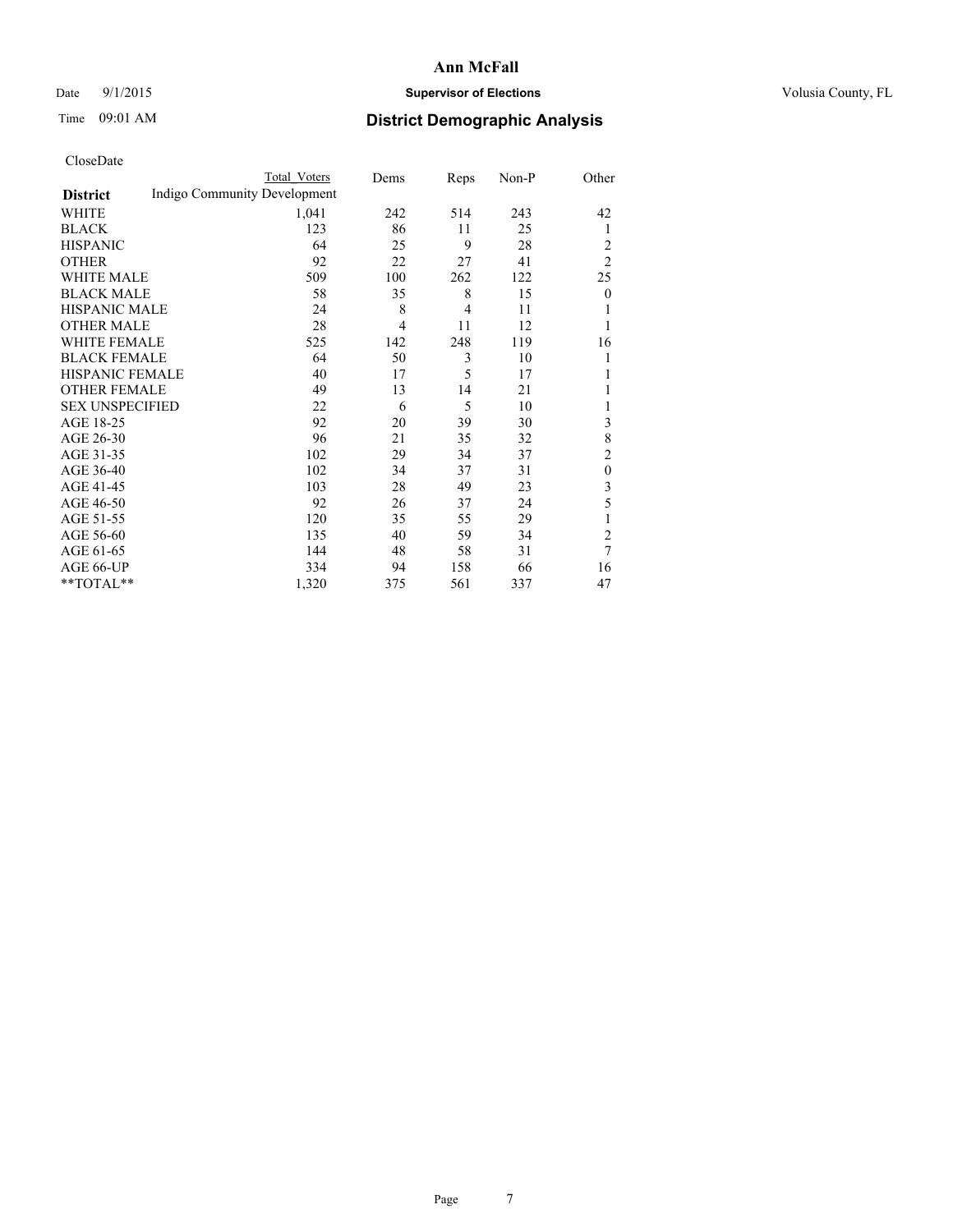### Date 9/1/2015 **Supervisor of Elections Supervisor of Elections** Volusia County, FL

# Time 09:01 AM **District Demographic Analysis**

|                        |                              | Total Voters | Dems           | Reps           | Non-P | Other          |
|------------------------|------------------------------|--------------|----------------|----------------|-------|----------------|
| <b>District</b>        | Indigo Community Development |              |                |                |       |                |
| WHITE                  |                              | 1,041        | 242            | 514            | 243   | 42             |
| <b>BLACK</b>           |                              | 123          | 86             | 11             | 25    | 1              |
| <b>HISPANIC</b>        |                              | 64           | 25             | 9              | 28    | 2              |
| <b>OTHER</b>           |                              | 92           | 22             | 27             | 41    | $\overline{2}$ |
| WHITE MALE             |                              | 509          | 100            | 262            | 122   | 25             |
| <b>BLACK MALE</b>      |                              | 58           | 35             | 8              | 15    | $\mathbf{0}$   |
| <b>HISPANIC MALE</b>   |                              | 24           | 8              | $\overline{4}$ | 11    | 1              |
| <b>OTHER MALE</b>      |                              | 28           | $\overline{4}$ | 11             | 12    | 1              |
| WHITE FEMALE           |                              | 525          | 142            | 248            | 119   | 16             |
| <b>BLACK FEMALE</b>    |                              | 64           | 50             | 3              | 10    |                |
| <b>HISPANIC FEMALE</b> |                              | 40           | 17             | 5              | 17    |                |
| <b>OTHER FEMALE</b>    |                              | 49           | 13             | 14             | 21    |                |
| <b>SEX UNSPECIFIED</b> |                              | 22           | 6              | 5              | 10    |                |
| AGE 18-25              |                              | 92           | 20             | 39             | 30    | 3              |
| AGE 26-30              |                              | 96           | 21             | 35             | 32    | 8              |
| AGE 31-35              |                              | 102          | 29             | 34             | 37    | $\overline{c}$ |
| AGE 36-40              |                              | 102          | 34             | 37             | 31    | $\mathbf{0}$   |
| AGE 41-45              |                              | 103          | 28             | 49             | 23    | 3              |
| AGE 46-50              |                              | 92           | 26             | 37             | 24    | 5              |
| AGE 51-55              |                              | 120          | 35             | 55             | 29    | 1              |
| AGE 56-60              |                              | 135          | 40             | 59             | 34    | $\overline{c}$ |
| AGE 61-65              |                              | 144          | 48             | 58             | 31    | 7              |
| AGE 66-UP              |                              | 334          | 94             | 158            | 66    | 16             |
| **TOTAL**              |                              | 1,320        | 375            | 561            | 337   | 47             |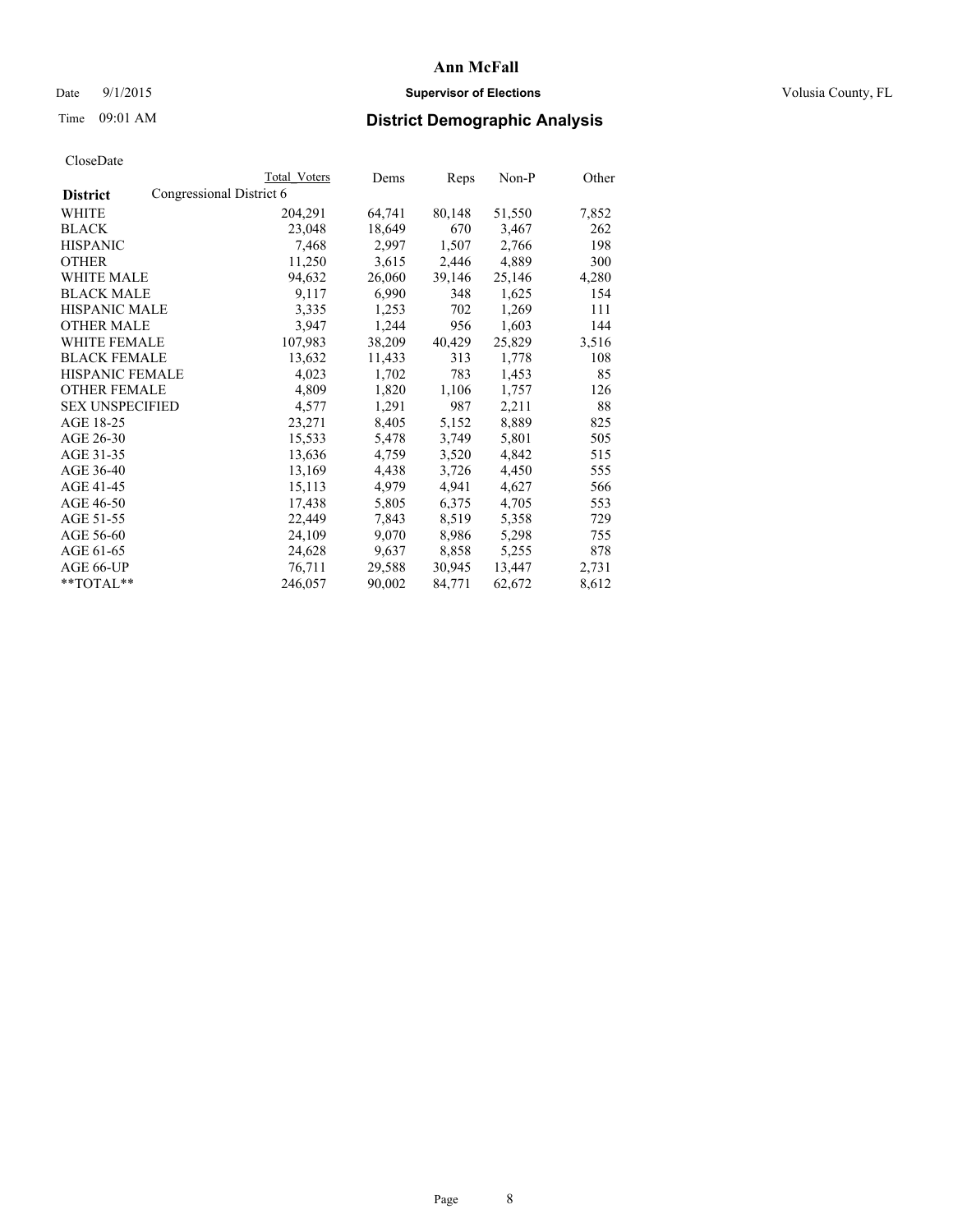### Date 9/1/2015 **Supervisor of Elections Supervisor of Elections** Volusia County, FL

# Time 09:01 AM **District Demographic Analysis**

|                        |                          | Total Voters | Dems   | Reps   | Non-P  | Other |
|------------------------|--------------------------|--------------|--------|--------|--------|-------|
| <b>District</b>        | Congressional District 6 |              |        |        |        |       |
| WHITE                  |                          | 204,291      | 64,741 | 80,148 | 51,550 | 7,852 |
| <b>BLACK</b>           |                          | 23,048       | 18,649 | 670    | 3,467  | 262   |
| <b>HISPANIC</b>        |                          | 7.468        | 2,997  | 1,507  | 2,766  | 198   |
| <b>OTHER</b>           |                          | 11,250       | 3,615  | 2,446  | 4,889  | 300   |
| <b>WHITE MALE</b>      |                          | 94,632       | 26,060 | 39,146 | 25,146 | 4,280 |
| <b>BLACK MALE</b>      |                          | 9,117        | 6,990  | 348    | 1,625  | 154   |
| <b>HISPANIC MALE</b>   |                          | 3,335        | 1,253  | 702    | 1,269  | 111   |
| <b>OTHER MALE</b>      |                          | 3.947        | 1,244  | 956    | 1,603  | 144   |
| <b>WHITE FEMALE</b>    |                          | 107,983      | 38,209 | 40,429 | 25,829 | 3,516 |
| <b>BLACK FEMALE</b>    |                          | 13,632       | 11,433 | 313    | 1,778  | 108   |
| <b>HISPANIC FEMALE</b> |                          | 4,023        | 1,702  | 783    | 1,453  | 85    |
| <b>OTHER FEMALE</b>    |                          | 4,809        | 1,820  | 1,106  | 1,757  | 126   |
| <b>SEX UNSPECIFIED</b> |                          | 4,577        | 1,291  | 987    | 2,211  | 88    |
| AGE 18-25              |                          | 23,271       | 8,405  | 5,152  | 8,889  | 825   |
| AGE 26-30              |                          | 15,533       | 5,478  | 3,749  | 5,801  | 505   |
| AGE 31-35              |                          | 13,636       | 4,759  | 3,520  | 4,842  | 515   |
| AGE 36-40              |                          | 13,169       | 4,438  | 3,726  | 4,450  | 555   |
| AGE 41-45              |                          | 15,113       | 4,979  | 4,941  | 4,627  | 566   |
| AGE 46-50              |                          | 17,438       | 5,805  | 6,375  | 4,705  | 553   |
| AGE 51-55              |                          | 22,449       | 7,843  | 8,519  | 5,358  | 729   |
| AGE 56-60              |                          | 24,109       | 9,070  | 8,986  | 5,298  | 755   |
| AGE 61-65              |                          | 24,628       | 9,637  | 8,858  | 5,255  | 878   |
| AGE 66-UP              |                          | 76,711       | 29,588 | 30,945 | 13,447 | 2,731 |
| $*$ TOTAL $*$          |                          | 246,057      | 90,002 | 84,771 | 62,672 | 8,612 |
|                        |                          |              |        |        |        |       |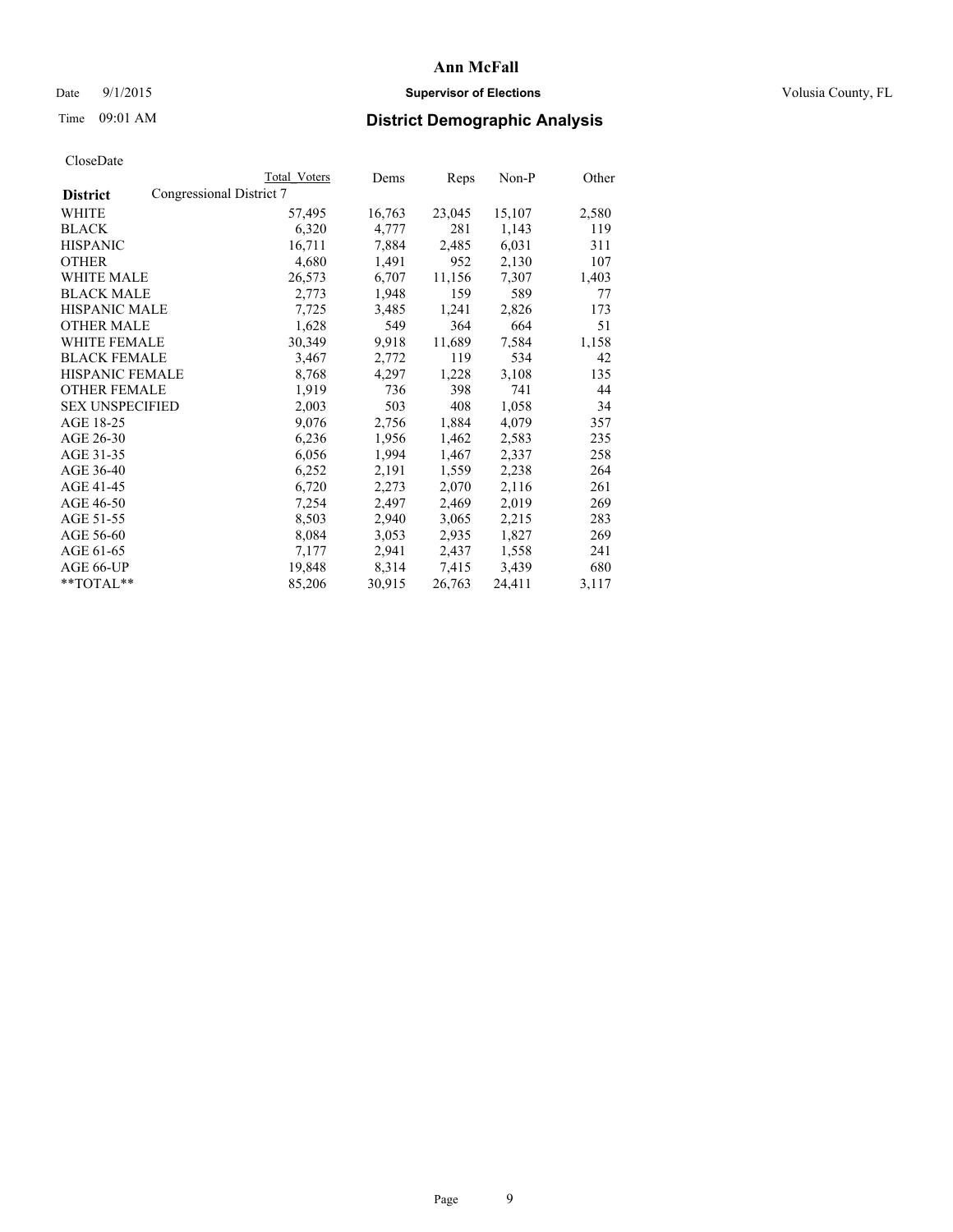### Date 9/1/2015 **Supervisor of Elections Supervisor of Elections** Volusia County, FL

|                        |                          | Total Voters | Dems   | Reps   | $Non-P$ | Other |
|------------------------|--------------------------|--------------|--------|--------|---------|-------|
| <b>District</b>        | Congressional District 7 |              |        |        |         |       |
| WHITE                  |                          | 57,495       | 16,763 | 23,045 | 15,107  | 2,580 |
| <b>BLACK</b>           |                          | 6,320        | 4,777  | 281    | 1,143   | 119   |
| <b>HISPANIC</b>        |                          | 16,711       | 7,884  | 2,485  | 6,031   | 311   |
| <b>OTHER</b>           |                          | 4,680        | 1,491  | 952    | 2,130   | 107   |
| WHITE MALE             |                          | 26,573       | 6,707  | 11,156 | 7,307   | 1,403 |
| <b>BLACK MALE</b>      |                          | 2,773        | 1,948  | 159    | 589     | 77    |
| <b>HISPANIC MALE</b>   |                          | 7,725        | 3,485  | 1,241  | 2,826   | 173   |
| <b>OTHER MALE</b>      |                          | 1,628        | 549    | 364    | 664     | 51    |
| WHITE FEMALE           |                          | 30,349       | 9,918  | 11,689 | 7,584   | 1,158 |
| <b>BLACK FEMALE</b>    |                          | 3,467        | 2,772  | 119    | 534     | 42    |
| <b>HISPANIC FEMALE</b> |                          | 8,768        | 4,297  | 1,228  | 3,108   | 135   |
| <b>OTHER FEMALE</b>    |                          | 1,919        | 736    | 398    | 741     | 44    |
| <b>SEX UNSPECIFIED</b> |                          | 2,003        | 503    | 408    | 1,058   | 34    |
| AGE 18-25              |                          | 9,076        | 2,756  | 1,884  | 4,079   | 357   |
| AGE 26-30              |                          | 6,236        | 1,956  | 1,462  | 2,583   | 235   |
| AGE 31-35              |                          | 6,056        | 1,994  | 1,467  | 2,337   | 258   |
| AGE 36-40              |                          | 6,252        | 2,191  | 1,559  | 2,238   | 264   |
| AGE 41-45              |                          | 6,720        | 2,273  | 2,070  | 2,116   | 261   |
| AGE 46-50              |                          | 7,254        | 2,497  | 2,469  | 2,019   | 269   |
| AGE 51-55              |                          | 8,503        | 2,940  | 3,065  | 2,215   | 283   |
| AGE 56-60              |                          | 8,084        | 3,053  | 2,935  | 1,827   | 269   |
| AGE 61-65              |                          | 7,177        | 2,941  | 2,437  | 1,558   | 241   |
| AGE 66-UP              |                          | 19,848       | 8,314  | 7.415  | 3,439   | 680   |
| **TOTAL**              |                          | 85,206       | 30,915 | 26,763 | 24,411  | 3,117 |
|                        |                          |              |        |        |         |       |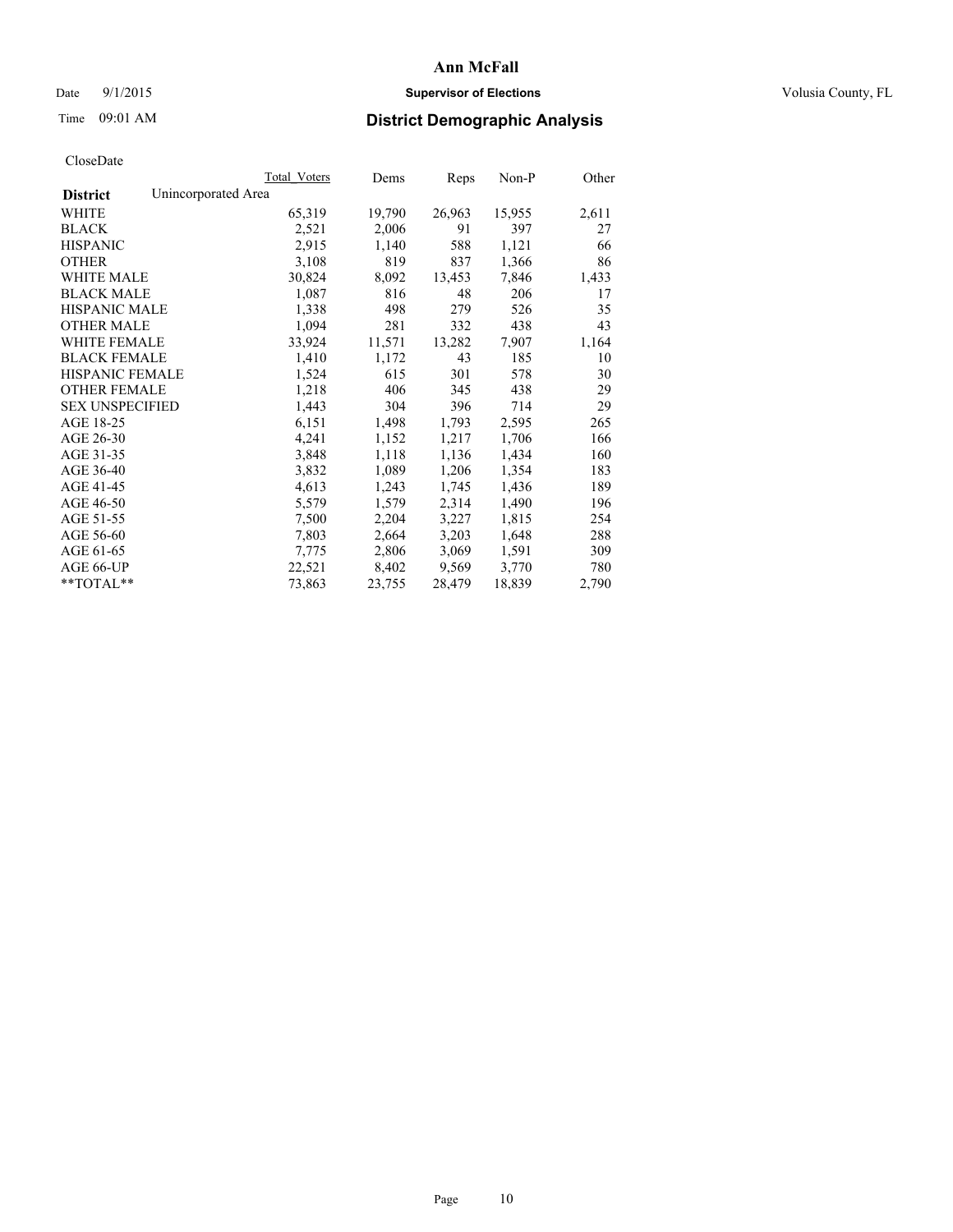Date 9/1/2015 **Supervisor of Elections Supervisor of Elections** Volusia County, FL

# Time 09:01 AM **District Demographic Analysis**

|                                        | Total Voters | Dems   | <b>Reps</b> | Non-P  | Other |
|----------------------------------------|--------------|--------|-------------|--------|-------|
| Unincorporated Area<br><b>District</b> |              |        |             |        |       |
| WHITE                                  | 65,319       | 19,790 | 26,963      | 15,955 | 2,611 |
| <b>BLACK</b>                           | 2,521        | 2,006  | 91          | 397    | 27    |
| <b>HISPANIC</b>                        | 2,915        | 1,140  | 588         | 1,121  | 66    |
| <b>OTHER</b>                           | 3,108        | 819    | 837         | 1,366  | 86    |
| <b>WHITE MALE</b>                      | 30,824       | 8,092  | 13,453      | 7,846  | 1,433 |
| <b>BLACK MALE</b>                      | 1,087        | 816    | 48          | 206    | 17    |
| <b>HISPANIC MALE</b>                   | 1,338        | 498    | 279         | 526    | 35    |
| <b>OTHER MALE</b>                      | 1,094        | 281    | 332         | 438    | 43    |
| WHITE FEMALE                           | 33,924       | 11,571 | 13,282      | 7,907  | 1,164 |
| <b>BLACK FEMALE</b>                    | 1,410        | 1,172  | 43          | 185    | 10    |
| HISPANIC FEMALE                        | 1,524        | 615    | 301         | 578    | 30    |
| <b>OTHER FEMALE</b>                    | 1,218        | 406    | 345         | 438    | 29    |
| <b>SEX UNSPECIFIED</b>                 | 1,443        | 304    | 396         | 714    | 29    |
| AGE 18-25                              | 6,151        | 1,498  | 1,793       | 2,595  | 265   |
| AGE 26-30                              | 4,241        | 1,152  | 1,217       | 1,706  | 166   |
| AGE 31-35                              | 3,848        | 1,118  | 1,136       | 1,434  | 160   |
| AGE 36-40                              | 3,832        | 1,089  | 1,206       | 1,354  | 183   |
| AGE 41-45                              | 4,613        | 1,243  | 1,745       | 1,436  | 189   |
| AGE 46-50                              | 5,579        | 1,579  | 2,314       | 1,490  | 196   |
| AGE 51-55                              | 7,500        | 2,204  | 3,227       | 1,815  | 254   |
| AGE 56-60                              | 7,803        | 2,664  | 3,203       | 1,648  | 288   |
| AGE 61-65                              | 7,775        | 2,806  | 3,069       | 1,591  | 309   |
| AGE 66-UP                              | 22,521       | 8,402  | 9,569       | 3,770  | 780   |
| $*$ $TOTAI.**$                         | 73,863       | 23,755 | 28,479      | 18,839 | 2,790 |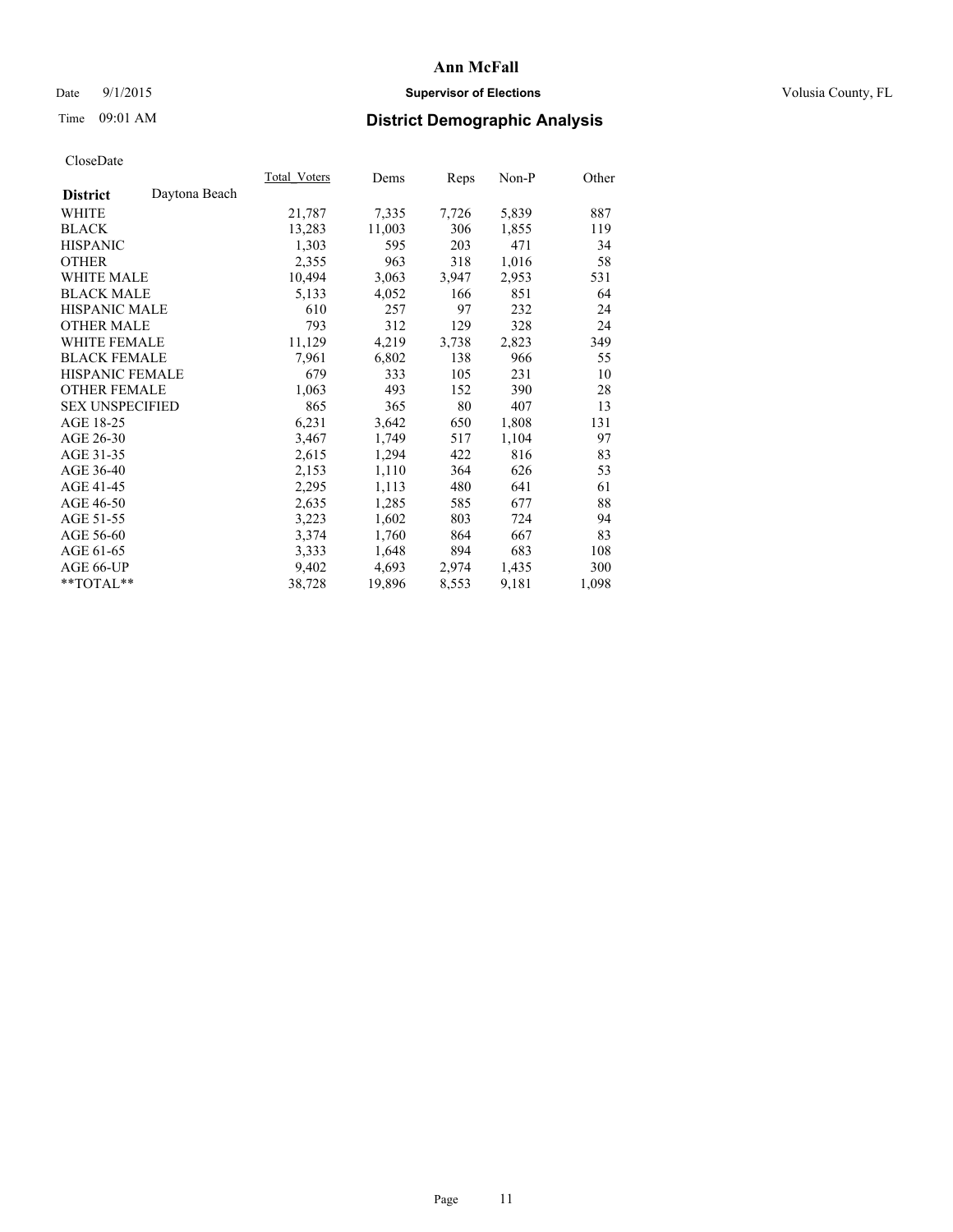### Date 9/1/2015 **Supervisor of Elections Supervisor of Elections** Volusia County, FL

# Time 09:01 AM **District Demographic Analysis**

|                                  | Total Voters | Dems   | Reps  | $Non-P$ | Other |
|----------------------------------|--------------|--------|-------|---------|-------|
| Daytona Beach<br><b>District</b> |              |        |       |         |       |
| WHITE                            | 21,787       | 7,335  | 7,726 | 5,839   | 887   |
| <b>BLACK</b>                     | 13,283       | 11,003 | 306   | 1,855   | 119   |
| <b>HISPANIC</b>                  | 1,303        | 595    | 203   | 471     | 34    |
| <b>OTHER</b>                     | 2,355        | 963    | 318   | 1,016   | 58    |
| WHITE MALE                       | 10,494       | 3,063  | 3,947 | 2,953   | 531   |
| <b>BLACK MALE</b>                | 5,133        | 4,052  | 166   | 851     | 64    |
| <b>HISPANIC MALE</b>             | 610          | 257    | 97    | 232     | 24    |
| <b>OTHER MALE</b>                | 793          | 312    | 129   | 328     | 24    |
| <b>WHITE FEMALE</b>              | 11,129       | 4,219  | 3,738 | 2,823   | 349   |
| <b>BLACK FEMALE</b>              | 7,961        | 6,802  | 138   | 966     | 55    |
| HISPANIC FEMALE                  | 679          | 333    | 105   | 231     | 10    |
| <b>OTHER FEMALE</b>              | 1,063        | 493    | 152   | 390     | 28    |
| <b>SEX UNSPECIFIED</b>           | 865          | 365    | 80    | 407     | 13    |
| AGE 18-25                        | 6,231        | 3,642  | 650   | 1,808   | 131   |
| AGE 26-30                        | 3,467        | 1,749  | 517   | 1,104   | 97    |
| AGE 31-35                        | 2,615        | 1,294  | 422   | 816     | 83    |
| AGE 36-40                        | 2,153        | 1,110  | 364   | 626     | 53    |
| AGE 41-45                        | 2,295        | 1,113  | 480   | 641     | 61    |
| AGE 46-50                        | 2,635        | 1,285  | 585   | 677     | 88    |
| AGE 51-55                        | 3,223        | 1,602  | 803   | 724     | 94    |
| AGE 56-60                        | 3,374        | 1,760  | 864   | 667     | 83    |
| AGE 61-65                        | 3.333        | 1,648  | 894   | 683     | 108   |
| AGE 66-UP                        | 9,402        | 4,693  | 2,974 | 1,435   | 300   |
| $*$ TOTAL $*$                    | 38,728       | 19,896 | 8,553 | 9,181   | 1,098 |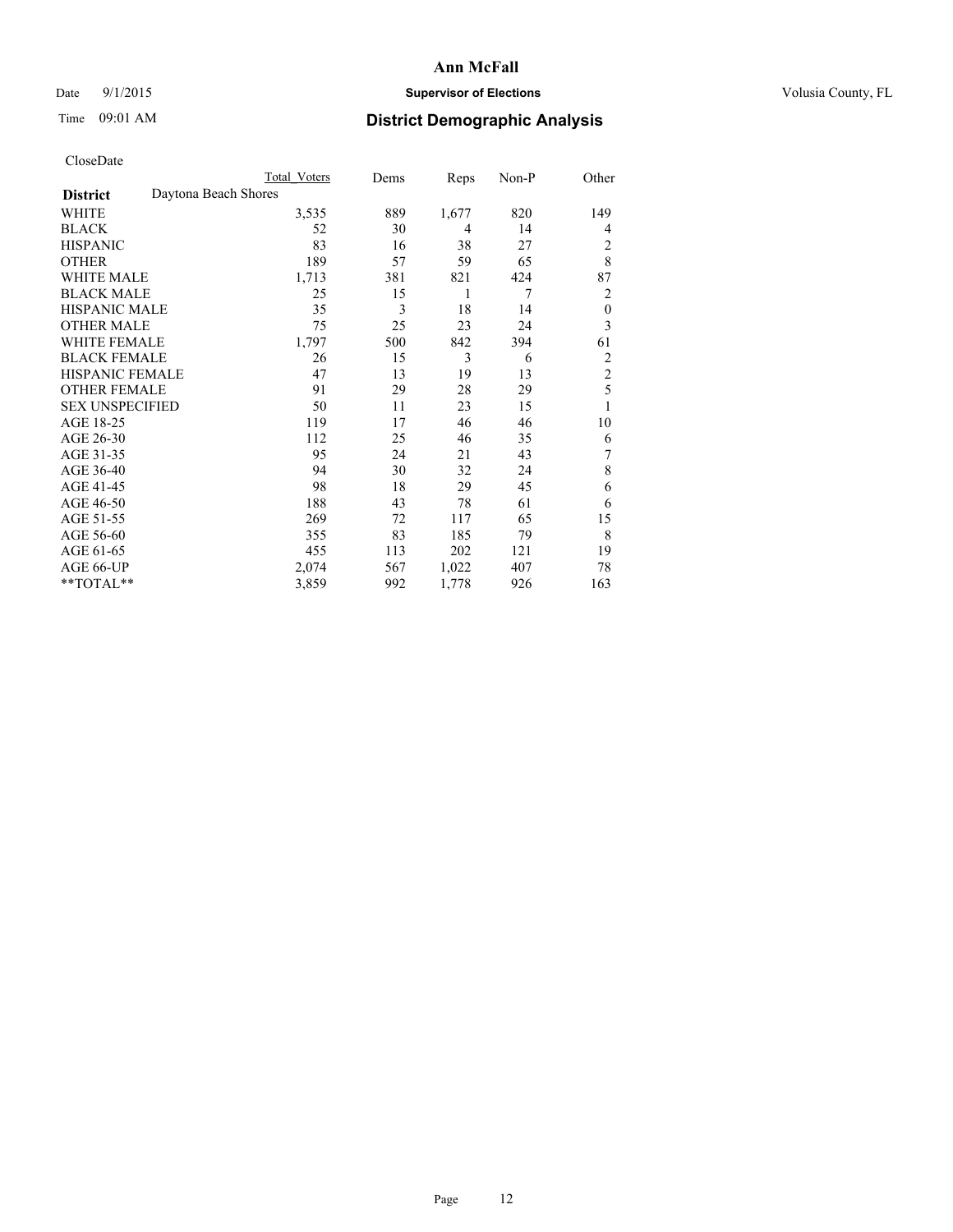### Date 9/1/2015 **Supervisor of Elections Supervisor of Elections** Volusia County, FL

|                        | Total Voters         | Dems | Reps  | Non-P | Other            |
|------------------------|----------------------|------|-------|-------|------------------|
| <b>District</b>        | Daytona Beach Shores |      |       |       |                  |
| WHITE                  | 3,535                | 889  | 1,677 | 820   | 149              |
| <b>BLACK</b>           | 52                   | 30   | 4     | 14    | 4                |
| <b>HISPANIC</b>        | 83                   | 16   | 38    | 27    | 2                |
| <b>OTHER</b>           | 189                  | 57   | 59    | 65    | 8                |
| WHITE MALE             | 1,713                | 381  | 821   | 424   | 87               |
| <b>BLACK MALE</b>      | 25                   | 15   | 1     | 7     | 2                |
| <b>HISPANIC MALE</b>   | 35                   | 3    | 18    | 14    | $\boldsymbol{0}$ |
| <b>OTHER MALE</b>      | 75                   | 25   | 23    | 24    | 3                |
| <b>WHITE FEMALE</b>    | 1,797                | 500  | 842   | 394   | 61               |
| <b>BLACK FEMALE</b>    | 26                   | 15   | 3     | 6     | 2                |
| <b>HISPANIC FEMALE</b> | 47                   | 13   | 19    | 13    | $\overline{c}$   |
| <b>OTHER FEMALE</b>    | 91                   | 29   | 28    | 29    | 5                |
| <b>SEX UNSPECIFIED</b> | 50                   | 11   | 23    | 15    | 1                |
| AGE 18-25              | 119                  | 17   | 46    | 46    | 10               |
| AGE 26-30              | 112                  | 25   | 46    | 35    | 6                |
| AGE 31-35              | 95                   | 24   | 21    | 43    | 7                |
| AGE 36-40              | 94                   | 30   | 32    | 24    | 8                |
| AGE 41-45              | 98                   | 18   | 29    | 45    | 6                |
| AGE 46-50              | 188                  | 43   | 78    | 61    | 6                |
| AGE 51-55              | 269                  | 72   | 117   | 65    | 15               |
| AGE 56-60              | 355                  | 83   | 185   | 79    | 8                |
| AGE 61-65              | 455                  | 113  | 202   | 121   | 19               |
| AGE 66-UP              | 2,074                | 567  | 1,022 | 407   | 78               |
| **TOTAL**              | 3,859                | 992  | 1,778 | 926   | 163              |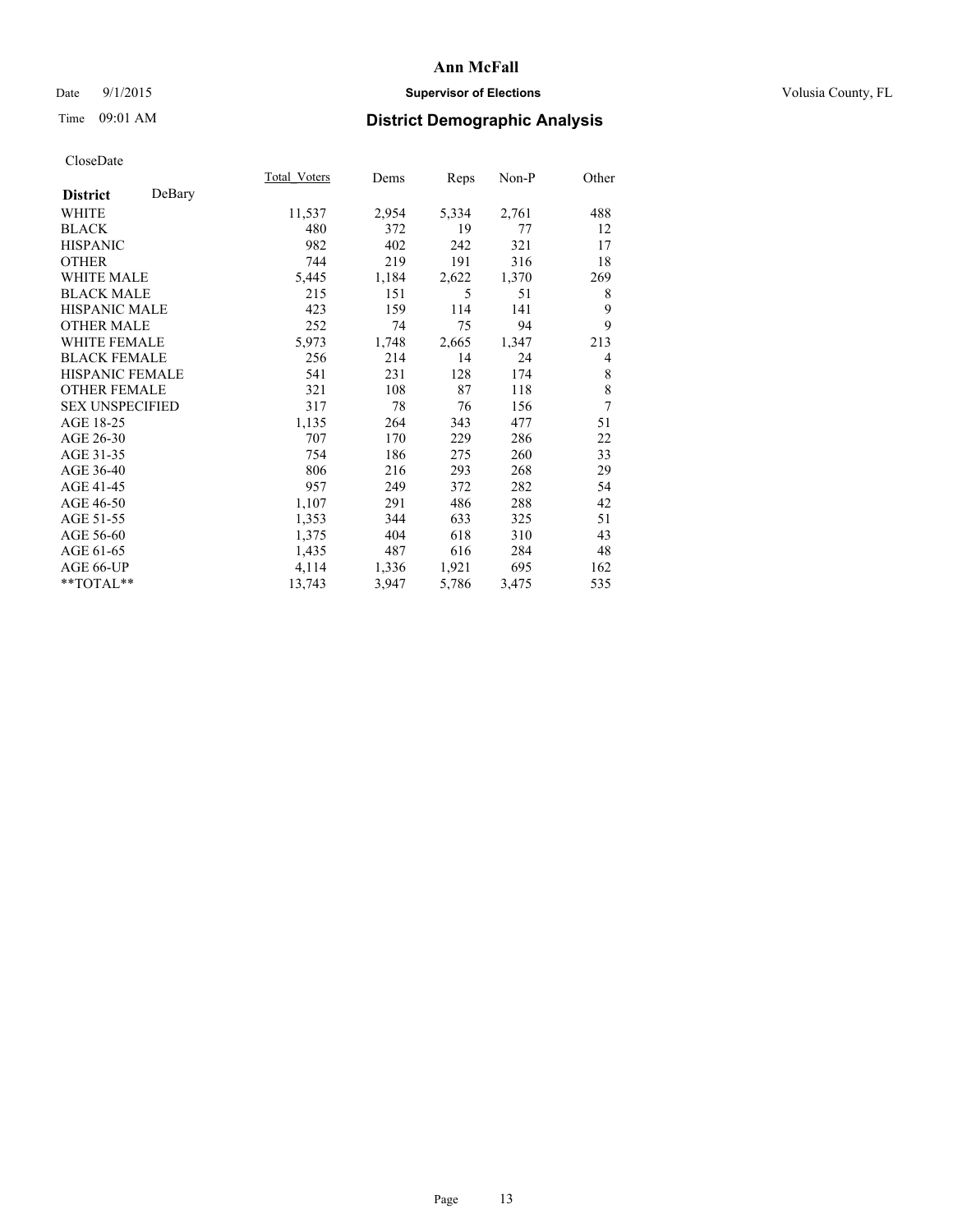### Date 9/1/2015 **Supervisor of Elections Supervisor of Elections** Volusia County, FL

| CloseDate |
|-----------|
|-----------|

|                        |        | Total Voters | Dems  | Reps  | Non-P | Other |
|------------------------|--------|--------------|-------|-------|-------|-------|
| <b>District</b>        | DeBary |              |       |       |       |       |
| WHITE                  |        | 11,537       | 2,954 | 5,334 | 2,761 | 488   |
| <b>BLACK</b>           |        | 480          | 372   | 19    | 77    | 12    |
| <b>HISPANIC</b>        |        | 982          | 402   | 242   | 321   | 17    |
| <b>OTHER</b>           |        | 744          | 219   | 191   | 316   | 18    |
| <b>WHITE MALE</b>      |        | 5,445        | 1,184 | 2,622 | 1,370 | 269   |
| <b>BLACK MALE</b>      |        | 215          | 151   | 5     | 51    | 8     |
| <b>HISPANIC MALE</b>   |        | 423          | 159   | 114   | 141   | 9     |
| <b>OTHER MALE</b>      |        | 252          | 74    | 75    | 94    | 9     |
| <b>WHITE FEMALE</b>    |        | 5,973        | 1,748 | 2,665 | 1,347 | 213   |
| <b>BLACK FEMALE</b>    |        | 256          | 214   | 14    | 24    | 4     |
| HISPANIC FEMALE        |        | 541          | 231   | 128   | 174   | 8     |
| <b>OTHER FEMALE</b>    |        | 321          | 108   | 87    | 118   | 8     |
| <b>SEX UNSPECIFIED</b> |        | 317          | 78    | 76    | 156   | 7     |
| AGE 18-25              |        | 1,135        | 264   | 343   | 477   | 51    |
| AGE 26-30              |        | 707          | 170   | 229   | 286   | 22    |
| AGE 31-35              |        | 754          | 186   | 275   | 260   | 33    |
| AGE 36-40              |        | 806          | 216   | 293   | 268   | 29    |
| AGE 41-45              |        | 957          | 249   | 372   | 282   | 54    |
| AGE 46-50              |        | 1,107        | 291   | 486   | 288   | 42    |
| AGE 51-55              |        | 1,353        | 344   | 633   | 325   | 51    |
| AGE 56-60              |        | 1,375        | 404   | 618   | 310   | 43    |
| AGE 61-65              |        | 1,435        | 487   | 616   | 284   | 48    |
| AGE 66-UP              |        | 4,114        | 1,336 | 1,921 | 695   | 162   |
| **TOTAL**              |        | 13,743       | 3,947 | 5,786 | 3,475 | 535   |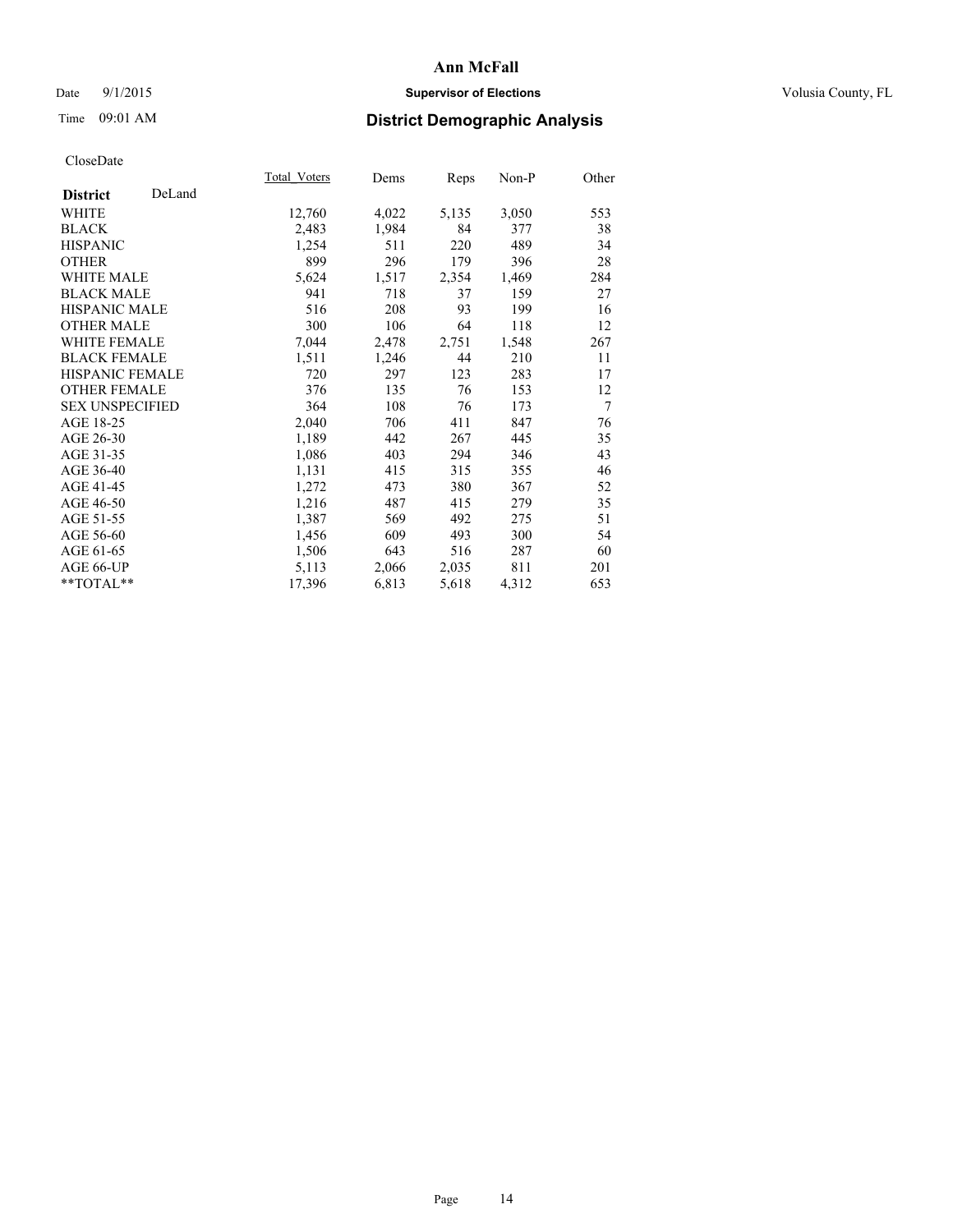### Date 9/1/2015 **Supervisor of Elections Supervisor of Elections** Volusia County, FL

# Time 09:01 AM **District Demographic Analysis**

|                        |        | <b>Total Voters</b> | Dems  | Reps  | Non-P | Other |
|------------------------|--------|---------------------|-------|-------|-------|-------|
| <b>District</b>        | DeLand |                     |       |       |       |       |
| <b>WHITE</b>           |        | 12,760              | 4,022 | 5,135 | 3,050 | 553   |
| <b>BLACK</b>           |        | 2,483               | 1,984 | 84    | 377   | 38    |
| <b>HISPANIC</b>        |        | 1,254               | 511   | 220   | 489   | 34    |
| <b>OTHER</b>           |        | 899                 | 296   | 179   | 396   | 28    |
| WHITE MALE             |        | 5,624               | 1,517 | 2,354 | 1,469 | 284   |
| <b>BLACK MALE</b>      |        | 941                 | 718   | 37    | 159   | 27    |
| <b>HISPANIC MALE</b>   |        | 516                 | 208   | 93    | 199   | 16    |
| <b>OTHER MALE</b>      |        | 300                 | 106   | 64    | 118   | 12    |
| <b>WHITE FEMALE</b>    |        | 7,044               | 2,478 | 2,751 | 1,548 | 267   |
| <b>BLACK FEMALE</b>    |        | 1,511               | 1,246 | 44    | 210   | 11    |
| HISPANIC FEMALE        |        | 720                 | 297   | 123   | 283   | 17    |
| <b>OTHER FEMALE</b>    |        | 376                 | 135   | 76    | 153   | 12    |
| <b>SEX UNSPECIFIED</b> |        | 364                 | 108   | 76    | 173   | 7     |
| AGE 18-25              |        | 2,040               | 706   | 411   | 847   | 76    |
| AGE 26-30              |        | 1,189               | 442   | 267   | 445   | 35    |
| AGE 31-35              |        | 1,086               | 403   | 294   | 346   | 43    |
| AGE 36-40              |        | 1,131               | 415   | 315   | 355   | 46    |
| AGE 41-45              |        | 1,272               | 473   | 380   | 367   | 52    |
| AGE 46-50              |        | 1,216               | 487   | 415   | 279   | 35    |
| AGE 51-55              |        | 1,387               | 569   | 492   | 275   | 51    |
| AGE 56-60              |        | 1,456               | 609   | 493   | 300   | 54    |
| AGE 61-65              |        | 1,506               | 643   | 516   | 287   | 60    |
| AGE 66-UP              |        | 5,113               | 2,066 | 2,035 | 811   | 201   |
| $*$ TOTAL $*$          |        | 17,396              | 6,813 | 5,618 | 4,312 | 653   |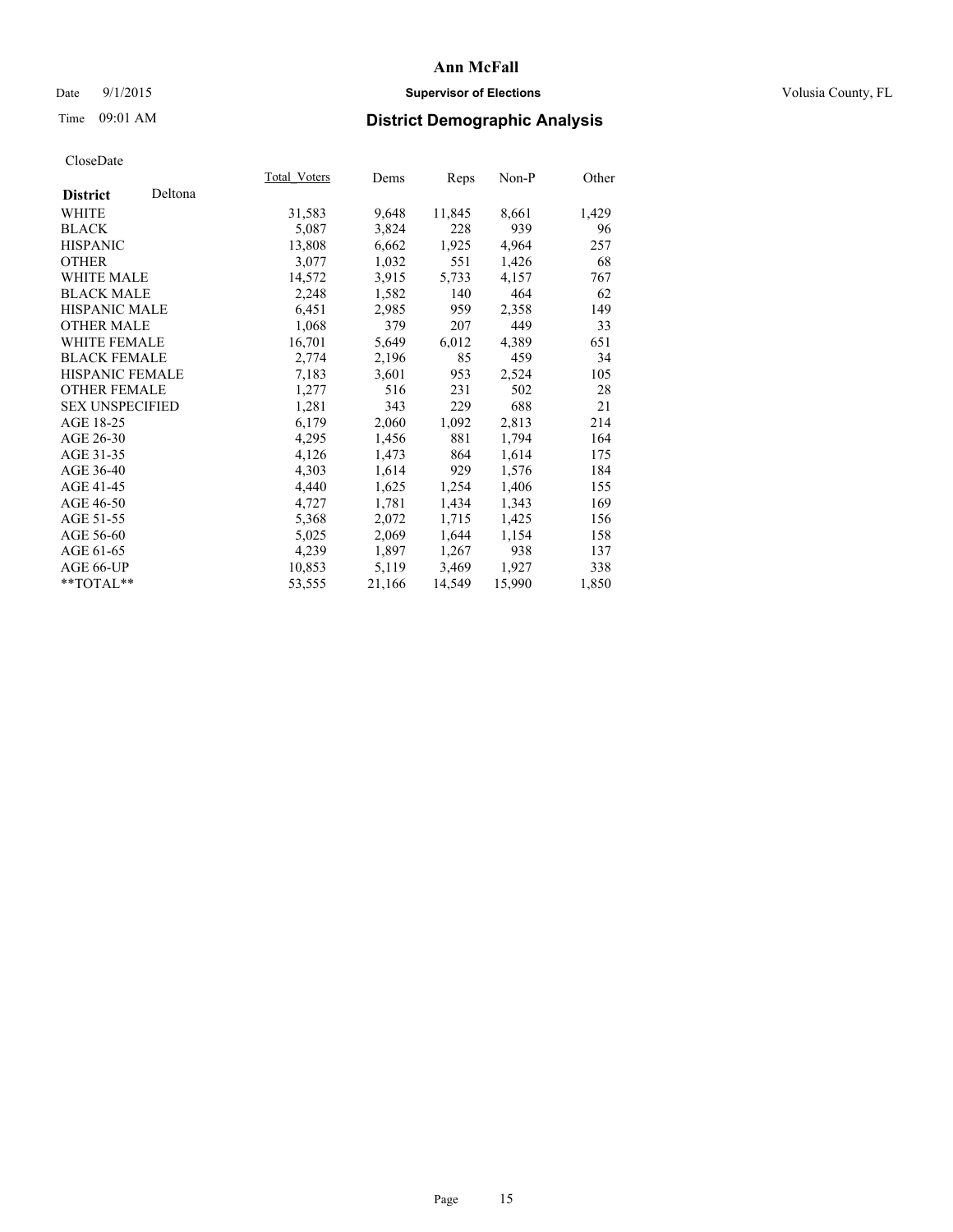### Date 9/1/2015 **Supervisor of Elections Supervisor of Elections** Volusia County, FL

# Time 09:01 AM **District Demographic Analysis**

| <b>Total Voters</b> | Dems   |        | $Non-P$ | Other |
|---------------------|--------|--------|---------|-------|
|                     |        |        |         |       |
| 31,583              | 9,648  | 11,845 | 8,661   | 1,429 |
| 5,087               | 3,824  | 228    | 939     | 96    |
| 13,808              | 6,662  | 1,925  | 4,964   | 257   |
| 3,077               | 1,032  | 551    | 1,426   | 68    |
| 14,572              | 3,915  | 5,733  | 4,157   | 767   |
| 2,248               | 1,582  | 140    | 464     | 62    |
| 6,451               | 2,985  | 959    | 2,358   | 149   |
| 1,068               | 379    | 207    | 449     | 33    |
| 16,701              | 5,649  | 6,012  | 4,389   | 651   |
| 2,774               | 2,196  | 85     | 459     | 34    |
| 7,183               | 3,601  | 953    | 2,524   | 105   |
| 1,277               | 516    | 231    | 502     | 28    |
| 1,281               | 343    | 229    | 688     | 21    |
| 6,179               | 2,060  | 1,092  | 2,813   | 214   |
| 4,295               | 1,456  | 881    | 1,794   | 164   |
| 4,126               | 1,473  | 864    | 1,614   | 175   |
| 4,303               | 1,614  | 929    | 1,576   | 184   |
| 4,440               | 1,625  | 1,254  | 1,406   | 155   |
| 4,727               | 1,781  | 1,434  | 1,343   | 169   |
| 5,368               | 2,072  | 1,715  | 1,425   | 156   |
| 5,025               | 2,069  | 1,644  | 1,154   | 158   |
| 4,239               | 1,897  | 1,267  | 938     | 137   |
| 10,853              | 5,119  | 3,469  | 1,927   | 338   |
| 53,555              | 21,166 | 14,549 | 15,990  | 1,850 |
|                     |        |        | Reps    |       |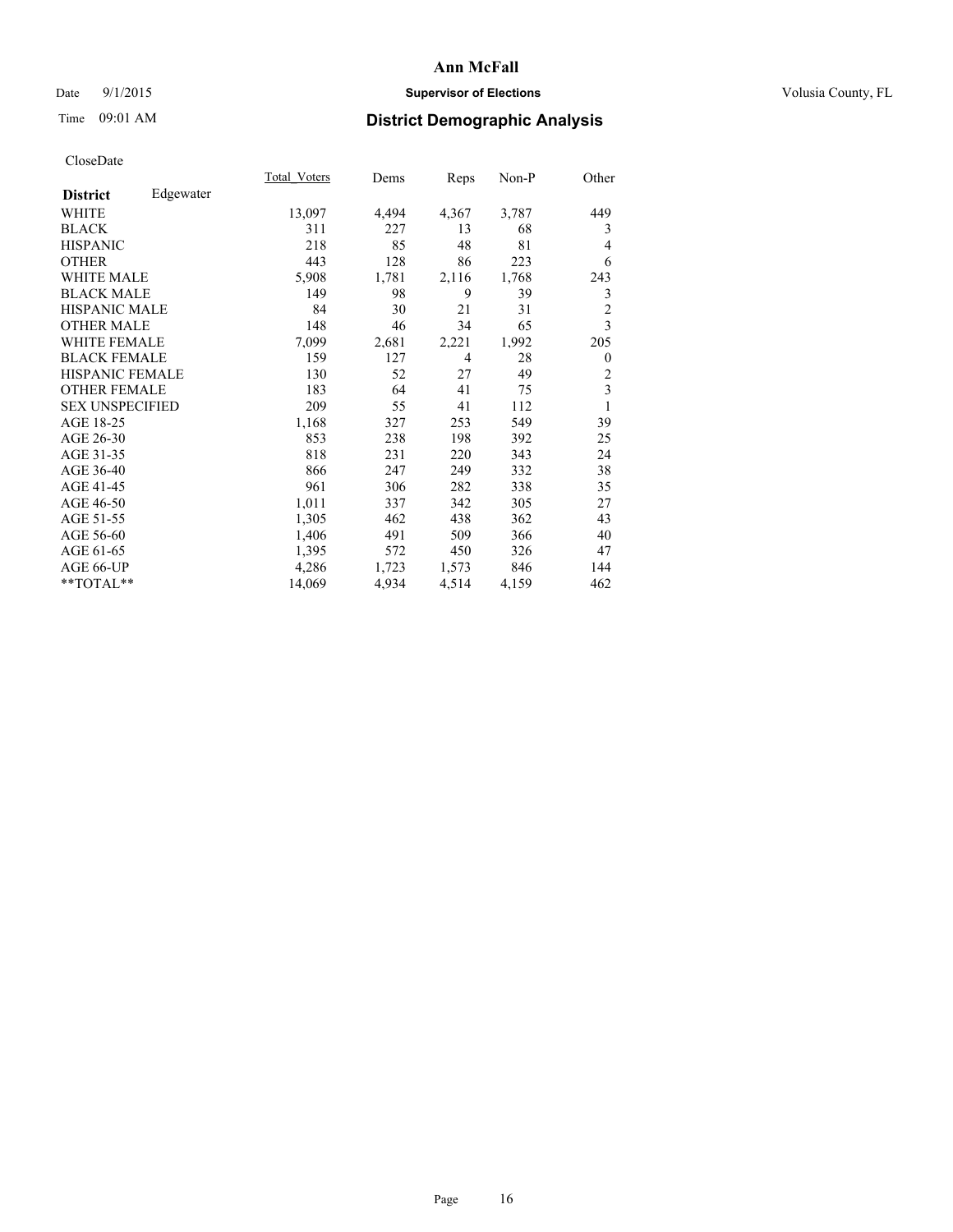### Date 9/1/2015 **Supervisor of Elections Supervisor of Elections** Volusia County, FL

# Time 09:01 AM **District Demographic Analysis**

|                        |           | Total Voters | Dems  | <b>Reps</b>    | Non-P | Other            |
|------------------------|-----------|--------------|-------|----------------|-------|------------------|
| <b>District</b>        | Edgewater |              |       |                |       |                  |
| WHITE                  |           | 13,097       | 4,494 | 4,367          | 3,787 | 449              |
| <b>BLACK</b>           |           | 311          | 227   | 13             | 68    | 3                |
| <b>HISPANIC</b>        |           | 218          | 85    | 48             | 81    | 4                |
| <b>OTHER</b>           |           | 443          | 128   | 86             | 223   | 6                |
| <b>WHITE MALE</b>      |           | 5,908        | 1,781 | 2,116          | 1,768 | 243              |
| <b>BLACK MALE</b>      |           | 149          | 98    | 9              | 39    | 3                |
| <b>HISPANIC MALE</b>   |           | 84           | 30    | 21             | 31    | $\overline{2}$   |
| <b>OTHER MALE</b>      |           | 148          | 46    | 34             | 65    | 3                |
| <b>WHITE FEMALE</b>    |           | 7,099        | 2,681 | 2,221          | 1,992 | 205              |
| <b>BLACK FEMALE</b>    |           | 159          | 127   | $\overline{4}$ | 28    | $\boldsymbol{0}$ |
| <b>HISPANIC FEMALE</b> |           | 130          | 52    | 27             | 49    | 2                |
| <b>OTHER FEMALE</b>    |           | 183          | 64    | 41             | 75    | 3                |
| <b>SEX UNSPECIFIED</b> |           | 209          | 55    | 41             | 112   | 1                |
| AGE 18-25              |           | 1,168        | 327   | 253            | 549   | 39               |
| AGE 26-30              |           | 853          | 238   | 198            | 392   | 25               |
| AGE 31-35              |           | 818          | 231   | 220            | 343   | 24               |
| AGE 36-40              |           | 866          | 247   | 249            | 332   | 38               |
| AGE 41-45              |           | 961          | 306   | 282            | 338   | 35               |
| AGE 46-50              |           | 1,011        | 337   | 342            | 305   | 27               |
| AGE 51-55              |           | 1,305        | 462   | 438            | 362   | 43               |
| AGE 56-60              |           | 1,406        | 491   | 509            | 366   | 40               |
| AGE 61-65              |           | 1,395        | 572   | 450            | 326   | 47               |
| AGE 66-UP              |           | 4,286        | 1,723 | 1,573          | 846   | 144              |
| **TOTAL**              |           | 14,069       | 4,934 | 4,514          | 4,159 | 462              |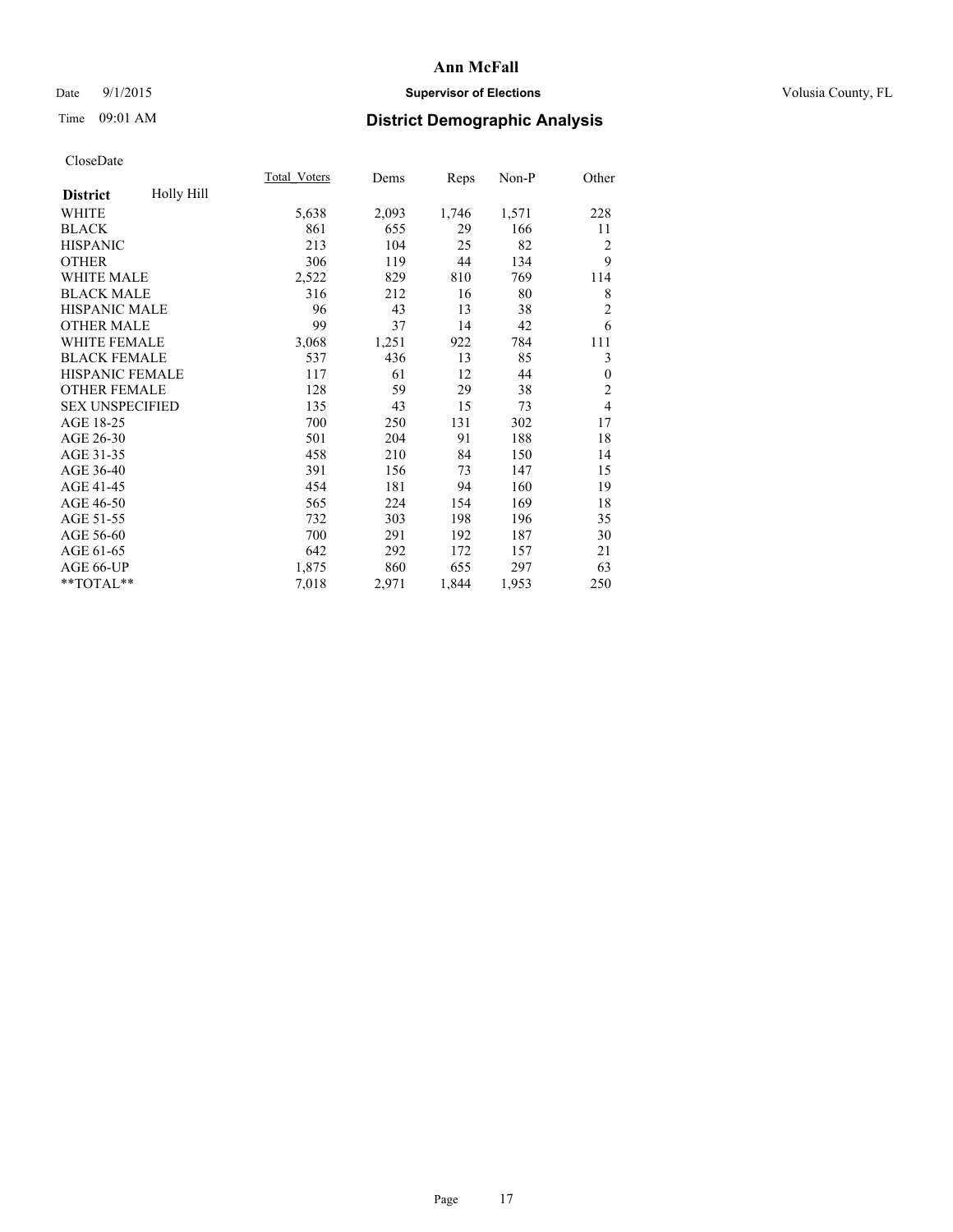### Date 9/1/2015 **Supervisor of Elections Supervisor of Elections** Volusia County, FL

# Time 09:01 AM **District Demographic Analysis**

|                        |            | Total Voters | Dems  | <b>Reps</b> | Non-P | Other          |
|------------------------|------------|--------------|-------|-------------|-------|----------------|
| <b>District</b>        | Holly Hill |              |       |             |       |                |
| WHITE                  |            | 5,638        | 2,093 | 1,746       | 1,571 | 228            |
| <b>BLACK</b>           |            | 861          | 655   | 29          | 166   | 11             |
| <b>HISPANIC</b>        |            | 213          | 104   | 25          | 82    | $\overline{2}$ |
| <b>OTHER</b>           |            | 306          | 119   | 44          | 134   | 9              |
| <b>WHITE MALE</b>      |            | 2,522        | 829   | 810         | 769   | 114            |
| <b>BLACK MALE</b>      |            | 316          | 212   | 16          | 80    | 8              |
| <b>HISPANIC MALE</b>   |            | 96           | 43    | 13          | 38    | $\overline{c}$ |
| <b>OTHER MALE</b>      |            | 99           | 37    | 14          | 42    | 6              |
| WHITE FEMALE           |            | 3,068        | 1,251 | 922         | 784   | 111            |
| <b>BLACK FEMALE</b>    |            | 537          | 436   | 13          | 85    | 3              |
| <b>HISPANIC FEMALE</b> |            | 117          | 61    | 12          | 44    | $\mathbf{0}$   |
| <b>OTHER FEMALE</b>    |            | 128          | 59    | 29          | 38    | $\overline{2}$ |
| <b>SEX UNSPECIFIED</b> |            | 135          | 43    | 15          | 73    | $\overline{4}$ |
| AGE 18-25              |            | 700          | 250   | 131         | 302   | 17             |
| AGE 26-30              |            | 501          | 204   | 91          | 188   | 18             |
| AGE 31-35              |            | 458          | 210   | 84          | 150   | 14             |
| AGE 36-40              |            | 391          | 156   | 73          | 147   | 15             |
| AGE 41-45              |            | 454          | 181   | 94          | 160   | 19             |
| AGE 46-50              |            | 565          | 224   | 154         | 169   | 18             |
| AGE 51-55              |            | 732          | 303   | 198         | 196   | 35             |
| AGE 56-60              |            | 700          | 291   | 192         | 187   | 30             |
| AGE 61-65              |            | 642          | 292   | 172         | 157   | 21             |
| AGE 66-UP              |            | 1,875        | 860   | 655         | 297   | 63             |
| **TOTAL**              |            | 7,018        | 2,971 | 1,844       | 1,953 | 250            |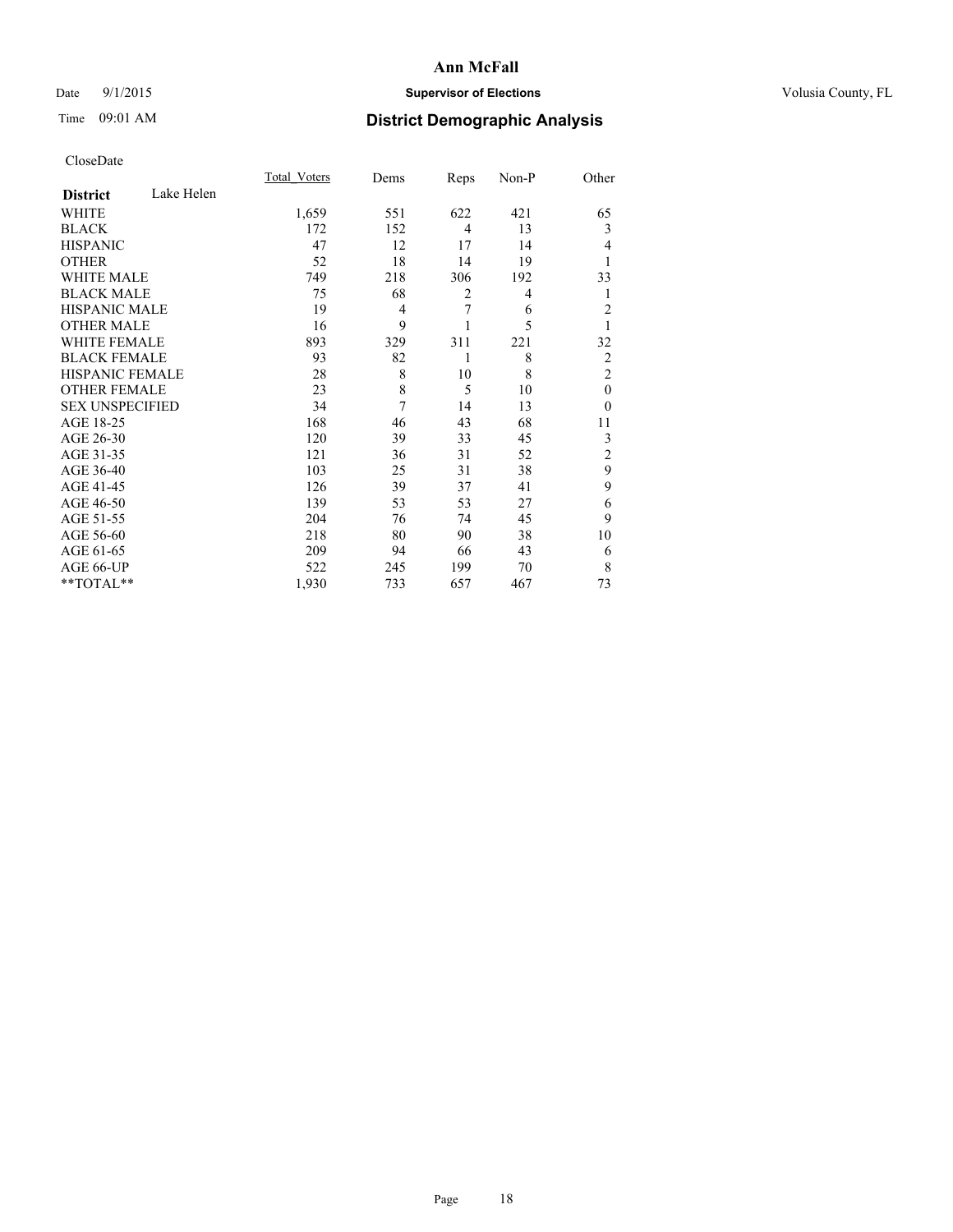### Date 9/1/2015 **Supervisor of Elections Supervisor of Elections** Volusia County, FL

# Time 09:01 AM **District Demographic Analysis**

|                        |            | Total Voters | Dems | Reps           | Non-P | Other          |
|------------------------|------------|--------------|------|----------------|-------|----------------|
| <b>District</b>        | Lake Helen |              |      |                |       |                |
| WHITE                  |            | 1,659        | 551  | 622            | 421   | 65             |
| <b>BLACK</b>           |            | 172          | 152  | $\overline{4}$ | 13    | 3              |
| <b>HISPANIC</b>        |            | 47           | 12   | 17             | 14    | $\overline{4}$ |
| <b>OTHER</b>           |            | 52           | 18   | 14             | 19    |                |
| WHITE MALE             |            | 749          | 218  | 306            | 192   | 33             |
| <b>BLACK MALE</b>      |            | 75           | 68   | 2              | 4     | 1              |
| <b>HISPANIC MALE</b>   |            | 19           | 4    | 7              | 6     | $\overline{2}$ |
| <b>OTHER MALE</b>      |            | 16           | 9    |                | 5     | 1              |
| <b>WHITE FEMALE</b>    |            | 893          | 329  | 311            | 221   | 32             |
| <b>BLACK FEMALE</b>    |            | 93           | 82   | 1              | 8     | $\overline{2}$ |
| HISPANIC FEMALE        |            | 28           | 8    | 10             | 8     | $\overline{2}$ |
| <b>OTHER FEMALE</b>    |            | 23           | 8    | 5              | 10    | $\theta$       |
| <b>SEX UNSPECIFIED</b> |            | 34           | 7    | 14             | 13    | $\theta$       |
| AGE 18-25              |            | 168          | 46   | 43             | 68    | 11             |
| AGE 26-30              |            | 120          | 39   | 33             | 45    | 3              |
| AGE 31-35              |            | 121          | 36   | 31             | 52    | $\overline{c}$ |
| AGE 36-40              |            | 103          | 25   | 31             | 38    | 9              |
| AGE 41-45              |            | 126          | 39   | 37             | 41    | 9              |
| AGE 46-50              |            | 139          | 53   | 53             | 27    | 6              |
| AGE 51-55              |            | 204          | 76   | 74             | 45    | 9              |
| AGE 56-60              |            | 218          | 80   | 90             | 38    | 10             |
| AGE 61-65              |            | 209          | 94   | 66             | 43    | 6              |
| AGE 66-UP              |            | 522          | 245  | 199            | 70    | 8              |
| **TOTAL**              |            | 1,930        | 733  | 657            | 467   | 73             |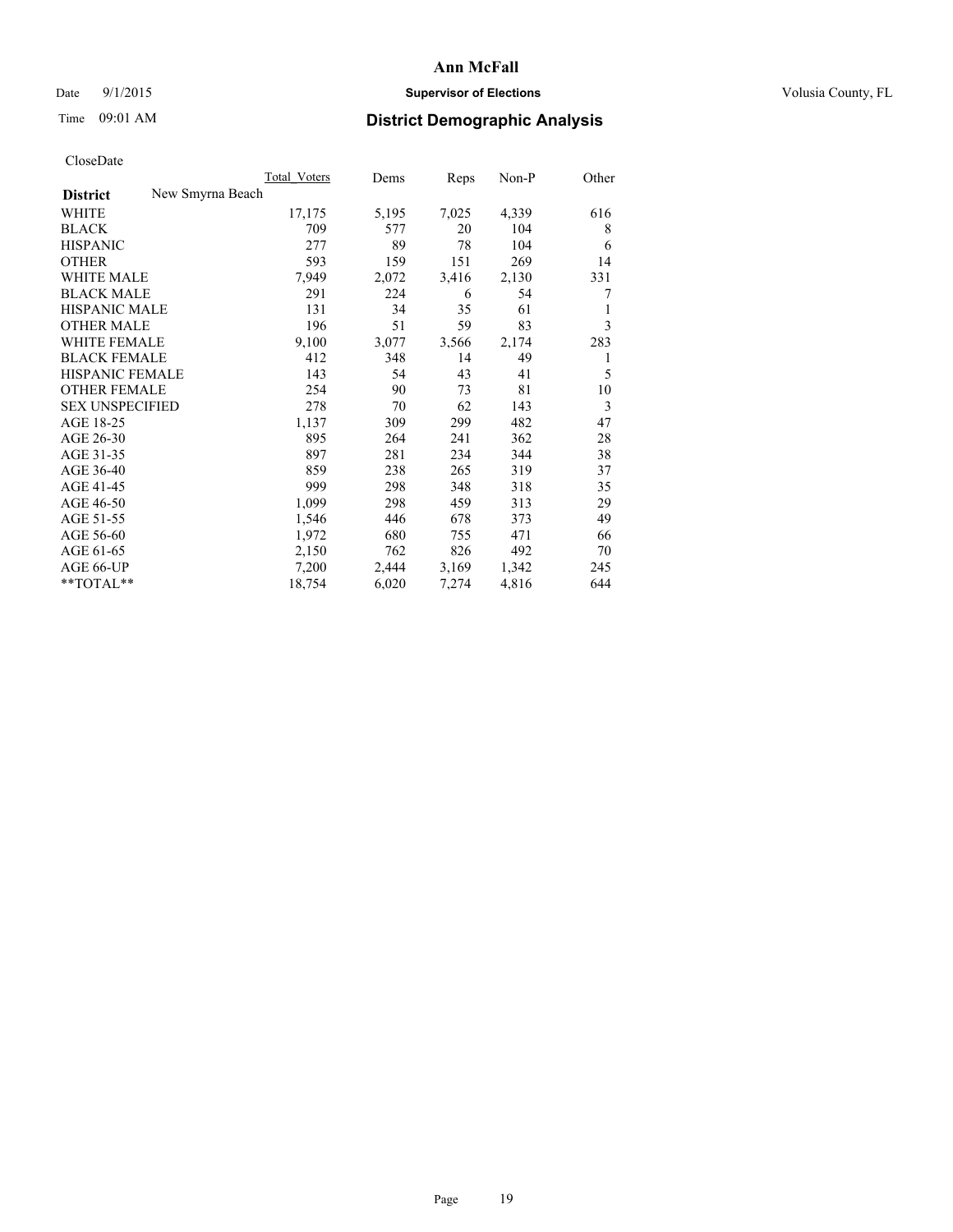### Date 9/1/2015 **Supervisor of Elections Supervisor of Elections** Volusia County, FL

# Time 09:01 AM **District Demographic Analysis**

|                        |                  | Total Voters | Dems  | Reps  | $Non-P$ | Other |
|------------------------|------------------|--------------|-------|-------|---------|-------|
| <b>District</b>        | New Smyrna Beach |              |       |       |         |       |
| WHITE                  |                  | 17,175       | 5,195 | 7,025 | 4,339   | 616   |
| <b>BLACK</b>           |                  | 709          | 577   | 20    | 104     | 8     |
| <b>HISPANIC</b>        |                  | 277          | 89    | 78    | 104     | 6     |
| <b>OTHER</b>           |                  | 593          | 159   | 151   | 269     | 14    |
| WHITE MALE             |                  | 7,949        | 2,072 | 3,416 | 2,130   | 331   |
| <b>BLACK MALE</b>      |                  | 291          | 224   | 6     | 54      | 7     |
| <b>HISPANIC MALE</b>   |                  | 131          | 34    | 35    | 61      | 1     |
| <b>OTHER MALE</b>      |                  | 196          | 51    | 59    | 83      | 3     |
| WHITE FEMALE           |                  | 9,100        | 3,077 | 3,566 | 2,174   | 283   |
| <b>BLACK FEMALE</b>    |                  | 412          | 348   | 14    | 49      | 1     |
| HISPANIC FEMALE        |                  | 143          | 54    | 43    | 41      | 5     |
| <b>OTHER FEMALE</b>    |                  | 254          | 90    | 73    | 81      | 10    |
| <b>SEX UNSPECIFIED</b> |                  | 278          | 70    | 62    | 143     | 3     |
| AGE 18-25              |                  | 1,137        | 309   | 299   | 482     | 47    |
| AGE 26-30              |                  | 895          | 264   | 241   | 362     | 28    |
| AGE 31-35              |                  | 897          | 281   | 234   | 344     | 38    |
| AGE 36-40              |                  | 859          | 238   | 265   | 319     | 37    |
| AGE 41-45              |                  | 999          | 298   | 348   | 318     | 35    |
| AGE 46-50              |                  | 1,099        | 298   | 459   | 313     | 29    |
| AGE 51-55              |                  | 1,546        | 446   | 678   | 373     | 49    |
| AGE 56-60              |                  | 1,972        | 680   | 755   | 471     | 66    |
| AGE 61-65              |                  | 2,150        | 762   | 826   | 492     | 70    |
| AGE 66-UP              |                  | 7,200        | 2,444 | 3,169 | 1,342   | 245   |
| $*$ TOTAL $*$          |                  | 18,754       | 6,020 | 7,274 | 4,816   | 644   |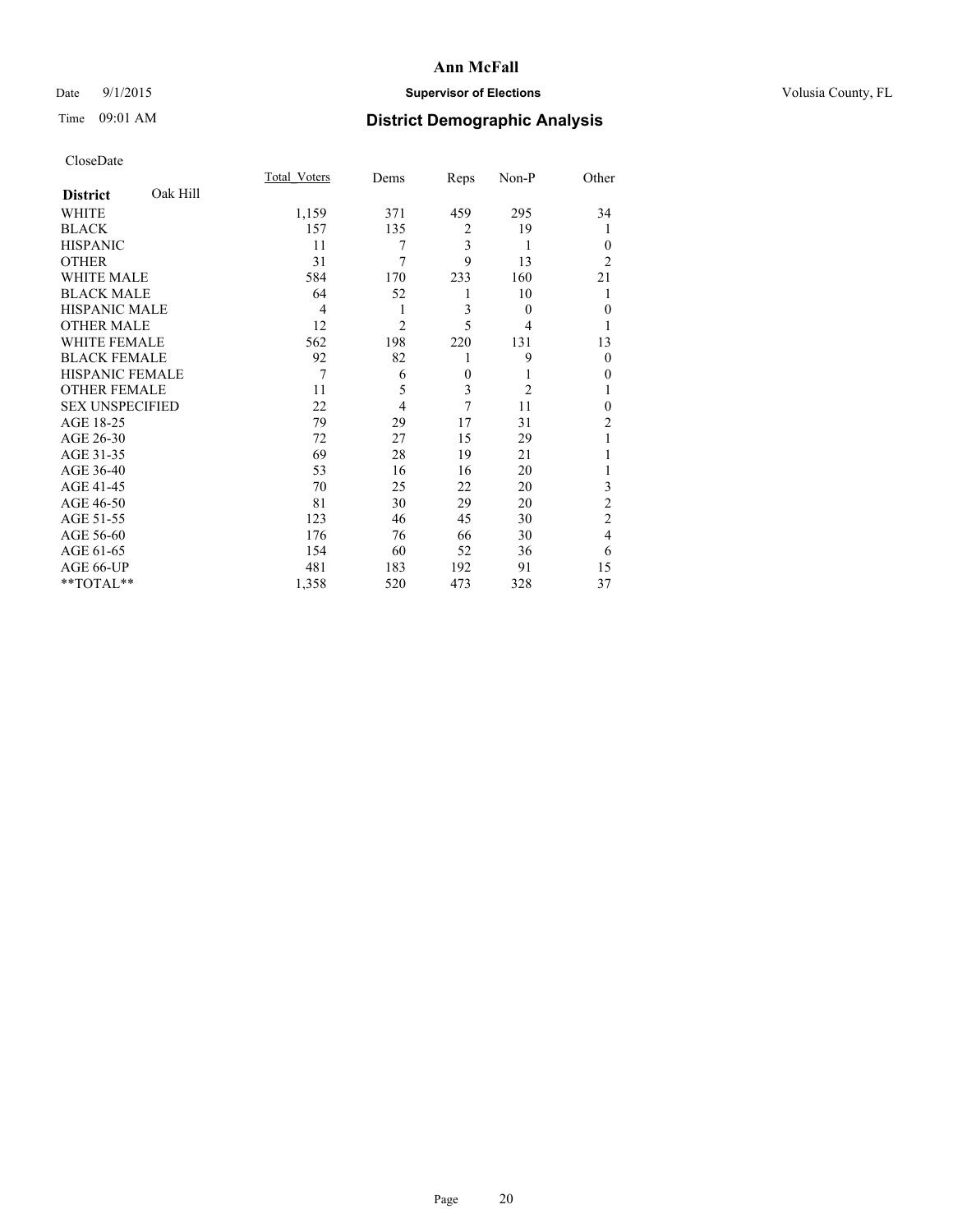### Date 9/1/2015 **Supervisor of Elections Supervisor of Elections** Volusia County, FL

# Time 09:01 AM **District Demographic Analysis**

|                             | Total Voters | Dems           | Reps                    | Non-P          | Other          |
|-----------------------------|--------------|----------------|-------------------------|----------------|----------------|
| Oak Hill<br><b>District</b> |              |                |                         |                |                |
| WHITE                       | 1,159        | 371            | 459                     | 295            | 34             |
| <b>BLACK</b>                | 157          | 135            | $\overline{2}$          | 19             | 1              |
| <b>HISPANIC</b>             | 11           | 7              | $\overline{\mathbf{3}}$ | 1              | $\theta$       |
| <b>OTHER</b>                | 31           | 7              | 9                       | 13             | $\overline{c}$ |
| <b>WHITE MALE</b>           | 584          | 170            | 233                     | 160            | 21             |
| <b>BLACK MALE</b>           | 64           | 52             | 1                       | 10             | 1              |
| <b>HISPANIC MALE</b>        | 4            | 1              | 3                       | $\theta$       | $\theta$       |
| <b>OTHER MALE</b>           | 12           | $\overline{2}$ | 5                       | 4              | 1              |
| <b>WHITE FEMALE</b>         | 562          | 198            | 220                     | 131            | 13             |
| <b>BLACK FEMALE</b>         | 92           | 82             | 1                       | 9              | $\theta$       |
| <b>HISPANIC FEMALE</b>      | 7            | 6              | $\theta$                | 1              | $\theta$       |
| <b>OTHER FEMALE</b>         | 11           | 5              | 3                       | $\overline{2}$ | 1              |
| <b>SEX UNSPECIFIED</b>      | 22           | $\overline{4}$ | 7                       | 11             | $\theta$       |
| AGE 18-25                   | 79           | 29             | 17                      | 31             | $\overline{c}$ |
| AGE 26-30                   | 72           | 27             | 15                      | 29             | 1              |
| AGE 31-35                   | 69           | 28             | 19                      | 21             |                |
| AGE 36-40                   | 53           | 16             | 16                      | 20             |                |
| AGE 41-45                   | 70           | 25             | 22                      | 20             | 3              |
| AGE 46-50                   | 81           | 30             | 29                      | 20             | $\overline{c}$ |
| AGE 51-55                   | 123          | 46             | 45                      | 30             | $\overline{2}$ |
| AGE 56-60                   | 176          | 76             | 66                      | 30             | $\overline{4}$ |
| AGE 61-65                   | 154          | 60             | 52                      | 36             | 6              |
| AGE 66-UP                   | 481          | 183            | 192                     | 91             | 15             |
| **TOTAL**                   | 1,358        | 520            | 473                     | 328            | 37             |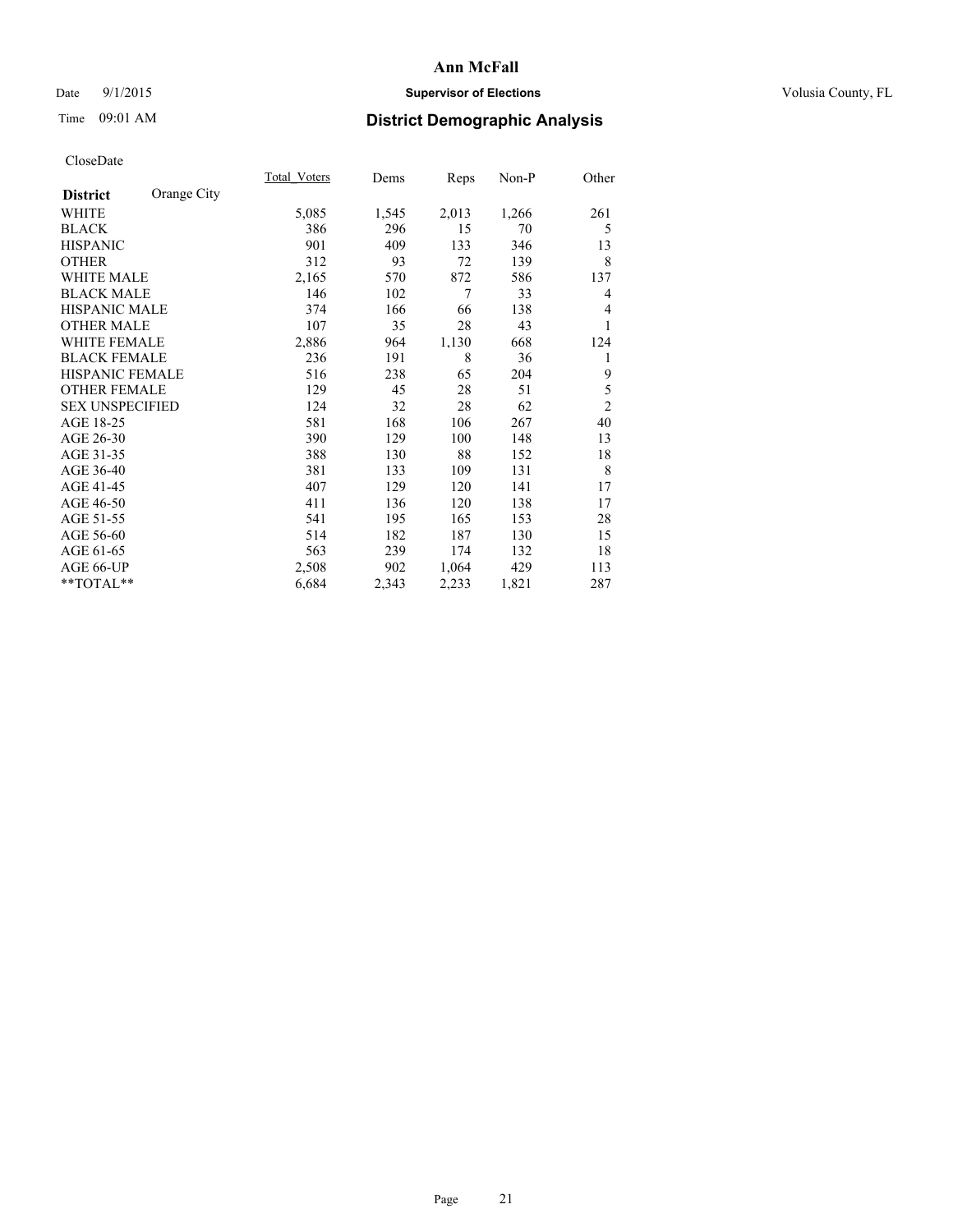### Date 9/1/2015 **Supervisor of Elections Supervisor of Elections** Volusia County, FL

# Time 09:01 AM **District Demographic Analysis**

|                        |             | Total Voters | Dems  | Reps  | $Non-P$ | Other          |
|------------------------|-------------|--------------|-------|-------|---------|----------------|
| <b>District</b>        | Orange City |              |       |       |         |                |
| WHITE                  |             | 5,085        | 1,545 | 2,013 | 1,266   | 261            |
| <b>BLACK</b>           |             | 386          | 296   | 15    | 70      | 5              |
| <b>HISPANIC</b>        |             | 901          | 409   | 133   | 346     | 13             |
| <b>OTHER</b>           |             | 312          | 93    | 72    | 139     | 8              |
| WHITE MALE             |             | 2,165        | 570   | 872   | 586     | 137            |
| <b>BLACK MALE</b>      |             | 146          | 102   | 7     | 33      | 4              |
| <b>HISPANIC MALE</b>   |             | 374          | 166   | 66    | 138     | 4              |
| <b>OTHER MALE</b>      |             | 107          | 35    | 28    | 43      | 1              |
| WHITE FEMALE           |             | 2,886        | 964   | 1,130 | 668     | 124            |
| <b>BLACK FEMALE</b>    |             | 236          | 191   | 8     | 36      | 1              |
| <b>HISPANIC FEMALE</b> |             | 516          | 238   | 65    | 204     | 9              |
| <b>OTHER FEMALE</b>    |             | 129          | 45    | 28    | 51      | 5              |
| <b>SEX UNSPECIFIED</b> |             | 124          | 32    | 28    | 62      | $\overline{2}$ |
| AGE 18-25              |             | 581          | 168   | 106   | 267     | 40             |
| AGE 26-30              |             | 390          | 129   | 100   | 148     | 13             |
| AGE 31-35              |             | 388          | 130   | 88    | 152     | 18             |
| AGE 36-40              |             | 381          | 133   | 109   | 131     | 8              |
| AGE 41-45              |             | 407          | 129   | 120   | 141     | 17             |
| AGE 46-50              |             | 411          | 136   | 120   | 138     | 17             |
| AGE 51-55              |             | 541          | 195   | 165   | 153     | 28             |
| AGE 56-60              |             | 514          | 182   | 187   | 130     | 15             |
| AGE 61-65              |             | 563          | 239   | 174   | 132     | 18             |
| AGE 66-UP              |             | 2,508        | 902   | 1,064 | 429     | 113            |
| **TOTAL**              |             | 6,684        | 2,343 | 2,233 | 1,821   | 287            |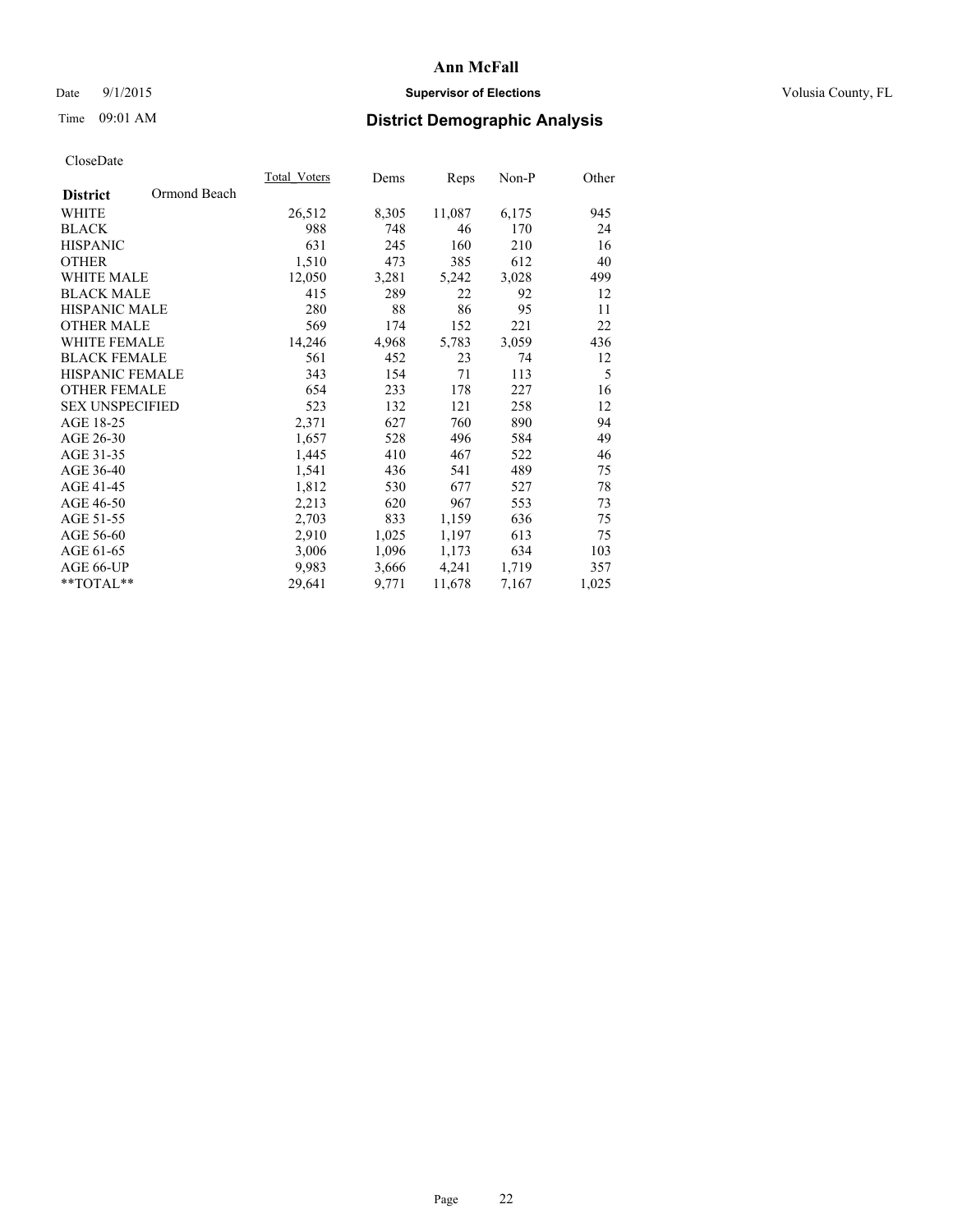### Date 9/1/2015 **Supervisor of Elections Supervisor of Elections** Volusia County, FL

# Time 09:01 AM **District Demographic Analysis**

|                                 | <b>Total Voters</b> | Dems  | Reps   | Non-P | Other |
|---------------------------------|---------------------|-------|--------|-------|-------|
| Ormond Beach<br><b>District</b> |                     |       |        |       |       |
| WHITE                           | 26,512              | 8,305 | 11,087 | 6,175 | 945   |
| <b>BLACK</b>                    | 988                 | 748   | 46     | 170   | 24    |
| <b>HISPANIC</b>                 | 631                 | 245   | 160    | 210   | 16    |
| <b>OTHER</b>                    | 1,510               | 473   | 385    | 612   | 40    |
| WHITE MALE                      | 12,050              | 3,281 | 5,242  | 3,028 | 499   |
| <b>BLACK MALE</b>               | 415                 | 289   | 22     | 92    | 12    |
| <b>HISPANIC MALE</b>            | 280                 | 88    | 86     | 95    | 11    |
| <b>OTHER MALE</b>               | 569                 | 174   | 152    | 221   | 22    |
| <b>WHITE FEMALE</b>             | 14,246              | 4,968 | 5,783  | 3,059 | 436   |
| <b>BLACK FEMALE</b>             | 561                 | 452   | 23     | 74    | 12    |
| <b>HISPANIC FEMALE</b>          | 343                 | 154   | 71     | 113   | 5     |
| <b>OTHER FEMALE</b>             | 654                 | 233   | 178    | 227   | 16    |
| <b>SEX UNSPECIFIED</b>          | 523                 | 132   | 121    | 258   | 12    |
| AGE 18-25                       | 2,371               | 627   | 760    | 890   | 94    |
| AGE 26-30                       | 1,657               | 528   | 496    | 584   | 49    |
| AGE 31-35                       | 1,445               | 410   | 467    | 522   | 46    |
| AGE 36-40                       | 1,541               | 436   | 541    | 489   | 75    |
| AGE 41-45                       | 1,812               | 530   | 677    | 527   | 78    |
| AGE 46-50                       | 2,213               | 620   | 967    | 553   | 73    |
| AGE 51-55                       | 2,703               | 833   | 1,159  | 636   | 75    |
| AGE 56-60                       | 2,910               | 1,025 | 1,197  | 613   | 75    |
| AGE 61-65                       | 3,006               | 1,096 | 1,173  | 634   | 103   |
| AGE 66-UP                       | 9,983               | 3,666 | 4,241  | 1,719 | 357   |
| $*$ TOTAL $*$                   | 29,641              | 9,771 | 11,678 | 7,167 | 1,025 |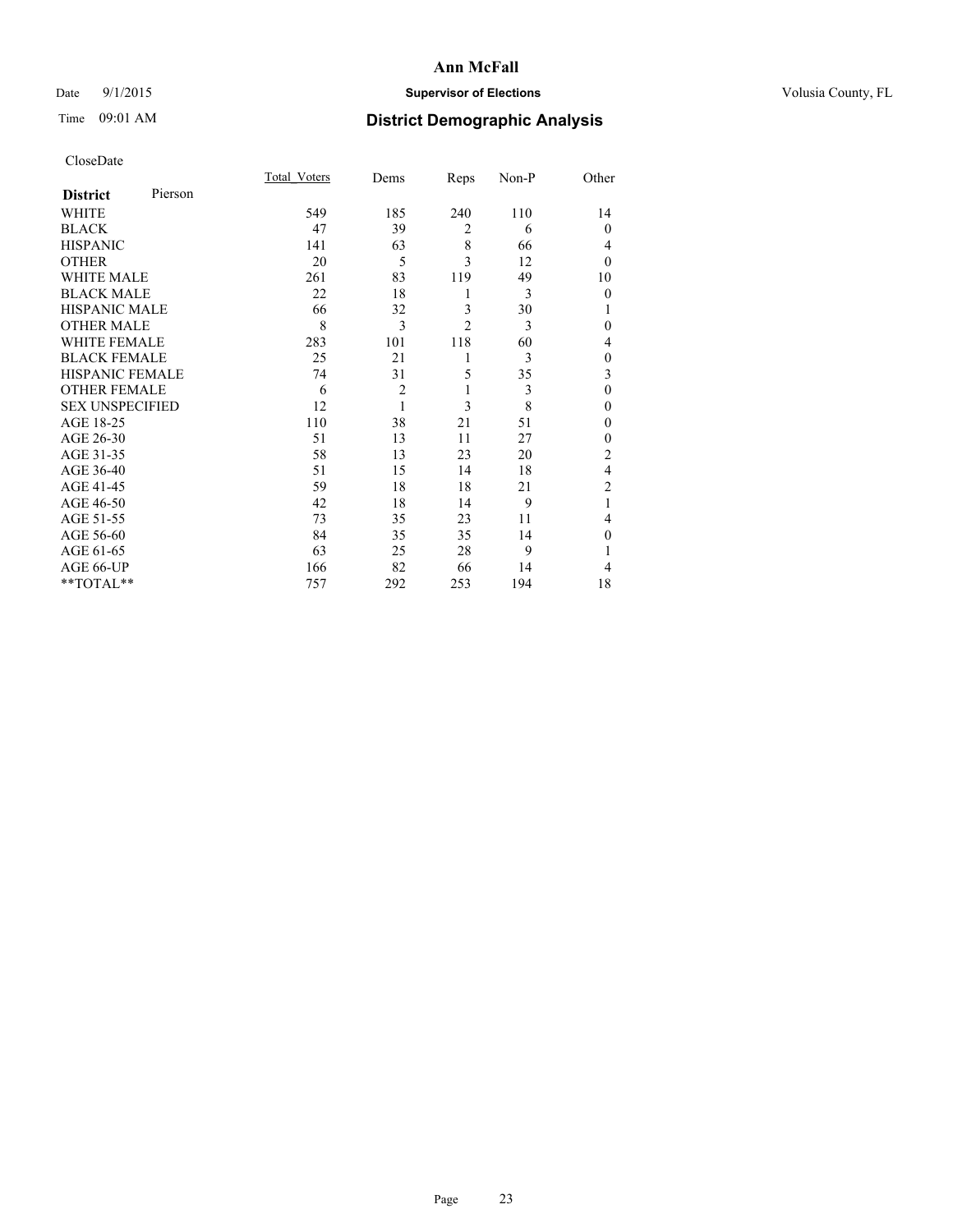### Date 9/1/2015 **Supervisor of Elections Supervisor of Elections** Volusia County, FL

# Time 09:01 AM **District Demographic Analysis**

|                        |         | Total Voters | Dems           | Reps           | Non-P | Other          |
|------------------------|---------|--------------|----------------|----------------|-------|----------------|
| <b>District</b>        | Pierson |              |                |                |       |                |
| WHITE                  |         | 549          | 185            | 240            | 110   | 14             |
| <b>BLACK</b>           |         | 47           | 39             | $\overline{2}$ | 6     | $\Omega$       |
| <b>HISPANIC</b>        |         | 141          | 63             | 8              | 66    | 4              |
| <b>OTHER</b>           |         | 20           | 5              | 3              | 12    | $\Omega$       |
| WHITE MALE             |         | 261          | 83             | 119            | 49    | 10             |
| <b>BLACK MALE</b>      |         | 22           | 18             | 1              | 3     | $\mathbf{0}$   |
| <b>HISPANIC MALE</b>   |         | 66           | 32             | 3              | 30    | 1              |
| <b>OTHER MALE</b>      |         | 8            | 3              | $\overline{2}$ | 3     | $\Omega$       |
| <b>WHITE FEMALE</b>    |         | 283          | 101            | 118            | 60    | 4              |
| <b>BLACK FEMALE</b>    |         | 25           | 21             | 1              | 3     | $\mathbf{0}$   |
| <b>HISPANIC FEMALE</b> |         | 74           | 31             | 5              | 35    | 3              |
| <b>OTHER FEMALE</b>    |         | 6            | $\overline{c}$ | 1              | 3     | $\theta$       |
| <b>SEX UNSPECIFIED</b> |         | 12           | $\mathbf{1}$   | 3              | 8     | $\theta$       |
| AGE 18-25              |         | 110          | 38             | 21             | 51    | $\Omega$       |
| AGE 26-30              |         | 51           | 13             | 11             | 27    | $\mathbf{0}$   |
| AGE 31-35              |         | 58           | 13             | 23             | 20    | $\overline{2}$ |
| AGE 36-40              |         | 51           | 15             | 14             | 18    | $\overline{4}$ |
| AGE 41-45              |         | 59           | 18             | 18             | 21    | $\overline{c}$ |
| AGE 46-50              |         | 42           | 18             | 14             | 9     | 1              |
| AGE 51-55              |         | 73           | 35             | 23             | 11    | 4              |
| AGE 56-60              |         | 84           | 35             | 35             | 14    | $\theta$       |
| AGE 61-65              |         | 63           | 25             | 28             | 9     |                |
| AGE 66-UP              |         | 166          | 82             | 66             | 14    | 4              |
| **TOTAL**              |         | 757          | 292            | 253            | 194   | 18             |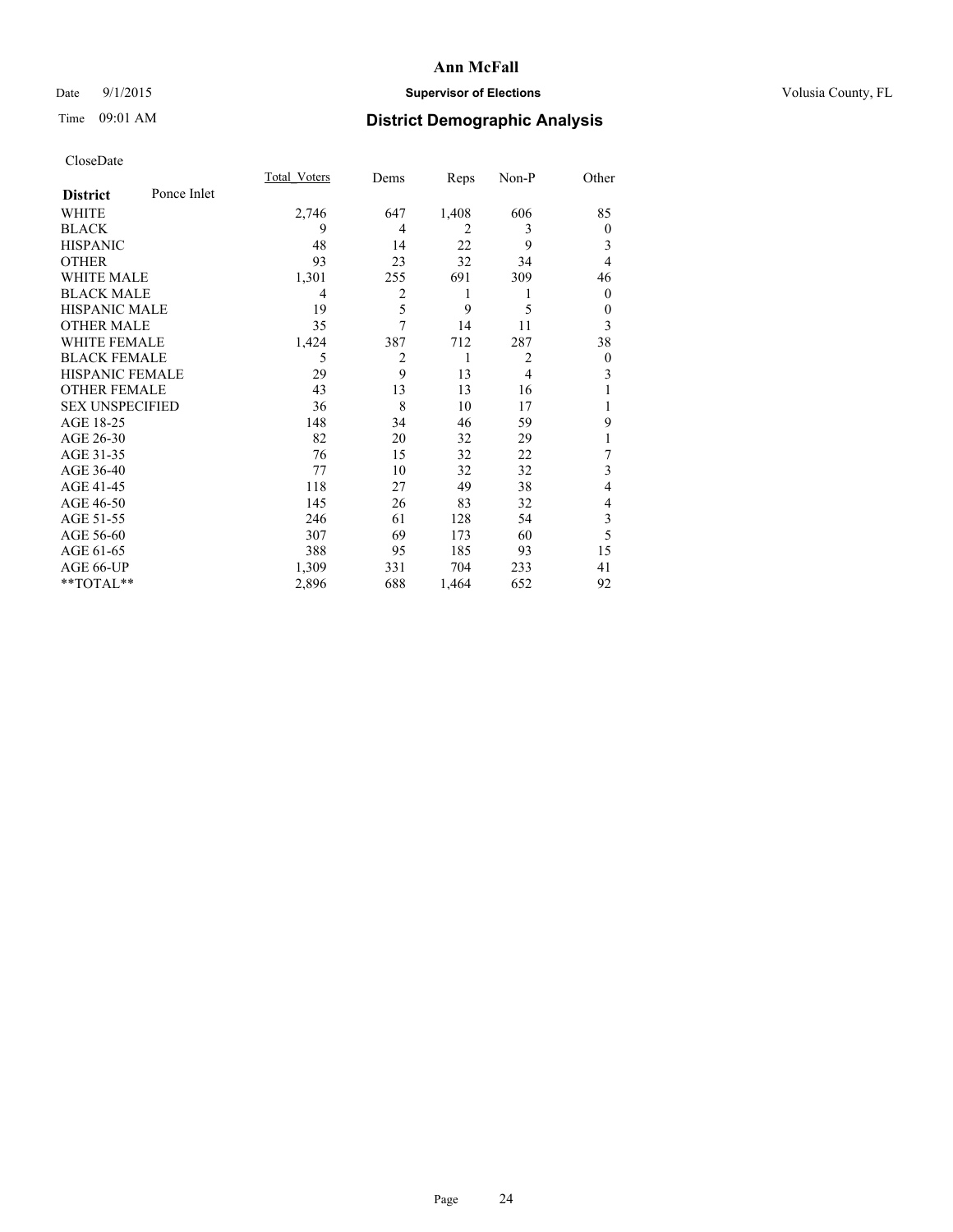### Date 9/1/2015 **Supervisor of Elections Supervisor of Elections** Volusia County, FL

# Time 09:01 AM **District Demographic Analysis**

|                        |             | <b>Total Voters</b> | Dems           | Reps  | Non-P          | Other          |
|------------------------|-------------|---------------------|----------------|-------|----------------|----------------|
| <b>District</b>        | Ponce Inlet |                     |                |       |                |                |
| WHITE                  |             | 2,746               | 647            | 1,408 | 606            | 85             |
| <b>BLACK</b>           |             | 9                   | 4              | 2     | 3              | $\overline{0}$ |
| <b>HISPANIC</b>        |             | 48                  | 14             | 22    | 9              | 3              |
| <b>OTHER</b>           |             | 93                  | 23             | 32    | 34             | 4              |
| WHITE MALE             |             | 1,301               | 255            | 691   | 309            | 46             |
| <b>BLACK MALE</b>      |             | 4                   | $\overline{c}$ | 1     |                | $\theta$       |
| <b>HISPANIC MALE</b>   |             | 19                  | 5              | 9     | 5              | $\theta$       |
| <b>OTHER MALE</b>      |             | 35                  | 7              | 14    | 11             | 3              |
| WHITE FEMALE           |             | 1,424               | 387            | 712   | 287            | 38             |
| <b>BLACK FEMALE</b>    |             | 5                   | $\overline{2}$ | 1     | $\overline{2}$ | $\overline{0}$ |
| <b>HISPANIC FEMALE</b> |             | 29                  | 9              | 13    | $\overline{4}$ | 3              |
| <b>OTHER FEMALE</b>    |             | 43                  | 13             | 13    | 16             |                |
| <b>SEX UNSPECIFIED</b> |             | 36                  | 8              | 10    | 17             |                |
| AGE 18-25              |             | 148                 | 34             | 46    | 59             | 9              |
| AGE 26-30              |             | 82                  | 20             | 32    | 29             | 1              |
| AGE 31-35              |             | 76                  | 15             | 32    | 22             | 7              |
| AGE 36-40              |             | 77                  | 10             | 32    | 32             | 3              |
| AGE 41-45              |             | 118                 | 27             | 49    | 38             | 4              |
| AGE 46-50              |             | 145                 | 26             | 83    | 32             | 4              |
| AGE 51-55              |             | 246                 | 61             | 128   | 54             | 3              |
| AGE 56-60              |             | 307                 | 69             | 173   | 60             | 5              |
| AGE 61-65              |             | 388                 | 95             | 185   | 93             | 15             |
| AGE 66-UP              |             | 1,309               | 331            | 704   | 233            | 41             |
| **TOTAL**              |             | 2,896               | 688            | 1,464 | 652            | 92             |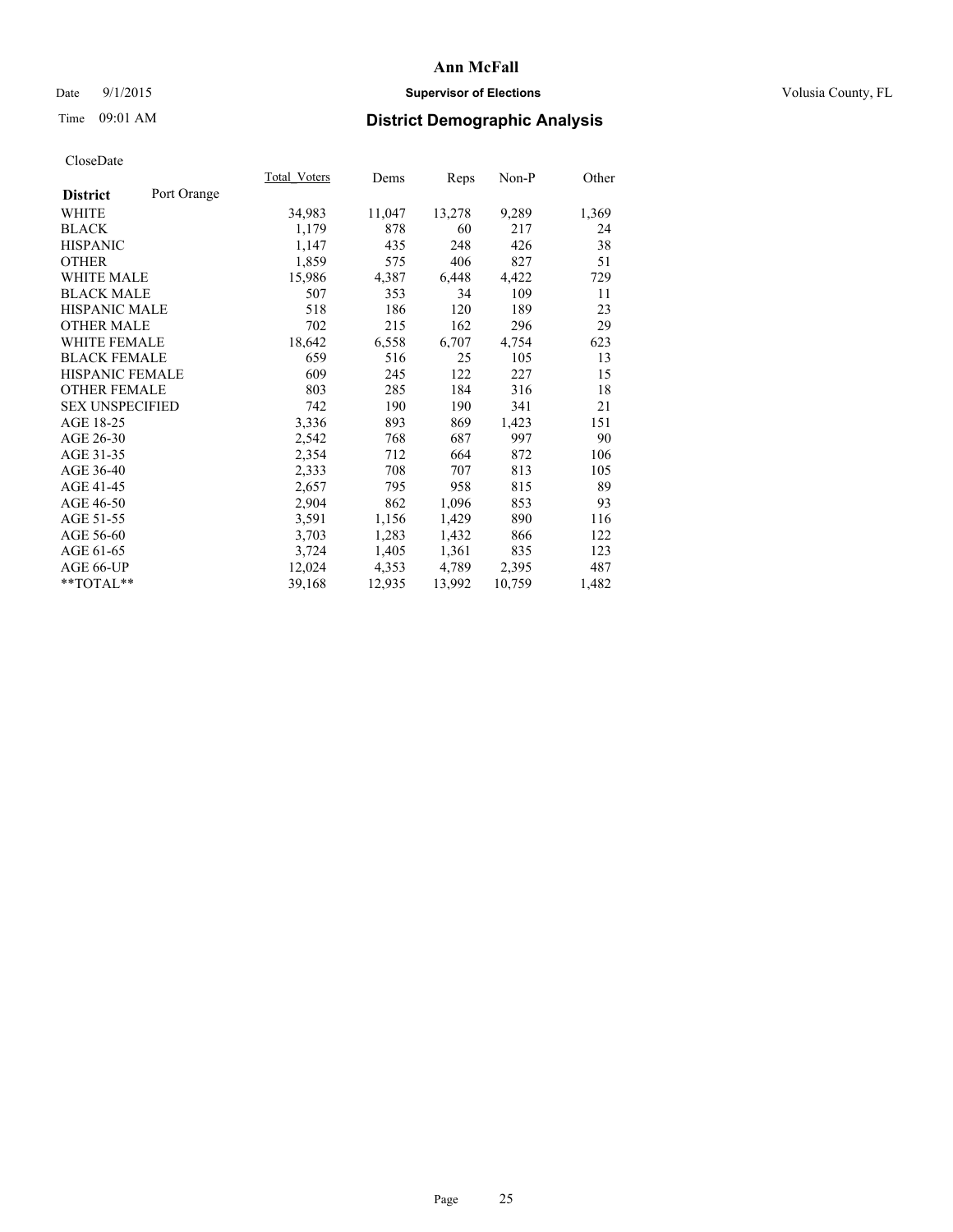### Date 9/1/2015 **Supervisor of Elections Supervisor of Elections** Volusia County, FL

# Time 09:01 AM **District Demographic Analysis**

|                        |             | <b>Total Voters</b> | Dems   | Reps   | $Non-P$ | Other |
|------------------------|-------------|---------------------|--------|--------|---------|-------|
| <b>District</b>        | Port Orange |                     |        |        |         |       |
| WHITE                  |             | 34,983              | 11,047 | 13,278 | 9,289   | 1,369 |
| <b>BLACK</b>           |             | 1,179               | 878    | 60     | 217     | 24    |
| <b>HISPANIC</b>        |             | 1,147               | 435    | 248    | 426     | 38    |
| <b>OTHER</b>           |             | 1,859               | 575    | 406    | 827     | 51    |
| WHITE MALE             |             | 15,986              | 4,387  | 6,448  | 4,422   | 729   |
| <b>BLACK MALE</b>      |             | 507                 | 353    | 34     | 109     | 11    |
| <b>HISPANIC MALE</b>   |             | 518                 | 186    | 120    | 189     | 23    |
| <b>OTHER MALE</b>      |             | 702                 | 215    | 162    | 296     | 29    |
| <b>WHITE FEMALE</b>    |             | 18,642              | 6,558  | 6,707  | 4,754   | 623   |
| <b>BLACK FEMALE</b>    |             | 659                 | 516    | 25     | 105     | 13    |
| HISPANIC FEMALE        |             | 609                 | 245    | 122    | 227     | 15    |
| <b>OTHER FEMALE</b>    |             | 803                 | 285    | 184    | 316     | 18    |
| <b>SEX UNSPECIFIED</b> |             | 742                 | 190    | 190    | 341     | 21    |
| AGE 18-25              |             | 3,336               | 893    | 869    | 1,423   | 151   |
| AGE 26-30              |             | 2,542               | 768    | 687    | 997     | 90    |
| AGE 31-35              |             | 2,354               | 712    | 664    | 872     | 106   |
| AGE 36-40              |             | 2,333               | 708    | 707    | 813     | 105   |
| AGE 41-45              |             | 2,657               | 795    | 958    | 815     | 89    |
| AGE 46-50              |             | 2,904               | 862    | 1,096  | 853     | 93    |
| AGE 51-55              |             | 3,591               | 1,156  | 1,429  | 890     | 116   |
| AGE 56-60              |             | 3,703               | 1,283  | 1,432  | 866     | 122   |
| AGE 61-65              |             | 3,724               | 1,405  | 1,361  | 835     | 123   |
| AGE 66-UP              |             | 12,024              | 4,353  | 4,789  | 2,395   | 487   |
| $*$ $TOTAL**$          |             | 39,168              | 12,935 | 13,992 | 10,759  | 1,482 |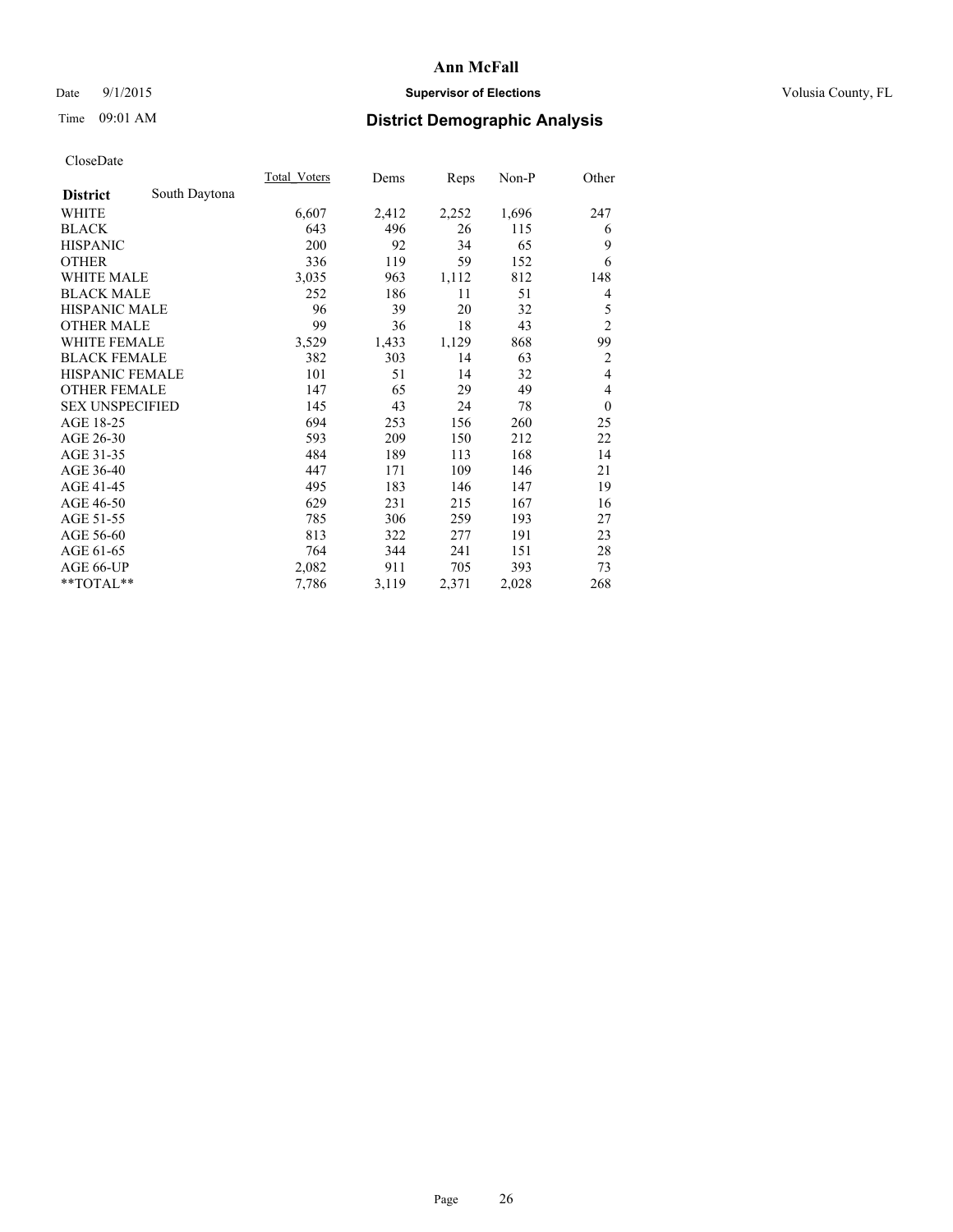### Date 9/1/2015 **Supervisor of Elections Supervisor of Elections** Volusia County, FL

# Time 09:01 AM **District Demographic Analysis**

|                        |               | Total Voters | Dems  | Reps  | Non-P | Other            |
|------------------------|---------------|--------------|-------|-------|-------|------------------|
| <b>District</b>        | South Daytona |              |       |       |       |                  |
| WHITE                  |               | 6,607        | 2,412 | 2,252 | 1,696 | 247              |
| <b>BLACK</b>           |               | 643          | 496   | 26    | 115   | 6                |
| <b>HISPANIC</b>        |               | 200          | 92    | 34    | 65    | 9                |
| <b>OTHER</b>           |               | 336          | 119   | 59    | 152   | 6                |
| <b>WHITE MALE</b>      |               | 3,035        | 963   | 1,112 | 812   | 148              |
| <b>BLACK MALE</b>      |               | 252          | 186   | 11    | 51    | 4                |
| <b>HISPANIC MALE</b>   |               | 96           | 39    | 20    | 32    | 5                |
| <b>OTHER MALE</b>      |               | 99           | 36    | 18    | 43    | $\overline{c}$   |
| <b>WHITE FEMALE</b>    |               | 3,529        | 1,433 | 1,129 | 868   | 99               |
| <b>BLACK FEMALE</b>    |               | 382          | 303   | 14    | 63    | $\overline{2}$   |
| <b>HISPANIC FEMALE</b> |               | 101          | 51    | 14    | 32    | $\overline{4}$   |
| <b>OTHER FEMALE</b>    |               | 147          | 65    | 29    | 49    | 4                |
| <b>SEX UNSPECIFIED</b> |               | 145          | 43    | 24    | 78    | $\boldsymbol{0}$ |
| AGE 18-25              |               | 694          | 253   | 156   | 260   | 25               |
| AGE 26-30              |               | 593          | 209   | 150   | 212   | 22               |
| AGE 31-35              |               | 484          | 189   | 113   | 168   | 14               |
| AGE 36-40              |               | 447          | 171   | 109   | 146   | 21               |
| AGE 41-45              |               | 495          | 183   | 146   | 147   | 19               |
| AGE 46-50              |               | 629          | 231   | 215   | 167   | 16               |
| AGE 51-55              |               | 785          | 306   | 259   | 193   | 27               |
| AGE 56-60              |               | 813          | 322   | 277   | 191   | 23               |
| AGE 61-65              |               | 764          | 344   | 241   | 151   | 28               |
| AGE 66-UP              |               | 2,082        | 911   | 705   | 393   | 73               |
| **TOTAL**              |               | 7,786        | 3,119 | 2,371 | 2,028 | 268              |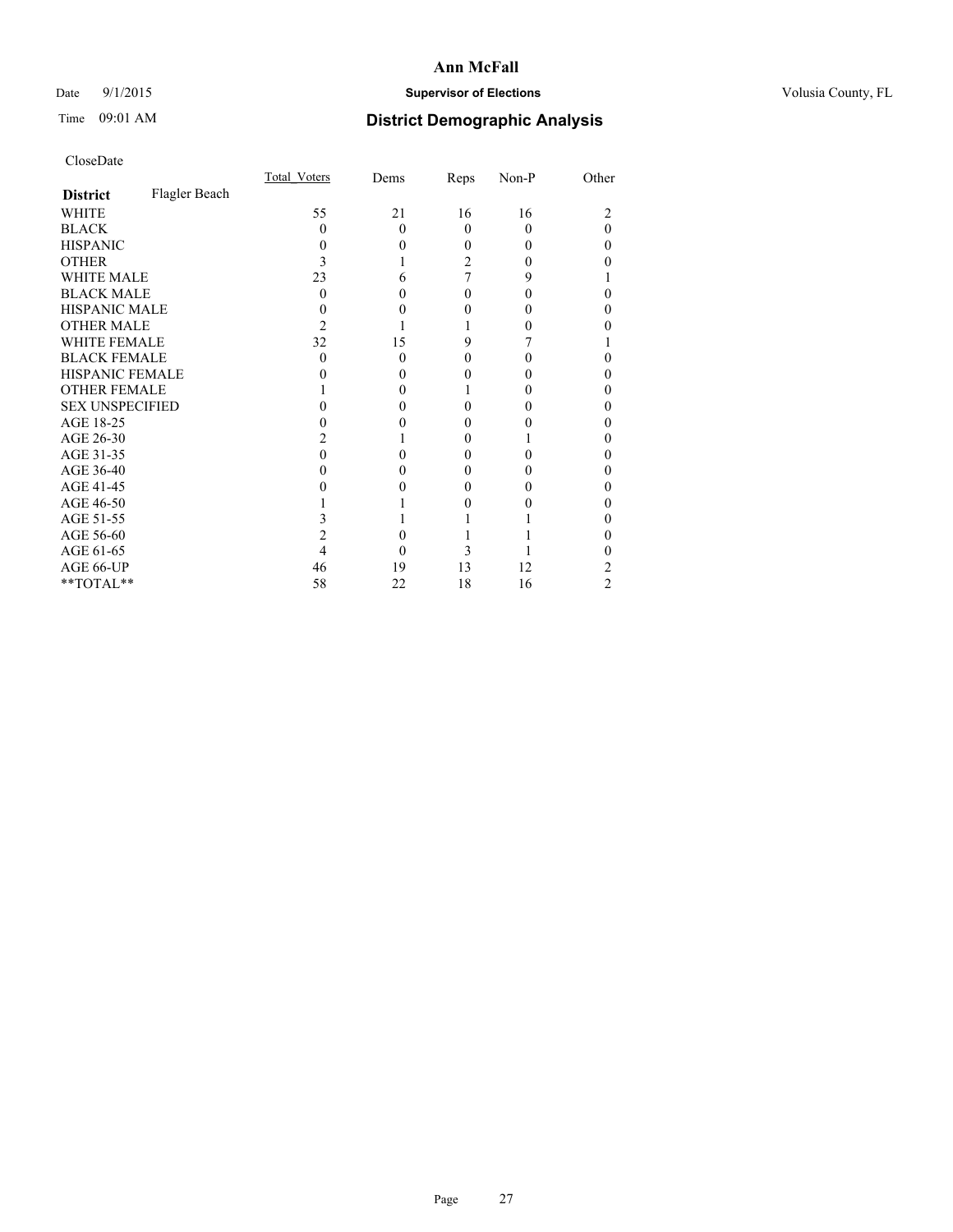### Date 9/1/2015 **Supervisor of Elections Supervisor of Elections** Volusia County, FL

# Time 09:01 AM **District Demographic Analysis**

|                        |               | Total Voters | Dems     | Reps | Non-P | Other    |
|------------------------|---------------|--------------|----------|------|-------|----------|
| <b>District</b>        | Flagler Beach |              |          |      |       |          |
| <b>WHITE</b>           |               | 55           | 21       | 16   | 16    | 2        |
| <b>BLACK</b>           |               | 0            | $\Omega$ | 0    | 0     | $\Omega$ |
| <b>HISPANIC</b>        |               | $\theta$     | $\theta$ | 0    | 0     | 0        |
| <b>OTHER</b>           |               | 3            |          | 2    |       | 0        |
| <b>WHITE MALE</b>      |               | 23           | 6        |      | 9     |          |
| <b>BLACK MALE</b>      |               | 0            | 0        | 0    | 0     | 0        |
| <b>HISPANIC MALE</b>   |               |              | 0        |      |       | 0        |
| <b>OTHER MALE</b>      |               | 2            |          |      |       | 0        |
| <b>WHITE FEMALE</b>    |               | 32           | 15       | 9    |       |          |
| <b>BLACK FEMALE</b>    |               | $\Omega$     | $\theta$ | 0    | 0     | 0        |
| HISPANIC FEMALE        |               |              | 0        |      |       | 0        |
| <b>OTHER FEMALE</b>    |               |              | 0        |      |       | 0        |
| <b>SEX UNSPECIFIED</b> |               |              | 0        | 0    |       | 0        |
| AGE 18-25              |               |              | 0        |      |       | 0        |
| AGE 26-30              |               |              |          | 0    |       | 0        |
| AGE 31-35              |               | 0            | 0        | 0    |       | 0        |
| AGE 36-40              |               | 0            | 0        | 0    | 0     | 0        |
| AGE 41-45              |               |              |          |      |       | 0        |
| AGE 46-50              |               |              |          |      |       | 0        |
| AGE 51-55              |               |              |          |      |       | 0        |
| AGE 56-60              |               |              | 0        |      |       | 0        |
| AGE 61-65              |               |              | 0        | 3    |       | 0        |
| AGE 66-UP              |               | 46           | 19       | 13   | 12    | 2        |
| **TOTAL**              |               | 58           | 22       | 18   | 16    | 2        |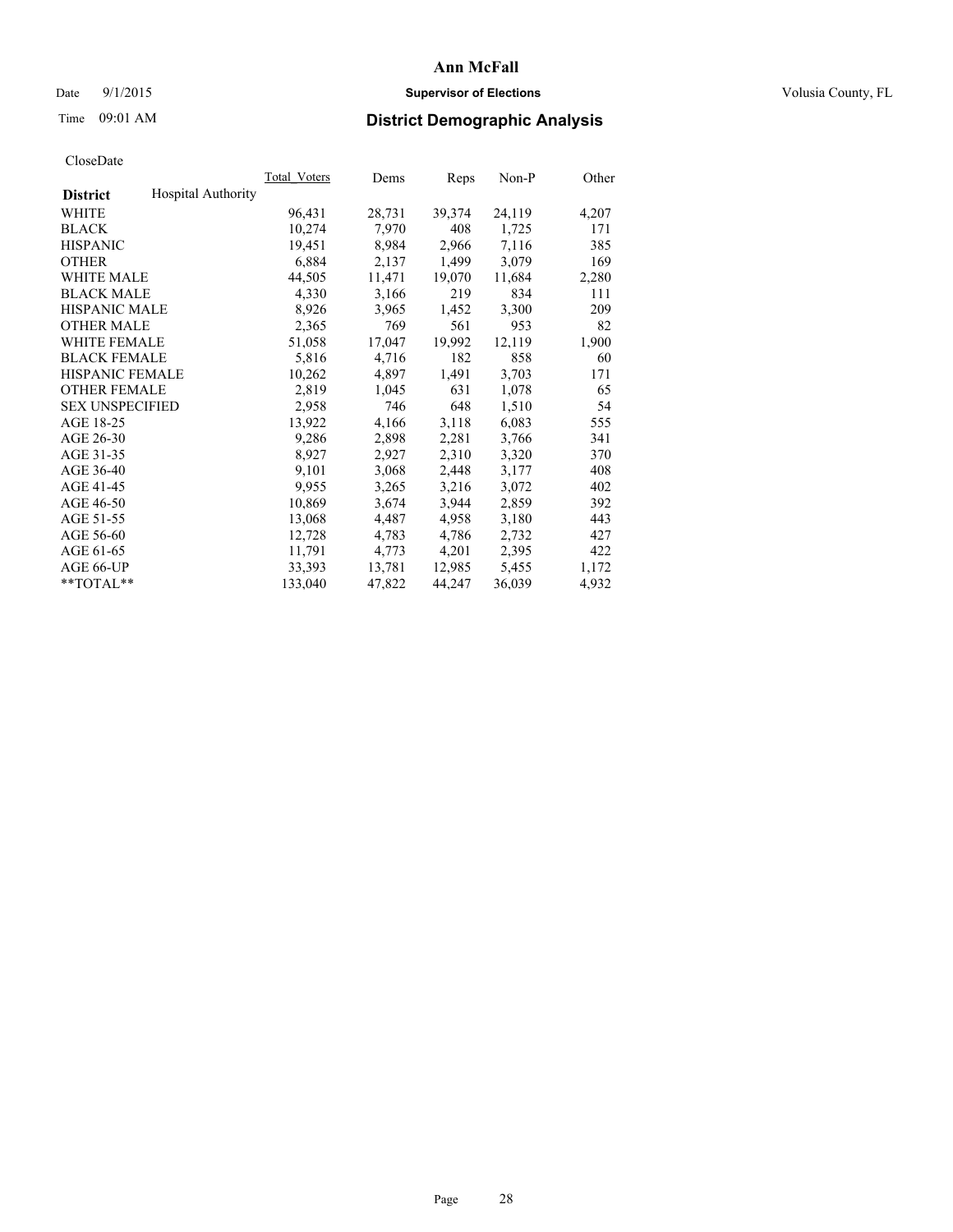### Date 9/1/2015 **Supervisor of Elections Supervisor of Elections** Volusia County, FL

# Time 09:01 AM **District Demographic Analysis**

|                        |                           | Total Voters | Dems   | Reps   | Non-P  | Other |
|------------------------|---------------------------|--------------|--------|--------|--------|-------|
| <b>District</b>        | <b>Hospital Authority</b> |              |        |        |        |       |
| WHITE                  |                           | 96,431       | 28,731 | 39,374 | 24,119 | 4,207 |
| <b>BLACK</b>           |                           | 10,274       | 7,970  | 408    | 1,725  | 171   |
| <b>HISPANIC</b>        |                           | 19,451       | 8,984  | 2,966  | 7,116  | 385   |
| <b>OTHER</b>           |                           | 6,884        | 2,137  | 1,499  | 3,079  | 169   |
| <b>WHITE MALE</b>      |                           | 44,505       | 11,471 | 19,070 | 11,684 | 2,280 |
| <b>BLACK MALE</b>      |                           | 4,330        | 3,166  | 219    | 834    | 111   |
| <b>HISPANIC MALE</b>   |                           | 8,926        | 3,965  | 1,452  | 3,300  | 209   |
| <b>OTHER MALE</b>      |                           | 2,365        | 769    | 561    | 953    | 82    |
| <b>WHITE FEMALE</b>    |                           | 51,058       | 17,047 | 19,992 | 12,119 | 1,900 |
| <b>BLACK FEMALE</b>    |                           | 5,816        | 4,716  | 182    | 858    | 60    |
| HISPANIC FEMALE        |                           | 10,262       | 4,897  | 1,491  | 3,703  | 171   |
| <b>OTHER FEMALE</b>    |                           | 2,819        | 1,045  | 631    | 1,078  | 65    |
| <b>SEX UNSPECIFIED</b> |                           | 2,958        | 746    | 648    | 1,510  | 54    |
| AGE 18-25              |                           | 13,922       | 4,166  | 3,118  | 6,083  | 555   |
| AGE 26-30              |                           | 9,286        | 2,898  | 2,281  | 3,766  | 341   |
| AGE 31-35              |                           | 8,927        | 2,927  | 2,310  | 3,320  | 370   |
| AGE 36-40              |                           | 9,101        | 3,068  | 2,448  | 3,177  | 408   |
| AGE 41-45              |                           | 9,955        | 3,265  | 3,216  | 3,072  | 402   |
| AGE 46-50              |                           | 10,869       | 3,674  | 3,944  | 2,859  | 392   |
| AGE 51-55              |                           | 13,068       | 4,487  | 4,958  | 3,180  | 443   |
| AGE 56-60              |                           | 12,728       | 4,783  | 4,786  | 2,732  | 427   |
| AGE 61-65              |                           | 11,791       | 4,773  | 4,201  | 2,395  | 422   |
| AGE 66-UP              |                           | 33,393       | 13,781 | 12,985 | 5,455  | 1,172 |
| $*$ $TOTAL**$          |                           | 133,040      | 47,822 | 44,247 | 36,039 | 4,932 |
|                        |                           |              |        |        |        |       |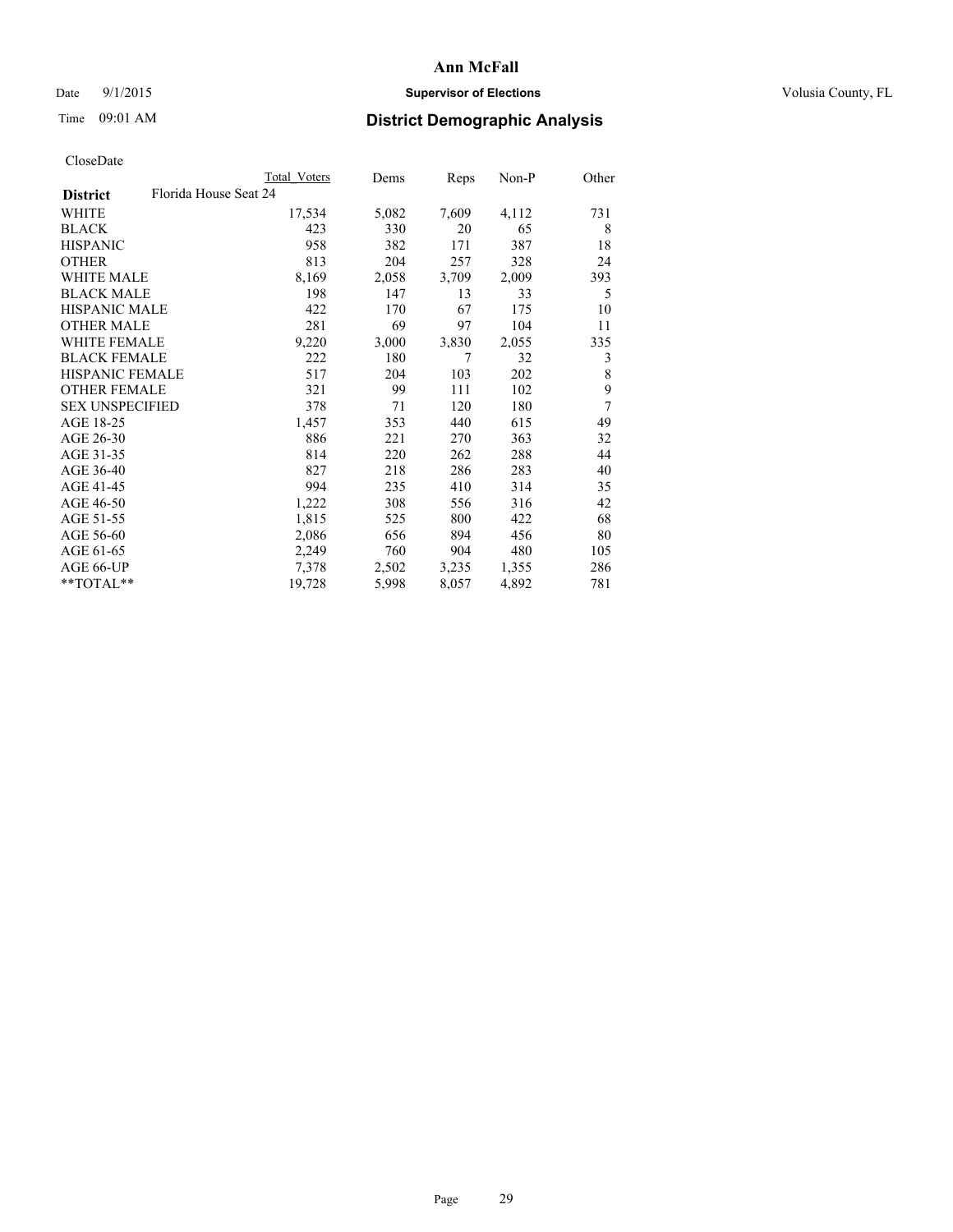### Date 9/1/2015 **Supervisor of Elections Supervisor of Elections** Volusia County, FL

# Time 09:01 AM **District Demographic Analysis**

|                                          | <b>Total Voters</b> | Dems  | Reps  | Non-P | Other |
|------------------------------------------|---------------------|-------|-------|-------|-------|
| Florida House Seat 24<br><b>District</b> |                     |       |       |       |       |
| WHITE                                    | 17,534              | 5,082 | 7,609 | 4,112 | 731   |
| <b>BLACK</b>                             | 423                 | 330   | 20    | 65    | 8     |
| <b>HISPANIC</b>                          | 958                 | 382   | 171   | 387   | 18    |
| <b>OTHER</b>                             | 813                 | 204   | 257   | 328   | 24    |
| WHITE MALE                               | 8,169               | 2,058 | 3,709 | 2,009 | 393   |
| <b>BLACK MALE</b>                        | 198                 | 147   | 13    | 33    | 5     |
| <b>HISPANIC MALE</b>                     | 422                 | 170   | 67    | 175   | 10    |
| <b>OTHER MALE</b>                        | 281                 | 69    | 97    | 104   | 11    |
| <b>WHITE FEMALE</b>                      | 9,220               | 3,000 | 3,830 | 2,055 | 335   |
| <b>BLACK FEMALE</b>                      | 222                 | 180   | 7     | 32    | 3     |
| <b>HISPANIC FEMALE</b>                   | 517                 | 204   | 103   | 202   | 8     |
| <b>OTHER FEMALE</b>                      | 321                 | 99    | 111   | 102   | 9     |
| <b>SEX UNSPECIFIED</b>                   | 378                 | 71    | 120   | 180   | 7     |
| AGE 18-25                                | 1,457               | 353   | 440   | 615   | 49    |
| AGE 26-30                                | 886                 | 221   | 270   | 363   | 32    |
| AGE 31-35                                | 814                 | 220   | 262   | 288   | 44    |
| AGE 36-40                                | 827                 | 218   | 286   | 283   | 40    |
| AGE 41-45                                | 994                 | 235   | 410   | 314   | 35    |
| AGE 46-50                                | 1,222               | 308   | 556   | 316   | 42    |
| AGE 51-55                                | 1,815               | 525   | 800   | 422   | 68    |
| AGE 56-60                                | 2,086               | 656   | 894   | 456   | 80    |
| AGE 61-65                                | 2,249               | 760   | 904   | 480   | 105   |
| AGE 66-UP                                | 7,378               | 2,502 | 3,235 | 1,355 | 286   |
| $*$ TOTAL $*$                            | 19,728              | 5,998 | 8,057 | 4,892 | 781   |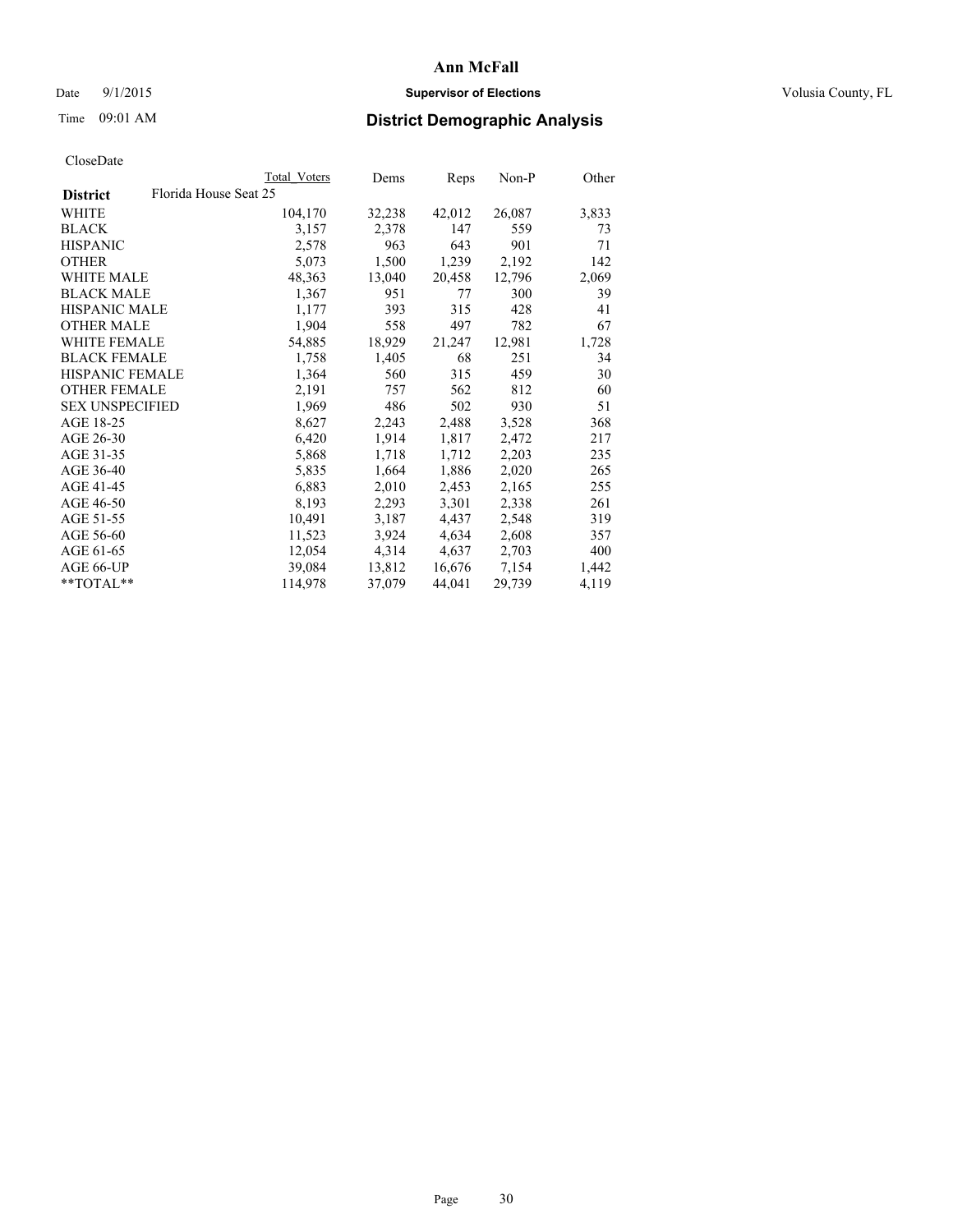### Date 9/1/2015 **Supervisor of Elections Supervisor of Elections** Volusia County, FL

# Time 09:01 AM **District Demographic Analysis**

|                        |                       | Total Voters | Dems   | Reps   | Non-P  | Other |
|------------------------|-----------------------|--------------|--------|--------|--------|-------|
| <b>District</b>        | Florida House Seat 25 |              |        |        |        |       |
| WHITE                  |                       | 104,170      | 32,238 | 42,012 | 26,087 | 3,833 |
| <b>BLACK</b>           |                       | 3,157        | 2,378  | 147    | 559    | 73    |
| <b>HISPANIC</b>        |                       | 2,578        | 963    | 643    | 901    | 71    |
| <b>OTHER</b>           |                       | 5,073        | 1,500  | 1,239  | 2,192  | 142   |
| WHITE MALE             |                       | 48,363       | 13,040 | 20,458 | 12,796 | 2,069 |
| <b>BLACK MALE</b>      |                       | 1,367        | 951    | 77     | 300    | 39    |
| <b>HISPANIC MALE</b>   |                       | 1,177        | 393    | 315    | 428    | 41    |
| <b>OTHER MALE</b>      |                       | 1,904        | 558    | 497    | 782    | 67    |
| <b>WHITE FEMALE</b>    |                       | 54,885       | 18,929 | 21,247 | 12,981 | 1,728 |
| <b>BLACK FEMALE</b>    |                       | 1,758        | 1,405  | 68     | 251    | 34    |
| HISPANIC FEMALE        |                       | 1,364        | 560    | 315    | 459    | 30    |
| <b>OTHER FEMALE</b>    |                       | 2,191        | 757    | 562    | 812    | 60    |
| <b>SEX UNSPECIFIED</b> |                       | 1,969        | 486    | 502    | 930    | 51    |
| AGE 18-25              |                       | 8,627        | 2,243  | 2,488  | 3,528  | 368   |
| AGE 26-30              |                       | 6,420        | 1,914  | 1,817  | 2,472  | 217   |
| AGE 31-35              |                       | 5,868        | 1,718  | 1,712  | 2,203  | 235   |
| AGE 36-40              |                       | 5,835        | 1,664  | 1,886  | 2,020  | 265   |
| AGE 41-45              |                       | 6,883        | 2,010  | 2,453  | 2,165  | 255   |
| AGE 46-50              |                       | 8,193        | 2,293  | 3,301  | 2,338  | 261   |
| AGE 51-55              |                       | 10,491       | 3,187  | 4,437  | 2,548  | 319   |
| AGE 56-60              |                       | 11,523       | 3,924  | 4,634  | 2,608  | 357   |
| AGE 61-65              |                       | 12,054       | 4,314  | 4,637  | 2,703  | 400   |
| AGE 66-UP              |                       | 39,084       | 13,812 | 16,676 | 7,154  | 1,442 |
| $*$ $TOTAL**$          |                       | 114,978      | 37,079 | 44,041 | 29,739 | 4,119 |
|                        |                       |              |        |        |        |       |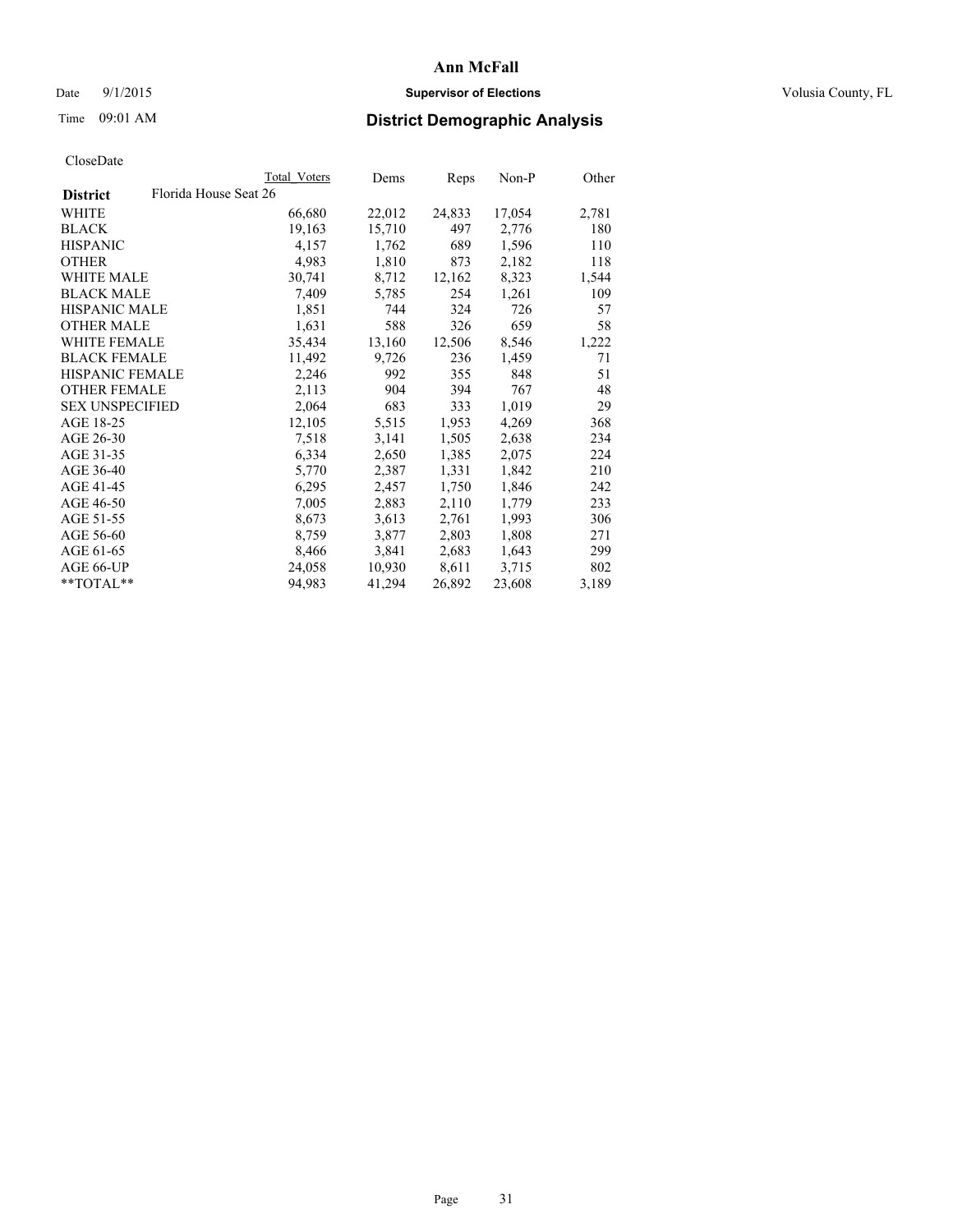### Date 9/1/2015 **Supervisor of Elections Supervisor of Elections** Volusia County, FL

# Time 09:01 AM **District Demographic Analysis**

|                        |                       | <b>Total Voters</b> | Dems   | Reps   | Non-P  | Other |
|------------------------|-----------------------|---------------------|--------|--------|--------|-------|
| <b>District</b>        | Florida House Seat 26 |                     |        |        |        |       |
| WHITE                  |                       | 66,680              | 22,012 | 24,833 | 17,054 | 2,781 |
| <b>BLACK</b>           |                       | 19,163              | 15,710 | 497    | 2,776  | 180   |
| <b>HISPANIC</b>        |                       | 4,157               | 1,762  | 689    | 1,596  | 110   |
| <b>OTHER</b>           |                       | 4,983               | 1,810  | 873    | 2,182  | 118   |
| WHITE MALE             |                       | 30,741              | 8,712  | 12,162 | 8,323  | 1,544 |
| <b>BLACK MALE</b>      |                       | 7,409               | 5,785  | 254    | 1,261  | 109   |
| <b>HISPANIC MALE</b>   |                       | 1,851               | 744    | 324    | 726    | 57    |
| <b>OTHER MALE</b>      |                       | 1,631               | 588    | 326    | 659    | 58    |
| <b>WHITE FEMALE</b>    |                       | 35,434              | 13,160 | 12,506 | 8,546  | 1,222 |
| <b>BLACK FEMALE</b>    |                       | 11,492              | 9,726  | 236    | 1,459  | 71    |
| HISPANIC FEMALE        |                       | 2,246               | 992    | 355    | 848    | 51    |
| <b>OTHER FEMALE</b>    |                       | 2,113               | 904    | 394    | 767    | 48    |
| <b>SEX UNSPECIFIED</b> |                       | 2,064               | 683    | 333    | 1,019  | 29    |
| AGE 18-25              |                       | 12,105              | 5,515  | 1,953  | 4,269  | 368   |
| AGE 26-30              |                       | 7.518               | 3,141  | 1,505  | 2,638  | 234   |
| AGE 31-35              |                       | 6,334               | 2,650  | 1,385  | 2,075  | 224   |
| AGE 36-40              |                       | 5,770               | 2,387  | 1,331  | 1,842  | 210   |
| AGE 41-45              |                       | 6,295               | 2,457  | 1,750  | 1,846  | 242   |
| AGE 46-50              |                       | 7,005               | 2,883  | 2,110  | 1,779  | 233   |
| AGE 51-55              |                       | 8,673               | 3,613  | 2,761  | 1,993  | 306   |
| AGE 56-60              |                       | 8,759               | 3,877  | 2,803  | 1,808  | 271   |
| AGE 61-65              |                       | 8,466               | 3,841  | 2,683  | 1,643  | 299   |
| AGE 66-UP              |                       | 24,058              | 10,930 | 8,611  | 3,715  | 802   |
| $*$ $TOTAL**$          |                       | 94,983              | 41,294 | 26,892 | 23,608 | 3,189 |
|                        |                       |                     |        |        |        |       |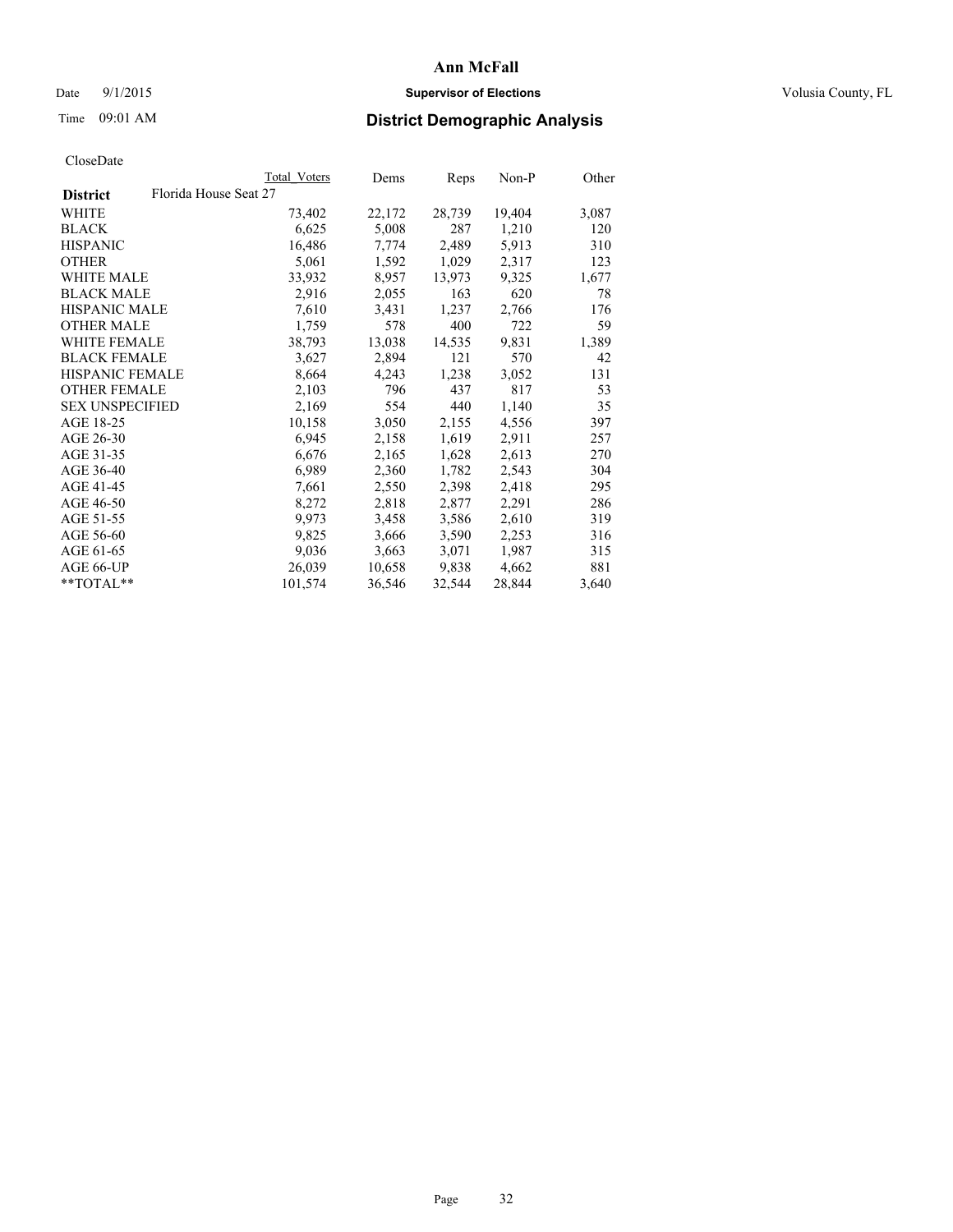### Date 9/1/2015 **Supervisor of Elections Supervisor of Elections** Volusia County, FL

# Time 09:01 AM **District Demographic Analysis**

|                        |                       | Total Voters | Dems   | Reps   | Non-P  | Other |
|------------------------|-----------------------|--------------|--------|--------|--------|-------|
| <b>District</b>        | Florida House Seat 27 |              |        |        |        |       |
| WHITE                  |                       | 73,402       | 22,172 | 28,739 | 19,404 | 3,087 |
| <b>BLACK</b>           |                       | 6,625        | 5,008  | 287    | 1,210  | 120   |
| <b>HISPANIC</b>        |                       | 16,486       | 7,774  | 2,489  | 5,913  | 310   |
| <b>OTHER</b>           |                       | 5,061        | 1,592  | 1,029  | 2,317  | 123   |
| WHITE MALE             |                       | 33,932       | 8,957  | 13,973 | 9,325  | 1,677 |
| <b>BLACK MALE</b>      |                       | 2,916        | 2,055  | 163    | 620    | 78    |
| <b>HISPANIC MALE</b>   |                       | 7,610        | 3,431  | 1,237  | 2,766  | 176   |
| OTHER MALE             |                       | 1,759        | 578    | 400    | 722    | 59    |
| <b>WHITE FEMALE</b>    |                       | 38,793       | 13,038 | 14,535 | 9,831  | 1,389 |
| <b>BLACK FEMALE</b>    |                       | 3,627        | 2,894  | 121    | 570    | 42    |
| <b>HISPANIC FEMALE</b> |                       | 8,664        | 4,243  | 1,238  | 3,052  | 131   |
| <b>OTHER FEMALE</b>    |                       | 2,103        | 796    | 437    | 817    | 53    |
| <b>SEX UNSPECIFIED</b> |                       | 2,169        | 554    | 440    | 1,140  | 35    |
| AGE 18-25              |                       | 10,158       | 3,050  | 2,155  | 4,556  | 397   |
| AGE 26-30              |                       | 6,945        | 2,158  | 1,619  | 2,911  | 257   |
| AGE 31-35              |                       | 6,676        | 2,165  | 1,628  | 2,613  | 270   |
| AGE 36-40              |                       | 6,989        | 2,360  | 1,782  | 2,543  | 304   |
| AGE 41-45              |                       | 7,661        | 2,550  | 2,398  | 2,418  | 295   |
| AGE 46-50              |                       | 8,272        | 2,818  | 2,877  | 2,291  | 286   |
| AGE 51-55              |                       | 9,973        | 3,458  | 3,586  | 2,610  | 319   |
| AGE 56-60              |                       | 9,825        | 3,666  | 3,590  | 2,253  | 316   |
| AGE 61-65              |                       | 9,036        | 3,663  | 3,071  | 1,987  | 315   |
| AGE 66-UP              |                       | 26,039       | 10,658 | 9,838  | 4,662  | 881   |
| $*$ $TOTAL**$          |                       | 101,574      | 36,546 | 32,544 | 28,844 | 3,640 |
|                        |                       |              |        |        |        |       |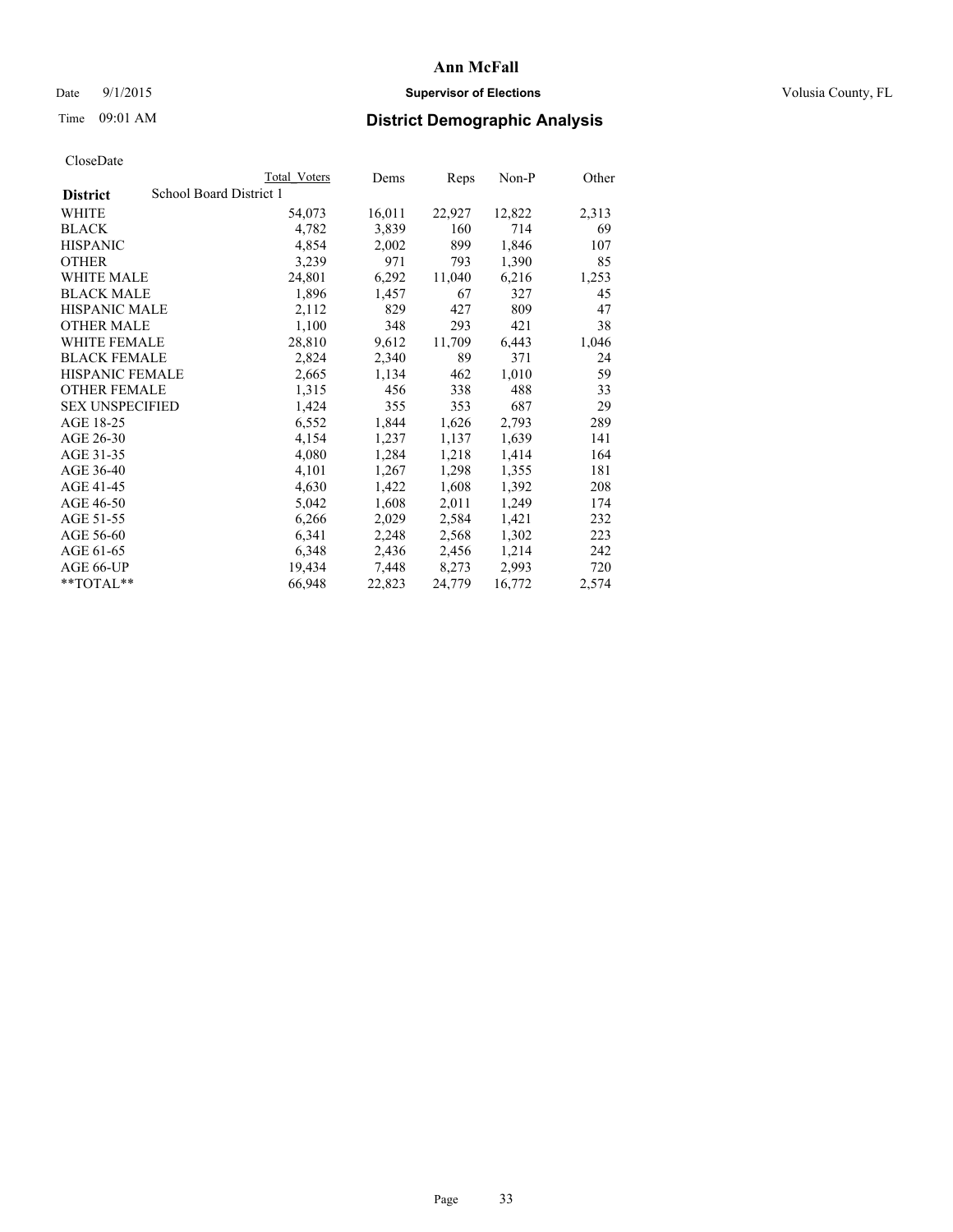### Date 9/1/2015 **Supervisor of Elections Supervisor of Elections** Volusia County, FL

# Time 09:01 AM **District Demographic Analysis**

|                                            | Total Voters | Dems   | Reps   | $Non-P$ | Other |
|--------------------------------------------|--------------|--------|--------|---------|-------|
| School Board District 1<br><b>District</b> |              |        |        |         |       |
| WHITE                                      | 54,073       | 16,011 | 22,927 | 12,822  | 2,313 |
| <b>BLACK</b>                               | 4,782        | 3,839  | 160    | 714     | 69    |
| <b>HISPANIC</b>                            | 4,854        | 2,002  | 899    | 1,846   | 107   |
| <b>OTHER</b>                               | 3,239        | 971    | 793    | 1,390   | 85    |
| <b>WHITE MALE</b>                          | 24,801       | 6,292  | 11,040 | 6,216   | 1,253 |
| <b>BLACK MALE</b>                          | 1,896        | 1,457  | 67     | 327     | 45    |
| <b>HISPANIC MALE</b>                       | 2,112        | 829    | 427    | 809     | 47    |
| <b>OTHER MALE</b>                          | 1,100        | 348    | 293    | 421     | 38    |
| WHITE FEMALE                               | 28,810       | 9,612  | 11,709 | 6,443   | 1,046 |
| <b>BLACK FEMALE</b>                        | 2,824        | 2,340  | 89     | 371     | 24    |
| <b>HISPANIC FEMALE</b>                     | 2,665        | 1,134  | 462    | 1,010   | 59    |
| <b>OTHER FEMALE</b>                        | 1,315        | 456    | 338    | 488     | 33    |
| <b>SEX UNSPECIFIED</b>                     | 1,424        | 355    | 353    | 687     | 29    |
| AGE 18-25                                  | 6,552        | 1,844  | 1,626  | 2,793   | 289   |
| AGE 26-30                                  | 4,154        | 1,237  | 1,137  | 1,639   | 141   |
| AGE 31-35                                  | 4,080        | 1,284  | 1,218  | 1,414   | 164   |
| AGE 36-40                                  | 4,101        | 1,267  | 1,298  | 1,355   | 181   |
| AGE 41-45                                  | 4,630        | 1,422  | 1,608  | 1,392   | 208   |
| AGE 46-50                                  | 5,042        | 1,608  | 2,011  | 1,249   | 174   |
| AGE 51-55                                  | 6,266        | 2,029  | 2,584  | 1,421   | 232   |
| AGE 56-60                                  | 6,341        | 2,248  | 2,568  | 1,302   | 223   |
| AGE 61-65                                  | 6,348        | 2,436  | 2,456  | 1,214   | 242   |
| AGE 66-UP                                  | 19,434       | 7,448  | 8,273  | 2,993   | 720   |
| **TOTAL**                                  | 66,948       | 22,823 | 24,779 | 16,772  | 2,574 |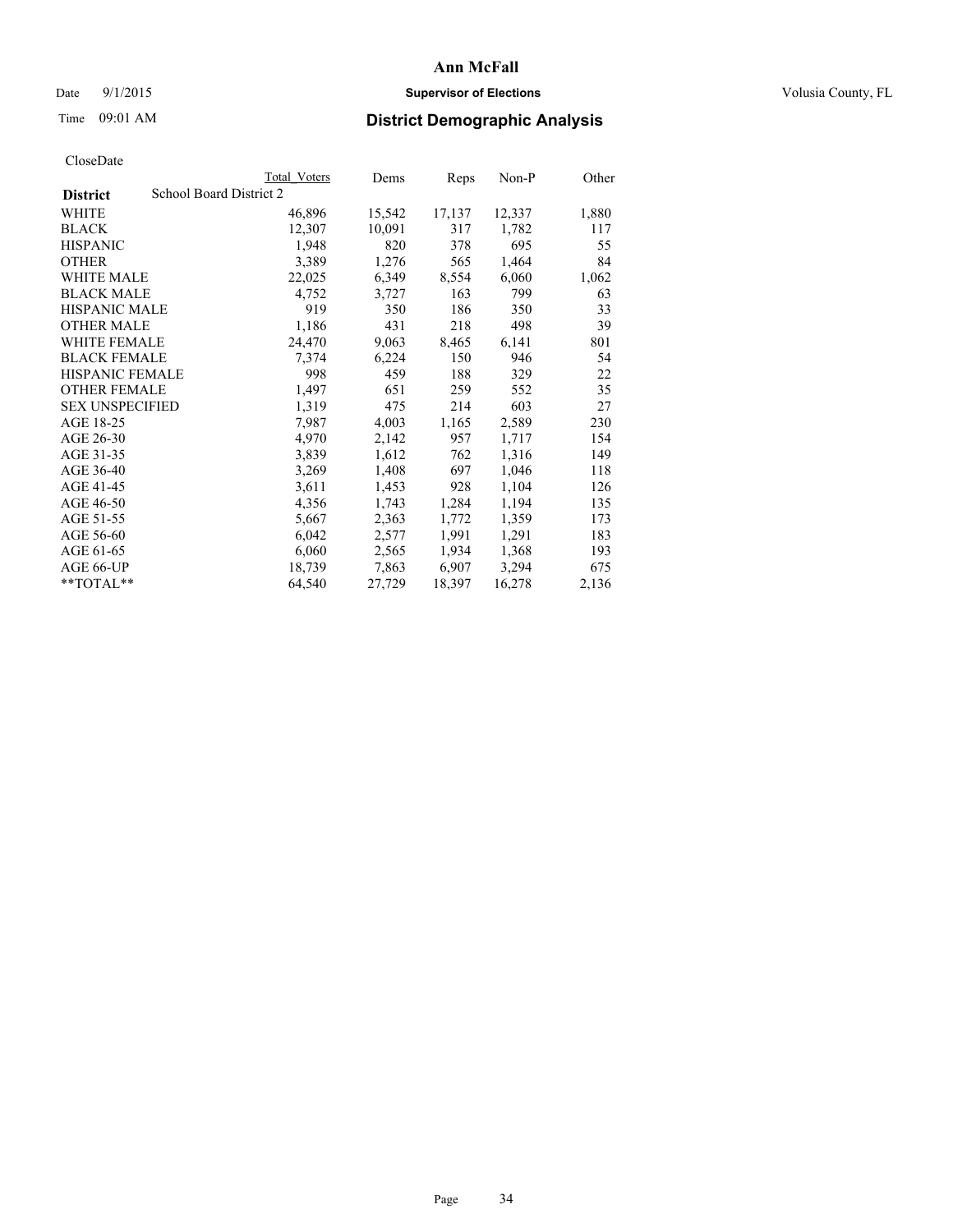### Date 9/1/2015 **Supervisor of Elections Supervisor of Elections** Volusia County, FL

# Time 09:01 AM **District Demographic Analysis**

|                                            | <b>Total Voters</b> | Dems   | Reps   | Non-P  | Other |
|--------------------------------------------|---------------------|--------|--------|--------|-------|
| School Board District 2<br><b>District</b> |                     |        |        |        |       |
| WHITE                                      | 46,896              | 15,542 | 17,137 | 12,337 | 1,880 |
| <b>BLACK</b>                               | 12,307              | 10,091 | 317    | 1,782  | 117   |
| <b>HISPANIC</b>                            | 1,948               | 820    | 378    | 695    | 55    |
| <b>OTHER</b>                               | 3,389               | 1,276  | 565    | 1,464  | 84    |
| WHITE MALE                                 | 22,025              | 6,349  | 8,554  | 6,060  | 1,062 |
| <b>BLACK MALE</b>                          | 4,752               | 3,727  | 163    | 799    | 63    |
| <b>HISPANIC MALE</b>                       | 919                 | 350    | 186    | 350    | 33    |
| <b>OTHER MALE</b>                          | 1,186               | 431    | 218    | 498    | 39    |
| WHITE FEMALE                               | 24,470              | 9,063  | 8,465  | 6,141  | 801   |
| <b>BLACK FEMALE</b>                        | 7,374               | 6,224  | 150    | 946    | 54    |
| <b>HISPANIC FEMALE</b>                     | 998                 | 459    | 188    | 329    | 22    |
| <b>OTHER FEMALE</b>                        | 1,497               | 651    | 259    | 552    | 35    |
| <b>SEX UNSPECIFIED</b>                     | 1,319               | 475    | 214    | 603    | 27    |
| AGE 18-25                                  | 7,987               | 4,003  | 1,165  | 2,589  | 230   |
| AGE 26-30                                  | 4,970               | 2,142  | 957    | 1,717  | 154   |
| AGE 31-35                                  | 3,839               | 1,612  | 762    | 1,316  | 149   |
| AGE 36-40                                  | 3,269               | 1,408  | 697    | 1,046  | 118   |
| AGE 41-45                                  | 3,611               | 1,453  | 928    | 1,104  | 126   |
| AGE 46-50                                  | 4,356               | 1,743  | 1,284  | 1,194  | 135   |
| AGE 51-55                                  | 5,667               | 2,363  | 1,772  | 1,359  | 173   |
| AGE 56-60                                  | 6,042               | 2,577  | 1,991  | 1,291  | 183   |
| AGE 61-65                                  | 6,060               | 2,565  | 1,934  | 1,368  | 193   |
| AGE 66-UP                                  | 18,739              | 7,863  | 6,907  | 3,294  | 675   |
| $*$ TOTAL $*$                              | 64,540              | 27,729 | 18,397 | 16,278 | 2,136 |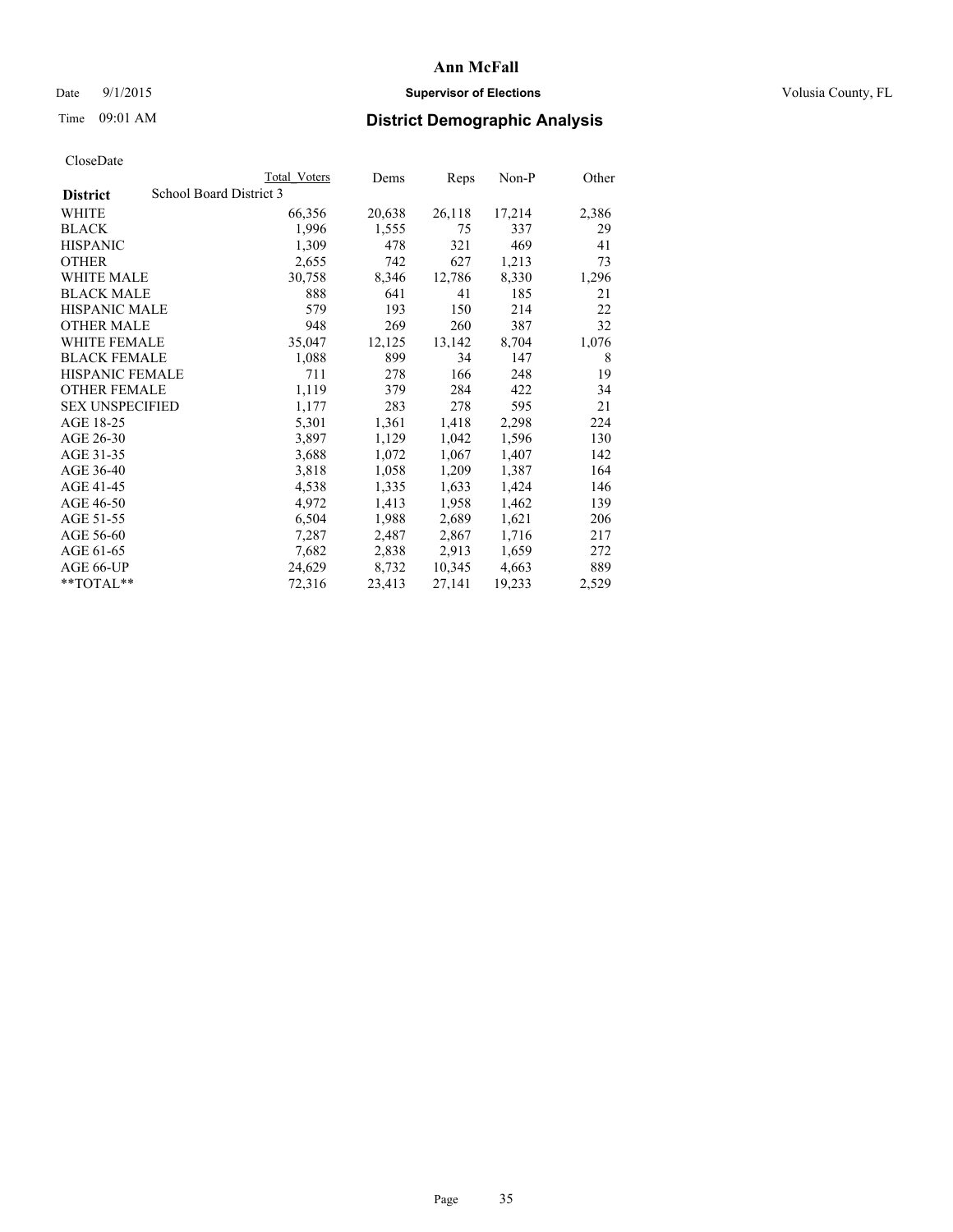### Date 9/1/2015 **Supervisor of Elections Supervisor of Elections** Volusia County, FL

# Time 09:01 AM **District Demographic Analysis**

|                        | <b>Total Voters</b>     | Dems   | <b>Reps</b> | $Non-P$ | Other |
|------------------------|-------------------------|--------|-------------|---------|-------|
| <b>District</b>        | School Board District 3 |        |             |         |       |
| WHITE                  | 66,356                  | 20,638 | 26,118      | 17,214  | 2,386 |
| <b>BLACK</b>           | 1,996                   | 1,555  | 75          | 337     | 29    |
| <b>HISPANIC</b>        | 1,309                   | 478    | 321         | 469     | 41    |
| <b>OTHER</b>           | 2,655                   | 742    | 627         | 1,213   | 73    |
| <b>WHITE MALE</b>      | 30,758                  | 8,346  | 12,786      | 8,330   | 1,296 |
| <b>BLACK MALE</b>      | 888                     | 641    | 41          | 185     | 21    |
| <b>HISPANIC MALE</b>   | 579                     | 193    | 150         | 214     | 22    |
| <b>OTHER MALE</b>      | 948                     | 269    | 260         | 387     | 32    |
| WHITE FEMALE           | 35,047                  | 12,125 | 13,142      | 8,704   | 1,076 |
| <b>BLACK FEMALE</b>    | 1,088                   | 899    | 34          | 147     | 8     |
| <b>HISPANIC FEMALE</b> | 711                     | 278    | 166         | 248     | 19    |
| <b>OTHER FEMALE</b>    | 1,119                   | 379    | 284         | 422     | 34    |
| <b>SEX UNSPECIFIED</b> | 1,177                   | 283    | 278         | 595     | 21    |
| AGE 18-25              | 5,301                   | 1,361  | 1,418       | 2,298   | 224   |
| AGE 26-30              | 3,897                   | 1,129  | 1,042       | 1,596   | 130   |
| AGE 31-35              | 3,688                   | 1,072  | 1,067       | 1,407   | 142   |
| AGE 36-40              | 3,818                   | 1,058  | 1,209       | 1,387   | 164   |
| AGE 41-45              | 4,538                   | 1,335  | 1,633       | 1,424   | 146   |
| AGE 46-50              | 4,972                   | 1,413  | 1,958       | 1,462   | 139   |
| AGE 51-55              | 6,504                   | 1,988  | 2,689       | 1,621   | 206   |
| AGE 56-60              | 7,287                   | 2,487  | 2,867       | 1,716   | 217   |
| AGE 61-65              | 7,682                   | 2,838  | 2,913       | 1,659   | 272   |
| AGE 66-UP              | 24,629                  | 8,732  | 10,345      | 4,663   | 889   |
| $*$ $TOTAI.**$         | 72,316                  | 23,413 | 27,141      | 19,233  | 2,529 |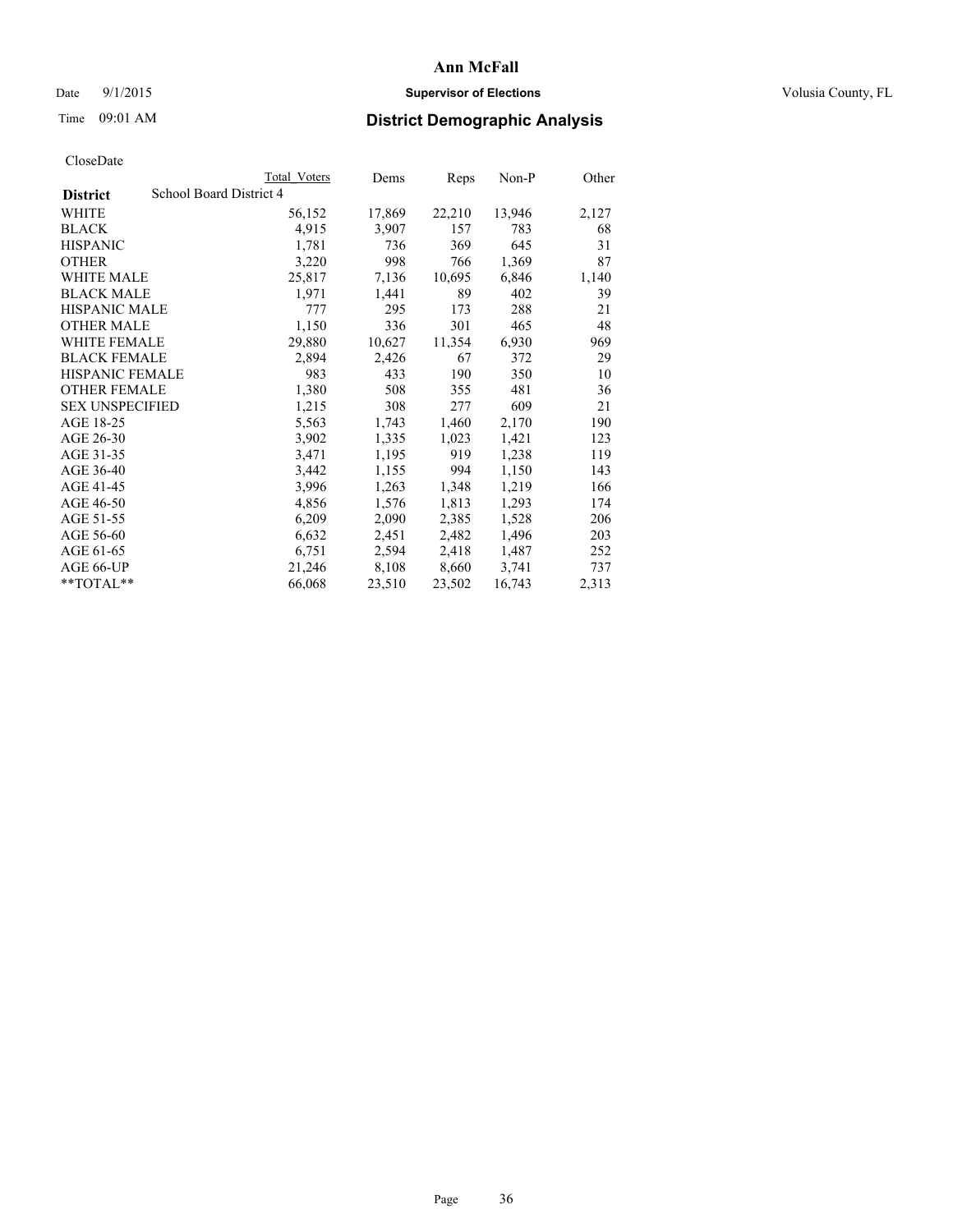### Date 9/1/2015 **Supervisor of Elections Supervisor of Elections** Volusia County, FL

# Time 09:01 AM **District Demographic Analysis**

|                                            | <b>Total Voters</b> | Dems   | Reps   | Non-P  | Other |
|--------------------------------------------|---------------------|--------|--------|--------|-------|
| School Board District 4<br><b>District</b> |                     |        |        |        |       |
| WHITE                                      | 56,152              | 17,869 | 22,210 | 13,946 | 2,127 |
| <b>BLACK</b>                               | 4,915               | 3,907  | 157    | 783    | 68    |
| <b>HISPANIC</b>                            | 1,781               | 736    | 369    | 645    | 31    |
| <b>OTHER</b>                               | 3,220               | 998    | 766    | 1,369  | 87    |
| WHITE MALE                                 | 25,817              | 7,136  | 10,695 | 6,846  | 1,140 |
| <b>BLACK MALE</b>                          | 1,971               | 1,441  | 89     | 402    | 39    |
| <b>HISPANIC MALE</b>                       | 777                 | 295    | 173    | 288    | 21    |
| <b>OTHER MALE</b>                          | 1,150               | 336    | 301    | 465    | 48    |
| <b>WHITE FEMALE</b>                        | 29,880              | 10,627 | 11,354 | 6,930  | 969   |
| <b>BLACK FEMALE</b>                        | 2,894               | 2,426  | 67     | 372    | 29    |
| <b>HISPANIC FEMALE</b>                     | 983                 | 433    | 190    | 350    | 10    |
| <b>OTHER FEMALE</b>                        | 1,380               | 508    | 355    | 481    | 36    |
| <b>SEX UNSPECIFIED</b>                     | 1,215               | 308    | 277    | 609    | 21    |
| AGE 18-25                                  | 5,563               | 1,743  | 1,460  | 2,170  | 190   |
| AGE 26-30                                  | 3,902               | 1,335  | 1,023  | 1,421  | 123   |
| AGE 31-35                                  | 3,471               | 1,195  | 919    | 1,238  | 119   |
| AGE 36-40                                  | 3,442               | 1,155  | 994    | 1,150  | 143   |
| AGE 41-45                                  | 3,996               | 1,263  | 1,348  | 1,219  | 166   |
| AGE 46-50                                  | 4,856               | 1,576  | 1,813  | 1,293  | 174   |
| AGE 51-55                                  | 6,209               | 2,090  | 2,385  | 1,528  | 206   |
| AGE 56-60                                  | 6,632               | 2,451  | 2,482  | 1,496  | 203   |
| AGE 61-65                                  | 6,751               | 2,594  | 2,418  | 1,487  | 252   |
| AGE 66-UP                                  | 21,246              | 8,108  | 8,660  | 3,741  | 737   |
| $*$ $TOTAL**$                              | 66,068              | 23,510 | 23,502 | 16,743 | 2,313 |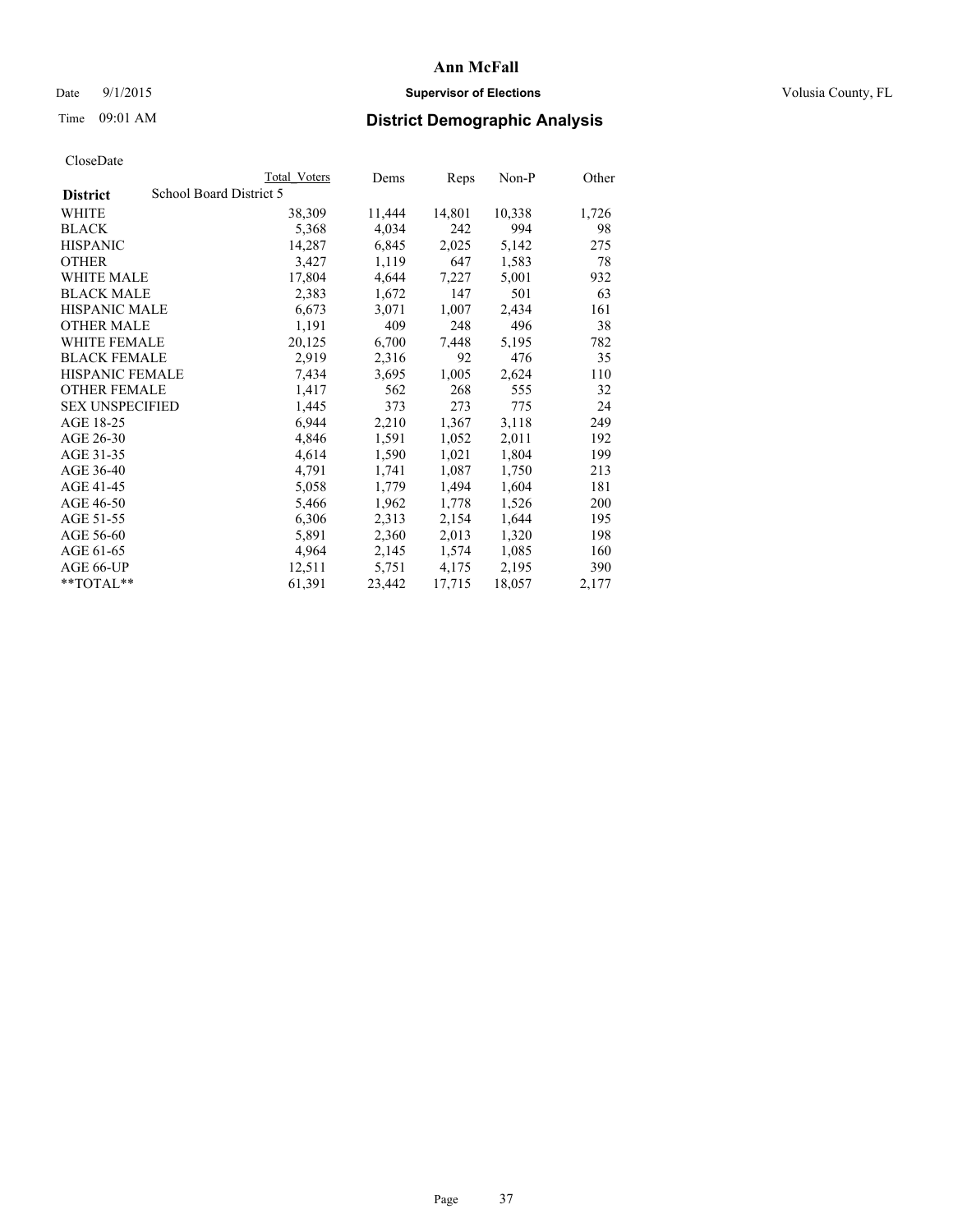## Date 9/1/2015 **Supervisor of Elections Supervisor of Elections** Volusia County, FL

## Time 09:01 AM **District Demographic Analysis**

|                                            | Total Voters | Dems   | Reps   | $Non-P$ | Other |
|--------------------------------------------|--------------|--------|--------|---------|-------|
| School Board District 5<br><b>District</b> |              |        |        |         |       |
| <b>WHITE</b>                               | 38,309       | 11,444 | 14,801 | 10,338  | 1,726 |
| <b>BLACK</b>                               | 5,368        | 4,034  | 242    | 994     | 98    |
| <b>HISPANIC</b>                            | 14,287       | 6,845  | 2,025  | 5,142   | 275   |
| <b>OTHER</b>                               | 3,427        | 1,119  | 647    | 1,583   | 78    |
| <b>WHITE MALE</b>                          | 17,804       | 4,644  | 7,227  | 5,001   | 932   |
| <b>BLACK MALE</b>                          | 2,383        | 1,672  | 147    | 501     | 63    |
| <b>HISPANIC MALE</b>                       | 6,673        | 3,071  | 1,007  | 2,434   | 161   |
| <b>OTHER MALE</b>                          | 1,191        | 409    | 248    | 496     | 38    |
| <b>WHITE FEMALE</b>                        | 20,125       | 6,700  | 7,448  | 5,195   | 782   |
| <b>BLACK FEMALE</b>                        | 2,919        | 2,316  | 92     | 476     | 35    |
| HISPANIC FEMALE                            | 7,434        | 3,695  | 1,005  | 2,624   | 110   |
| <b>OTHER FEMALE</b>                        | 1,417        | 562    | 268    | 555     | 32    |
| <b>SEX UNSPECIFIED</b>                     | 1,445        | 373    | 273    | 775     | 24    |
| AGE 18-25                                  | 6,944        | 2,210  | 1,367  | 3,118   | 249   |
| AGE 26-30                                  | 4,846        | 1,591  | 1,052  | 2,011   | 192   |
| AGE 31-35                                  | 4,614        | 1,590  | 1,021  | 1,804   | 199   |
| AGE 36-40                                  | 4,791        | 1,741  | 1,087  | 1,750   | 213   |
| AGE 41-45                                  | 5,058        | 1,779  | 1,494  | 1,604   | 181   |
| AGE 46-50                                  | 5,466        | 1,962  | 1,778  | 1,526   | 200   |
| AGE 51-55                                  | 6,306        | 2,313  | 2,154  | 1,644   | 195   |
| AGE 56-60                                  | 5,891        | 2,360  | 2,013  | 1,320   | 198   |
| AGE 61-65                                  | 4,964        | 2,145  | 1,574  | 1,085   | 160   |
| AGE 66-UP                                  | 12,511       | 5,751  | 4,175  | 2,195   | 390   |
| $*$ TOTAL $*$                              | 61,391       | 23,442 | 17,715 | 18,057  | 2,177 |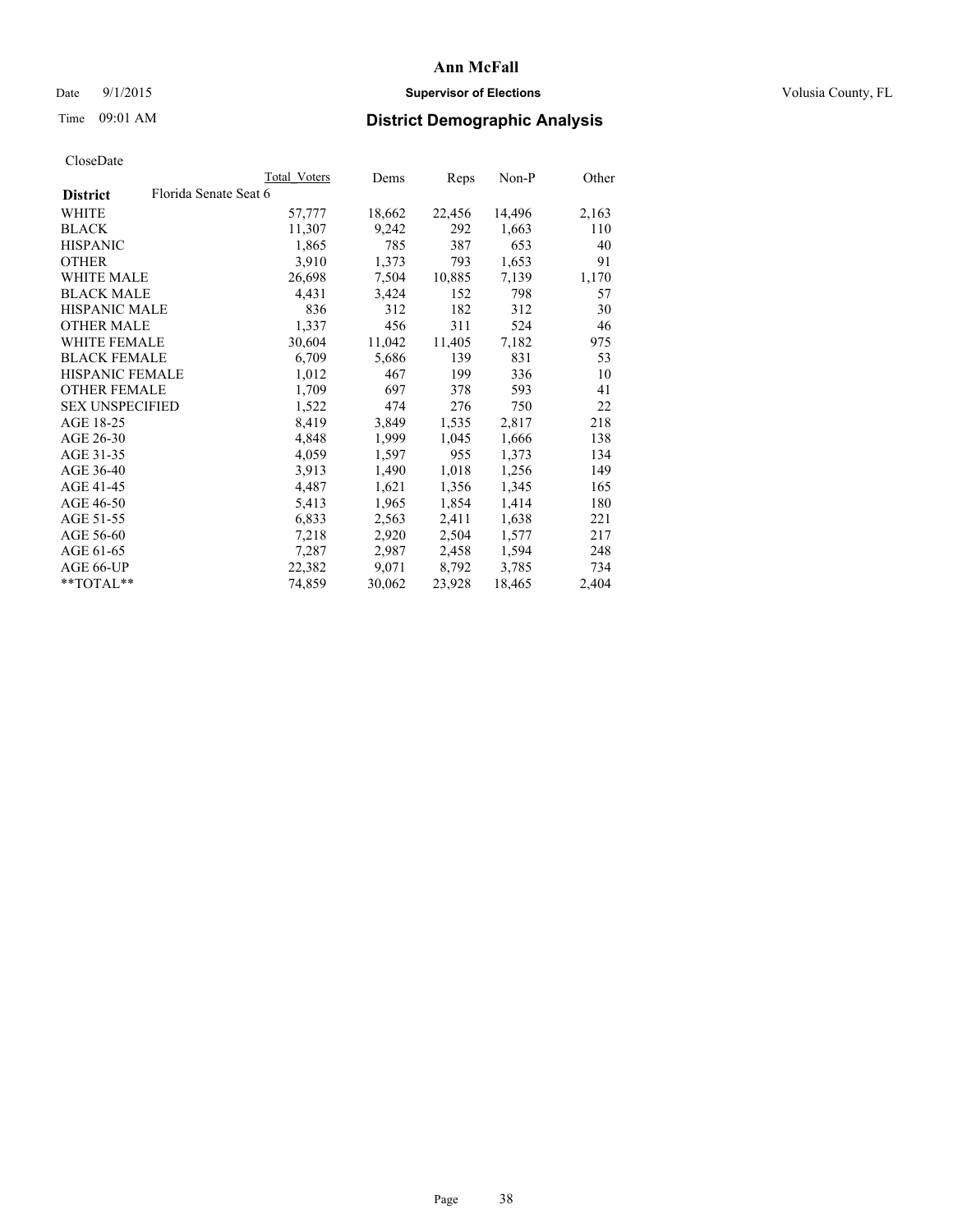## Date 9/1/2015 **Supervisor of Elections Supervisor of Elections** Volusia County, FL

## Time 09:01 AM **District Demographic Analysis**

|                                          | Total Voters | Dems   | Reps   | $Non-P$ | Other |
|------------------------------------------|--------------|--------|--------|---------|-------|
| Florida Senate Seat 6<br><b>District</b> |              |        |        |         |       |
| WHITE                                    | 57,777       | 18,662 | 22,456 | 14,496  | 2,163 |
| <b>BLACK</b>                             | 11,307       | 9,242  | 292    | 1,663   | 110   |
| <b>HISPANIC</b>                          | 1,865        | 785    | 387    | 653     | 40    |
| <b>OTHER</b>                             | 3,910        | 1,373  | 793    | 1,653   | 91    |
| WHITE MALE                               | 26,698       | 7,504  | 10,885 | 7,139   | 1,170 |
| <b>BLACK MALE</b>                        | 4,431        | 3,424  | 152    | 798     | 57    |
| <b>HISPANIC MALE</b>                     | 836          | 312    | 182    | 312     | 30    |
| <b>OTHER MALE</b>                        | 1,337        | 456    | 311    | 524     | 46    |
| <b>WHITE FEMALE</b>                      | 30,604       | 11,042 | 11,405 | 7,182   | 975   |
| <b>BLACK FEMALE</b>                      | 6,709        | 5,686  | 139    | 831     | 53    |
| <b>HISPANIC FEMALE</b>                   | 1,012        | 467    | 199    | 336     | 10    |
| <b>OTHER FEMALE</b>                      | 1,709        | 697    | 378    | 593     | 41    |
| <b>SEX UNSPECIFIED</b>                   | 1,522        | 474    | 276    | 750     | 22    |
| AGE 18-25                                | 8,419        | 3,849  | 1,535  | 2,817   | 218   |
| AGE 26-30                                | 4,848        | 1,999  | 1,045  | 1,666   | 138   |
| AGE 31-35                                | 4,059        | 1,597  | 955    | 1,373   | 134   |
| AGE 36-40                                | 3,913        | 1,490  | 1,018  | 1,256   | 149   |
| AGE 41-45                                | 4,487        | 1,621  | 1,356  | 1,345   | 165   |
| AGE 46-50                                | 5,413        | 1,965  | 1,854  | 1,414   | 180   |
| AGE 51-55                                | 6,833        | 2,563  | 2,411  | 1,638   | 221   |
| AGE 56-60                                | 7,218        | 2,920  | 2,504  | 1,577   | 217   |
| AGE 61-65                                | 7,287        | 2,987  | 2,458  | 1,594   | 248   |
| AGE 66-UP                                | 22,382       | 9,071  | 8,792  | 3,785   | 734   |
| **TOTAL**                                | 74,859       | 30,062 | 23,928 | 18,465  | 2,404 |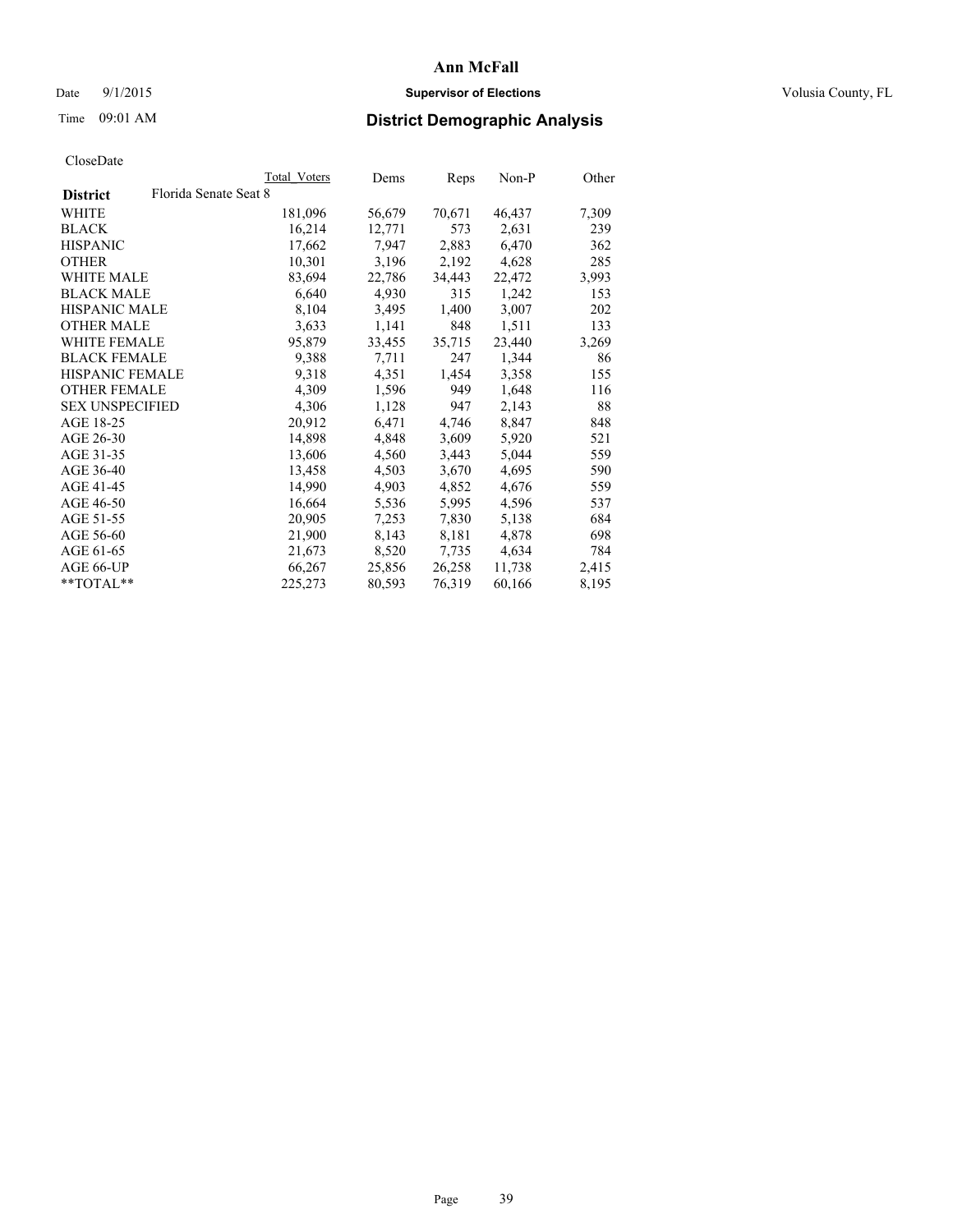## Date 9/1/2015 **Supervisor of Elections Supervisor of Elections** Volusia County, FL

# Time 09:01 AM **District Demographic Analysis**

|                        | Total Voters          | Dems   | Reps   | $Non-P$ | Other |
|------------------------|-----------------------|--------|--------|---------|-------|
| <b>District</b>        | Florida Senate Seat 8 |        |        |         |       |
| WHITE                  | 181,096               | 56,679 | 70,671 | 46,437  | 7,309 |
| <b>BLACK</b>           | 16,214                | 12,771 | 573    | 2,631   | 239   |
| <b>HISPANIC</b>        | 17,662                | 7,947  | 2,883  | 6,470   | 362   |
| <b>OTHER</b>           | 10,301                | 3,196  | 2,192  | 4,628   | 285   |
| WHITE MALE             | 83,694                | 22,786 | 34,443 | 22,472  | 3,993 |
| <b>BLACK MALE</b>      | 6,640                 | 4,930  | 315    | 1,242   | 153   |
| <b>HISPANIC MALE</b>   | 8,104                 | 3,495  | 1,400  | 3,007   | 202   |
| <b>OTHER MALE</b>      | 3,633                 | 1,141  | 848    | 1,511   | 133   |
| <b>WHITE FEMALE</b>    | 95,879                | 33,455 | 35,715 | 23,440  | 3,269 |
| <b>BLACK FEMALE</b>    | 9.388                 | 7.711  | 247    | 1,344   | 86    |
| HISPANIC FEMALE        | 9,318                 | 4,351  | 1,454  | 3,358   | 155   |
| <b>OTHER FEMALE</b>    | 4,309                 | 1,596  | 949    | 1,648   | 116   |
| <b>SEX UNSPECIFIED</b> | 4,306                 | 1,128  | 947    | 2,143   | 88    |
| AGE 18-25              | 20,912                | 6,471  | 4,746  | 8,847   | 848   |
| AGE 26-30              | 14,898                | 4,848  | 3,609  | 5,920   | 521   |
| AGE 31-35              | 13,606                | 4,560  | 3,443  | 5,044   | 559   |
| AGE 36-40              | 13,458                | 4,503  | 3,670  | 4,695   | 590   |
| AGE 41-45              | 14,990                | 4,903  | 4,852  | 4,676   | 559   |
| AGE 46-50              | 16,664                | 5,536  | 5,995  | 4,596   | 537   |
| AGE 51-55              | 20,905                | 7,253  | 7,830  | 5,138   | 684   |
| AGE 56-60              | 21,900                | 8,143  | 8,181  | 4,878   | 698   |
| AGE 61-65              | 21,673                | 8,520  | 7.735  | 4,634   | 784   |
| AGE 66-UP              | 66,267                | 25,856 | 26,258 | 11,738  | 2,415 |
| $*$ TOTAL $*$          | 225,273               | 80,593 | 76,319 | 60,166  | 8,195 |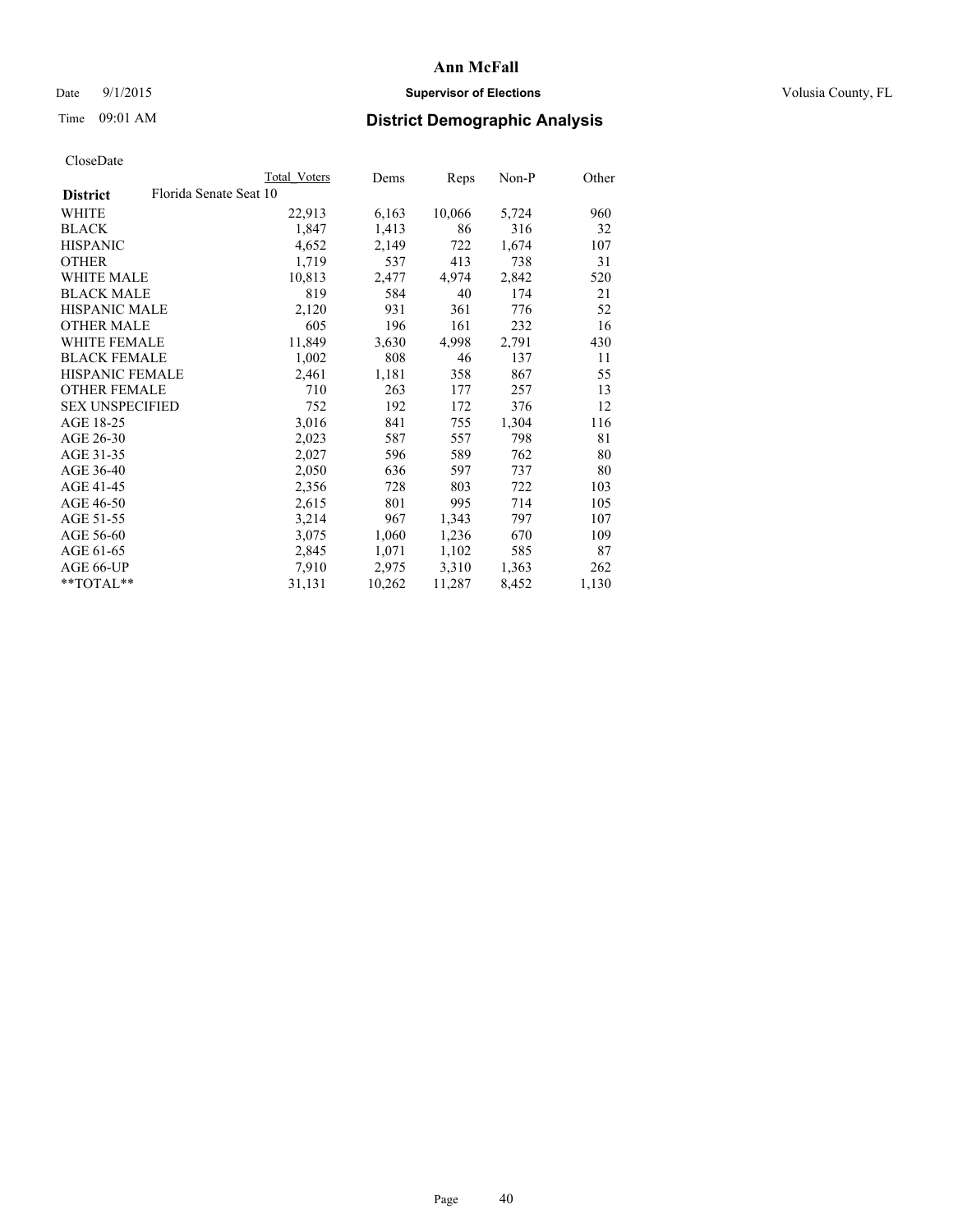## Date 9/1/2015 **Supervisor of Elections Supervisor of Elections** Volusia County, FL

## Time 09:01 AM **District Demographic Analysis**

|                        |                        | Total Voters | Dems   | Reps   | Non-P | Other |
|------------------------|------------------------|--------------|--------|--------|-------|-------|
| <b>District</b>        | Florida Senate Seat 10 |              |        |        |       |       |
| WHITE                  |                        | 22,913       | 6,163  | 10,066 | 5,724 | 960   |
| <b>BLACK</b>           |                        | 1,847        | 1,413  | 86     | 316   | 32    |
| <b>HISPANIC</b>        |                        | 4,652        | 2,149  | 722    | 1,674 | 107   |
| <b>OTHER</b>           |                        | 1,719        | 537    | 413    | 738   | 31    |
| WHITE MALE             |                        | 10,813       | 2,477  | 4,974  | 2,842 | 520   |
| <b>BLACK MALE</b>      |                        | 819          | 584    | 40     | 174   | 21    |
| <b>HISPANIC MALE</b>   |                        | 2,120        | 931    | 361    | 776   | 52    |
| <b>OTHER MALE</b>      |                        | 605          | 196    | 161    | 232   | 16    |
| <b>WHITE FEMALE</b>    |                        | 11,849       | 3,630  | 4,998  | 2,791 | 430   |
| <b>BLACK FEMALE</b>    |                        | 1,002        | 808    | 46     | 137   | 11    |
| <b>HISPANIC FEMALE</b> |                        | 2,461        | 1,181  | 358    | 867   | 55    |
| <b>OTHER FEMALE</b>    |                        | 710          | 263    | 177    | 257   | 13    |
| <b>SEX UNSPECIFIED</b> |                        | 752          | 192    | 172    | 376   | 12    |
| AGE 18-25              |                        | 3,016        | 841    | 755    | 1,304 | 116   |
| AGE 26-30              |                        | 2,023        | 587    | 557    | 798   | 81    |
| AGE 31-35              |                        | 2,027        | 596    | 589    | 762   | 80    |
| AGE 36-40              |                        | 2,050        | 636    | 597    | 737   | 80    |
| AGE 41-45              |                        | 2,356        | 728    | 803    | 722   | 103   |
| AGE 46-50              |                        | 2,615        | 801    | 995    | 714   | 105   |
| AGE 51-55              |                        | 3,214        | 967    | 1,343  | 797   | 107   |
| AGE 56-60              |                        | 3,075        | 1,060  | 1,236  | 670   | 109   |
| AGE 61-65              |                        | 2,845        | 1,071  | 1,102  | 585   | 87    |
| AGE 66-UP              |                        | 7,910        | 2,975  | 3,310  | 1,363 | 262   |
| **TOTAL**              |                        | 31,131       | 10,262 | 11,287 | 8,452 | 1,130 |
|                        |                        |              |        |        |       |       |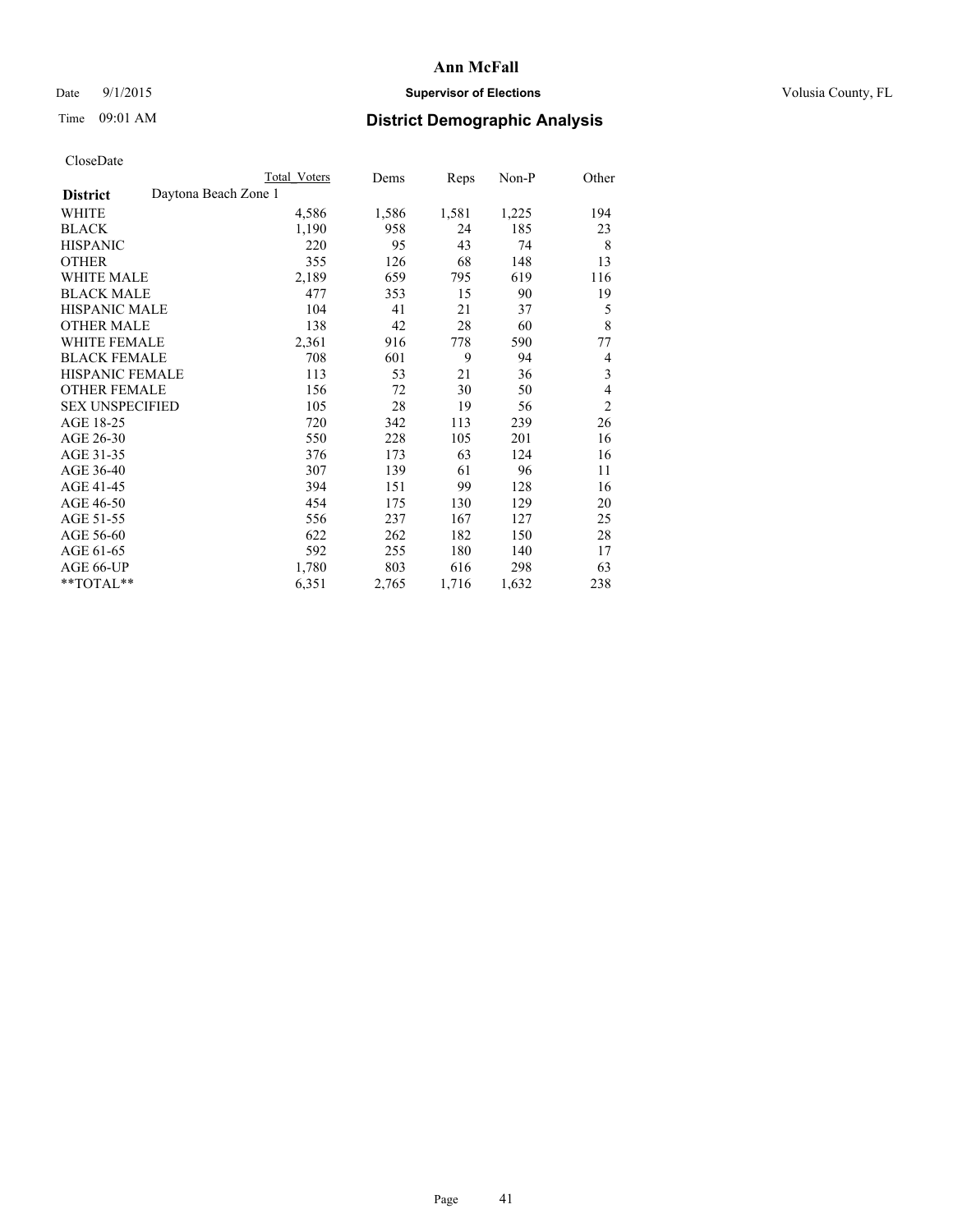## Date 9/1/2015 **Supervisor of Elections Supervisor of Elections** Volusia County, FL

# Time 09:01 AM **District Demographic Analysis**

|                        | <b>Total Voters</b>  | Dems  | Reps  | Non-P | Other          |
|------------------------|----------------------|-------|-------|-------|----------------|
| <b>District</b>        | Daytona Beach Zone 1 |       |       |       |                |
| WHITE                  | 4,586                | 1,586 | 1,581 | 1,225 | 194            |
| <b>BLACK</b>           | 1,190                | 958   | 24    | 185   | 23             |
| <b>HISPANIC</b>        | 220                  | 95    | 43    | 74    | 8              |
| <b>OTHER</b>           | 355                  | 126   | 68    | 148   | 13             |
| <b>WHITE MALE</b>      | 2,189                | 659   | 795   | 619   | 116            |
| <b>BLACK MALE</b>      | 477                  | 353   | 15    | 90    | 19             |
| <b>HISPANIC MALE</b>   | 104                  | 41    | 21    | 37    | 5              |
| <b>OTHER MALE</b>      | 138                  | 42    | 28    | 60    | 8              |
| <b>WHITE FEMALE</b>    | 2,361                | 916   | 778   | 590   | 77             |
| <b>BLACK FEMALE</b>    | 708                  | 601   | 9     | 94    | 4              |
| HISPANIC FEMALE        | 113                  | 53    | 21    | 36    | $\mathfrak{Z}$ |
| <b>OTHER FEMALE</b>    | 156                  | 72    | 30    | 50    | 4              |
| <b>SEX UNSPECIFIED</b> | 105                  | 28    | 19    | 56    | $\overline{2}$ |
| AGE 18-25              | 720                  | 342   | 113   | 239   | 26             |
| AGE 26-30              | 550                  | 228   | 105   | 201   | 16             |
| AGE 31-35              | 376                  | 173   | 63    | 124   | 16             |
| AGE 36-40              | 307                  | 139   | 61    | 96    | 11             |
| AGE 41-45              | 394                  | 151   | 99    | 128   | 16             |
| AGE 46-50              | 454                  | 175   | 130   | 129   | 20             |
| AGE 51-55              | 556                  | 237   | 167   | 127   | 25             |
| AGE 56-60              | 622                  | 262   | 182   | 150   | 28             |
| AGE 61-65              | 592                  | 255   | 180   | 140   | 17             |
| AGE 66-UP              | 1,780                | 803   | 616   | 298   | 63             |
| **TOTAL**              | 6,351                | 2,765 | 1,716 | 1,632 | 238            |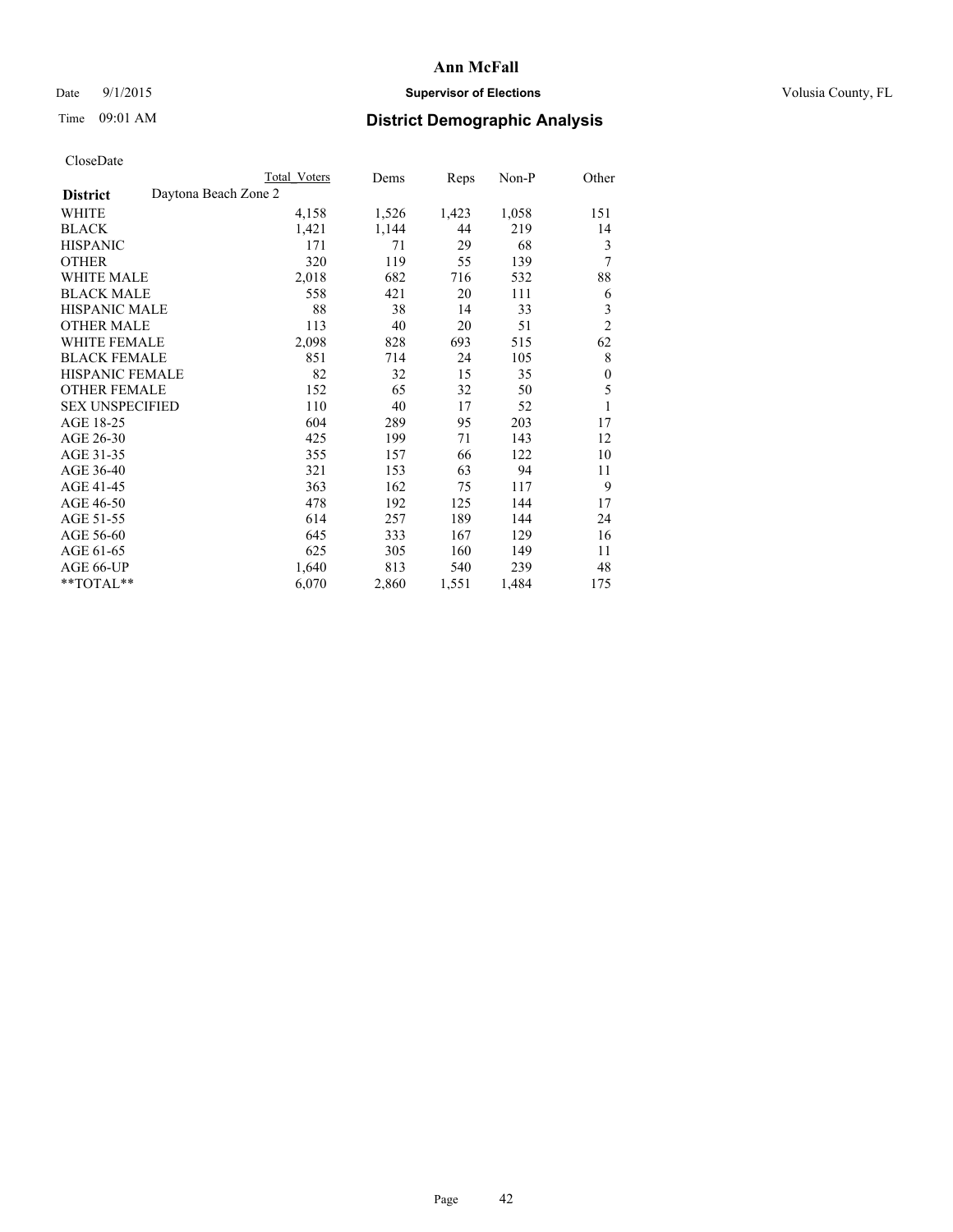## Date 9/1/2015 **Supervisor of Elections Supervisor of Elections** Volusia County, FL

## Time 09:01 AM **District Demographic Analysis**

|                                         | Total Voters | Dems  | Reps  | Non-P | Other            |
|-----------------------------------------|--------------|-------|-------|-------|------------------|
| Daytona Beach Zone 2<br><b>District</b> |              |       |       |       |                  |
| WHITE                                   | 4,158        | 1,526 | 1,423 | 1,058 | 151              |
| <b>BLACK</b>                            | 1,421        | 1,144 | 44    | 219   | 14               |
| <b>HISPANIC</b>                         | 171          | 71    | 29    | 68    | 3                |
| <b>OTHER</b>                            | 320          | 119   | 55    | 139   | 7                |
| WHITE MALE                              | 2,018        | 682   | 716   | 532   | 88               |
| <b>BLACK MALE</b>                       | 558          | 421   | 20    | 111   | 6                |
| HISPANIC MALE                           | 88           | 38    | 14    | 33    | 3                |
| <b>OTHER MALE</b>                       | 113          | 40    | 20    | 51    | $\overline{2}$   |
| WHITE FEMALE                            | 2,098        | 828   | 693   | 515   | 62               |
| <b>BLACK FEMALE</b>                     | 851          | 714   | 24    | 105   | 8                |
| <b>HISPANIC FEMALE</b>                  | 82           | 32    | 15    | 35    | $\boldsymbol{0}$ |
| <b>OTHER FEMALE</b>                     | 152          | 65    | 32    | 50    | 5                |
| <b>SEX UNSPECIFIED</b>                  | 110          | 40    | 17    | 52    | 1                |
| AGE 18-25                               | 604          | 289   | 95    | 203   | 17               |
| AGE 26-30                               | 425          | 199   | 71    | 143   | 12               |
| AGE 31-35                               | 355          | 157   | 66    | 122   | 10               |
| AGE 36-40                               | 321          | 153   | 63    | 94    | 11               |
| AGE 41-45                               | 363          | 162   | 75    | 117   | 9                |
| AGE 46-50                               | 478          | 192   | 125   | 144   | 17               |
| AGE 51-55                               | 614          | 257   | 189   | 144   | 24               |
| AGE 56-60                               | 645          | 333   | 167   | 129   | 16               |
| AGE 61-65                               | 625          | 305   | 160   | 149   | 11               |
| AGE 66-UP                               | 1,640        | 813   | 540   | 239   | 48               |
| **TOTAL**                               | 6,070        | 2,860 | 1,551 | 1,484 | 175              |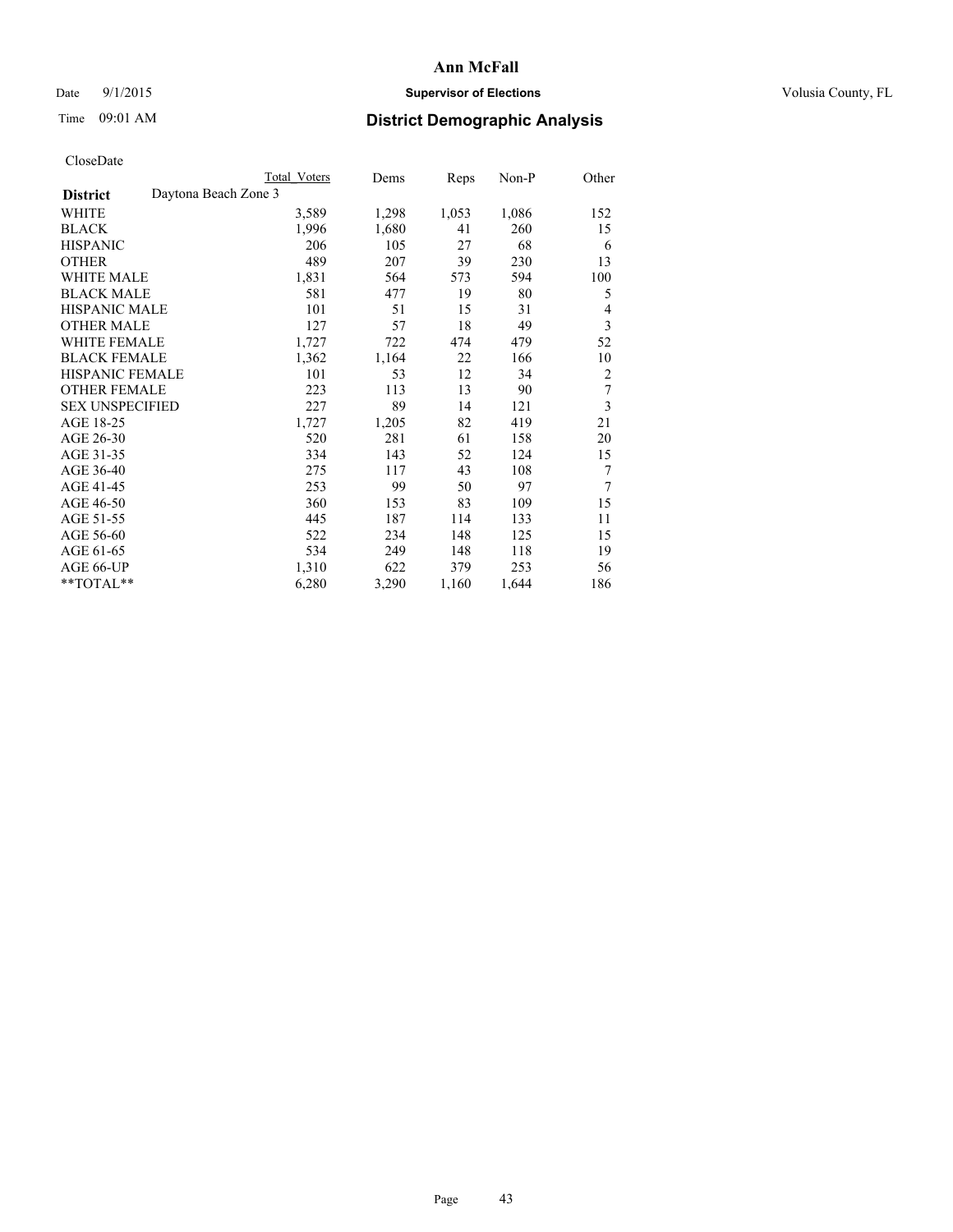## Date 9/1/2015 **Supervisor of Elections Supervisor of Elections** Volusia County, FL

## Time 09:01 AM **District Demographic Analysis**

|                                         | Total Voters | Dems  | Reps  | Non-P | Other          |
|-----------------------------------------|--------------|-------|-------|-------|----------------|
| Daytona Beach Zone 3<br><b>District</b> |              |       |       |       |                |
| WHITE                                   | 3,589        | 1,298 | 1,053 | 1,086 | 152            |
| <b>BLACK</b>                            | 1,996        | 1,680 | 41    | 260   | 15             |
| <b>HISPANIC</b>                         | 206          | 105   | 27    | 68    | 6              |
| OTHER                                   | 489          | 207   | 39    | 230   | 13             |
| <b>WHITE MALE</b>                       | 1,831        | 564   | 573   | 594   | 100            |
| <b>BLACK MALE</b>                       | 581          | 477   | 19    | 80    | 5              |
| <b>HISPANIC MALE</b>                    | 101          | 51    | 15    | 31    | 4              |
| <b>OTHER MALE</b>                       | 127          | 57    | 18    | 49    | 3              |
| <b>WHITE FEMALE</b>                     | 1,727        | 722   | 474   | 479   | 52             |
| <b>BLACK FEMALE</b>                     | 1,362        | 1,164 | 22    | 166   | 10             |
| <b>HISPANIC FEMALE</b>                  | 101          | 53    | 12    | 34    | $\overline{2}$ |
| <b>OTHER FEMALE</b>                     | 223          | 113   | 13    | 90    | 7              |
| <b>SEX UNSPECIFIED</b>                  | 227          | 89    | 14    | 121   | 3              |
| AGE 18-25                               | 1,727        | 1,205 | 82    | 419   | 21             |
| AGE 26-30                               | 520          | 281   | 61    | 158   | 20             |
| AGE 31-35                               | 334          | 143   | 52    | 124   | 15             |
| AGE 36-40                               | 275          | 117   | 43    | 108   | 7              |
| AGE 41-45                               | 253          | 99    | 50    | 97    | 7              |
| AGE 46-50                               | 360          | 153   | 83    | 109   | 15             |
| AGE 51-55                               | 445          | 187   | 114   | 133   | 11             |
| AGE 56-60                               | 522          | 234   | 148   | 125   | 15             |
| AGE 61-65                               | 534          | 249   | 148   | 118   | 19             |
| AGE 66-UP                               | 1,310        | 622   | 379   | 253   | 56             |
| **TOTAL**                               | 6,280        | 3,290 | 1,160 | 1,644 | 186            |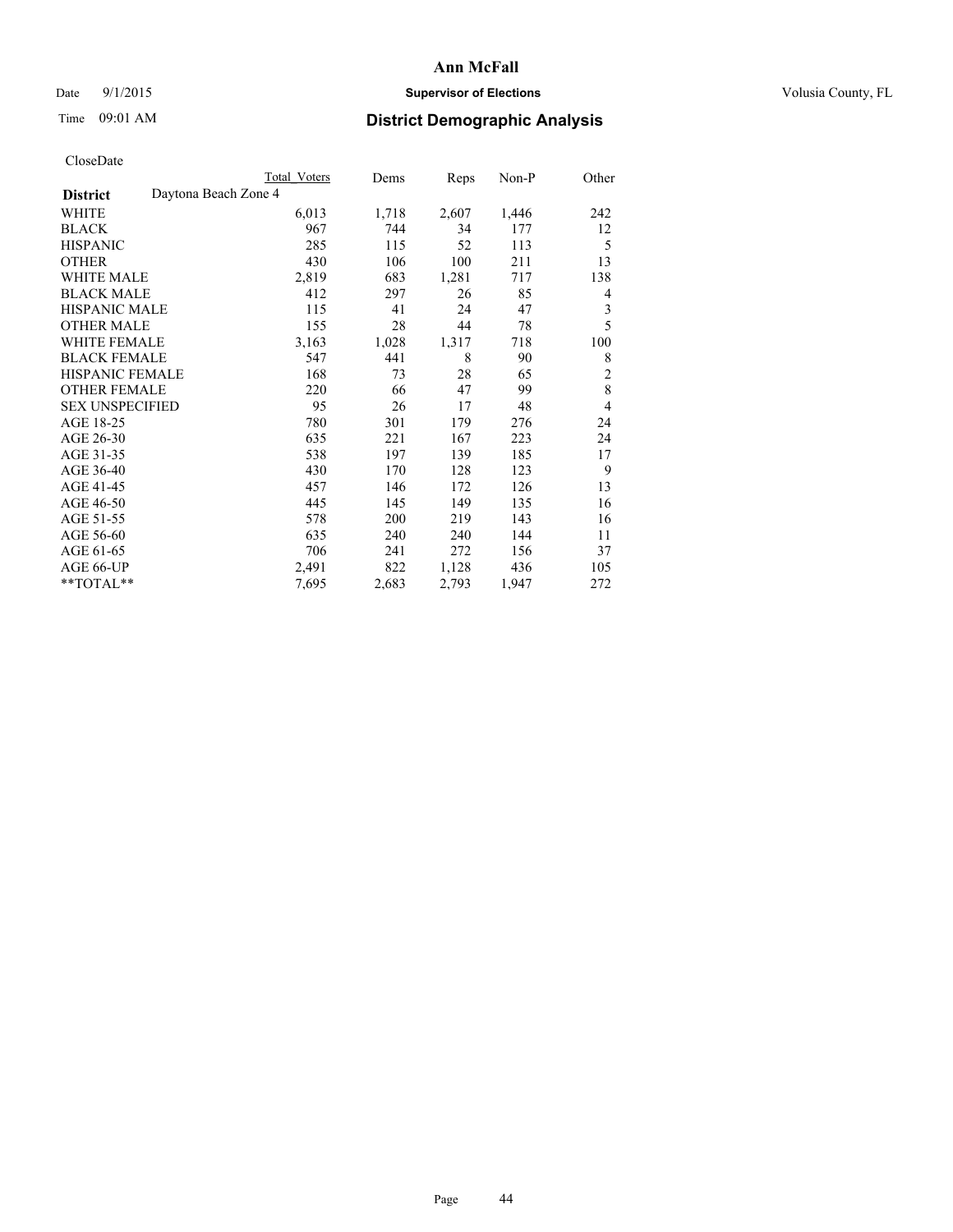## Date 9/1/2015 **Supervisor of Elections Supervisor of Elections** Volusia County, FL

|                        | <b>Total Voters</b>  | Dems  | Reps  | Non-P | Other          |
|------------------------|----------------------|-------|-------|-------|----------------|
| <b>District</b>        | Daytona Beach Zone 4 |       |       |       |                |
| WHITE                  | 6,013                | 1,718 | 2,607 | 1,446 | 242            |
| <b>BLACK</b>           | 967                  | 744   | 34    | 177   | 12             |
| <b>HISPANIC</b>        | 285                  | 115   | 52    | 113   | 5              |
| <b>OTHER</b>           | 430                  | 106   | 100   | 211   | 13             |
| <b>WHITE MALE</b>      | 2,819                | 683   | 1,281 | 717   | 138            |
| <b>BLACK MALE</b>      | 412                  | 297   | 26    | 85    | 4              |
| <b>HISPANIC MALE</b>   | 115                  | 41    | 24    | 47    | $\mathfrak{Z}$ |
| <b>OTHER MALE</b>      | 155                  | 28    | 44    | 78    | 5              |
| <b>WHITE FEMALE</b>    | 3,163                | 1,028 | 1,317 | 718   | 100            |
| <b>BLACK FEMALE</b>    | 547                  | 441   | 8     | 90    | 8              |
| HISPANIC FEMALE        | 168                  | 73    | 28    | 65    | $\overline{c}$ |
| <b>OTHER FEMALE</b>    | 220                  | 66    | 47    | 99    | 8              |
| <b>SEX UNSPECIFIED</b> | 95                   | 26    | 17    | 48    | $\overline{4}$ |
| AGE 18-25              | 780                  | 301   | 179   | 276   | 24             |
| AGE 26-30              | 635                  | 221   | 167   | 223   | 24             |
| AGE 31-35              | 538                  | 197   | 139   | 185   | 17             |
| AGE 36-40              | 430                  | 170   | 128   | 123   | 9              |
| AGE 41-45              | 457                  | 146   | 172   | 126   | 13             |
| AGE 46-50              | 445                  | 145   | 149   | 135   | 16             |
| AGE 51-55              | 578                  | 200   | 219   | 143   | 16             |
| AGE 56-60              | 635                  | 240   | 240   | 144   | 11             |
| AGE 61-65              | 706                  | 241   | 272   | 156   | 37             |
| AGE 66-UP              | 2,491                | 822   | 1,128 | 436   | 105            |
| **TOTAL**              | 7,695                | 2,683 | 2,793 | 1,947 | 272            |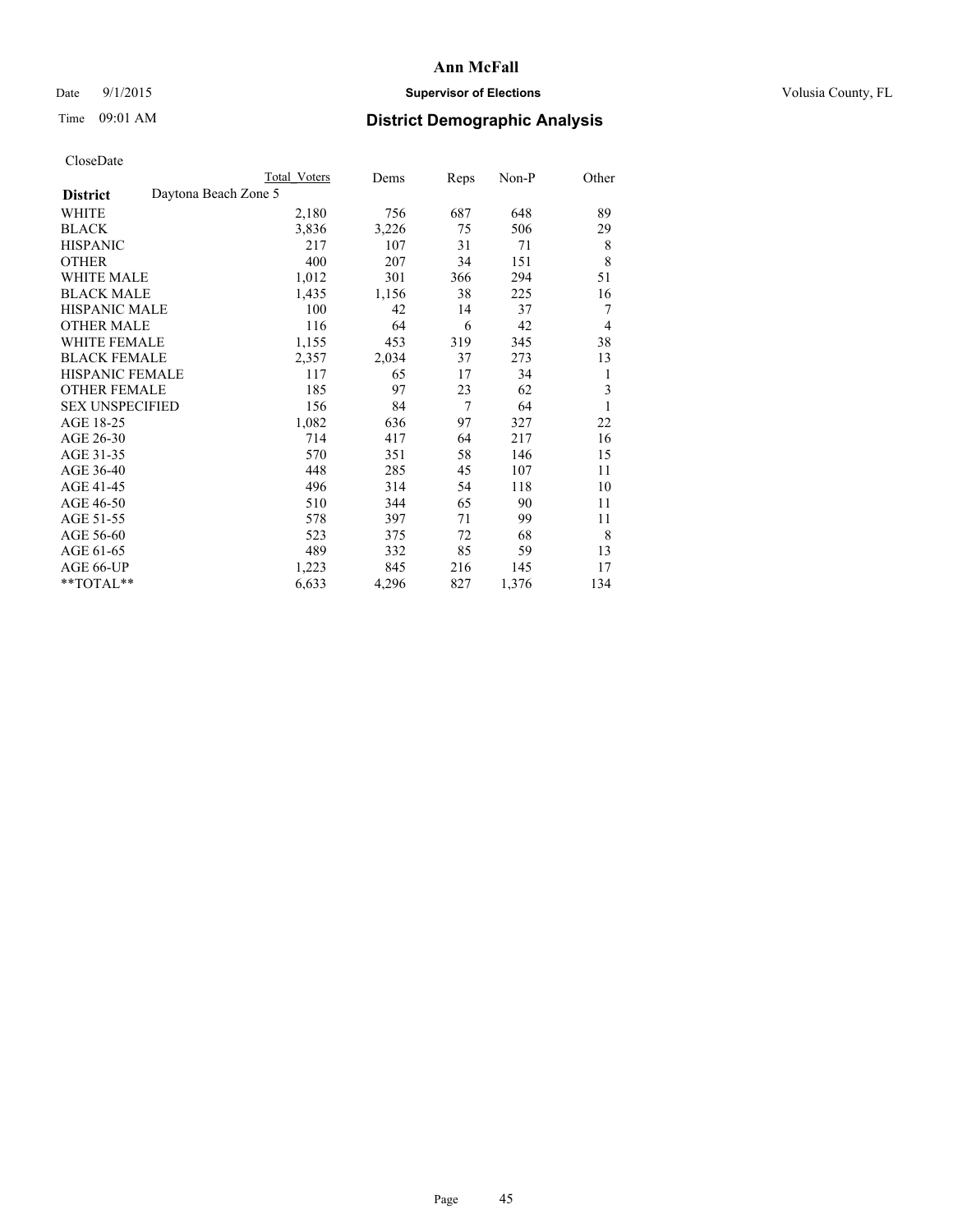## Date 9/1/2015 **Supervisor of Elections Supervisor of Elections** Volusia County, FL

## Time 09:01 AM **District Demographic Analysis**

|                                         | <b>Total Voters</b> | Dems  | Reps | Non-P | Other |
|-----------------------------------------|---------------------|-------|------|-------|-------|
| Daytona Beach Zone 5<br><b>District</b> |                     |       |      |       |       |
| WHITE                                   | 2,180               | 756   | 687  | 648   | 89    |
| <b>BLACK</b>                            | 3,836               | 3,226 | 75   | 506   | 29    |
| <b>HISPANIC</b>                         | 217                 | 107   | 31   | 71    | 8     |
| <b>OTHER</b>                            | 400                 | 207   | 34   | 151   | 8     |
| <b>WHITE MALE</b>                       | 1,012               | 301   | 366  | 294   | 51    |
| <b>BLACK MALE</b>                       | 1,435               | 1,156 | 38   | 225   | 16    |
| HISPANIC MALE                           | 100                 | 42    | 14   | 37    | 7     |
| <b>OTHER MALE</b>                       | 116                 | 64    | 6    | 42    | 4     |
| <b>WHITE FEMALE</b>                     | 1,155               | 453   | 319  | 345   | 38    |
| <b>BLACK FEMALE</b>                     | 2,357               | 2,034 | 37   | 273   | 13    |
| <b>HISPANIC FEMALE</b>                  | 117                 | 65    | 17   | 34    | 1     |
| <b>OTHER FEMALE</b>                     | 185                 | 97    | 23   | 62    | 3     |
| <b>SEX UNSPECIFIED</b>                  | 156                 | 84    | 7    | 64    | 1     |
| AGE 18-25                               | 1,082               | 636   | 97   | 327   | 22    |
| AGE 26-30                               | 714                 | 417   | 64   | 217   | 16    |
| AGE 31-35                               | 570                 | 351   | 58   | 146   | 15    |
| AGE 36-40                               | 448                 | 285   | 45   | 107   | 11    |
| AGE 41-45                               | 496                 | 314   | 54   | 118   | 10    |
| AGE 46-50                               | 510                 | 344   | 65   | 90    | 11    |
| AGE 51-55                               | 578                 | 397   | 71   | 99    | 11    |
| AGE 56-60                               | 523                 | 375   | 72   | 68    | 8     |
| AGE 61-65                               | 489                 | 332   | 85   | 59    | 13    |
| AGE 66-UP                               | 1,223               | 845   | 216  | 145   | 17    |
| **TOTAL**                               | 6,633               | 4,296 | 827  | 1,376 | 134   |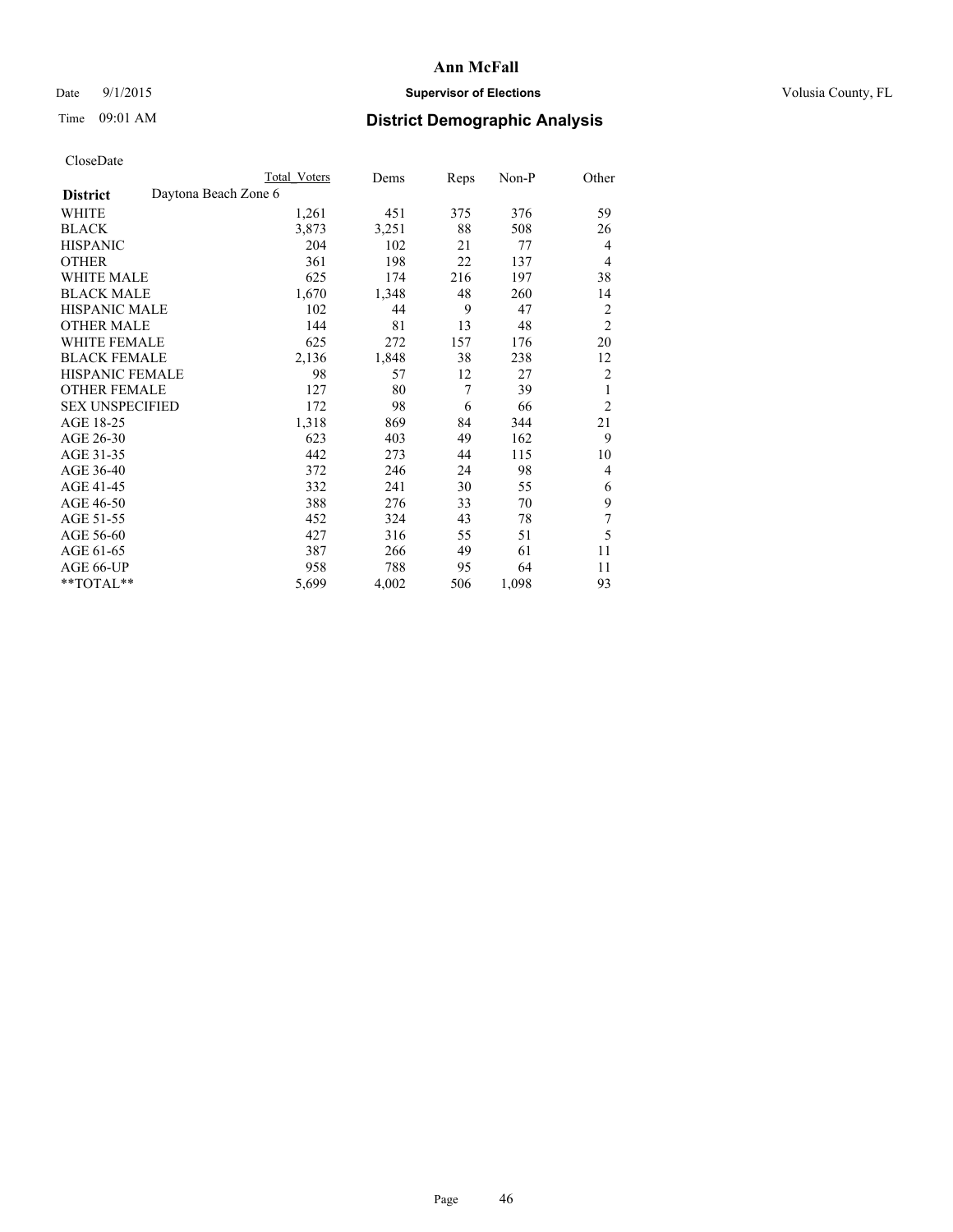## Date 9/1/2015 **Supervisor of Elections Supervisor of Elections** Volusia County, FL

|                        | Total Voters         | Dems  | <b>Reps</b> | $Non-P$ | Other          |
|------------------------|----------------------|-------|-------------|---------|----------------|
| <b>District</b>        | Daytona Beach Zone 6 |       |             |         |                |
| WHITE                  | 1,261                | 451   | 375         | 376     | 59             |
| <b>BLACK</b>           | 3,873                | 3,251 | 88          | 508     | 26             |
| <b>HISPANIC</b>        | 204                  | 102   | 21          | 77      | $\overline{4}$ |
| <b>OTHER</b>           | 361                  | 198   | 22          | 137     | $\overline{4}$ |
| <b>WHITE MALE</b>      | 625                  | 174   | 216         | 197     | 38             |
| <b>BLACK MALE</b>      | 1,670                | 1,348 | 48          | 260     | 14             |
| <b>HISPANIC MALE</b>   | 102                  | 44    | 9           | 47      | $\overline{2}$ |
| <b>OTHER MALE</b>      | 144                  | 81    | 13          | 48      | $\overline{2}$ |
| <b>WHITE FEMALE</b>    | 625                  | 272   | 157         | 176     | 20             |
| <b>BLACK FEMALE</b>    | 2,136                | 1,848 | 38          | 238     | 12             |
| HISPANIC FEMALE        | 98                   | 57    | 12          | 27      | 2              |
| <b>OTHER FEMALE</b>    | 127                  | 80    | 7           | 39      | 1              |
| <b>SEX UNSPECIFIED</b> | 172                  | 98    | 6           | 66      | $\overline{2}$ |
| AGE 18-25              | 1,318                | 869   | 84          | 344     | 21             |
| AGE 26-30              | 623                  | 403   | 49          | 162     | 9              |
| AGE 31-35              | 442                  | 273   | 44          | 115     | 10             |
| AGE 36-40              | 372                  | 246   | 24          | 98      | 4              |
| AGE 41-45              | 332                  | 241   | 30          | 55      | 6              |
| AGE 46-50              | 388                  | 276   | 33          | 70      | 9              |
| AGE 51-55              | 452                  | 324   | 43          | 78      | 7              |
| AGE 56-60              | 427                  | 316   | 55          | 51      | 5              |
| AGE 61-65              | 387                  | 266   | 49          | 61      | 11             |
| AGE 66-UP              | 958                  | 788   | 95          | 64      | 11             |
| **TOTAL**              | 5,699                | 4,002 | 506         | 1,098   | 93             |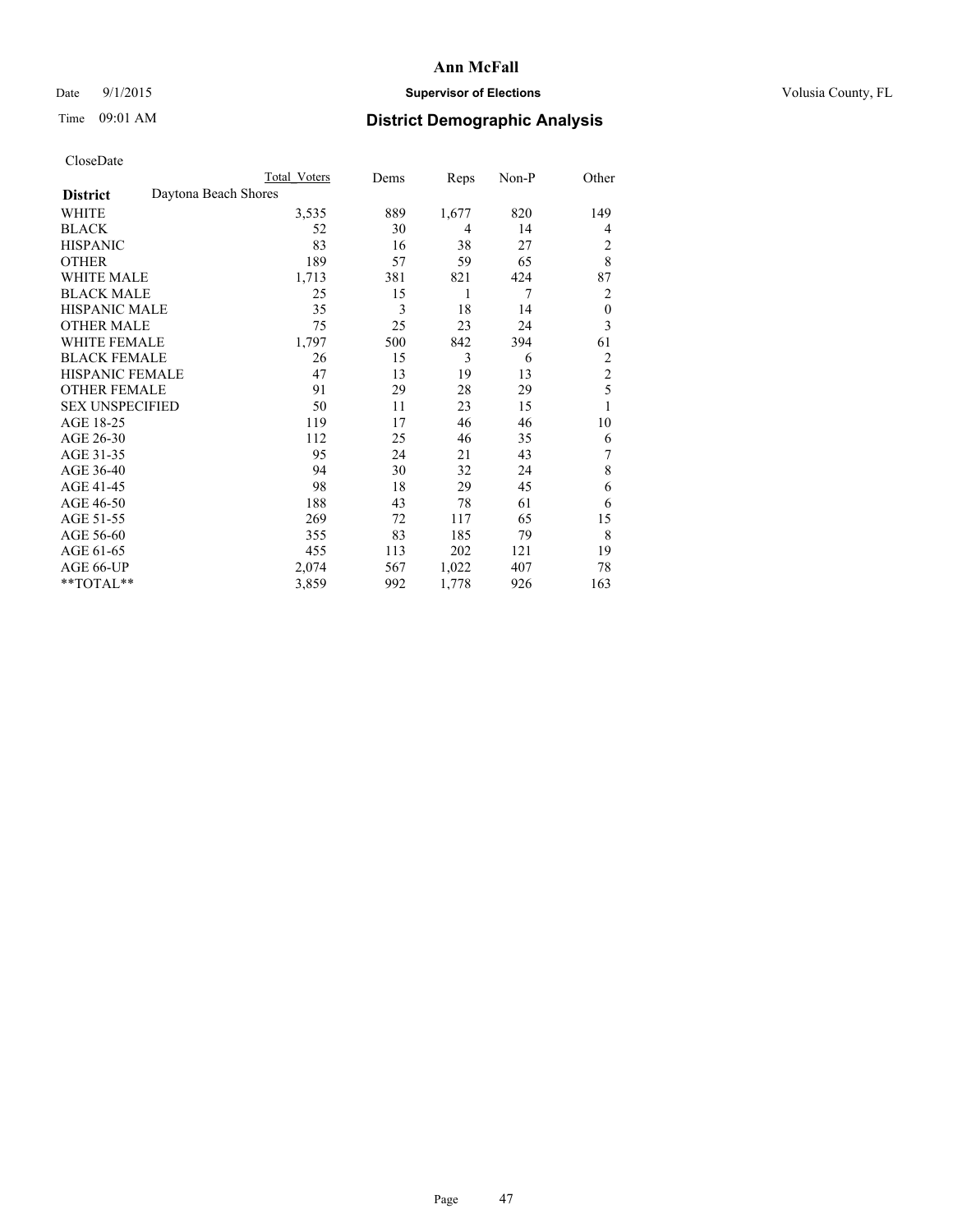## Date 9/1/2015 **Supervisor of Elections Supervisor of Elections** Volusia County, FL

|                        | Total Voters         | Dems | Reps  | Non-P | Other            |
|------------------------|----------------------|------|-------|-------|------------------|
| <b>District</b>        | Daytona Beach Shores |      |       |       |                  |
| WHITE                  | 3,535                | 889  | 1,677 | 820   | 149              |
| <b>BLACK</b>           | 52                   | 30   | 4     | 14    | 4                |
| <b>HISPANIC</b>        | 83                   | 16   | 38    | 27    | 2                |
| <b>OTHER</b>           | 189                  | 57   | 59    | 65    | 8                |
| WHITE MALE             | 1,713                | 381  | 821   | 424   | 87               |
| <b>BLACK MALE</b>      | 25                   | 15   | 1     | 7     | 2                |
| <b>HISPANIC MALE</b>   | 35                   | 3    | 18    | 14    | $\boldsymbol{0}$ |
| <b>OTHER MALE</b>      | 75                   | 25   | 23    | 24    | 3                |
| <b>WHITE FEMALE</b>    | 1,797                | 500  | 842   | 394   | 61               |
| <b>BLACK FEMALE</b>    | 26                   | 15   | 3     | 6     | 2                |
| <b>HISPANIC FEMALE</b> | 47                   | 13   | 19    | 13    | $\overline{c}$   |
| <b>OTHER FEMALE</b>    | 91                   | 29   | 28    | 29    | 5                |
| <b>SEX UNSPECIFIED</b> | 50                   | 11   | 23    | 15    | 1                |
| AGE 18-25              | 119                  | 17   | 46    | 46    | 10               |
| AGE 26-30              | 112                  | 25   | 46    | 35    | 6                |
| AGE 31-35              | 95                   | 24   | 21    | 43    | 7                |
| AGE 36-40              | 94                   | 30   | 32    | 24    | 8                |
| AGE 41-45              | 98                   | 18   | 29    | 45    | 6                |
| AGE 46-50              | 188                  | 43   | 78    | 61    | 6                |
| AGE 51-55              | 269                  | 72   | 117   | 65    | 15               |
| AGE 56-60              | 355                  | 83   | 185   | 79    | 8                |
| AGE 61-65              | 455                  | 113  | 202   | 121   | 19               |
| AGE 66-UP              | 2,074                | 567  | 1,022 | 407   | 78               |
| **TOTAL**              | 3,859                | 992  | 1,778 | 926   | 163              |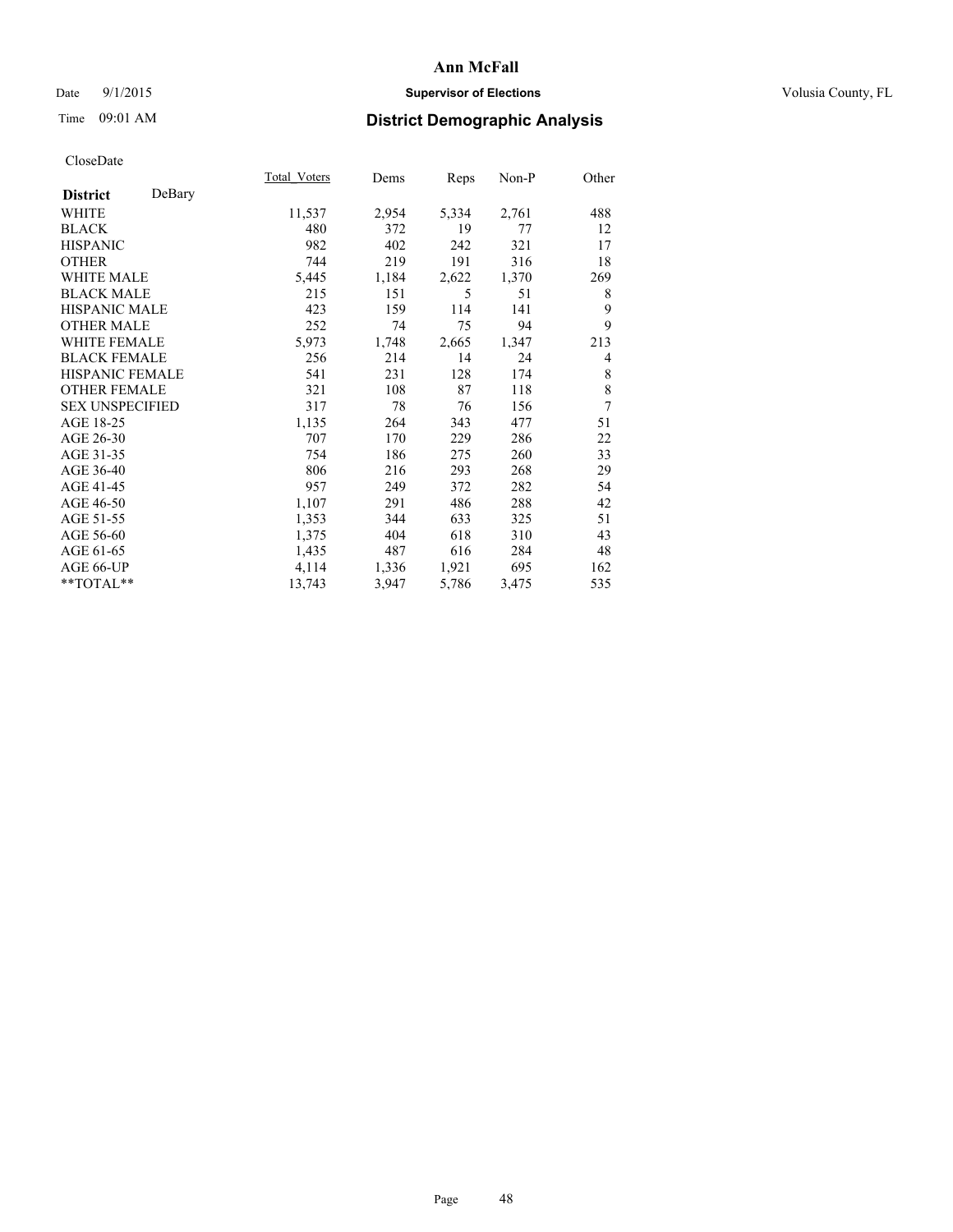## Date 9/1/2015 **Supervisor of Elections Supervisor of Elections** Volusia County, FL

| CloseDate |
|-----------|
|-----------|

|                        |        | Total Voters | Dems  | <b>Reps</b> | Non-P | Other          |
|------------------------|--------|--------------|-------|-------------|-------|----------------|
| <b>District</b>        | DeBary |              |       |             |       |                |
| WHITE                  |        | 11,537       | 2,954 | 5,334       | 2,761 | 488            |
| <b>BLACK</b>           |        | 480          | 372   | 19          | 77    | 12             |
| <b>HISPANIC</b>        |        | 982          | 402   | 242         | 321   | 17             |
| <b>OTHER</b>           |        | 744          | 219   | 191         | 316   | 18             |
| <b>WHITE MALE</b>      |        | 5,445        | 1,184 | 2,622       | 1,370 | 269            |
| <b>BLACK MALE</b>      |        | 215          | 151   | 5           | 51    | 8              |
| <b>HISPANIC MALE</b>   |        | 423          | 159   | 114         | 141   | 9              |
| <b>OTHER MALE</b>      |        | 252          | 74    | 75          | 94    | 9              |
| <b>WHITE FEMALE</b>    |        | 5,973        | 1,748 | 2,665       | 1,347 | 213            |
| <b>BLACK FEMALE</b>    |        | 256          | 214   | 14          | 24    | $\overline{4}$ |
| HISPANIC FEMALE        |        | 541          | 231   | 128         | 174   | 8              |
| <b>OTHER FEMALE</b>    |        | 321          | 108   | 87          | 118   | 8              |
| <b>SEX UNSPECIFIED</b> |        | 317          | 78    | 76          | 156   | 7              |
| AGE 18-25              |        | 1,135        | 264   | 343         | 477   | 51             |
| AGE 26-30              |        | 707          | 170   | 229         | 286   | 22             |
| AGE 31-35              |        | 754          | 186   | 275         | 260   | 33             |
| AGE 36-40              |        | 806          | 216   | 293         | 268   | 29             |
| AGE 41-45              |        | 957          | 249   | 372         | 282   | 54             |
| AGE 46-50              |        | 1,107        | 291   | 486         | 288   | 42             |
| AGE 51-55              |        | 1,353        | 344   | 633         | 325   | 51             |
| AGE 56-60              |        | 1,375        | 404   | 618         | 310   | 43             |
| AGE 61-65              |        | 1,435        | 487   | 616         | 284   | 48             |
| AGE 66-UP              |        | 4,114        | 1,336 | 1,921       | 695   | 162            |
| **TOTAL**              |        | 13,743       | 3,947 | 5,786       | 3,475 | 535            |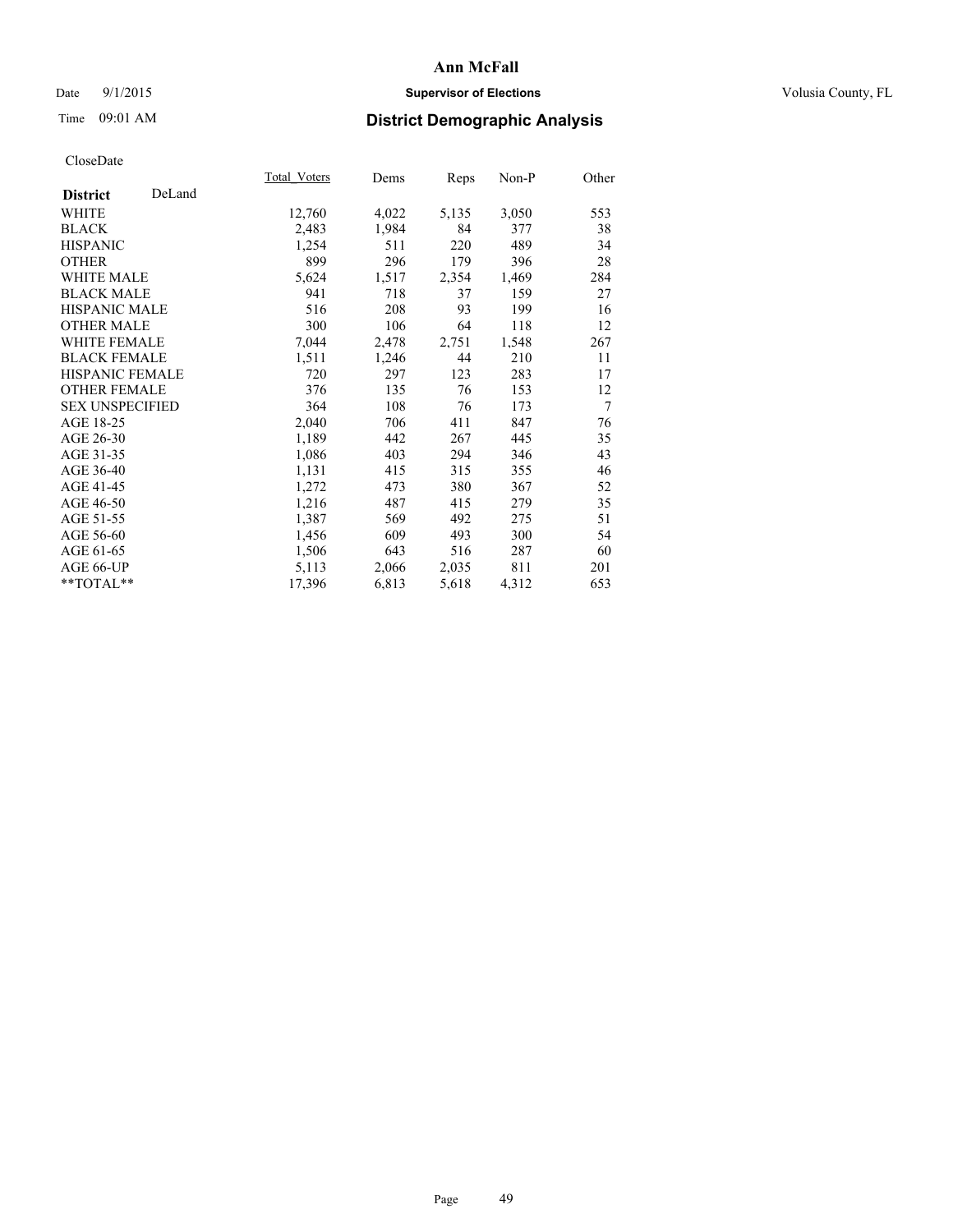## Date 9/1/2015 **Supervisor of Elections Supervisor of Elections** Volusia County, FL

## Time 09:01 AM **District Demographic Analysis**

|                           | Total Voters | Dems  | <u>Reps</u> | Non-P | Other |
|---------------------------|--------------|-------|-------------|-------|-------|
| DeLand<br><b>District</b> |              |       |             |       |       |
| WHITE                     | 12,760       | 4,022 | 5,135       | 3,050 | 553   |
| <b>BLACK</b>              | 2,483        | 1,984 | 84          | 377   | 38    |
| <b>HISPANIC</b>           | 1,254        | 511   | 220         | 489   | 34    |
| <b>OTHER</b>              | 899          | 296   | 179         | 396   | 28    |
| <b>WHITE MALE</b>         | 5,624        | 1,517 | 2,354       | 1,469 | 284   |
| <b>BLACK MALE</b>         | 941          | 718   | 37          | 159   | 27    |
| <b>HISPANIC MALE</b>      | 516          | 208   | 93          | 199   | 16    |
| <b>OTHER MALE</b>         | 300          | 106   | 64          | 118   | 12    |
| <b>WHITE FEMALE</b>       | 7,044        | 2,478 | 2,751       | 1,548 | 267   |
| <b>BLACK FEMALE</b>       | 1,511        | 1,246 | 44          | 210   | 11    |
| <b>HISPANIC FEMALE</b>    | 720          | 297   | 123         | 283   | 17    |
| <b>OTHER FEMALE</b>       | 376          | 135   | 76          | 153   | 12    |
| <b>SEX UNSPECIFIED</b>    | 364          | 108   | 76          | 173   | 7     |
| AGE 18-25                 | 2,040        | 706   | 411         | 847   | 76    |
| AGE 26-30                 | 1,189        | 442   | 267         | 445   | 35    |
| AGE 31-35                 | 1,086        | 403   | 294         | 346   | 43    |
| AGE 36-40                 | 1,131        | 415   | 315         | 355   | 46    |
| AGE 41-45                 | 1,272        | 473   | 380         | 367   | 52    |
| AGE 46-50                 | 1,216        | 487   | 415         | 279   | 35    |
| AGE 51-55                 | 1,387        | 569   | 492         | 275   | 51    |
| AGE 56-60                 | 1,456        | 609   | 493         | 300   | 54    |
| AGE 61-65                 | 1,506        | 643   | 516         | 287   | 60    |
| AGE 66-UP                 | 5,113        | 2,066 | 2,035       | 811   | 201   |
| **TOTAL**                 | 17,396       | 6,813 | 5,618       | 4,312 | 653   |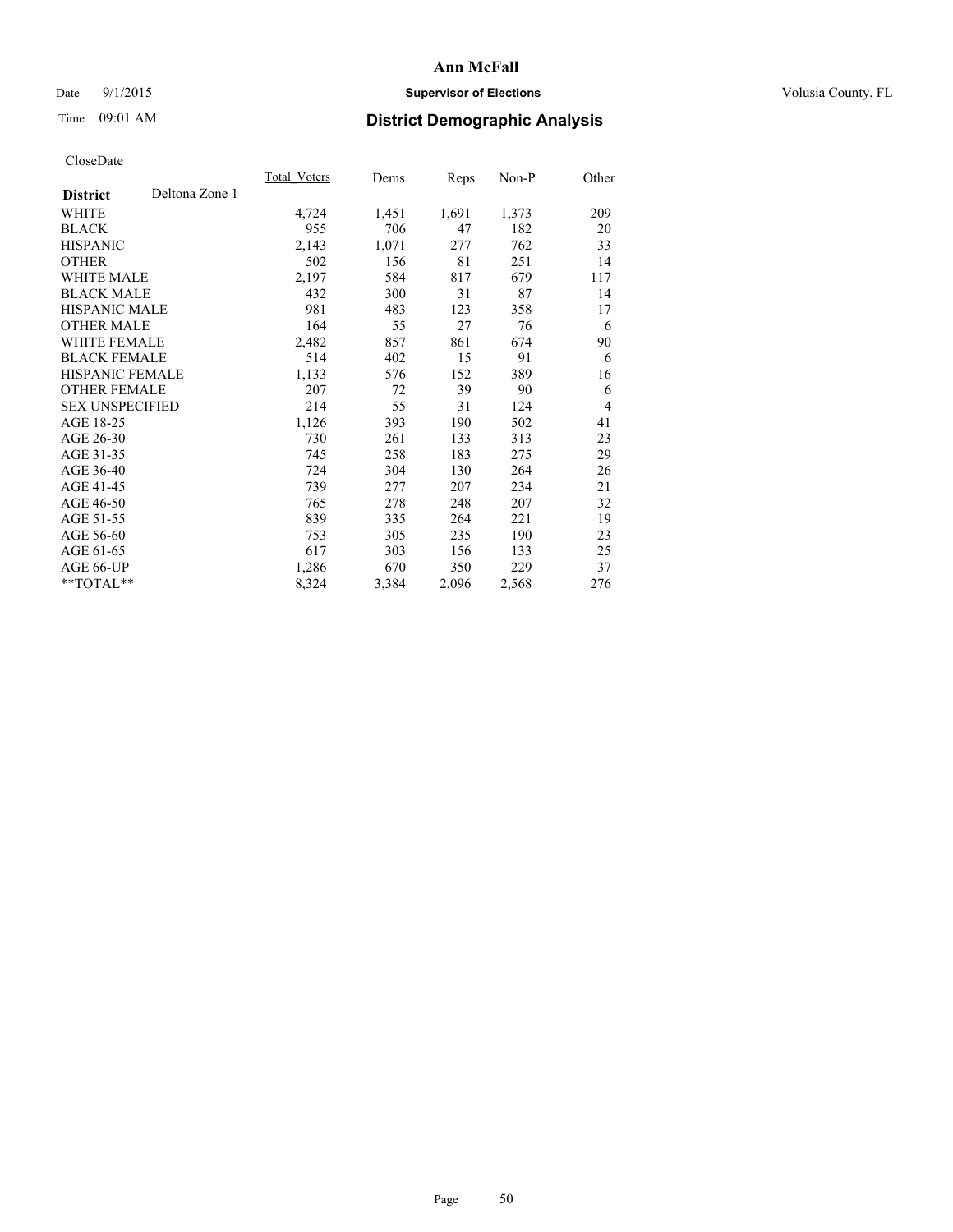## Date 9/1/2015 **Supervisor of Elections Supervisor of Elections** Volusia County, FL

## Time 09:01 AM **District Demographic Analysis**

|                                   | <b>Total Voters</b> | Dems  | Reps  | Non-P | Other          |
|-----------------------------------|---------------------|-------|-------|-------|----------------|
| Deltona Zone 1<br><b>District</b> |                     |       |       |       |                |
| WHITE                             | 4,724               | 1,451 | 1,691 | 1,373 | 209            |
| <b>BLACK</b>                      | 955                 | 706   | 47    | 182   | 20             |
| <b>HISPANIC</b>                   | 2,143               | 1,071 | 277   | 762   | 33             |
| <b>OTHER</b>                      | 502                 | 156   | 81    | 251   | 14             |
| WHITE MALE                        | 2,197               | 584   | 817   | 679   | 117            |
| <b>BLACK MALE</b>                 | 432                 | 300   | 31    | 87    | 14             |
| <b>HISPANIC MALE</b>              | 981                 | 483   | 123   | 358   | 17             |
| <b>OTHER MALE</b>                 | 164                 | 55    | 27    | 76    | 6              |
| <b>WHITE FEMALE</b>               | 2,482               | 857   | 861   | 674   | 90             |
| <b>BLACK FEMALE</b>               | 514                 | 402   | 15    | 91    | 6              |
| <b>HISPANIC FEMALE</b>            | 1,133               | 576   | 152   | 389   | 16             |
| <b>OTHER FEMALE</b>               | 207                 | 72    | 39    | 90    | 6              |
| <b>SEX UNSPECIFIED</b>            | 214                 | 55    | 31    | 124   | $\overline{4}$ |
| AGE 18-25                         | 1,126               | 393   | 190   | 502   | 41             |
| AGE 26-30                         | 730                 | 261   | 133   | 313   | 23             |
| AGE 31-35                         | 745                 | 258   | 183   | 275   | 29             |
| AGE 36-40                         | 724                 | 304   | 130   | 264   | 26             |
| AGE 41-45                         | 739                 | 277   | 207   | 234   | 21             |
| AGE 46-50                         | 765                 | 278   | 248   | 207   | 32             |
| AGE 51-55                         | 839                 | 335   | 264   | 221   | 19             |
| AGE 56-60                         | 753                 | 305   | 235   | 190   | 23             |
| AGE 61-65                         | 617                 | 303   | 156   | 133   | 25             |
| AGE 66-UP                         | 1,286               | 670   | 350   | 229   | 37             |
| $*$ TOTAL $*$                     | 8,324               | 3,384 | 2,096 | 2,568 | 276            |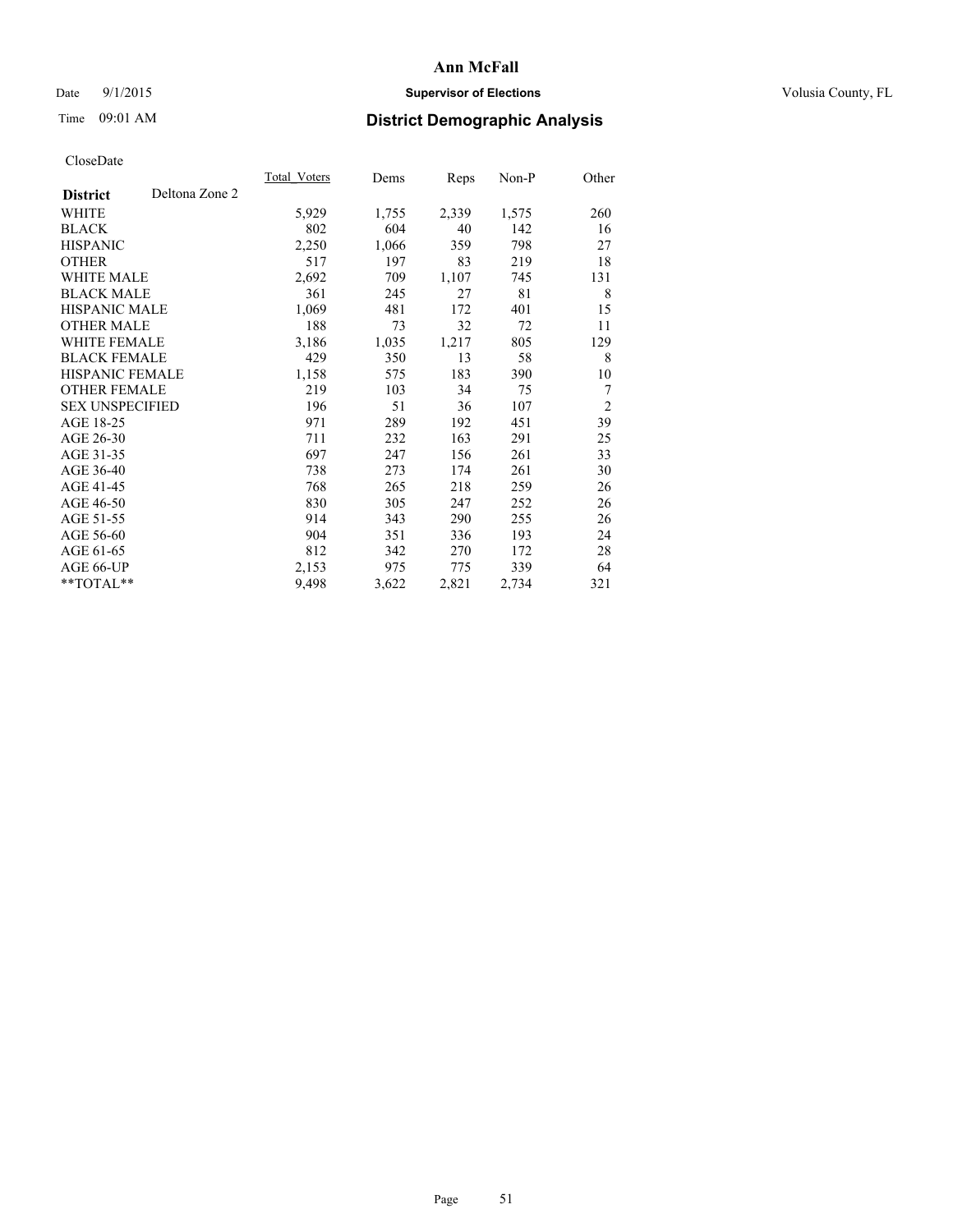## Date 9/1/2015 **Supervisor of Elections Supervisor of Elections** Volusia County, FL

# Time 09:01 AM **District Demographic Analysis**

|                        |                | Total Voters | Dems  | <b>Reps</b> | Non-P | Other          |
|------------------------|----------------|--------------|-------|-------------|-------|----------------|
| <b>District</b>        | Deltona Zone 2 |              |       |             |       |                |
| WHITE                  |                | 5,929        | 1,755 | 2,339       | 1,575 | 260            |
| <b>BLACK</b>           |                | 802          | 604   | 40          | 142   | 16             |
| <b>HISPANIC</b>        |                | 2,250        | 1,066 | 359         | 798   | 27             |
| <b>OTHER</b>           |                | 517          | 197   | 83          | 219   | 18             |
| WHITE MALE             |                | 2,692        | 709   | 1,107       | 745   | 131            |
| <b>BLACK MALE</b>      |                | 361          | 245   | 27          | 81    | 8              |
| <b>HISPANIC MALE</b>   |                | 1,069        | 481   | 172         | 401   | 15             |
| <b>OTHER MALE</b>      |                | 188          | 73    | 32          | 72    | 11             |
| WHITE FEMALE           |                | 3,186        | 1,035 | 1,217       | 805   | 129            |
| <b>BLACK FEMALE</b>    |                | 429          | 350   | 13          | 58    | 8              |
| <b>HISPANIC FEMALE</b> |                | 1,158        | 575   | 183         | 390   | 10             |
| <b>OTHER FEMALE</b>    |                | 219          | 103   | 34          | 75    | 7              |
| <b>SEX UNSPECIFIED</b> |                | 196          | 51    | 36          | 107   | $\overline{2}$ |
| AGE 18-25              |                | 971          | 289   | 192         | 451   | 39             |
| AGE 26-30              |                | 711          | 232   | 163         | 291   | 25             |
| AGE 31-35              |                | 697          | 247   | 156         | 261   | 33             |
| AGE 36-40              |                | 738          | 273   | 174         | 261   | 30             |
| AGE 41-45              |                | 768          | 265   | 218         | 259   | 26             |
| AGE 46-50              |                | 830          | 305   | 247         | 252   | 26             |
| AGE 51-55              |                | 914          | 343   | 290         | 255   | 26             |
| AGE 56-60              |                | 904          | 351   | 336         | 193   | 24             |
| AGE 61-65              |                | 812          | 342   | 270         | 172   | 28             |
| AGE 66-UP              |                | 2,153        | 975   | 775         | 339   | 64             |
| **TOTAL**              |                | 9,498        | 3,622 | 2,821       | 2,734 | 321            |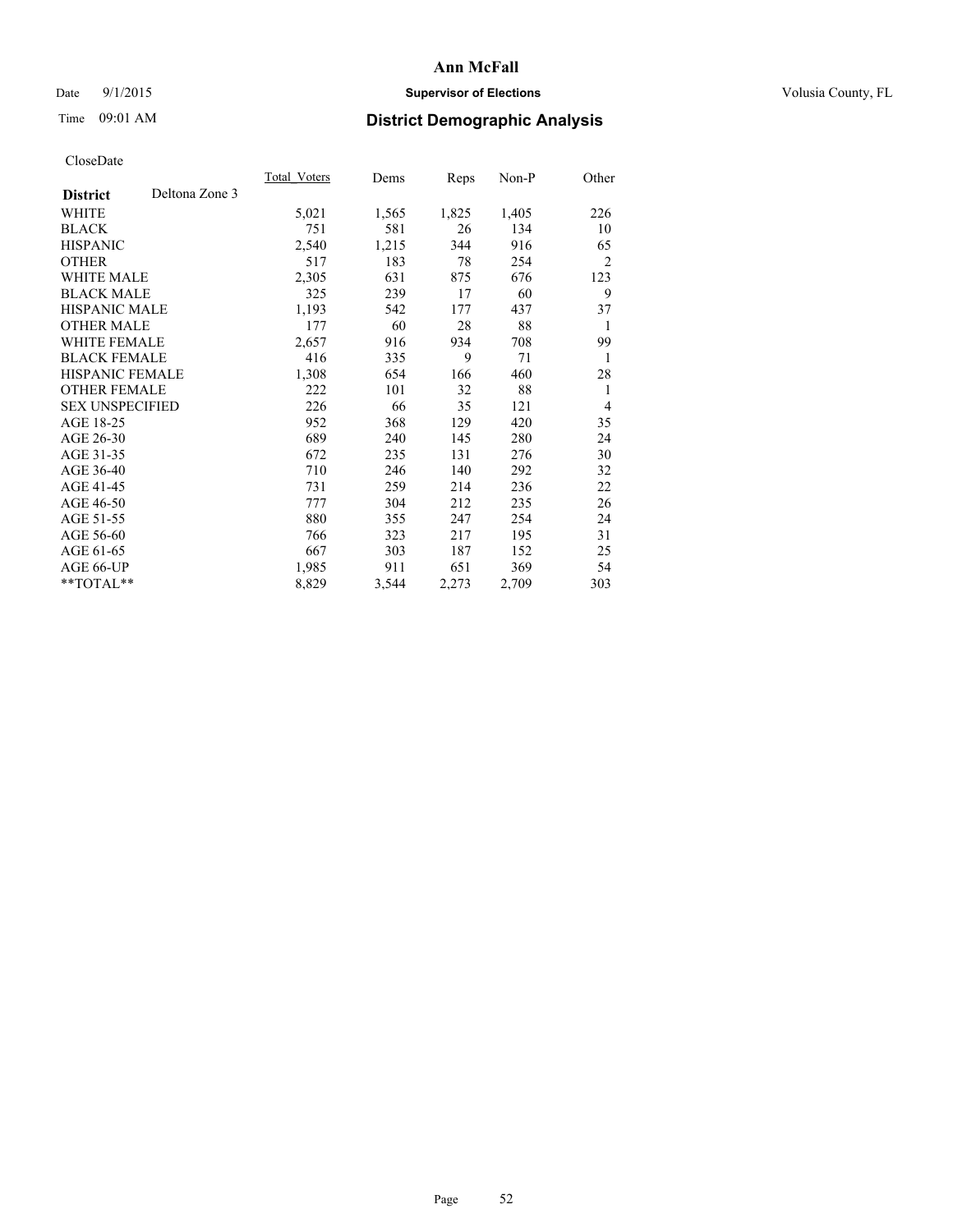## Date 9/1/2015 **Supervisor of Elections Supervisor of Elections** Volusia County, FL

## Time 09:01 AM **District Demographic Analysis**

|                                   | Total Voters | Dems  | Reps  | Non-P | Other          |
|-----------------------------------|--------------|-------|-------|-------|----------------|
| Deltona Zone 3<br><b>District</b> |              |       |       |       |                |
| WHITE                             | 5,021        | 1,565 | 1,825 | 1,405 | 226            |
| <b>BLACK</b>                      | 751          | 581   | 26    | 134   | 10             |
| <b>HISPANIC</b>                   | 2,540        | 1,215 | 344   | 916   | 65             |
| <b>OTHER</b>                      | 517          | 183   | 78    | 254   | $\overline{2}$ |
| WHITE MALE                        | 2,305        | 631   | 875   | 676   | 123            |
| <b>BLACK MALE</b>                 | 325          | 239   | 17    | 60    | 9              |
| <b>HISPANIC MALE</b>              | 1,193        | 542   | 177   | 437   | 37             |
| <b>OTHER MALE</b>                 | 177          | 60    | 28    | 88    | 1              |
| WHITE FEMALE                      | 2,657        | 916   | 934   | 708   | 99             |
| <b>BLACK FEMALE</b>               | 416          | 335   | 9     | 71    | 1              |
| <b>HISPANIC FEMALE</b>            | 1,308        | 654   | 166   | 460   | 28             |
| <b>OTHER FEMALE</b>               | 222          | 101   | 32    | 88    | 1              |
| <b>SEX UNSPECIFIED</b>            | 226          | 66    | 35    | 121   | $\overline{4}$ |
| AGE 18-25                         | 952          | 368   | 129   | 420   | 35             |
| AGE 26-30                         | 689          | 240   | 145   | 280   | 24             |
| AGE 31-35                         | 672          | 235   | 131   | 276   | 30             |
| AGE 36-40                         | 710          | 246   | 140   | 292   | 32             |
| AGE 41-45                         | 731          | 259   | 214   | 236   | 22             |
| AGE 46-50                         | 777          | 304   | 212   | 235   | 26             |
| AGE 51-55                         | 880          | 355   | 247   | 254   | 24             |
| AGE 56-60                         | 766          | 323   | 217   | 195   | 31             |
| AGE 61-65                         | 667          | 303   | 187   | 152   | 25             |
| AGE 66-UP                         | 1,985        | 911   | 651   | 369   | 54             |
| **TOTAL**                         | 8,829        | 3,544 | 2,273 | 2,709 | 303            |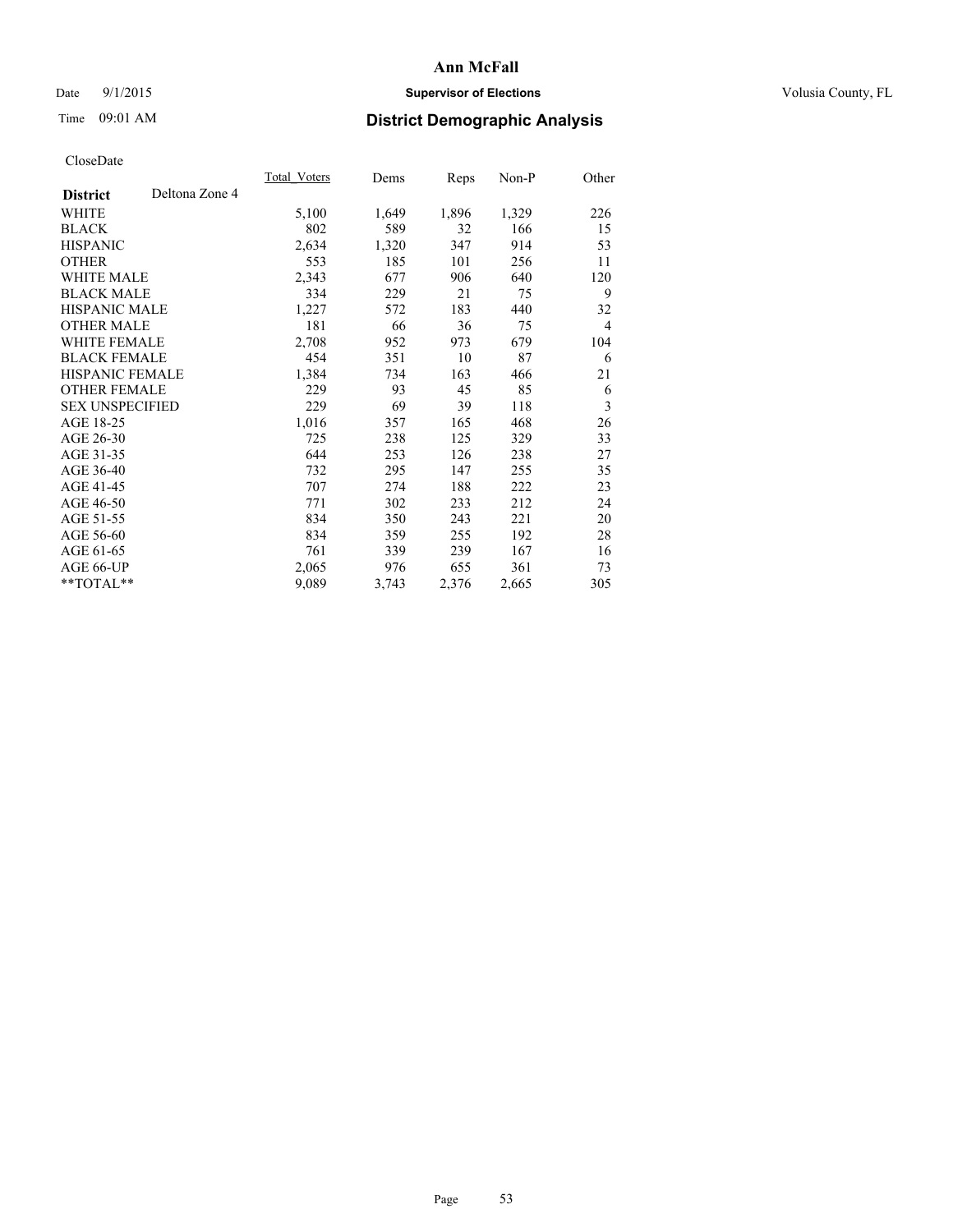## Date 9/1/2015 **Supervisor of Elections Supervisor of Elections** Volusia County, FL

## Time 09:01 AM **District Demographic Analysis**

|                        |                | Total Voters | Dems  | <b>Reps</b> | Non-P | Other          |
|------------------------|----------------|--------------|-------|-------------|-------|----------------|
| <b>District</b>        | Deltona Zone 4 |              |       |             |       |                |
| WHITE                  |                | 5,100        | 1,649 | 1,896       | 1,329 | 226            |
| <b>BLACK</b>           |                | 802          | 589   | 32          | 166   | 15             |
| <b>HISPANIC</b>        |                | 2,634        | 1,320 | 347         | 914   | 53             |
| <b>OTHER</b>           |                | 553          | 185   | 101         | 256   | 11             |
| <b>WHITE MALE</b>      |                | 2,343        | 677   | 906         | 640   | 120            |
| <b>BLACK MALE</b>      |                | 334          | 229   | 21          | 75    | 9              |
| <b>HISPANIC MALE</b>   |                | 1,227        | 572   | 183         | 440   | 32             |
| <b>OTHER MALE</b>      |                | 181          | 66    | 36          | 75    | $\overline{4}$ |
| <b>WHITE FEMALE</b>    |                | 2,708        | 952   | 973         | 679   | 104            |
| <b>BLACK FEMALE</b>    |                | 454          | 351   | 10          | 87    | 6              |
| <b>HISPANIC FEMALE</b> |                | 1,384        | 734   | 163         | 466   | 21             |
| <b>OTHER FEMALE</b>    |                | 229          | 93    | 45          | 85    | 6              |
| <b>SEX UNSPECIFIED</b> |                | 229          | 69    | 39          | 118   | 3              |
| AGE 18-25              |                | 1,016        | 357   | 165         | 468   | 26             |
| AGE 26-30              |                | 725          | 238   | 125         | 329   | 33             |
| AGE 31-35              |                | 644          | 253   | 126         | 238   | 27             |
| AGE 36-40              |                | 732          | 295   | 147         | 255   | 35             |
| AGE 41-45              |                | 707          | 274   | 188         | 222   | 23             |
| AGE 46-50              |                | 771          | 302   | 233         | 212   | 24             |
| AGE 51-55              |                | 834          | 350   | 243         | 221   | 20             |
| AGE 56-60              |                | 834          | 359   | 255         | 192   | 28             |
| AGE 61-65              |                | 761          | 339   | 239         | 167   | 16             |
| AGE 66-UP              |                | 2,065        | 976   | 655         | 361   | 73             |
| **TOTAL**              |                | 9,089        | 3,743 | 2,376       | 2,665 | 305            |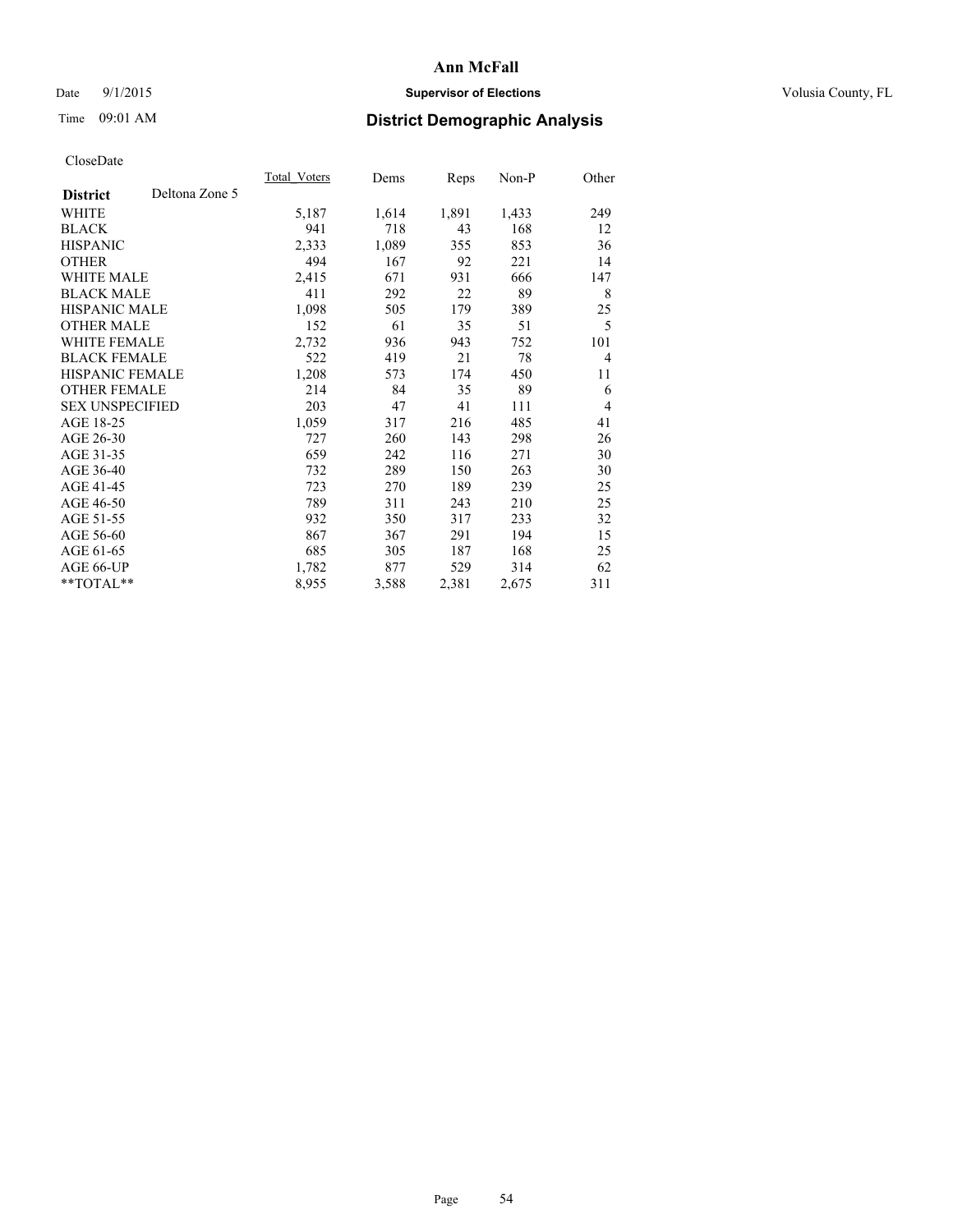## Date 9/1/2015 **Supervisor of Elections Supervisor of Elections** Volusia County, FL

## Time 09:01 AM **District Demographic Analysis**

|                                   | Total Voters | Dems  | <b>Reps</b> | Non-P | Other          |
|-----------------------------------|--------------|-------|-------------|-------|----------------|
| Deltona Zone 5<br><b>District</b> |              |       |             |       |                |
| WHITE                             | 5,187        | 1,614 | 1,891       | 1,433 | 249            |
| <b>BLACK</b>                      | 941          | 718   | 43          | 168   | 12             |
| <b>HISPANIC</b>                   | 2,333        | 1,089 | 355         | 853   | 36             |
| <b>OTHER</b>                      | 494          | 167   | 92          | 221   | 14             |
| <b>WHITE MALE</b>                 | 2,415        | 671   | 931         | 666   | 147            |
| <b>BLACK MALE</b>                 | 411          | 292   | 22          | 89    | 8              |
| <b>HISPANIC MALE</b>              | 1,098        | 505   | 179         | 389   | 25             |
| <b>OTHER MALE</b>                 | 152          | 61    | 35          | 51    | 5              |
| WHITE FEMALE                      | 2,732        | 936   | 943         | 752   | 101            |
| <b>BLACK FEMALE</b>               | 522          | 419   | 21          | 78    | $\overline{4}$ |
| <b>HISPANIC FEMALE</b>            | 1,208        | 573   | 174         | 450   | 11             |
| <b>OTHER FEMALE</b>               | 214          | 84    | 35          | 89    | 6              |
| <b>SEX UNSPECIFIED</b>            | 203          | 47    | 41          | 111   | $\overline{4}$ |
| AGE 18-25                         | 1,059        | 317   | 216         | 485   | 41             |
| AGE 26-30                         | 727          | 260   | 143         | 298   | 26             |
| AGE 31-35                         | 659          | 242   | 116         | 271   | 30             |
| AGE 36-40                         | 732          | 289   | 150         | 263   | 30             |
| AGE 41-45                         | 723          | 270   | 189         | 239   | 25             |
| AGE 46-50                         | 789          | 311   | 243         | 210   | 25             |
| AGE 51-55                         | 932          | 350   | 317         | 233   | 32             |
| AGE 56-60                         | 867          | 367   | 291         | 194   | 15             |
| AGE 61-65                         | 685          | 305   | 187         | 168   | 25             |
| AGE 66-UP                         | 1,782        | 877   | 529         | 314   | 62             |
| **TOTAL**                         | 8,955        | 3,588 | 2,381       | 2,675 | 311            |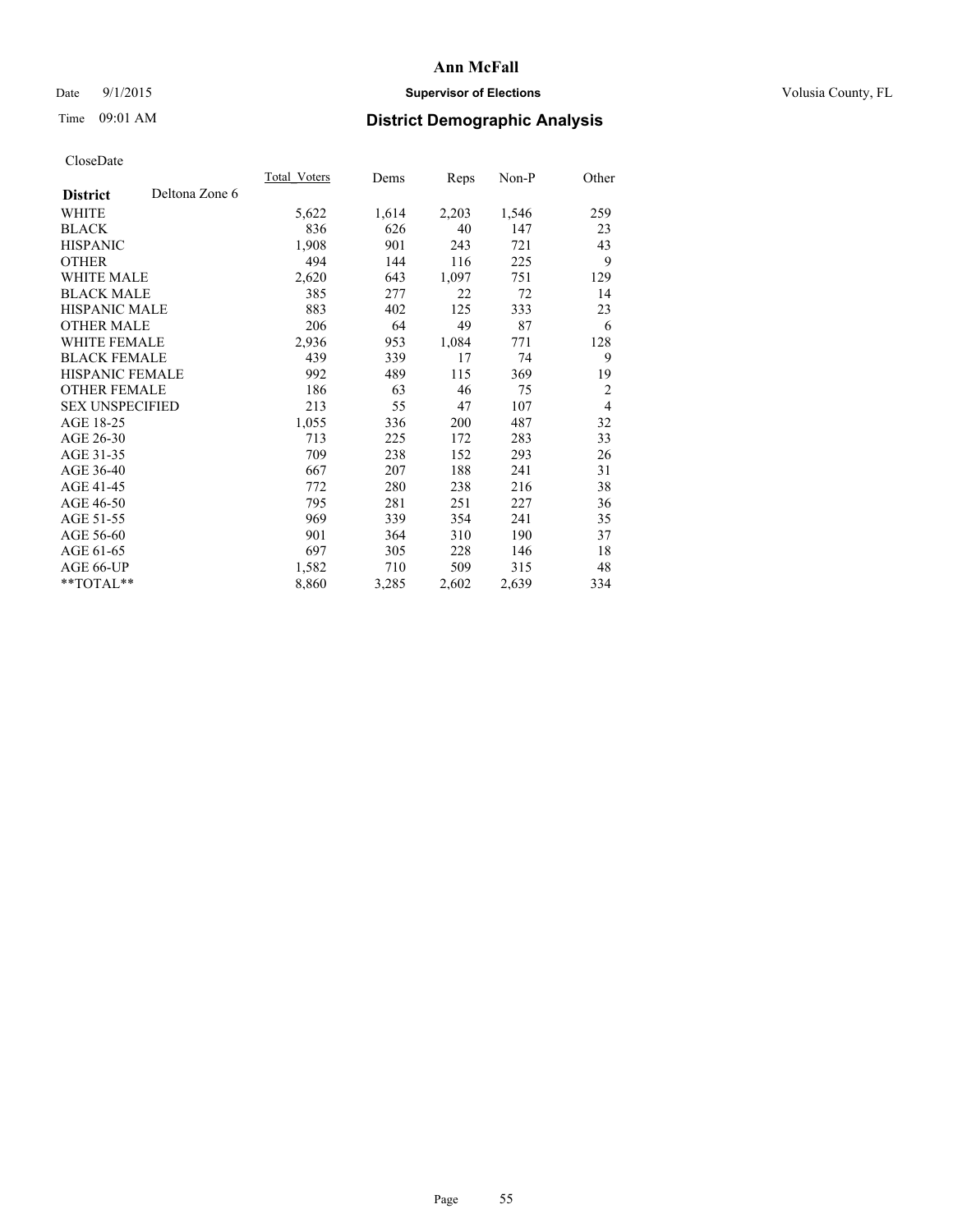## Date 9/1/2015 **Supervisor of Elections Supervisor of Elections** Volusia County, FL

## Time 09:01 AM **District Demographic Analysis**

|                                   | Total Voters | Dems  | <b>Reps</b> | Non-P | Other          |
|-----------------------------------|--------------|-------|-------------|-------|----------------|
| Deltona Zone 6<br><b>District</b> |              |       |             |       |                |
| WHITE                             | 5,622        | 1,614 | 2,203       | 1,546 | 259            |
| <b>BLACK</b>                      | 836          | 626   | 40          | 147   | 23             |
| <b>HISPANIC</b>                   | 1,908        | 901   | 243         | 721   | 43             |
| <b>OTHER</b>                      | 494          | 144   | 116         | 225   | 9              |
| <b>WHITE MALE</b>                 | 2,620        | 643   | 1,097       | 751   | 129            |
| <b>BLACK MALE</b>                 | 385          | 277   | 22          | 72    | 14             |
| <b>HISPANIC MALE</b>              | 883          | 402   | 125         | 333   | 23             |
| <b>OTHER MALE</b>                 | 206          | 64    | 49          | 87    | 6              |
| WHITE FEMALE                      | 2,936        | 953   | 1,084       | 771   | 128            |
| <b>BLACK FEMALE</b>               | 439          | 339   | 17          | 74    | 9              |
| <b>HISPANIC FEMALE</b>            | 992          | 489   | 115         | 369   | 19             |
| <b>OTHER FEMALE</b>               | 186          | 63    | 46          | 75    | $\overline{2}$ |
| <b>SEX UNSPECIFIED</b>            | 213          | 55    | 47          | 107   | $\overline{4}$ |
| AGE 18-25                         | 1,055        | 336   | 200         | 487   | 32             |
| AGE 26-30                         | 713          | 225   | 172         | 283   | 33             |
| AGE 31-35                         | 709          | 238   | 152         | 293   | 26             |
| AGE 36-40                         | 667          | 207   | 188         | 241   | 31             |
| AGE 41-45                         | 772          | 280   | 238         | 216   | 38             |
| AGE 46-50                         | 795          | 281   | 251         | 227   | 36             |
| AGE 51-55                         | 969          | 339   | 354         | 241   | 35             |
| AGE 56-60                         | 901          | 364   | 310         | 190   | 37             |
| AGE 61-65                         | 697          | 305   | 228         | 146   | 18             |
| AGE 66-UP                         | 1,582        | 710   | 509         | 315   | 48             |
| **TOTAL**                         | 8,860        | 3,285 | 2,602       | 2,639 | 334            |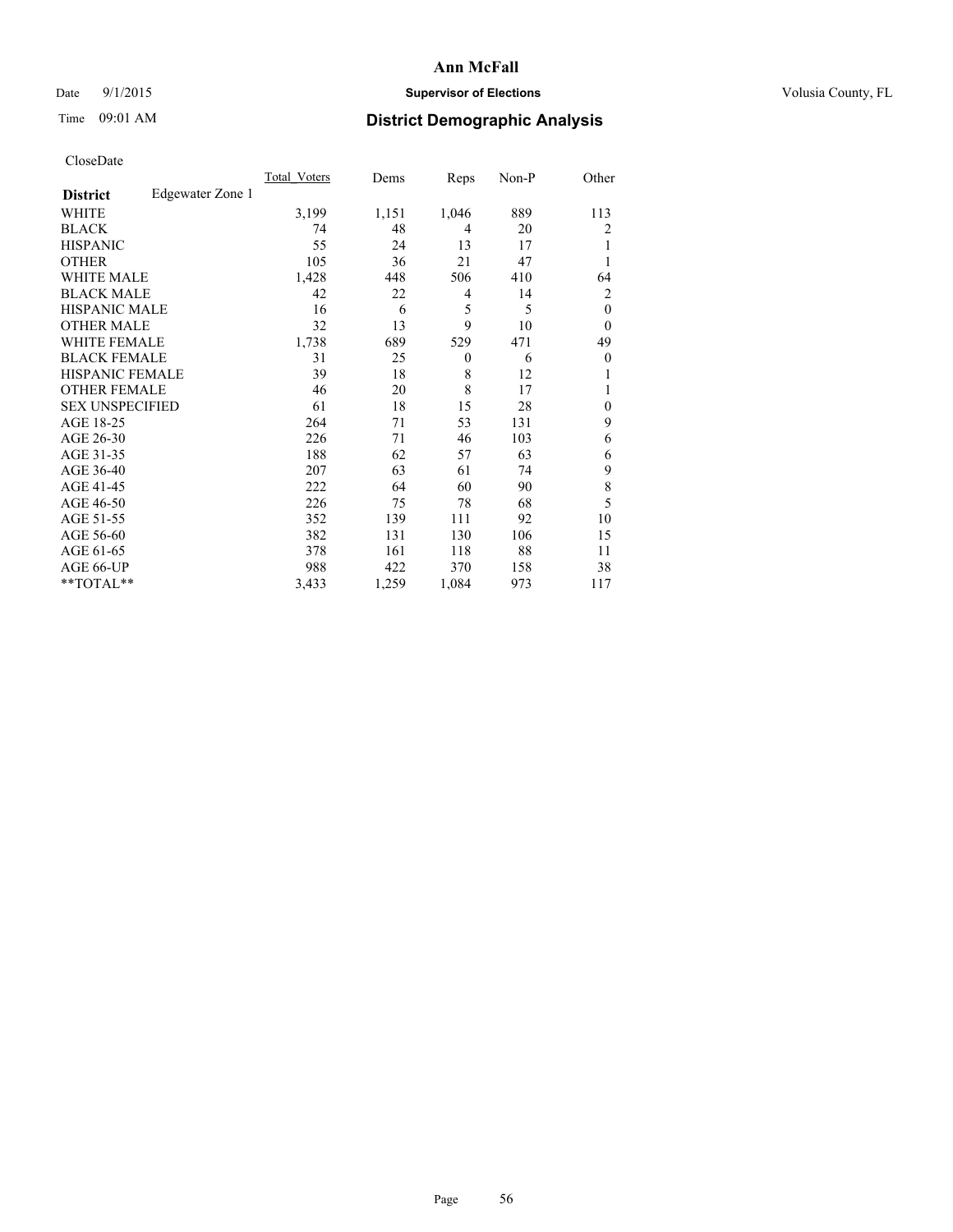## Date 9/1/2015 **Supervisor of Elections Supervisor of Elections** Volusia County, FL

## Time 09:01 AM **District Demographic Analysis**

|                        |                  | Total Voters | Dems  | Reps     | Non-P | Other        |
|------------------------|------------------|--------------|-------|----------|-------|--------------|
| <b>District</b>        | Edgewater Zone 1 |              |       |          |       |              |
| WHITE                  |                  | 3,199        | 1,151 | 1,046    | 889   | 113          |
| <b>BLACK</b>           |                  | 74           | 48    | 4        | 20    | 2            |
| <b>HISPANIC</b>        |                  | 55           | 24    | 13       | 17    | 1            |
| <b>OTHER</b>           |                  | 105          | 36    | 21       | 47    |              |
| WHITE MALE             |                  | 1,428        | 448   | 506      | 410   | 64           |
| <b>BLACK MALE</b>      |                  | 42           | 22    | 4        | 14    | 2            |
| <b>HISPANIC MALE</b>   |                  | 16           | 6     | 5        | 5     | $\mathbf{0}$ |
| <b>OTHER MALE</b>      |                  | 32           | 13    | 9        | 10    | $\theta$     |
| <b>WHITE FEMALE</b>    |                  | 1,738        | 689   | 529      | 471   | 49           |
| <b>BLACK FEMALE</b>    |                  | 31           | 25    | $\theta$ | 6     | $\theta$     |
| <b>HISPANIC FEMALE</b> |                  | 39           | 18    | 8        | 12    |              |
| <b>OTHER FEMALE</b>    |                  | 46           | 20    | 8        | 17    |              |
| <b>SEX UNSPECIFIED</b> |                  | 61           | 18    | 15       | 28    | $\mathbf{0}$ |
| AGE 18-25              |                  | 264          | 71    | 53       | 131   | 9            |
| AGE 26-30              |                  | 226          | 71    | 46       | 103   | 6            |
| AGE 31-35              |                  | 188          | 62    | 57       | 63    | 6            |
| AGE 36-40              |                  | 207          | 63    | 61       | 74    | 9            |
| AGE 41-45              |                  | 222          | 64    | 60       | 90    | 8            |
| AGE 46-50              |                  | 226          | 75    | 78       | 68    | 5            |
| AGE 51-55              |                  | 352          | 139   | 111      | 92    | 10           |
| AGE 56-60              |                  | 382          | 131   | 130      | 106   | 15           |
| AGE 61-65              |                  | 378          | 161   | 118      | 88    | 11           |
| AGE 66-UP              |                  | 988          | 422   | 370      | 158   | 38           |
| **TOTAL**              |                  | 3,433        | 1,259 | 1,084    | 973   | 117          |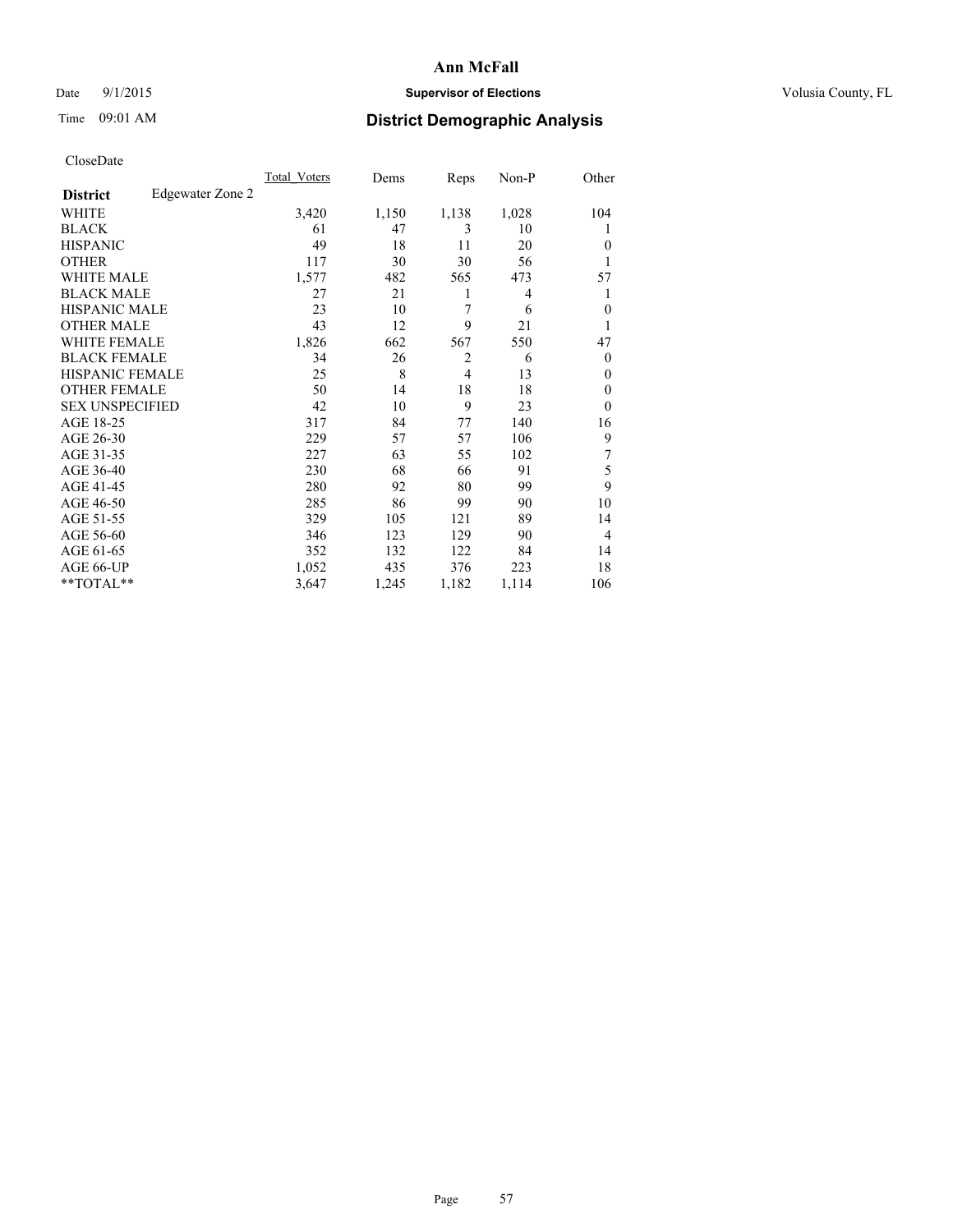## Date 9/1/2015 **Supervisor of Elections Supervisor of Elections** Volusia County, FL

## Time 09:01 AM **District Demographic Analysis**

|                        |                  | Total Voters | Dems  | Reps           | Non-P | Other          |
|------------------------|------------------|--------------|-------|----------------|-------|----------------|
| <b>District</b>        | Edgewater Zone 2 |              |       |                |       |                |
| WHITE                  |                  | 3,420        | 1,150 | 1,138          | 1,028 | 104            |
| <b>BLACK</b>           |                  | 61           | 47    | 3              | 10    |                |
| <b>HISPANIC</b>        |                  | 49           | 18    | 11             | 20    | $\Omega$       |
| <b>OTHER</b>           |                  | 117          | 30    | 30             | 56    |                |
| <b>WHITE MALE</b>      |                  | 1,577        | 482   | 565            | 473   | 57             |
| <b>BLACK MALE</b>      |                  | 27           | 21    | 1              | 4     | 1              |
| <b>HISPANIC MALE</b>   |                  | 23           | 10    | 7              | 6     | $\Omega$       |
| <b>OTHER MALE</b>      |                  | 43           | 12    | 9              | 21    |                |
| WHITE FEMALE           |                  | 1,826        | 662   | 567            | 550   | 47             |
| <b>BLACK FEMALE</b>    |                  | 34           | 26    | $\overline{2}$ | 6     | $\overline{0}$ |
| <b>HISPANIC FEMALE</b> |                  | 25           | 8     | 4              | 13    | $\Omega$       |
| <b>OTHER FEMALE</b>    |                  | 50           | 14    | 18             | 18    | $\overline{0}$ |
| <b>SEX UNSPECIFIED</b> |                  | 42           | 10    | 9              | 23    | $\Omega$       |
| AGE 18-25              |                  | 317          | 84    | 77             | 140   | 16             |
| AGE 26-30              |                  | 229          | 57    | 57             | 106   | 9              |
| AGE 31-35              |                  | 227          | 63    | 55             | 102   | 7              |
| AGE 36-40              |                  | 230          | 68    | 66             | 91    | 5              |
| AGE 41-45              |                  | 280          | 92    | 80             | 99    | 9              |
| AGE 46-50              |                  | 285          | 86    | 99             | 90    | 10             |
| AGE 51-55              |                  | 329          | 105   | 121            | 89    | 14             |
| AGE 56-60              |                  | 346          | 123   | 129            | 90    | $\overline{4}$ |
| AGE 61-65              |                  | 352          | 132   | 122            | 84    | 14             |
| AGE 66-UP              |                  | 1,052        | 435   | 376            | 223   | 18             |
| **TOTAL**              |                  | 3,647        | 1,245 | 1,182          | 1,114 | 106            |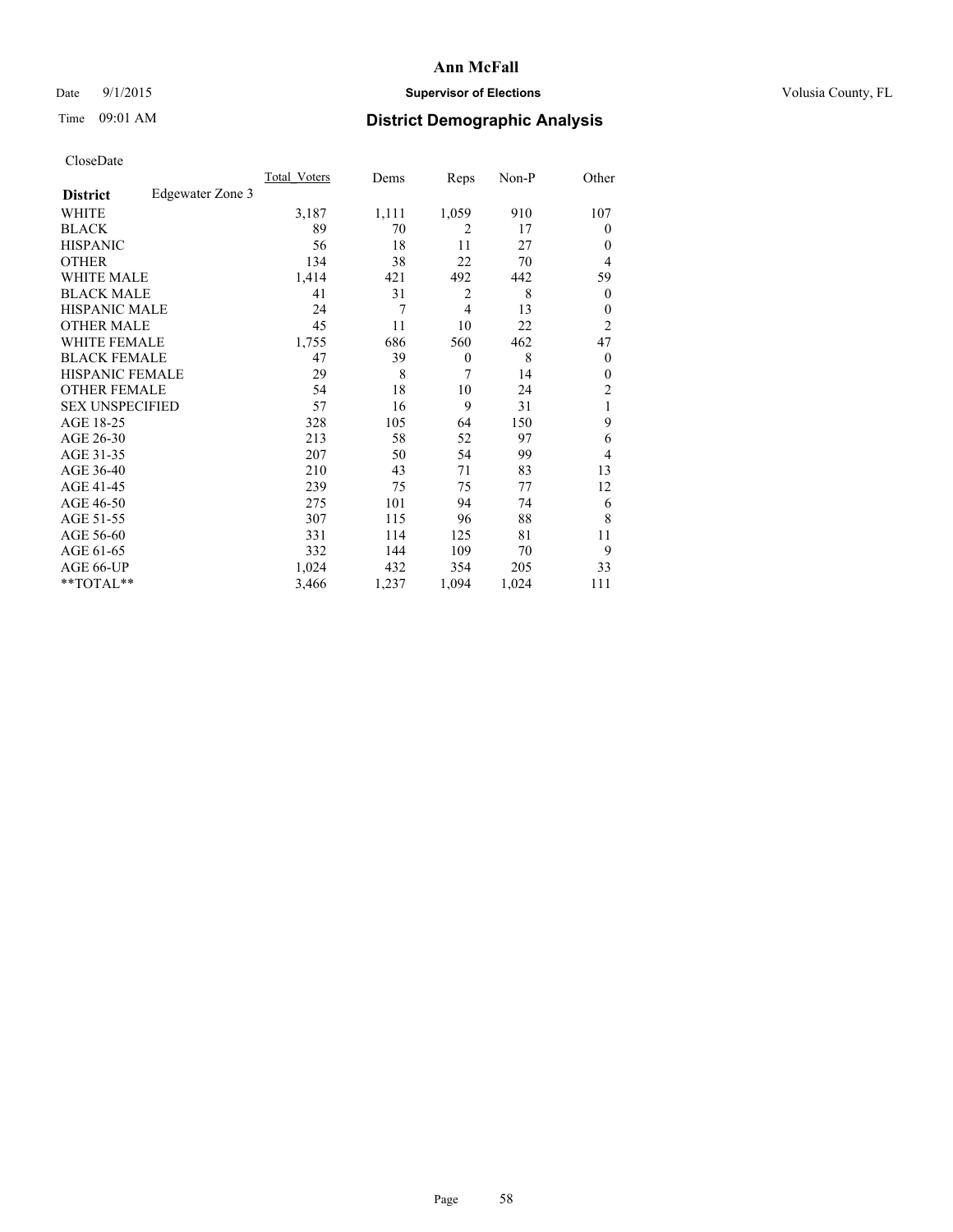## Date 9/1/2015 **Supervisor of Elections Supervisor of Elections** Volusia County, FL

## Time 09:01 AM **District Demographic Analysis**

|                        |                  | Total Voters | Dems  | Reps           | Non-P | Other          |
|------------------------|------------------|--------------|-------|----------------|-------|----------------|
| <b>District</b>        | Edgewater Zone 3 |              |       |                |       |                |
| WHITE                  |                  | 3,187        | 1,111 | 1,059          | 910   | 107            |
| <b>BLACK</b>           |                  | 89           | 70    | $\overline{2}$ | 17    | $\Omega$       |
| <b>HISPANIC</b>        |                  | 56           | 18    | 11             | 27    | $\Omega$       |
| <b>OTHER</b>           |                  | 134          | 38    | 22             | 70    | $\overline{4}$ |
| WHITE MALE             |                  | 1,414        | 421   | 492            | 442   | 59             |
| <b>BLACK MALE</b>      |                  | 41           | 31    | 2              | 8     | $\overline{0}$ |
| <b>HISPANIC MALE</b>   |                  | 24           | 7     | $\overline{4}$ | 13    | $\overline{0}$ |
| <b>OTHER MALE</b>      |                  | 45           | 11    | 10             | 22    | $\overline{2}$ |
| WHITE FEMALE           |                  | 1,755        | 686   | 560            | 462   | 47             |
| <b>BLACK FEMALE</b>    |                  | 47           | 39    | $\theta$       | 8     | $\overline{0}$ |
| <b>HISPANIC FEMALE</b> |                  | 29           | 8     | 7              | 14    | $\Omega$       |
| <b>OTHER FEMALE</b>    |                  | 54           | 18    | 10             | 24    | 2              |
| <b>SEX UNSPECIFIED</b> |                  | 57           | 16    | 9              | 31    | 1              |
| AGE 18-25              |                  | 328          | 105   | 64             | 150   | 9              |
| AGE 26-30              |                  | 213          | 58    | 52             | 97    | 6              |
| AGE 31-35              |                  | 207          | 50    | 54             | 99    | 4              |
| AGE 36-40              |                  | 210          | 43    | 71             | 83    | 13             |
| AGE 41-45              |                  | 239          | 75    | 75             | 77    | 12             |
| AGE 46-50              |                  | 275          | 101   | 94             | 74    | 6              |
| AGE 51-55              |                  | 307          | 115   | 96             | 88    | 8              |
| AGE 56-60              |                  | 331          | 114   | 125            | 81    | 11             |
| AGE 61-65              |                  | 332          | 144   | 109            | 70    | 9              |
| AGE 66-UP              |                  | 1,024        | 432   | 354            | 205   | 33             |
| **TOTAL**              |                  | 3,466        | 1,237 | 1,094          | 1,024 | 111            |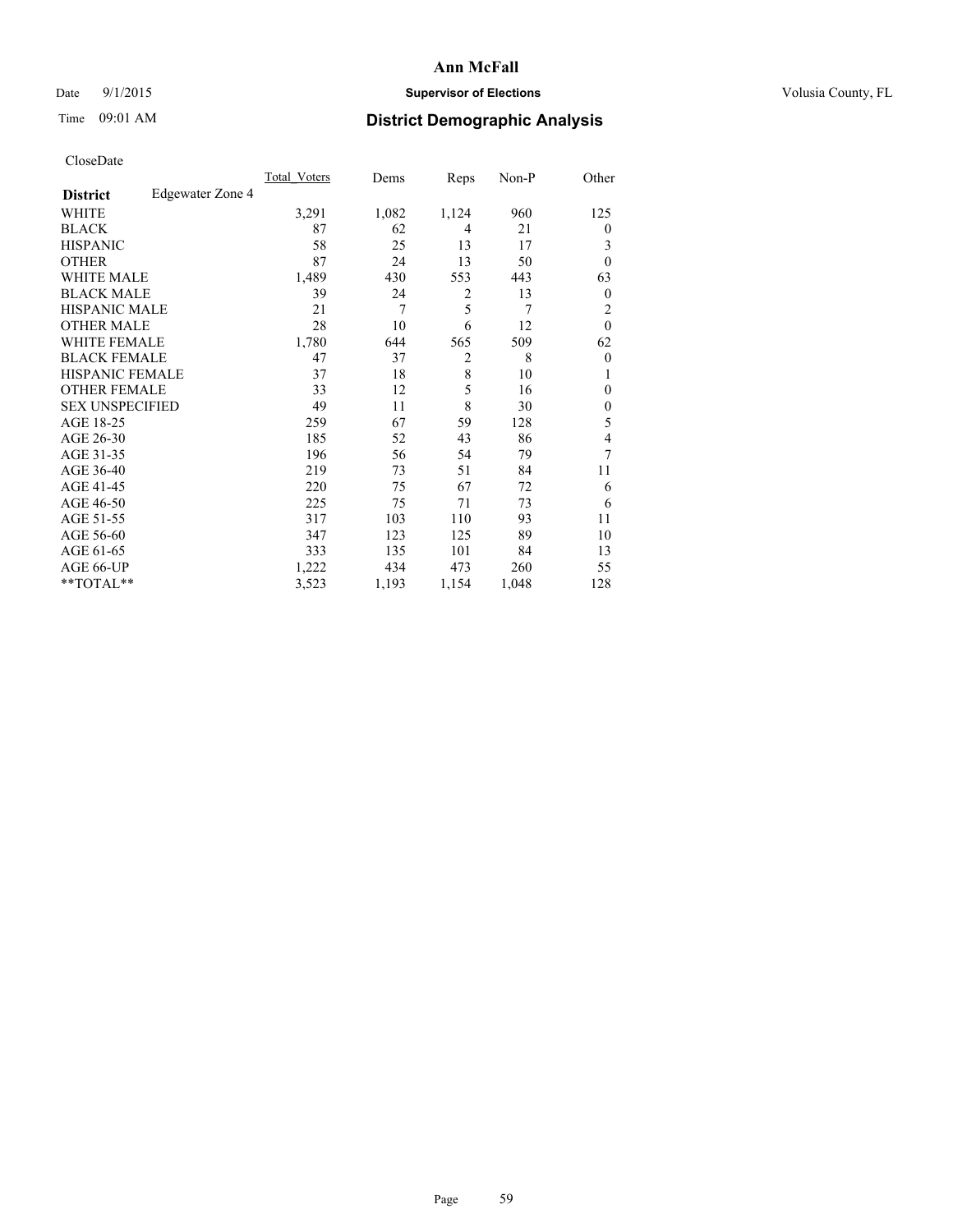## Date 9/1/2015 **Supervisor of Elections Supervisor of Elections** Volusia County, FL

## Time 09:01 AM **District Demographic Analysis**

| Cioscivate             |                  |              |       |                |       |                |
|------------------------|------------------|--------------|-------|----------------|-------|----------------|
|                        |                  | Total Voters | Dems  | Reps           | Non-P | Other          |
| <b>District</b>        | Edgewater Zone 4 |              |       |                |       |                |
| <b>WHITE</b>           |                  | 3,291        | 1,082 | 1,124          | 960   | 125            |
| <b>BLACK</b>           |                  | 87           | 62    | 4              | 21    | $\theta$       |
| <b>HISPANIC</b>        |                  | 58           | 25    | 13             | 17    | 3              |
| <b>OTHER</b>           |                  | 87           | 24    | 13             | 50    | $\theta$       |
| WHITE MALE             |                  | 1,489        | 430   | 553            | 443   | 63             |
| <b>BLACK MALE</b>      |                  | 39           | 24    | $\overline{2}$ | 13    | $\mathbf{0}$   |
| <b>HISPANIC MALE</b>   |                  | 21           | 7     | 5              | 7     | $\overline{2}$ |
| <b>OTHER MALE</b>      |                  | 28           | 10    | 6              | 12    | $\mathbf{0}$   |
| WHITE FEMALE           |                  | 1,780        | 644   | 565            | 509   | 62             |
| <b>BLACK FEMALE</b>    |                  | 47           | 37    | 2              | 8     | $\theta$       |
| <b>HISPANIC FEMALE</b> |                  | 37           | 18    | 8              | 10    |                |
| <b>OTHER FEMALE</b>    |                  | 33           | 12    | 5              | 16    | $\mathbf{0}$   |
| <b>SEX UNSPECIFIED</b> |                  | 49           | 11    | 8              | 30    | $\mathbf{0}$   |
| AGE 18-25              |                  | 259          | 67    | 59             | 128   | 5              |
| AGE 26-30              |                  | 185          | 52    | 43             | 86    | 4              |
| AGE 31-35              |                  | 196          | 56    | 54             | 79    | 7              |
| AGE 36-40              |                  | 219          | 73    | 51             | 84    | 11             |
| AGE 41-45              |                  | 220          | 75    | 67             | 72    | 6              |
| AGE 46-50              |                  | 225          | 75    | 71             | 73    | 6              |
| AGE 51-55              |                  | 317          | 103   | 110            | 93    | 11             |
| AGE 56-60              |                  | 347          | 123   | 125            | 89    | 10             |
| AGE 61-65              |                  | 333          | 135   | 101            | 84    | 13             |
| AGE 66-UP              |                  | 1,222        | 434   | 473            | 260   | 55             |
| **TOTAL**              |                  | 3,523        | 1,193 | 1,154          | 1,048 | 128            |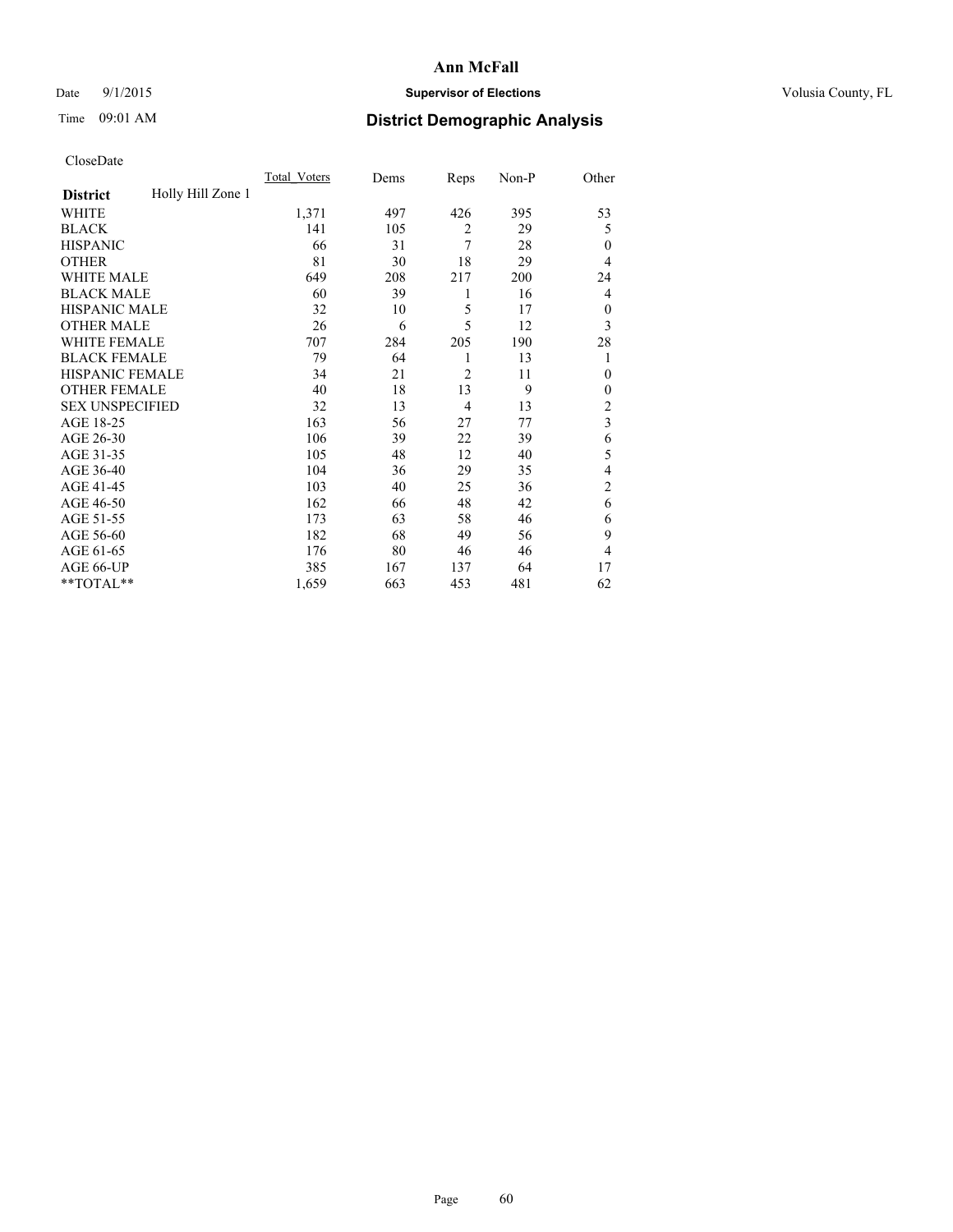## Date 9/1/2015 **Supervisor of Elections Supervisor of Elections** Volusia County, FL

# Time 09:01 AM **District Demographic Analysis**

|                        |                   | <b>Total Voters</b> | Dems | Reps           | Non-P | Other                   |
|------------------------|-------------------|---------------------|------|----------------|-------|-------------------------|
| <b>District</b>        | Holly Hill Zone 1 |                     |      |                |       |                         |
| WHITE                  |                   | 1,371               | 497  | 426            | 395   | 53                      |
| <b>BLACK</b>           |                   | 141                 | 105  | $\overline{2}$ | 29    | 5                       |
| <b>HISPANIC</b>        |                   | 66                  | 31   | 7              | 28    | $\mathbf{0}$            |
| <b>OTHER</b>           |                   | 81                  | 30   | 18             | 29    | 4                       |
| WHITE MALE             |                   | 649                 | 208  | 217            | 200   | 24                      |
| <b>BLACK MALE</b>      |                   | 60                  | 39   | 1              | 16    | 4                       |
| <b>HISPANIC MALE</b>   |                   | 32                  | 10   | 5              | 17    | $\mathbf{0}$            |
| <b>OTHER MALE</b>      |                   | 26                  | 6    | 5              | 12    | 3                       |
| WHITE FEMALE           |                   | 707                 | 284  | 205            | 190   | 28                      |
| <b>BLACK FEMALE</b>    |                   | 79                  | 64   | 1              | 13    | 1                       |
| <b>HISPANIC FEMALE</b> |                   | 34                  | 21   | $\overline{2}$ | 11    | $\Omega$                |
| <b>OTHER FEMALE</b>    |                   | 40                  | 18   | 13             | 9     | $\Omega$                |
| <b>SEX UNSPECIFIED</b> |                   | 32                  | 13   | 4              | 13    | $\overline{\mathbf{c}}$ |
| AGE 18-25              |                   | 163                 | 56   | 27             | 77    | $\overline{\mathbf{3}}$ |
| AGE 26-30              |                   | 106                 | 39   | 22             | 39    | 6                       |
| AGE 31-35              |                   | 105                 | 48   | 12             | 40    | 5                       |
| AGE 36-40              |                   | 104                 | 36   | 29             | 35    | $\overline{4}$          |
| AGE 41-45              |                   | 103                 | 40   | 25             | 36    | $\overline{c}$          |
| AGE 46-50              |                   | 162                 | 66   | 48             | 42    | 6                       |
| AGE 51-55              |                   | 173                 | 63   | 58             | 46    | 6                       |
| AGE 56-60              |                   | 182                 | 68   | 49             | 56    | 9                       |
| AGE 61-65              |                   | 176                 | 80   | 46             | 46    | 4                       |
| AGE 66-UP              |                   | 385                 | 167  | 137            | 64    | 17                      |
| **TOTAL**              |                   | 1,659               | 663  | 453            | 481   | 62                      |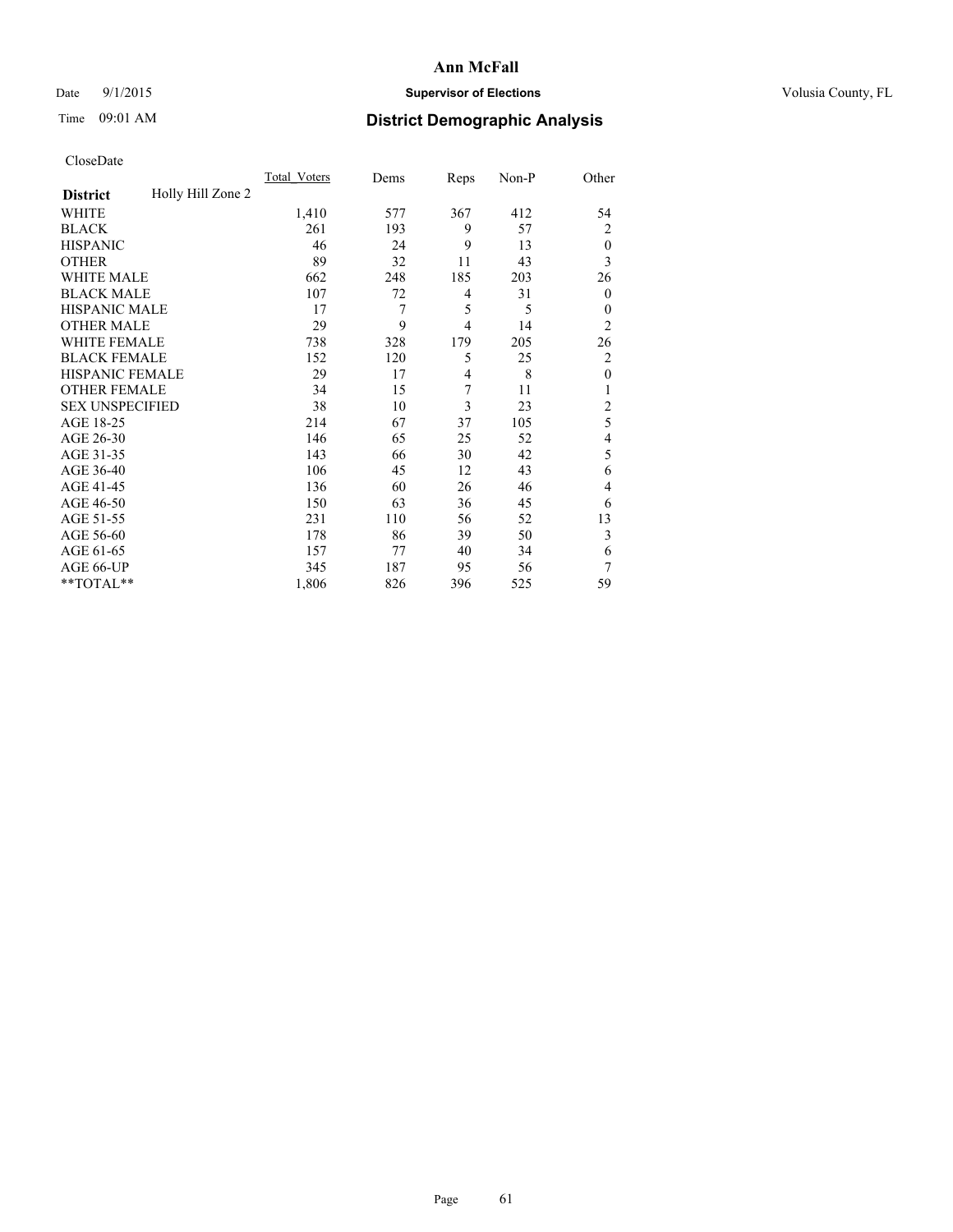## Date 9/1/2015 **Supervisor of Elections Supervisor of Elections** Volusia County, FL

# Time 09:01 AM **District Demographic Analysis**

|                        |                   | <b>Total Voters</b> | Dems | Reps           | Non-P | Other            |
|------------------------|-------------------|---------------------|------|----------------|-------|------------------|
| <b>District</b>        | Holly Hill Zone 2 |                     |      |                |       |                  |
| WHITE                  |                   | 1,410               | 577  | 367            | 412   | 54               |
| <b>BLACK</b>           |                   | 261                 | 193  | 9              | 57    | 2                |
| <b>HISPANIC</b>        |                   | 46                  | 24   | 9              | 13    | $\theta$         |
| <b>OTHER</b>           |                   | 89                  | 32   | 11             | 43    | 3                |
| WHITE MALE             |                   | 662                 | 248  | 185            | 203   | 26               |
| <b>BLACK MALE</b>      |                   | 107                 | 72   | 4              | 31    | $\boldsymbol{0}$ |
| <b>HISPANIC MALE</b>   |                   | 17                  | 7    | 5              | 5     | $\theta$         |
| <b>OTHER MALE</b>      |                   | 29                  | 9    | $\overline{4}$ | 14    | $\overline{2}$   |
| <b>WHITE FEMALE</b>    |                   | 738                 | 328  | 179            | 205   | 26               |
| <b>BLACK FEMALE</b>    |                   | 152                 | 120  | 5              | 25    | $\overline{c}$   |
| <b>HISPANIC FEMALE</b> |                   | 29                  | 17   | $\overline{4}$ | 8     | $\mathbf{0}$     |
| <b>OTHER FEMALE</b>    |                   | 34                  | 15   | 7              | 11    | 1                |
| <b>SEX UNSPECIFIED</b> |                   | 38                  | 10   | 3              | 23    | $\overline{c}$   |
| AGE 18-25              |                   | 214                 | 67   | 37             | 105   | 5                |
| AGE 26-30              |                   | 146                 | 65   | 25             | 52    | 4                |
| AGE 31-35              |                   | 143                 | 66   | 30             | 42    | 5                |
| AGE 36-40              |                   | 106                 | 45   | 12             | 43    | 6                |
| AGE 41-45              |                   | 136                 | 60   | 26             | 46    | 4                |
| AGE 46-50              |                   | 150                 | 63   | 36             | 45    | 6                |
| AGE 51-55              |                   | 231                 | 110  | 56             | 52    | 13               |
| AGE 56-60              |                   | 178                 | 86   | 39             | 50    | 3                |
| AGE 61-65              |                   | 157                 | 77   | 40             | 34    | 6                |
| AGE 66-UP              |                   | 345                 | 187  | 95             | 56    | 7                |
| **TOTAL**              |                   | 1,806               | 826  | 396            | 525   | 59               |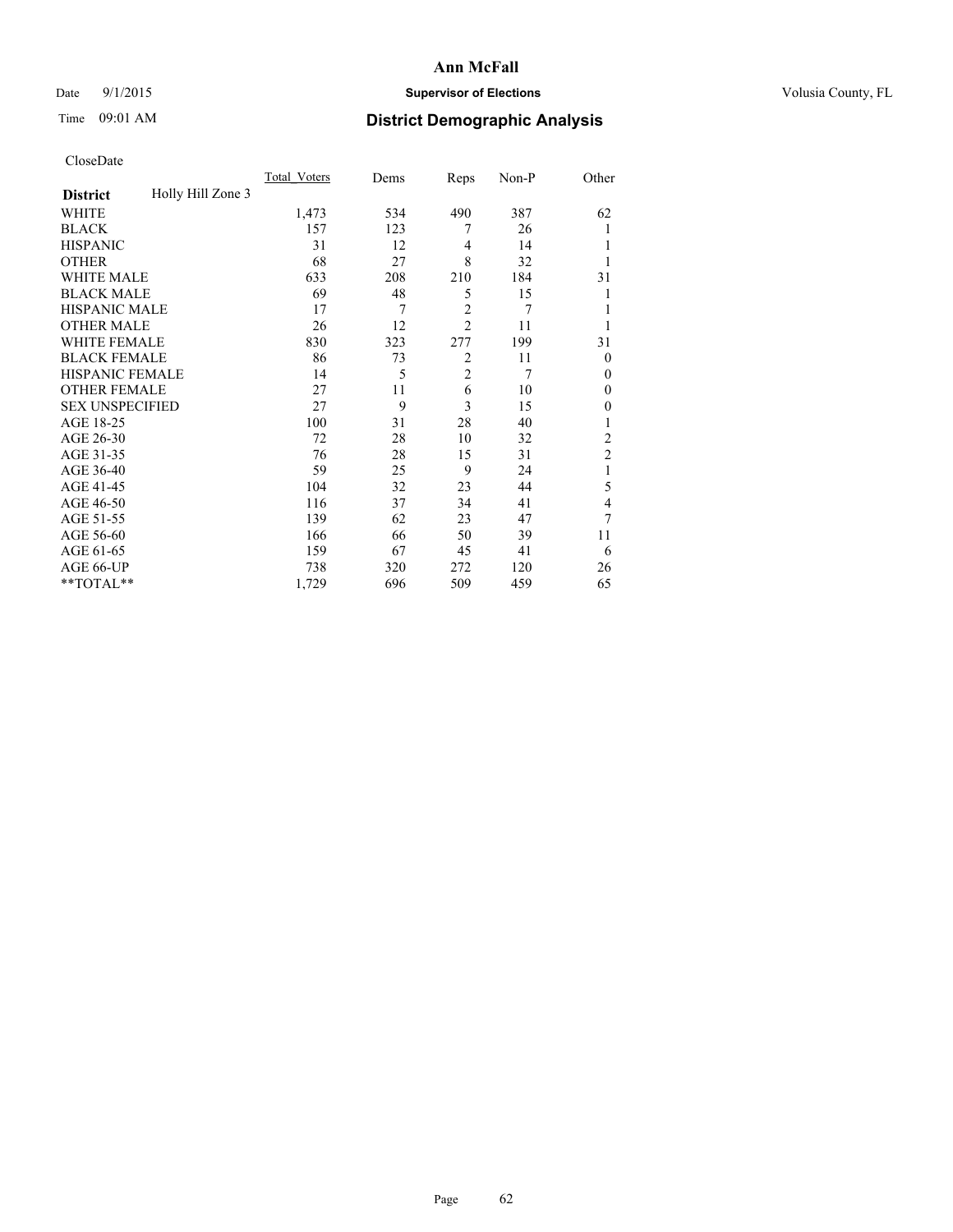## Date 9/1/2015 **Supervisor of Elections Supervisor of Elections** Volusia County, FL

# Time 09:01 AM **District Demographic Analysis**

|                        |                   | <b>Total Voters</b> | Dems | Reps           | Non-P | Other            |
|------------------------|-------------------|---------------------|------|----------------|-------|------------------|
| <b>District</b>        | Holly Hill Zone 3 |                     |      |                |       |                  |
| WHITE                  |                   | 1,473               | 534  | 490            | 387   | 62               |
| <b>BLACK</b>           |                   | 157                 | 123  | 7              | 26    |                  |
| <b>HISPANIC</b>        |                   | 31                  | 12   | 4              | 14    |                  |
| <b>OTHER</b>           |                   | 68                  | 27   | 8              | 32    |                  |
| WHITE MALE             |                   | 633                 | 208  | 210            | 184   | 31               |
| <b>BLACK MALE</b>      |                   | 69                  | 48   | 5              | 15    |                  |
| <b>HISPANIC MALE</b>   |                   | 17                  | 7    | $\overline{2}$ | 7     |                  |
| <b>OTHER MALE</b>      |                   | 26                  | 12   | $\overline{2}$ | 11    |                  |
| WHITE FEMALE           |                   | 830                 | 323  | 277            | 199   | 31               |
| <b>BLACK FEMALE</b>    |                   | 86                  | 73   | $\overline{2}$ | 11    | $\theta$         |
| <b>HISPANIC FEMALE</b> |                   | 14                  | 5    | $\overline{2}$ | 7     | $\theta$         |
| <b>OTHER FEMALE</b>    |                   | 27                  | 11   | 6              | 10    | $\theta$         |
| <b>SEX UNSPECIFIED</b> |                   | 27                  | 9    | 3              | 15    | $\boldsymbol{0}$ |
| AGE 18-25              |                   | 100                 | 31   | 28             | 40    |                  |
| AGE 26-30              |                   | 72                  | 28   | 10             | 32    | $\overline{c}$   |
| AGE 31-35              |                   | 76                  | 28   | 15             | 31    | $\overline{c}$   |
| AGE 36-40              |                   | 59                  | 25   | 9              | 24    | 1                |
| AGE 41-45              |                   | 104                 | 32   | 23             | 44    | 5                |
| AGE 46-50              |                   | 116                 | 37   | 34             | 41    | 4                |
| AGE 51-55              |                   | 139                 | 62   | 23             | 47    | 7                |
| AGE 56-60              |                   | 166                 | 66   | 50             | 39    | 11               |
| AGE 61-65              |                   | 159                 | 67   | 45             | 41    | 6                |
| AGE 66-UP              |                   | 738                 | 320  | 272            | 120   | 26               |
| **TOTAL**              |                   | 1,729               | 696  | 509            | 459   | 65               |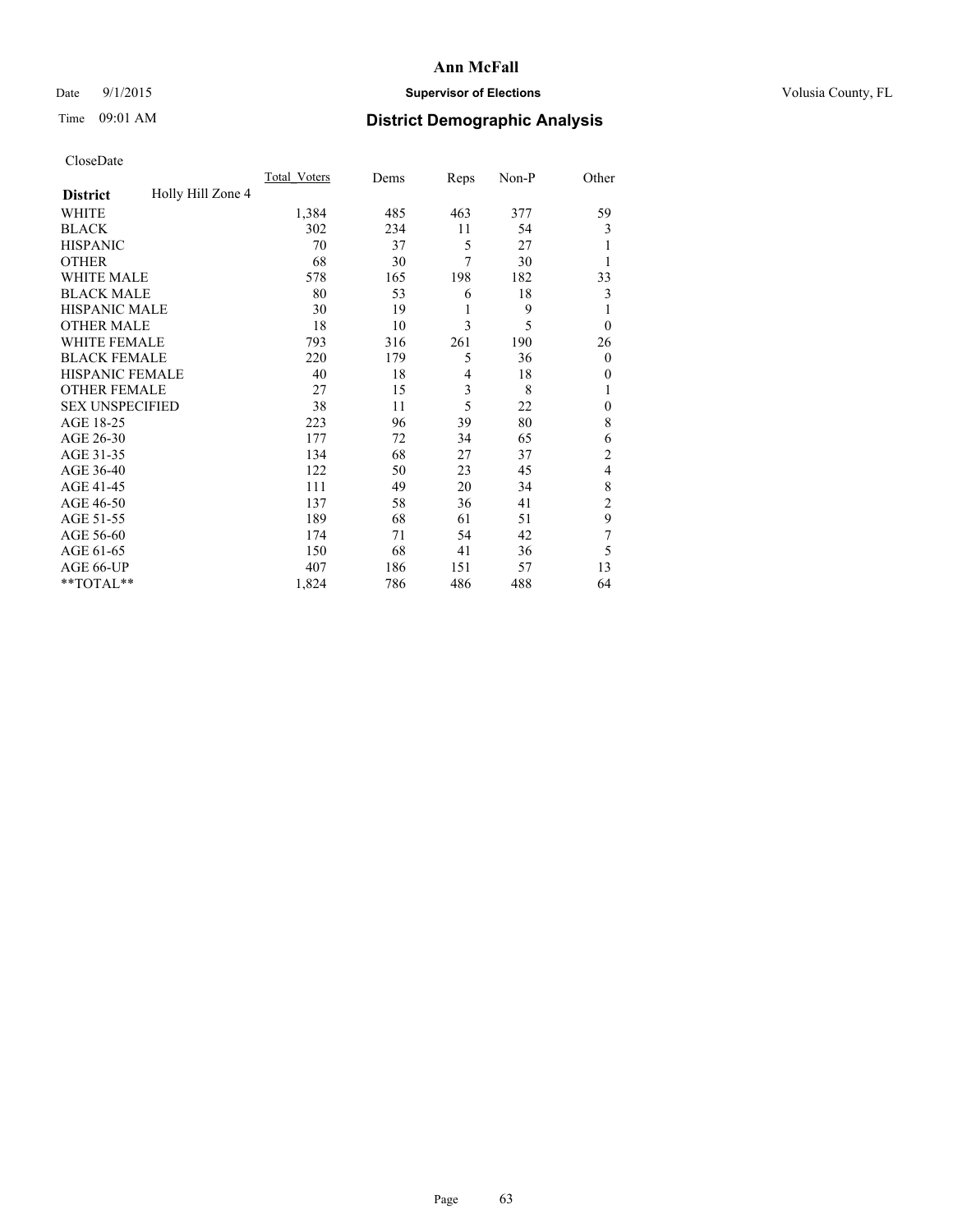## Date 9/1/2015 **Supervisor of Elections Supervisor of Elections** Volusia County, FL

# Time 09:01 AM **District Demographic Analysis**

|                        |                   | Total Voters | Dems | Reps           | Non-P | Other            |
|------------------------|-------------------|--------------|------|----------------|-------|------------------|
| <b>District</b>        | Holly Hill Zone 4 |              |      |                |       |                  |
| WHITE                  |                   | 1,384        | 485  | 463            | 377   | 59               |
| <b>BLACK</b>           |                   | 302          | 234  | 11             | 54    | 3                |
| <b>HISPANIC</b>        |                   | 70           | 37   | 5              | 27    |                  |
| <b>OTHER</b>           |                   | 68           | 30   | 7              | 30    |                  |
| <b>WHITE MALE</b>      |                   | 578          | 165  | 198            | 182   | 33               |
| <b>BLACK MALE</b>      |                   | 80           | 53   | 6              | 18    | 3                |
| <b>HISPANIC MALE</b>   |                   | 30           | 19   | 1              | 9     |                  |
| <b>OTHER MALE</b>      |                   | 18           | 10   | 3              | 5     | $\theta$         |
| <b>WHITE FEMALE</b>    |                   | 793          | 316  | 261            | 190   | 26               |
| <b>BLACK FEMALE</b>    |                   | 220          | 179  | 5              | 36    | $\boldsymbol{0}$ |
| HISPANIC FEMALE        |                   | 40           | 18   | $\overline{4}$ | 18    | $\theta$         |
| <b>OTHER FEMALE</b>    |                   | 27           | 15   | 3              | 8     | 1                |
| <b>SEX UNSPECIFIED</b> |                   | 38           | 11   | 5              | 22    | $\mathbf{0}$     |
| AGE 18-25              |                   | 223          | 96   | 39             | 80    | 8                |
| AGE 26-30              |                   | 177          | 72   | 34             | 65    | 6                |
| AGE 31-35              |                   | 134          | 68   | 27             | 37    | $\overline{c}$   |
| AGE 36-40              |                   | 122          | 50   | 23             | 45    | 4                |
| AGE 41-45              |                   | 111          | 49   | 20             | 34    | 8                |
| AGE 46-50              |                   | 137          | 58   | 36             | 41    | $\overline{c}$   |
| AGE 51-55              |                   | 189          | 68   | 61             | 51    | 9                |
| AGE 56-60              |                   | 174          | 71   | 54             | 42    | 7                |
| AGE 61-65              |                   | 150          | 68   | 41             | 36    | 5                |
| AGE 66-UP              |                   | 407          | 186  | 151            | 57    | 13               |
| **TOTAL**              |                   | 1,824        | 786  | 486            | 488   | 64               |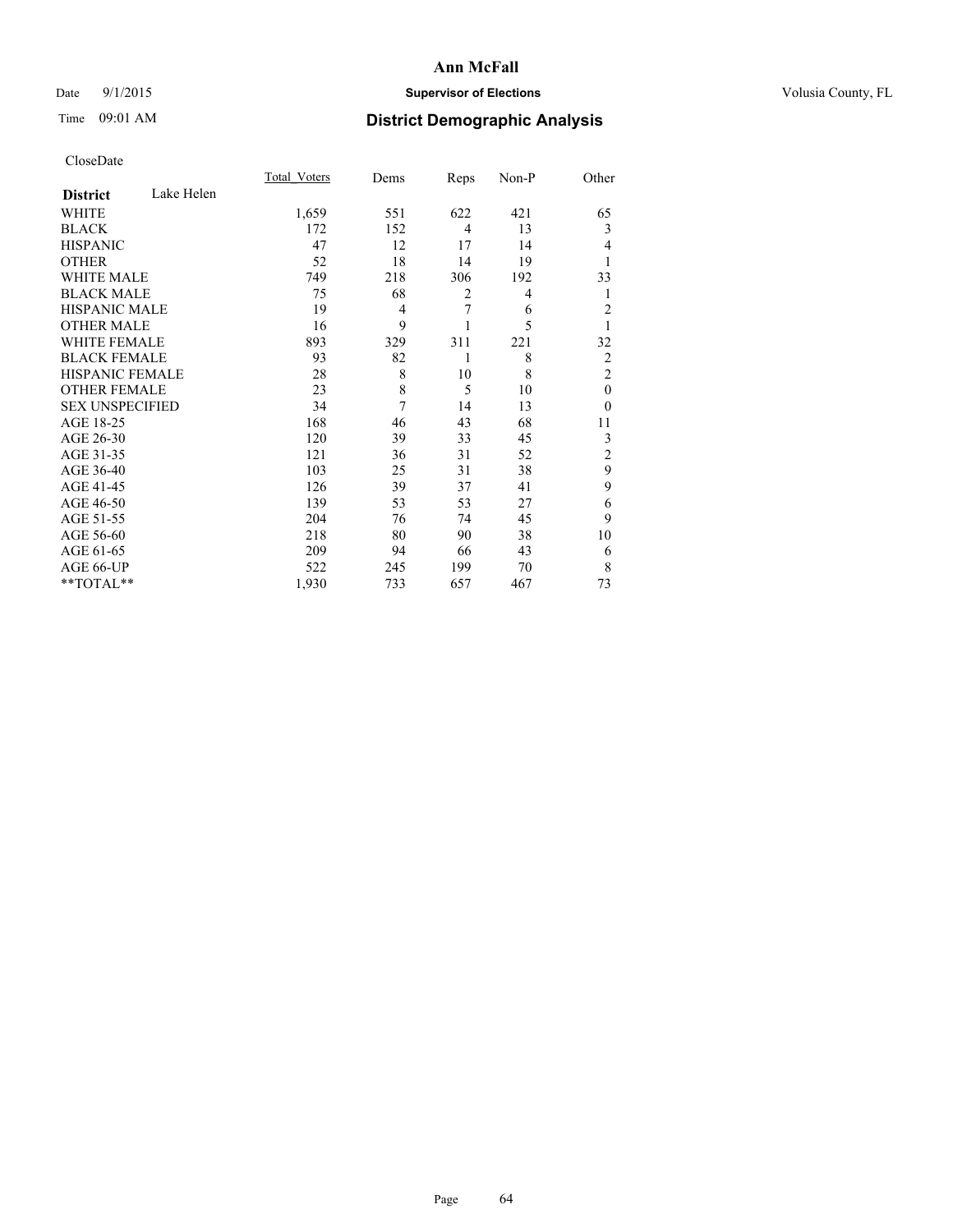## Date 9/1/2015 **Supervisor of Elections Supervisor of Elections** Volusia County, FL

# Time 09:01 AM **District Demographic Analysis**

|                        |            | <b>Total Voters</b> | Dems   | Reps           | Non-P | Other          |
|------------------------|------------|---------------------|--------|----------------|-------|----------------|
| <b>District</b>        | Lake Helen |                     |        |                |       |                |
| WHITE                  |            | 1,659               | 551    | 622            | 421   | 65             |
| <b>BLACK</b>           |            | 172                 | 152    | $\overline{4}$ | 13    | 3              |
| <b>HISPANIC</b>        |            | 47                  | 12     | 17             | 14    | 4              |
| <b>OTHER</b>           |            | 52                  | 18     | 14             | 19    |                |
| WHITE MALE             |            | 749                 | 218    | 306            | 192   | 33             |
| <b>BLACK MALE</b>      |            | 75                  | 68     | 2              | 4     | 1              |
| <b>HISPANIC MALE</b>   |            | 19                  | 4      | 7              | 6     | $\overline{c}$ |
| <b>OTHER MALE</b>      |            | 16                  | 9      |                | 5     | 1              |
| <b>WHITE FEMALE</b>    |            | 893                 | 329    | 311            | 221   | 32             |
| <b>BLACK FEMALE</b>    |            | 93                  | 82     | 1              | 8     | $\overline{c}$ |
| <b>HISPANIC FEMALE</b> |            | 28                  | 8      | 10             | 8     | $\overline{2}$ |
| <b>OTHER FEMALE</b>    |            | 23                  | 8      | 5              | 10    | $\theta$       |
| <b>SEX UNSPECIFIED</b> |            | 34                  | $\tau$ | 14             | 13    | $\theta$       |
| AGE 18-25              |            | 168                 | 46     | 43             | 68    | 11             |
| AGE 26-30              |            | 120                 | 39     | 33             | 45    | 3              |
| AGE 31-35              |            | 121                 | 36     | 31             | 52    | $\overline{c}$ |
| AGE 36-40              |            | 103                 | 25     | 31             | 38    | 9              |
| AGE 41-45              |            | 126                 | 39     | 37             | 41    | 9              |
| AGE 46-50              |            | 139                 | 53     | 53             | 27    | 6              |
| AGE 51-55              |            | 204                 | 76     | 74             | 45    | 9              |
| AGE 56-60              |            | 218                 | 80     | 90             | 38    | 10             |
| AGE 61-65              |            | 209                 | 94     | 66             | 43    | 6              |
| AGE 66-UP              |            | 522                 | 245    | 199            | 70    | 8              |
| **TOTAL**              |            | 1,930               | 733    | 657            | 467   | 73             |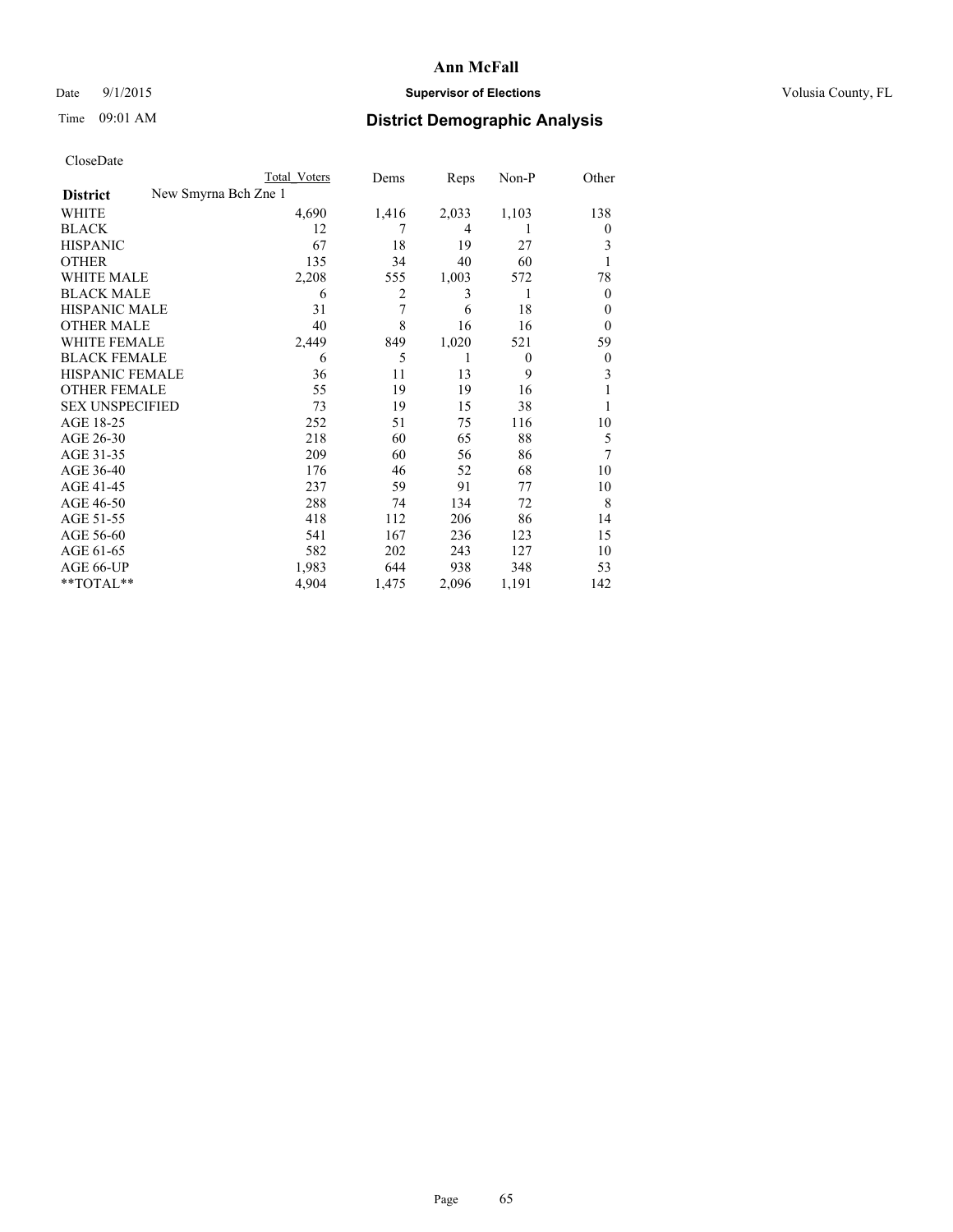## Date 9/1/2015 **Supervisor of Elections Supervisor of Elections** Volusia County, FL

|                        | <b>Total Voters</b>  | Dems  | Reps           | Non-P    | Other    |
|------------------------|----------------------|-------|----------------|----------|----------|
| <b>District</b>        | New Smyrna Bch Zne 1 |       |                |          |          |
| WHITE                  | 4,690                | 1,416 | 2,033          | 1,103    | 138      |
| <b>BLACK</b>           | 12                   |       | $\overline{4}$ |          | $\theta$ |
| <b>HISPANIC</b>        | 67                   | 18    | 19             | 27       | 3        |
| <b>OTHER</b>           | 135                  | 34    | 40             | 60       | 1        |
| WHITE MALE             | 2,208                | 555   | 1,003          | 572      | 78       |
| <b>BLACK MALE</b>      | 6                    | 2     | 3              | 1        | $\theta$ |
| <b>HISPANIC MALE</b>   | 31                   | 7     | 6              | 18       | 0        |
| <b>OTHER MALE</b>      | 40                   | 8     | 16             | 16       | $\theta$ |
| <b>WHITE FEMALE</b>    | 2,449                | 849   | 1,020          | 521      | 59       |
| <b>BLACK FEMALE</b>    | 6                    | 5     | 1              | $\theta$ | $\theta$ |
| <b>HISPANIC FEMALE</b> | 36                   | 11    | 13             | 9        | 3        |
| <b>OTHER FEMALE</b>    | 55                   | 19    | 19             | 16       |          |
| <b>SEX UNSPECIFIED</b> | 73                   | 19    | 15             | 38       |          |
| AGE 18-25              | 252                  | 51    | 75             | 116      | 10       |
| AGE 26-30              | 218                  | 60    | 65             | 88       | 5        |
| AGE 31-35              | 209                  | 60    | 56             | 86       | 7        |
| AGE 36-40              | 176                  | 46    | 52             | 68       | 10       |
| AGE 41-45              | 237                  | 59    | 91             | 77       | 10       |
| AGE 46-50              | 288                  | 74    | 134            | 72       | 8        |
| AGE 51-55              | 418                  | 112   | 206            | 86       | 14       |
| AGE 56-60              | 541                  | 167   | 236            | 123      | 15       |
| AGE 61-65              | 582                  | 202   | 243            | 127      | 10       |
| AGE 66-UP              | 1,983                | 644   | 938            | 348      | 53       |
| **TOTAL**              | 4,904                | 1,475 | 2,096          | 1,191    | 142      |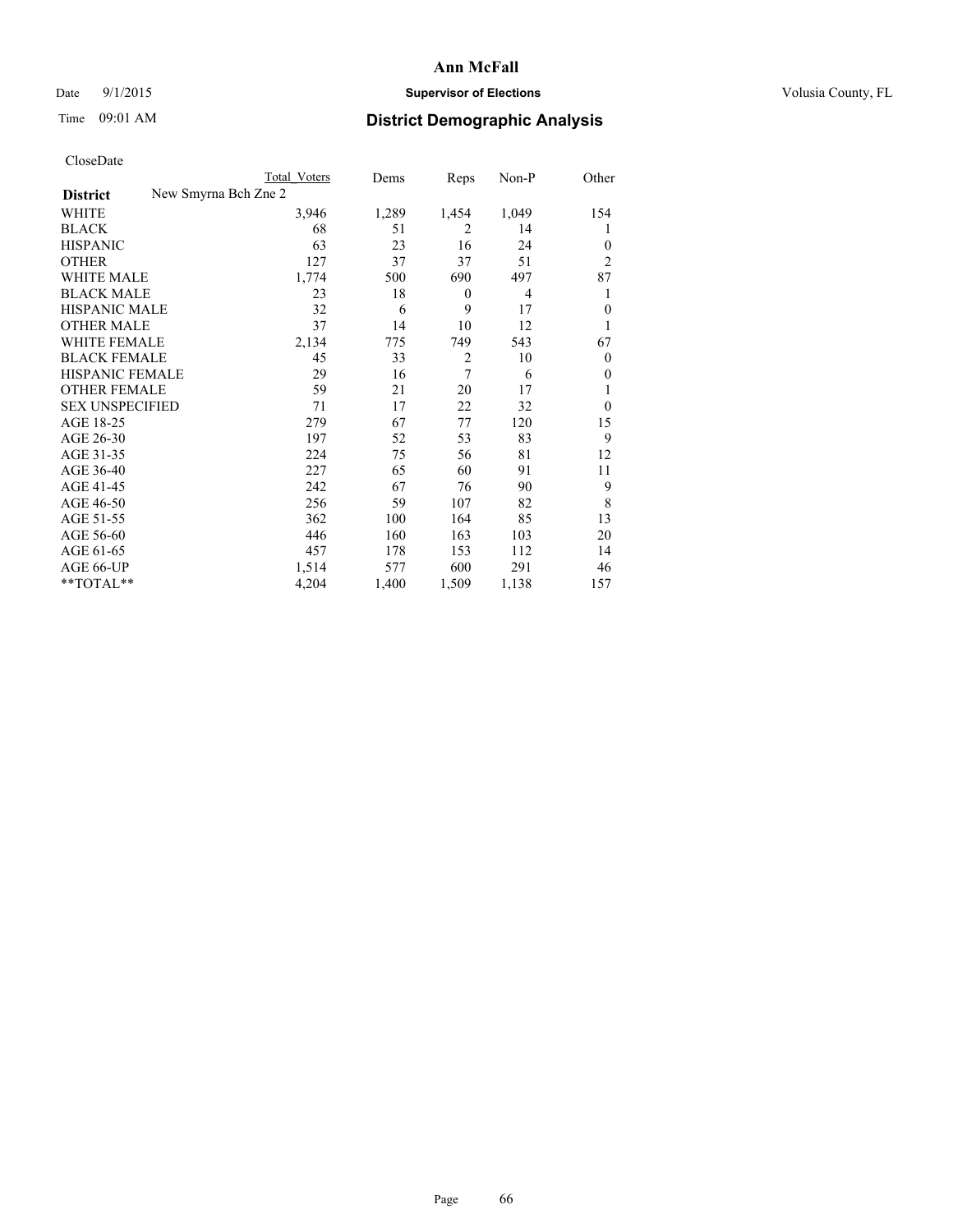## Date 9/1/2015 **Supervisor of Elections Supervisor of Elections** Volusia County, FL

|                     |                      | <b>Total Voters</b> | Dems  | Reps             | Non-P          | Other          |
|---------------------|----------------------|---------------------|-------|------------------|----------------|----------------|
| <b>District</b>     | New Smyrna Bch Zne 2 |                     |       |                  |                |                |
| WHITE               |                      | 3,946               | 1,289 | 1,454            | 1,049          | 154            |
| BLACK               |                      | 68                  | 51    | 2                | 14             | 1              |
| <b>HISPANIC</b>     |                      | 63                  | 23    | 16               | 24             | $\theta$       |
| OTHER               |                      | 127                 | 37    | 37               | 51             | $\overline{2}$ |
| WHITE MALE          |                      | 1,774               | 500   | 690              | 497            | 87             |
| <b>BLACK MALE</b>   |                      | 23                  | 18    | $\boldsymbol{0}$ | $\overline{4}$ | 1              |
| HISPANIC MALE       |                      | 32                  | 6     | 9                | 17             | $\mathbf{0}$   |
| <b>OTHER MALE</b>   |                      | 37                  | 14    | 10               | 12             | 1              |
| WHITE FEMALE        |                      | 2,134               | 775   | 749              | 543            | 67             |
| <b>BLACK FEMALE</b> |                      | 45                  | 33    | $\overline{c}$   | 10             | $\Omega$       |
| HISPANIC FEMALE     |                      | 29                  | 16    | 7                | 6              | $\mathbf{0}$   |
| OTHER FEMALE        |                      | 59                  | 21    | 20               | 17             | 1              |
| SEX UNSPECIFIED     |                      | 71                  | 17    | 22               | 32             | $\Omega$       |
| AGE 18-25           |                      | 279                 | 67    | 77               | 120            | 15             |
| AGE 26-30           |                      | 197                 | 52    | 53               | 83             | 9              |
| AGE 31-35           |                      | 224                 | 75    | 56               | 81             | 12             |
| AGE 36-40           |                      | 227                 | 65    | 60               | 91             | 11             |
| AGE 41-45           |                      | 242                 | 67    | 76               | 90             | 9              |
| AGE 46-50           |                      | 256                 | 59    | 107              | 82             | 8              |
| AGE 51-55           |                      | 362                 | 100   | 164              | 85             | 13             |
| AGE 56-60           |                      | 446                 | 160   | 163              | 103            | 20             |
| AGE 61-65           |                      | 457                 | 178   | 153              | 112            | 14             |
| AGE 66-UP           |                      | 1,514               | 577   | 600              | 291            | 46             |
| **TOTAL**           |                      | 4,204               | 1,400 | 1,509            | 1,138          | 157            |
|                     |                      |                     |       |                  |                |                |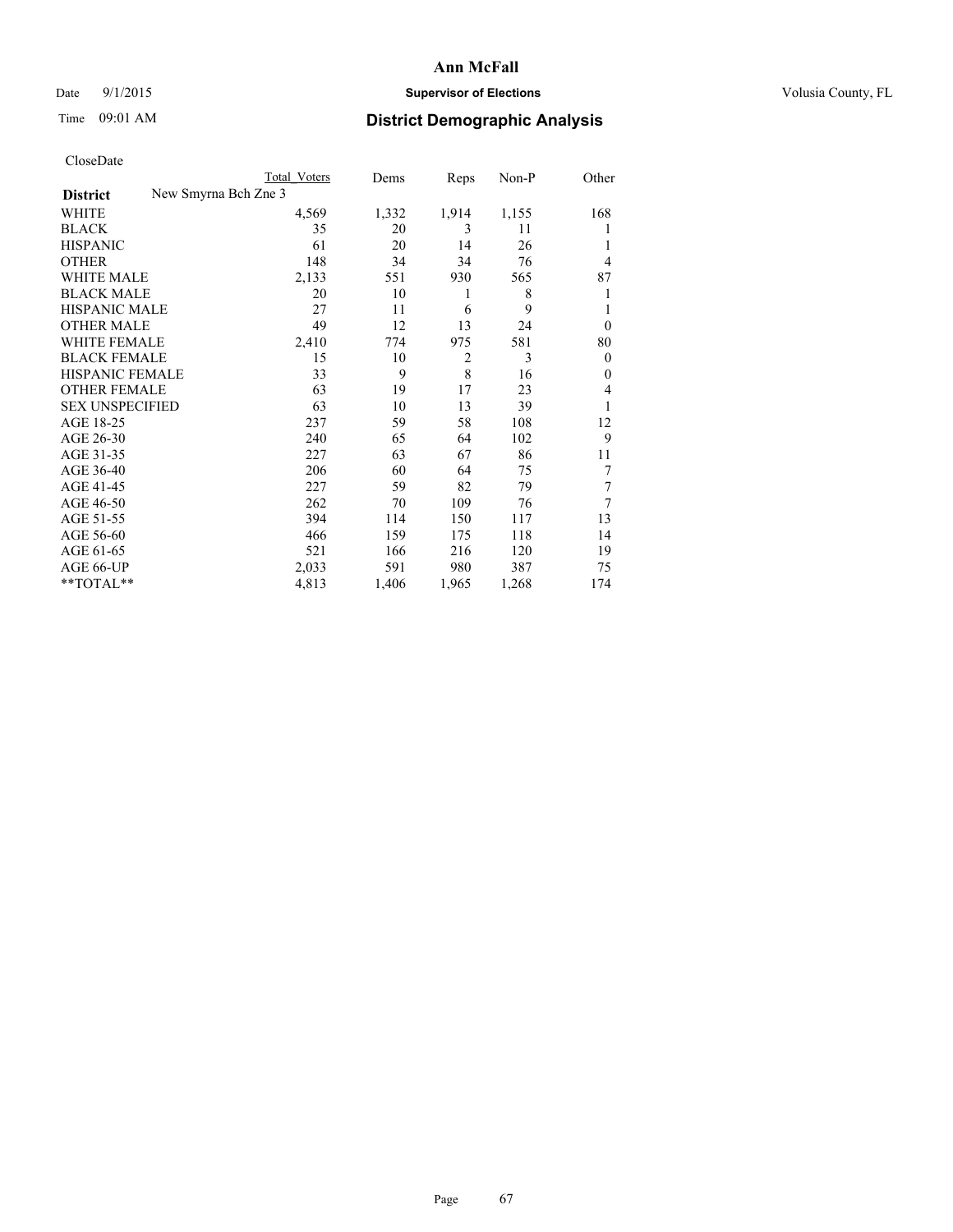## Date 9/1/2015 **Supervisor of Elections Supervisor of Elections** Volusia County, FL

| CloseDate |
|-----------|
|-----------|

| Cioscivate             |                      |                     |       |       |       |                |
|------------------------|----------------------|---------------------|-------|-------|-------|----------------|
|                        |                      | <b>Total Voters</b> | Dems  | Reps  | Non-P | Other          |
| <b>District</b>        | New Smyrna Bch Zne 3 |                     |       |       |       |                |
| <b>WHITE</b>           |                      | 4,569               | 1,332 | 1,914 | 1,155 | 168            |
| <b>BLACK</b>           |                      | 35                  | 20    | 3     | 11    | 1              |
| <b>HISPANIC</b>        |                      | 61                  | 20    | 14    | 26    |                |
| <b>OTHER</b>           |                      | 148                 | 34    | 34    | 76    | 4              |
| WHITE MALE             |                      | 2,133               | 551   | 930   | 565   | 87             |
| <b>BLACK MALE</b>      |                      | 20                  | 10    | 1     | 8     |                |
| <b>HISPANIC MALE</b>   |                      | 27                  | 11    | 6     | 9     |                |
| <b>OTHER MALE</b>      |                      | 49                  | 12    | 13    | 24    | $\Omega$       |
| WHITE FEMALE           |                      | 2,410               | 774   | 975   | 581   | 80             |
| <b>BLACK FEMALE</b>    |                      | 15                  | 10    | 2     | 3     | $\overline{0}$ |
| <b>HISPANIC FEMALE</b> |                      | 33                  | 9     | 8     | 16    | $\theta$       |
| <b>OTHER FEMALE</b>    |                      | 63                  | 19    | 17    | 23    | 4              |
| <b>SEX UNSPECIFIED</b> |                      | 63                  | 10    | 13    | 39    | 1              |
| AGE 18-25              |                      | 237                 | 59    | 58    | 108   | 12             |
| AGE 26-30              |                      | 240                 | 65    | 64    | 102   | 9              |
| AGE 31-35              |                      | 227                 | 63    | 67    | 86    | 11             |
| AGE 36-40              |                      | 206                 | 60    | 64    | 75    | 7              |
| AGE 41-45              |                      | 227                 | 59    | 82    | 79    | 7              |
| AGE 46-50              |                      | 262                 | 70    | 109   | 76    | 7              |
| AGE 51-55              |                      | 394                 | 114   | 150   | 117   | 13             |
| AGE 56-60              |                      | 466                 | 159   | 175   | 118   | 14             |
| AGE 61-65              |                      | 521                 | 166   | 216   | 120   | 19             |
| AGE 66-UP              |                      | 2,033               | 591   | 980   | 387   | 75             |
| **TOTAL**              |                      | 4,813               | 1,406 | 1,965 | 1,268 | 174            |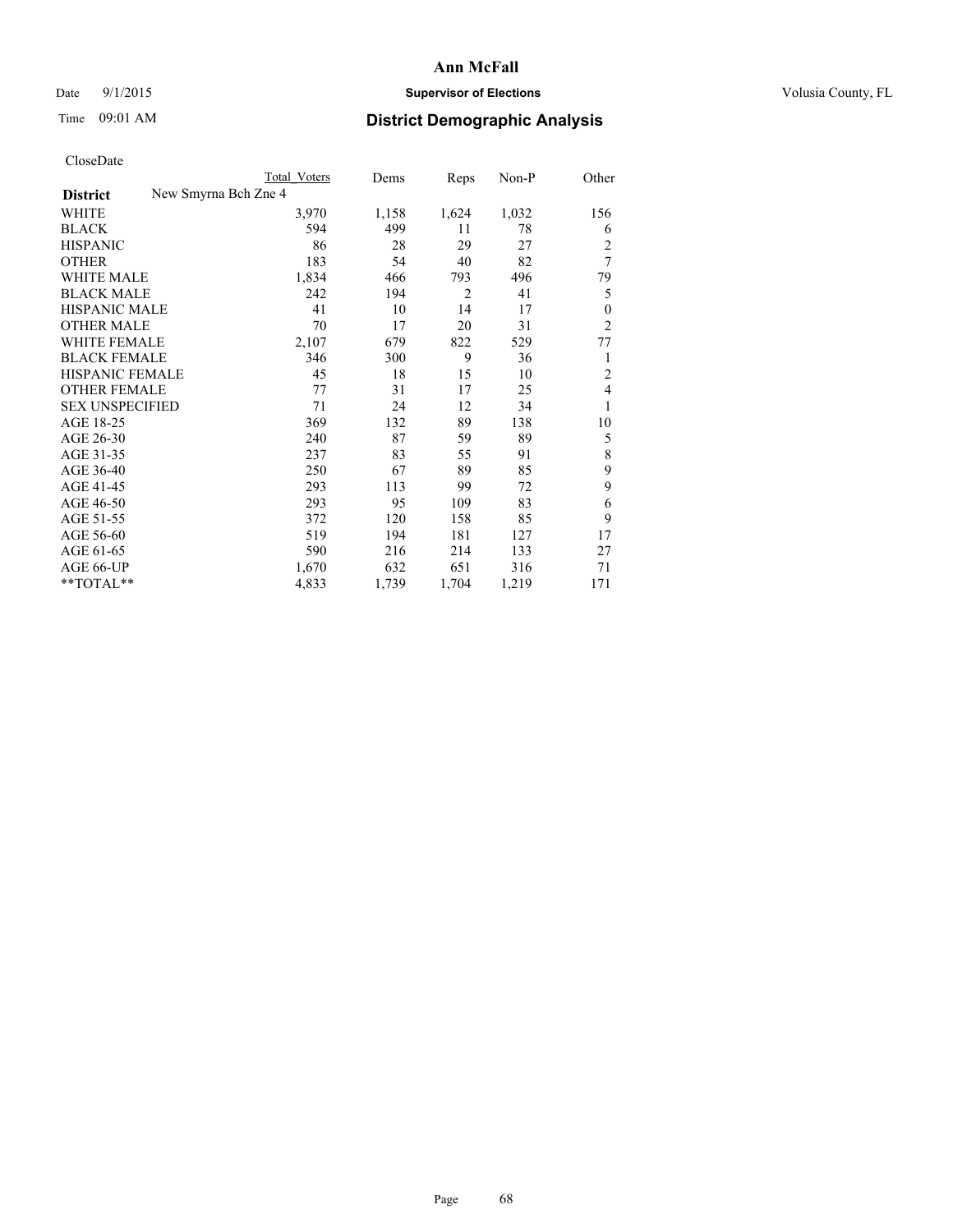## Date 9/1/2015 **Supervisor of Elections Supervisor of Elections** Volusia County, FL

| <b>Total Voters</b> | Dems                 | Reps           | Non-P | Other          |
|---------------------|----------------------|----------------|-------|----------------|
|                     |                      |                |       |                |
| 3,970               | 1,158                | 1,624          | 1,032 | 156            |
| 594                 | 499                  | 11             | 78    | 6              |
| 86                  | 28                   | 29             | 27    | $\overline{c}$ |
| 183                 | 54                   | 40             | 82    | $\overline{7}$ |
| 1,834               | 466                  | 793            | 496   | 79             |
| 242                 | 194                  | $\overline{2}$ | 41    | 5              |
| 41                  | 10                   | 14             | 17    | $\theta$       |
| 70                  | 17                   | 20             | 31    | $\overline{2}$ |
| 2,107               | 679                  | 822            | 529   | 77             |
| 346                 | 300                  | 9              | 36    | 1              |
| 45                  | 18                   | 15             | 10    | $\overline{c}$ |
| 77                  | 31                   | 17             | 25    | $\overline{4}$ |
| 71                  | 24                   | 12             | 34    | 1              |
| 369                 | 132                  | 89             | 138   | 10             |
| 240                 | 87                   | 59             | 89    | 5              |
| 237                 | 83                   | 55             | 91    | 8              |
| 250                 | 67                   | 89             | 85    | 9              |
| 293                 | 113                  | 99             | 72    | 9              |
| 293                 | 95                   | 109            | 83    | 6              |
| 372                 | 120                  | 158            | 85    | 9              |
| 519                 | 194                  | 181            | 127   | 17             |
| 590                 | 216                  | 214            | 133   | 27             |
| 1,670               | 632                  | 651            | 316   | 71             |
| 4,833               | 1,739                | 1,704          | 1,219 | 171            |
|                     | New Smyrna Bch Zne 4 |                |       |                |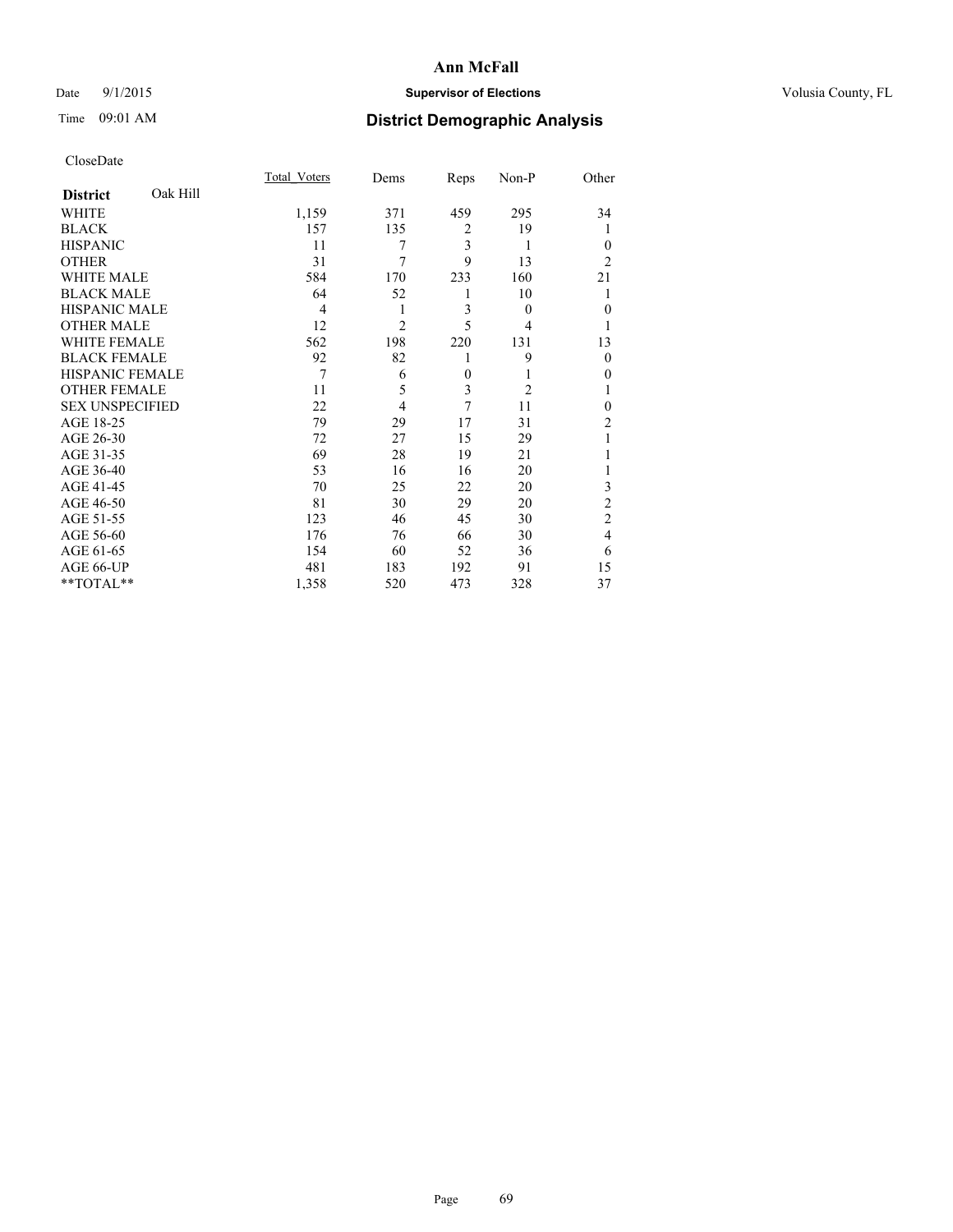## Date 9/1/2015 **Supervisor of Elections Supervisor of Elections** Volusia County, FL

# Time 09:01 AM **District Demographic Analysis**

|                        |          | Total Voters | Dems           | Reps             | Non-P          | Other          |
|------------------------|----------|--------------|----------------|------------------|----------------|----------------|
| <b>District</b>        | Oak Hill |              |                |                  |                |                |
| WHITE                  |          | 1,159        | 371            | 459              | 295            | 34             |
| <b>BLACK</b>           |          | 157          | 135            | $\overline{c}$   | 19             | 1              |
| <b>HISPANIC</b>        |          | 11           | 7              | 3                | 1              | $\theta$       |
| <b>OTHER</b>           |          | 31           | 7              | 9                | 13             | $\overline{2}$ |
| WHITE MALE             |          | 584          | 170            | 233              | 160            | 21             |
| <b>BLACK MALE</b>      |          | 64           | 52             | 1                | 10             | 1              |
| <b>HISPANIC MALE</b>   |          | 4            | 1              | 3                | $\theta$       | $\mathbf{0}$   |
| <b>OTHER MALE</b>      |          | 12           | $\overline{2}$ | 5                | 4              | 1              |
| <b>WHITE FEMALE</b>    |          | 562          | 198            | 220              | 131            | 13             |
| <b>BLACK FEMALE</b>    |          | 92           | 82             | 1                | 9              | $\theta$       |
| <b>HISPANIC FEMALE</b> |          | 7            | 6              | $\boldsymbol{0}$ | 1              | $\theta$       |
| <b>OTHER FEMALE</b>    |          | 11           | 5              | 3                | $\overline{2}$ | 1              |
| <b>SEX UNSPECIFIED</b> |          | 22           | $\overline{4}$ | 7                | 11             | $\theta$       |
| AGE 18-25              |          | 79           | 29             | 17               | 31             | $\overline{c}$ |
| AGE 26-30              |          | 72           | 27             | 15               | 29             |                |
| AGE 31-35              |          | 69           | 28             | 19               | 21             |                |
| AGE 36-40              |          | 53           | 16             | 16               | 20             |                |
| AGE 41-45              |          | 70           | 25             | 22               | 20             | 3              |
| AGE 46-50              |          | 81           | 30             | 29               | 20             | $\overline{c}$ |
| AGE 51-55              |          | 123          | 46             | 45               | 30             | $\overline{c}$ |
| AGE 56-60              |          | 176          | 76             | 66               | 30             | $\overline{4}$ |
| AGE 61-65              |          | 154          | 60             | 52               | 36             | 6              |
| AGE 66-UP              |          | 481          | 183            | 192              | 91             | 15             |
| **TOTAL**              |          | 1,358        | 520            | 473              | 328            | 37             |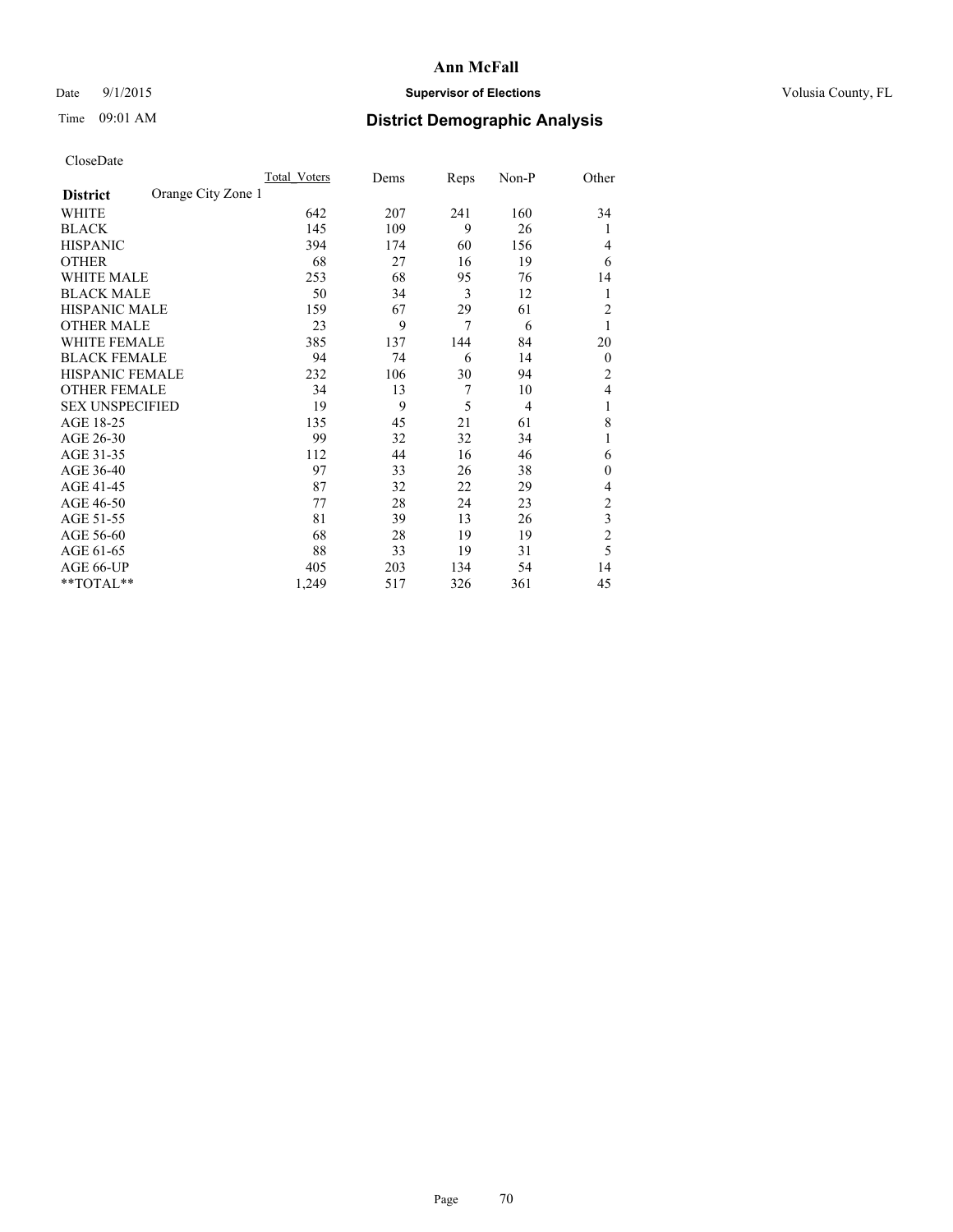## Date 9/1/2015 **Supervisor of Elections Supervisor of Elections** Volusia County, FL

# Time 09:01 AM **District Demographic Analysis**

|                        |                    | Total Voters | Dems | Reps           | Non-P          | Other            |
|------------------------|--------------------|--------------|------|----------------|----------------|------------------|
| <b>District</b>        | Orange City Zone 1 |              |      |                |                |                  |
| WHITE                  |                    | 642          | 207  | 241            | 160            | 34               |
| <b>BLACK</b>           |                    | 145          | 109  | 9              | 26             | 1                |
| <b>HISPANIC</b>        |                    | 394          | 174  | 60             | 156            | 4                |
| <b>OTHER</b>           |                    | 68           | 27   | 16             | 19             | 6                |
| WHITE MALE             |                    | 253          | 68   | 95             | 76             | 14               |
| <b>BLACK MALE</b>      |                    | 50           | 34   | 3              | 12             | 1                |
| <b>HISPANIC MALE</b>   |                    | 159          | 67   | 29             | 61             | $\overline{2}$   |
| <b>OTHER MALE</b>      |                    | 23           | 9    | $\overline{7}$ | 6              | 1                |
| WHITE FEMALE           |                    | 385          | 137  | 144            | 84             | 20               |
| <b>BLACK FEMALE</b>    |                    | 94           | 74   | 6              | 14             | $\boldsymbol{0}$ |
| HISPANIC FEMALE        |                    | 232          | 106  | 30             | 94             | 2                |
| <b>OTHER FEMALE</b>    |                    | 34           | 13   | 7              | 10             | 4                |
| <b>SEX UNSPECIFIED</b> |                    | 19           | 9    | 5              | $\overline{4}$ | 1                |
| AGE 18-25              |                    | 135          | 45   | 21             | 61             | 8                |
| AGE 26-30              |                    | 99           | 32   | 32             | 34             | 1                |
| AGE 31-35              |                    | 112          | 44   | 16             | 46             | 6                |
| AGE 36-40              |                    | 97           | 33   | 26             | 38             | $\mathbf{0}$     |
| AGE 41-45              |                    | 87           | 32   | 22             | 29             | 4                |
| AGE 46-50              |                    | 77           | 28   | 24             | 23             | 2                |
| AGE 51-55              |                    | 81           | 39   | 13             | 26             | 3                |
| AGE 56-60              |                    | 68           | 28   | 19             | 19             | $\overline{c}$   |
| AGE 61-65              |                    | 88           | 33   | 19             | 31             | 5                |
| AGE 66-UP              |                    | 405          | 203  | 134            | 54             | 14               |
| **TOTAL**              |                    | 1,249        | 517  | 326            | 361            | 45               |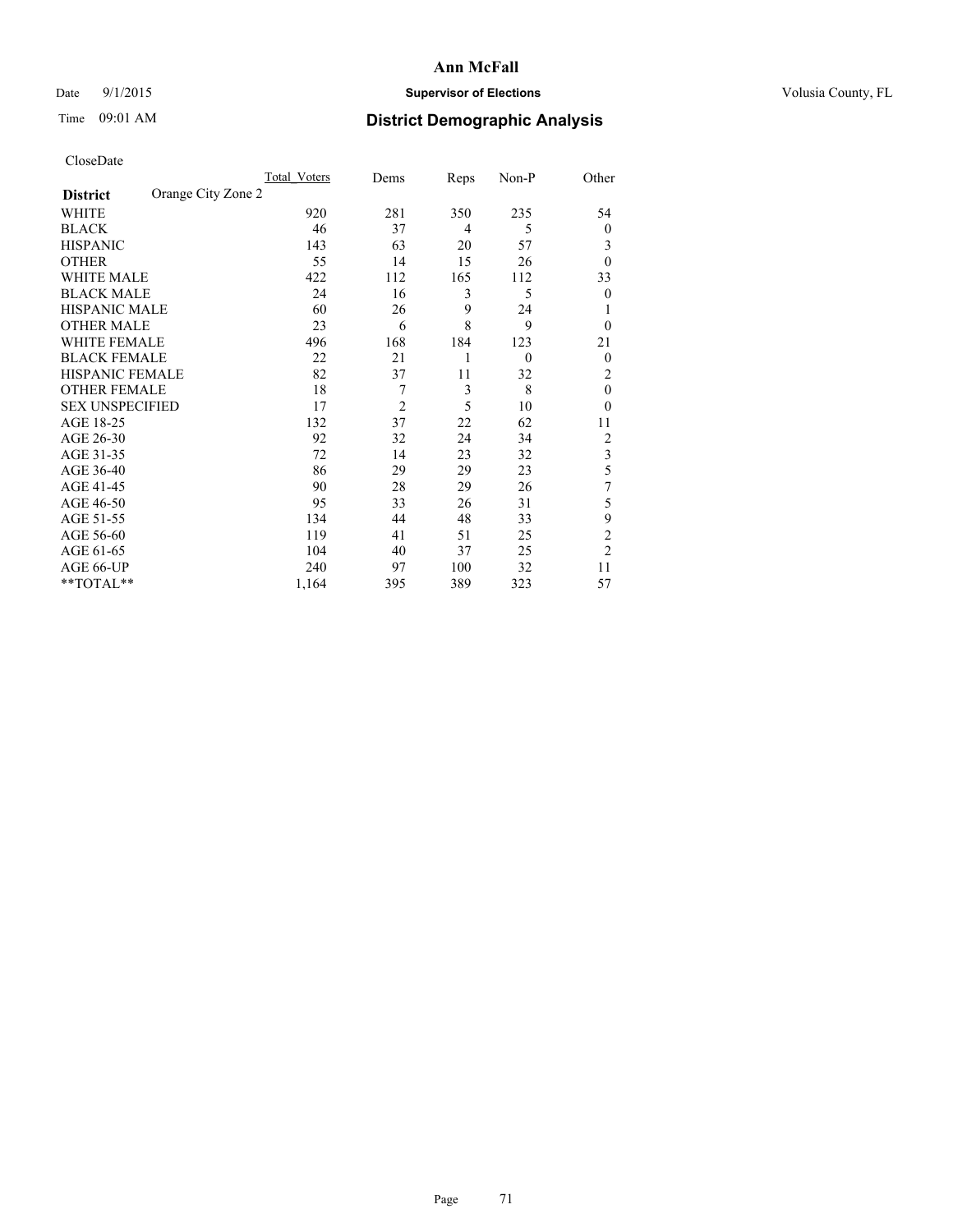## Date 9/1/2015 **Supervisor of Elections Supervisor of Elections** Volusia County, FL

# Time 09:01 AM **District Demographic Analysis**

|                        |                    | Total Voters | Dems           | Reps | Non-P    | Other                   |
|------------------------|--------------------|--------------|----------------|------|----------|-------------------------|
| <b>District</b>        | Orange City Zone 2 |              |                |      |          |                         |
| WHITE                  |                    | 920          | 281            | 350  | 235      | 54                      |
| <b>BLACK</b>           |                    | 46           | 37             | 4    | 5        | $\mathbf{0}$            |
| <b>HISPANIC</b>        |                    | 143          | 63             | 20   | 57       | 3                       |
| <b>OTHER</b>           |                    | 55           | 14             | 15   | 26       | $\theta$                |
| WHITE MALE             |                    | 422          | 112            | 165  | 112      | 33                      |
| <b>BLACK MALE</b>      |                    | 24           | 16             | 3    | 5        | $\theta$                |
| <b>HISPANIC MALE</b>   |                    | 60           | 26             | 9    | 24       |                         |
| <b>OTHER MALE</b>      |                    | 23           | 6              | 8    | 9        | $\theta$                |
| <b>WHITE FEMALE</b>    |                    | 496          | 168            | 184  | 123      | 21                      |
| <b>BLACK FEMALE</b>    |                    | 22           | 21             | 1    | $\theta$ | $\theta$                |
| <b>HISPANIC FEMALE</b> |                    | 82           | 37             | 11   | 32       | 2                       |
| <b>OTHER FEMALE</b>    |                    | 18           | 7              | 3    | 8        | $\theta$                |
| <b>SEX UNSPECIFIED</b> |                    | 17           | $\overline{2}$ | 5    | 10       | $\theta$                |
| AGE 18-25              |                    | 132          | 37             | 22   | 62       | 11                      |
| AGE 26-30              |                    | 92           | 32             | 24   | 34       | $\overline{c}$          |
| AGE 31-35              |                    | 72           | 14             | 23   | 32       | $\overline{\mathbf{3}}$ |
| AGE 36-40              |                    | 86           | 29             | 29   | 23       | 5                       |
| AGE 41-45              |                    | 90           | 28             | 29   | 26       | 7                       |
| AGE 46-50              |                    | 95           | 33             | 26   | 31       | 5                       |
| AGE 51-55              |                    | 134          | 44             | 48   | 33       | 9                       |
| AGE 56-60              |                    | 119          | 41             | 51   | 25       | $\overline{c}$          |
| AGE 61-65              |                    | 104          | 40             | 37   | 25       | $\overline{c}$          |
| AGE 66-UP              |                    | 240          | 97             | 100  | 32       | 11                      |
| **TOTAL**              |                    | 1,164        | 395            | 389  | 323      | 57                      |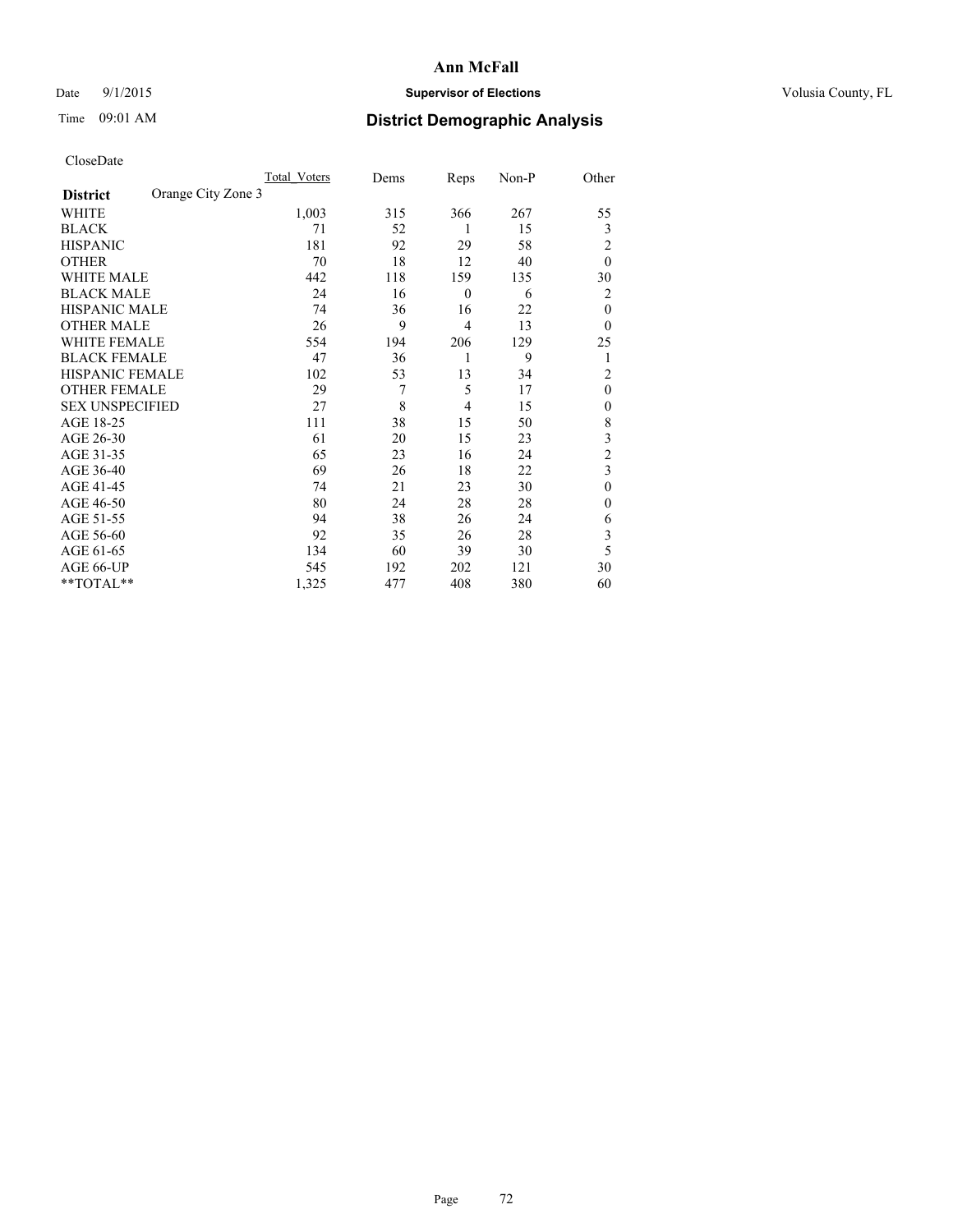## Date 9/1/2015 **Supervisor of Elections Supervisor of Elections** Volusia County, FL

## Time 09:01 AM **District Demographic Analysis**

|                        |                    | Total Voters | Dems | Reps             | Non-P | Other          |
|------------------------|--------------------|--------------|------|------------------|-------|----------------|
| <b>District</b>        | Orange City Zone 3 |              |      |                  |       |                |
| WHITE                  |                    | 1,003        | 315  | 366              | 267   | 55             |
| <b>BLACK</b>           |                    | 71           | 52   | 1                | 15    | 3              |
| <b>HISPANIC</b>        |                    | 181          | 92   | 29               | 58    | $\overline{2}$ |
| <b>OTHER</b>           |                    | 70           | 18   | 12               | 40    | $\theta$       |
| WHITE MALE             |                    | 442          | 118  | 159              | 135   | 30             |
| <b>BLACK MALE</b>      |                    | 24           | 16   | $\boldsymbol{0}$ | 6     | 2              |
| <b>HISPANIC MALE</b>   |                    | 74           | 36   | 16               | 22    | $\theta$       |
| <b>OTHER MALE</b>      |                    | 26           | 9    | 4                | 13    | $\theta$       |
| WHITE FEMALE           |                    | 554          | 194  | 206              | 129   | 25             |
| <b>BLACK FEMALE</b>    |                    | 47           | 36   | 1                | 9     | 1              |
| <b>HISPANIC FEMALE</b> |                    | 102          | 53   | 13               | 34    | $\overline{2}$ |
| <b>OTHER FEMALE</b>    |                    | 29           | 7    | 5                | 17    | $\theta$       |
| <b>SEX UNSPECIFIED</b> |                    | 27           | 8    | 4                | 15    | $\mathbf{0}$   |
| AGE 18-25              |                    | 111          | 38   | 15               | 50    | 8              |
| AGE 26-30              |                    | 61           | 20   | 15               | 23    | 3              |
| AGE 31-35              |                    | 65           | 23   | 16               | 24    | $\overline{c}$ |
| AGE 36-40              |                    | 69           | 26   | 18               | 22    | 3              |
| AGE 41-45              |                    | 74           | 21   | 23               | 30    | $\theta$       |
| AGE 46-50              |                    | 80           | 24   | 28               | 28    | $\mathbf{0}$   |
| AGE 51-55              |                    | 94           | 38   | 26               | 24    | 6              |
| AGE 56-60              |                    | 92           | 35   | 26               | 28    | 3              |
| AGE 61-65              |                    | 134          | 60   | 39               | 30    | 5              |
| AGE 66-UP              |                    | 545          | 192  | 202              | 121   | 30             |
| $*$ TOTAL $**$         |                    | 1,325        | 477  | 408              | 380   | 60             |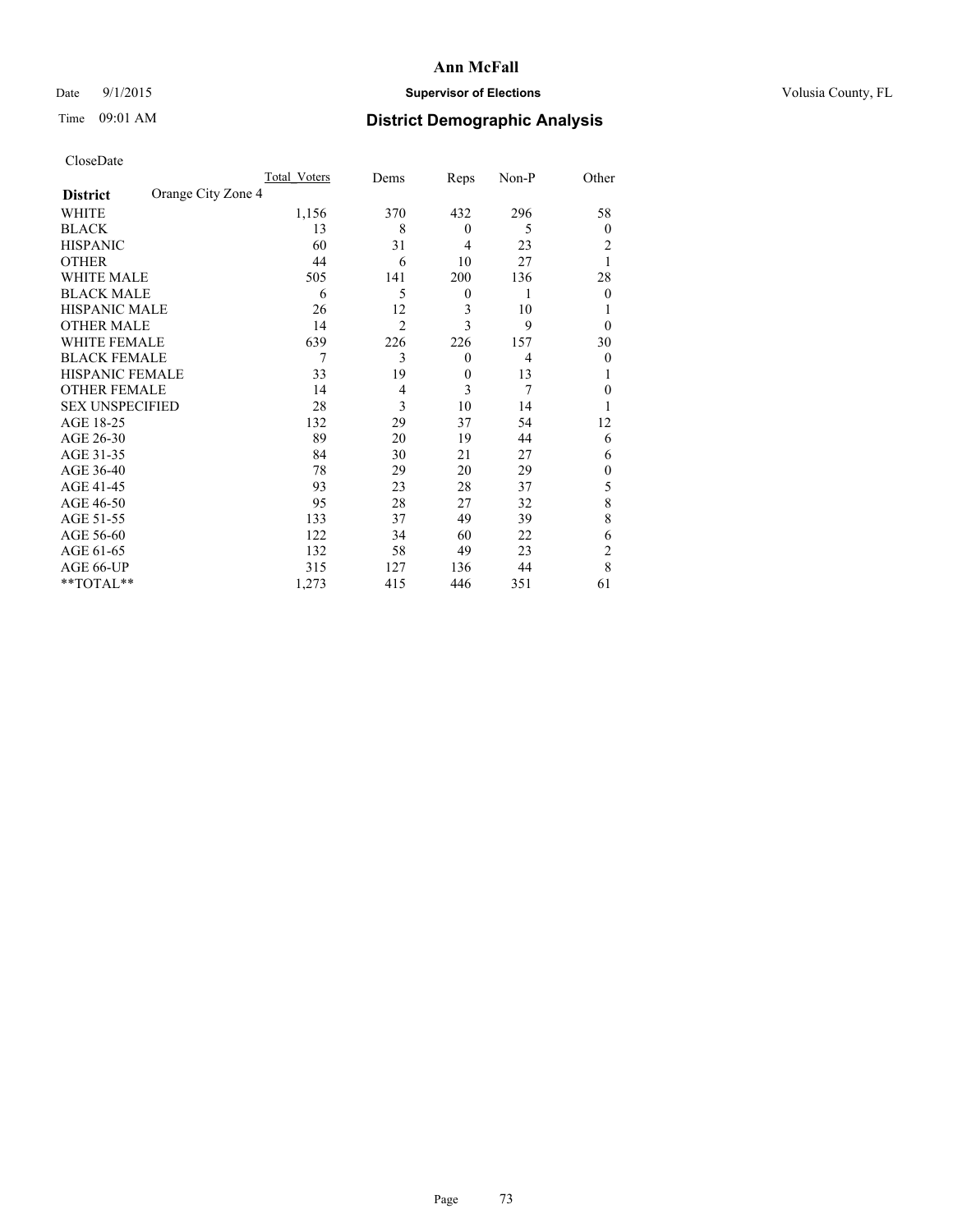# Date 9/1/2015 **Supervisor of Elections Supervisor of Elections** Volusia County, FL

# Time 09:01 AM **District Demographic Analysis**

|                        |                    | Total Voters | Dems           | Reps             | Non-P | Other          |
|------------------------|--------------------|--------------|----------------|------------------|-------|----------------|
| <b>District</b>        | Orange City Zone 4 |              |                |                  |       |                |
| WHITE                  |                    | 1,156        | 370            | 432              | 296   | 58             |
| <b>BLACK</b>           |                    | 13           | 8              | $\mathbf{0}$     | 5     | $\theta$       |
| <b>HISPANIC</b>        |                    | 60           | 31             | 4                | 23    | 2              |
| <b>OTHER</b>           |                    | 44           | 6              | 10               | 27    |                |
| WHITE MALE             |                    | 505          | 141            | 200              | 136   | 28             |
| <b>BLACK MALE</b>      |                    | 6            | 5              | $\boldsymbol{0}$ | 1     | $\theta$       |
| <b>HISPANIC MALE</b>   |                    | 26           | 12             | 3                | 10    |                |
| <b>OTHER MALE</b>      |                    | 14           | $\overline{2}$ | 3                | 9     | $\theta$       |
| <b>WHITE FEMALE</b>    |                    | 639          | 226            | 226              | 157   | 30             |
| <b>BLACK FEMALE</b>    |                    | 7            | 3              | $\mathbf{0}$     | 4     | $\theta$       |
| <b>HISPANIC FEMALE</b> |                    | 33           | 19             | $\mathbf{0}$     | 13    |                |
| <b>OTHER FEMALE</b>    |                    | 14           | $\overline{4}$ | 3                | 7     | $\theta$       |
| <b>SEX UNSPECIFIED</b> |                    | 28           | 3              | 10               | 14    |                |
| AGE 18-25              |                    | 132          | 29             | 37               | 54    | 12             |
| AGE 26-30              |                    | 89           | 20             | 19               | 44    | 6              |
| AGE 31-35              |                    | 84           | 30             | 21               | 27    | 6              |
| AGE 36-40              |                    | 78           | 29             | 20               | 29    | $\theta$       |
| AGE 41-45              |                    | 93           | 23             | 28               | 37    | 5              |
| AGE 46-50              |                    | 95           | 28             | 27               | 32    | 8              |
| AGE 51-55              |                    | 133          | 37             | 49               | 39    | 8              |
| AGE 56-60              |                    | 122          | 34             | 60               | 22    | 6              |
| AGE 61-65              |                    | 132          | 58             | 49               | 23    | $\overline{c}$ |
| AGE 66-UP              |                    | 315          | 127            | 136              | 44    | 8              |
| **TOTAL**              |                    | 1,273        | 415            | 446              | 351   | 61             |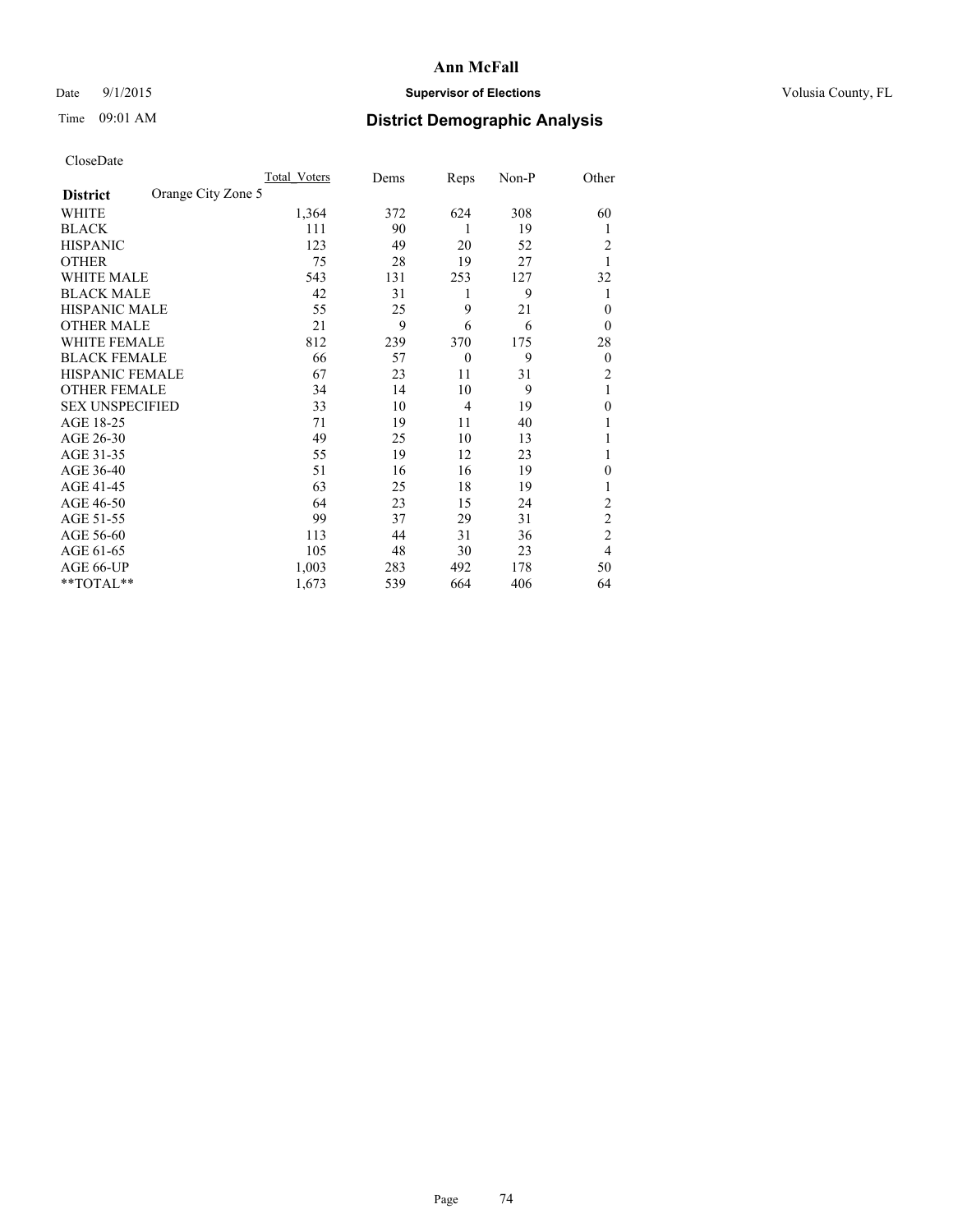# Date 9/1/2015 **Supervisor of Elections Supervisor of Elections** Volusia County, FL

# Time 09:01 AM **District Demographic Analysis**

|                        |                    | <b>Total Voters</b> | Dems | Reps           | Non-P | Other          |
|------------------------|--------------------|---------------------|------|----------------|-------|----------------|
| <b>District</b>        | Orange City Zone 5 |                     |      |                |       |                |
| WHITE                  |                    | 1,364               | 372  | 624            | 308   | 60             |
| <b>BLACK</b>           |                    | 111                 | 90   | 1              | 19    | 1              |
| <b>HISPANIC</b>        |                    | 123                 | 49   | 20             | 52    | 2              |
| <b>OTHER</b>           |                    | 75                  | 28   | 19             | 27    |                |
| WHITE MALE             |                    | 543                 | 131  | 253            | 127   | 32             |
| <b>BLACK MALE</b>      |                    | 42                  | 31   | 1              | 9     | 1              |
| <b>HISPANIC MALE</b>   |                    | 55                  | 25   | 9              | 21    | $\theta$       |
| <b>OTHER MALE</b>      |                    | 21                  | 9    | 6              | 6     | $\overline{0}$ |
| WHITE FEMALE           |                    | 812                 | 239  | 370            | 175   | 28             |
| <b>BLACK FEMALE</b>    |                    | 66                  | 57   | $\overline{0}$ | 9     | $\overline{0}$ |
| <b>HISPANIC FEMALE</b> |                    | 67                  | 23   | 11             | 31    | $\overline{c}$ |
| <b>OTHER FEMALE</b>    |                    | 34                  | 14   | 10             | 9     | 1              |
| <b>SEX UNSPECIFIED</b> |                    | 33                  | 10   | $\overline{4}$ | 19    | $\mathbf{0}$   |
| AGE 18-25              |                    | 71                  | 19   | 11             | 40    |                |
| AGE 26-30              |                    | 49                  | 25   | 10             | 13    |                |
| AGE 31-35              |                    | 55                  | 19   | 12             | 23    |                |
| AGE 36-40              |                    | 51                  | 16   | 16             | 19    | 0              |
| AGE 41-45              |                    | 63                  | 25   | 18             | 19    |                |
| AGE 46-50              |                    | 64                  | 23   | 15             | 24    | 2              |
| AGE 51-55              |                    | 99                  | 37   | 29             | 31    | $\overline{c}$ |
| AGE 56-60              |                    | 113                 | 44   | 31             | 36    | $\overline{c}$ |
| AGE 61-65              |                    | 105                 | 48   | 30             | 23    | 4              |
| AGE 66-UP              |                    | 1,003               | 283  | 492            | 178   | 50             |
| **TOTAL**              |                    | 1,673               | 539  | 664            | 406   | 64             |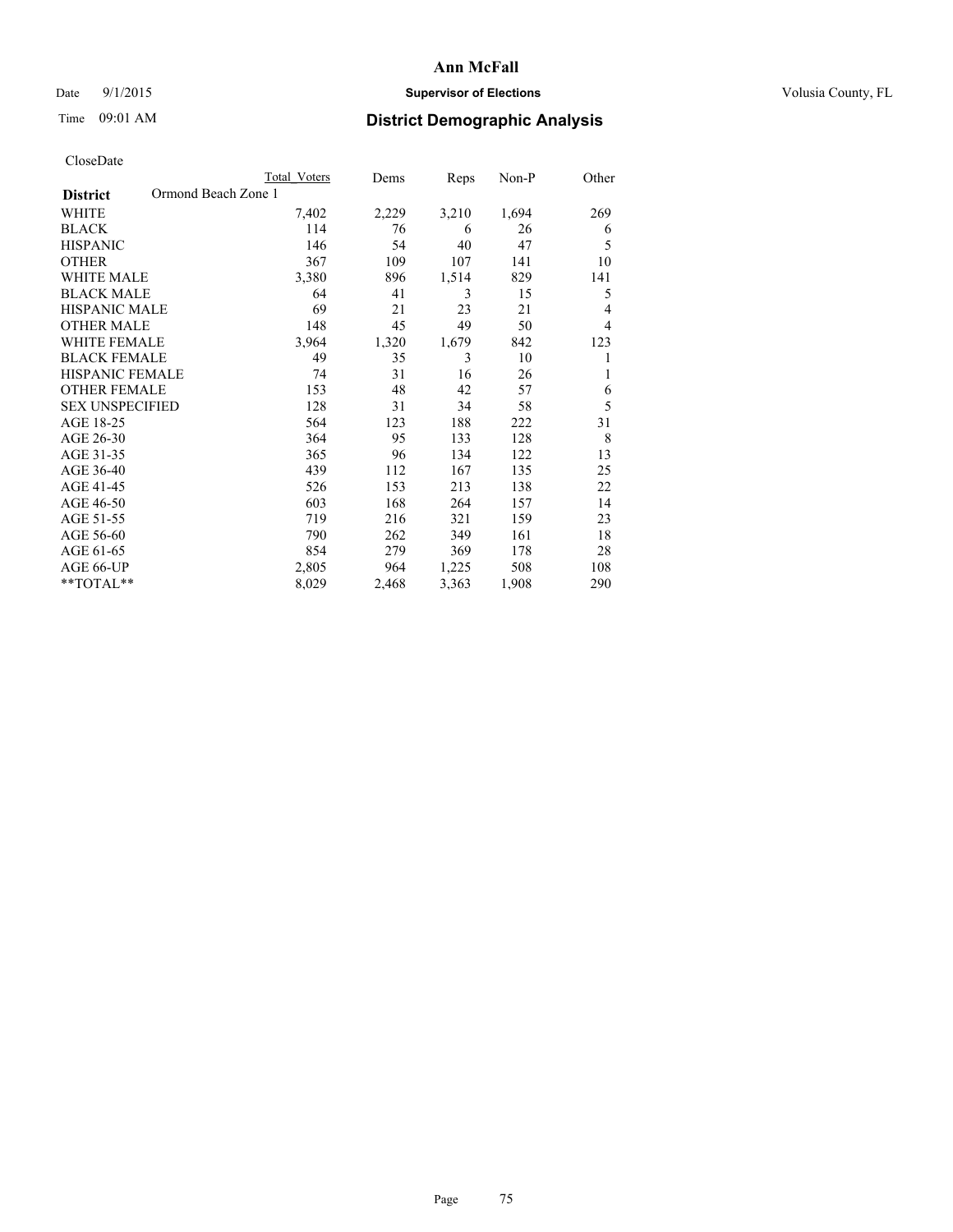# Date 9/1/2015 **Supervisor of Elections Supervisor of Elections** Volusia County, FL

# Time 09:01 AM **District Demographic Analysis**

|                        | Total Voters        | Dems  | Reps  | Non-P | Other |
|------------------------|---------------------|-------|-------|-------|-------|
| <b>District</b>        | Ormond Beach Zone 1 |       |       |       |       |
| WHITE                  | 7,402               | 2,229 | 3,210 | 1,694 | 269   |
| <b>BLACK</b>           | 114                 | 76    | 6     | 26    | 6     |
| <b>HISPANIC</b>        | 146                 | 54    | 40    | 47    | 5     |
| <b>OTHER</b>           | 367                 | 109   | 107   | 141   | 10    |
| WHITE MALE             | 3,380               | 896   | 1,514 | 829   | 141   |
| <b>BLACK MALE</b>      | 64                  | 41    | 3     | 15    | 5     |
| <b>HISPANIC MALE</b>   | 69                  | 21    | 23    | 21    | 4     |
| <b>OTHER MALE</b>      | 148                 | 45    | 49    | 50    | 4     |
| WHITE FEMALE           | 3,964               | 1,320 | 1,679 | 842   | 123   |
| <b>BLACK FEMALE</b>    | 49                  | 35    | 3     | 10    |       |
| <b>HISPANIC FEMALE</b> | 74                  | 31    | 16    | 26    | 1     |
| <b>OTHER FEMALE</b>    | 153                 | 48    | 42    | 57    | 6     |
| <b>SEX UNSPECIFIED</b> | 128                 | 31    | 34    | 58    | 5     |
| AGE 18-25              | 564                 | 123   | 188   | 222   | 31    |
| AGE 26-30              | 364                 | 95    | 133   | 128   | 8     |
| AGE 31-35              | 365                 | 96    | 134   | 122   | 13    |
| AGE 36-40              | 439                 | 112   | 167   | 135   | 25    |
| AGE 41-45              | 526                 | 153   | 213   | 138   | 22    |
| AGE 46-50              | 603                 | 168   | 264   | 157   | 14    |
| AGE 51-55              | 719                 | 216   | 321   | 159   | 23    |
| AGE 56-60              | 790                 | 262   | 349   | 161   | 18    |
| AGE 61-65              | 854                 | 279   | 369   | 178   | 28    |
| AGE 66-UP              | 2,805               | 964   | 1,225 | 508   | 108   |
| **TOTAL**              | 8,029               | 2,468 | 3,363 | 1,908 | 290   |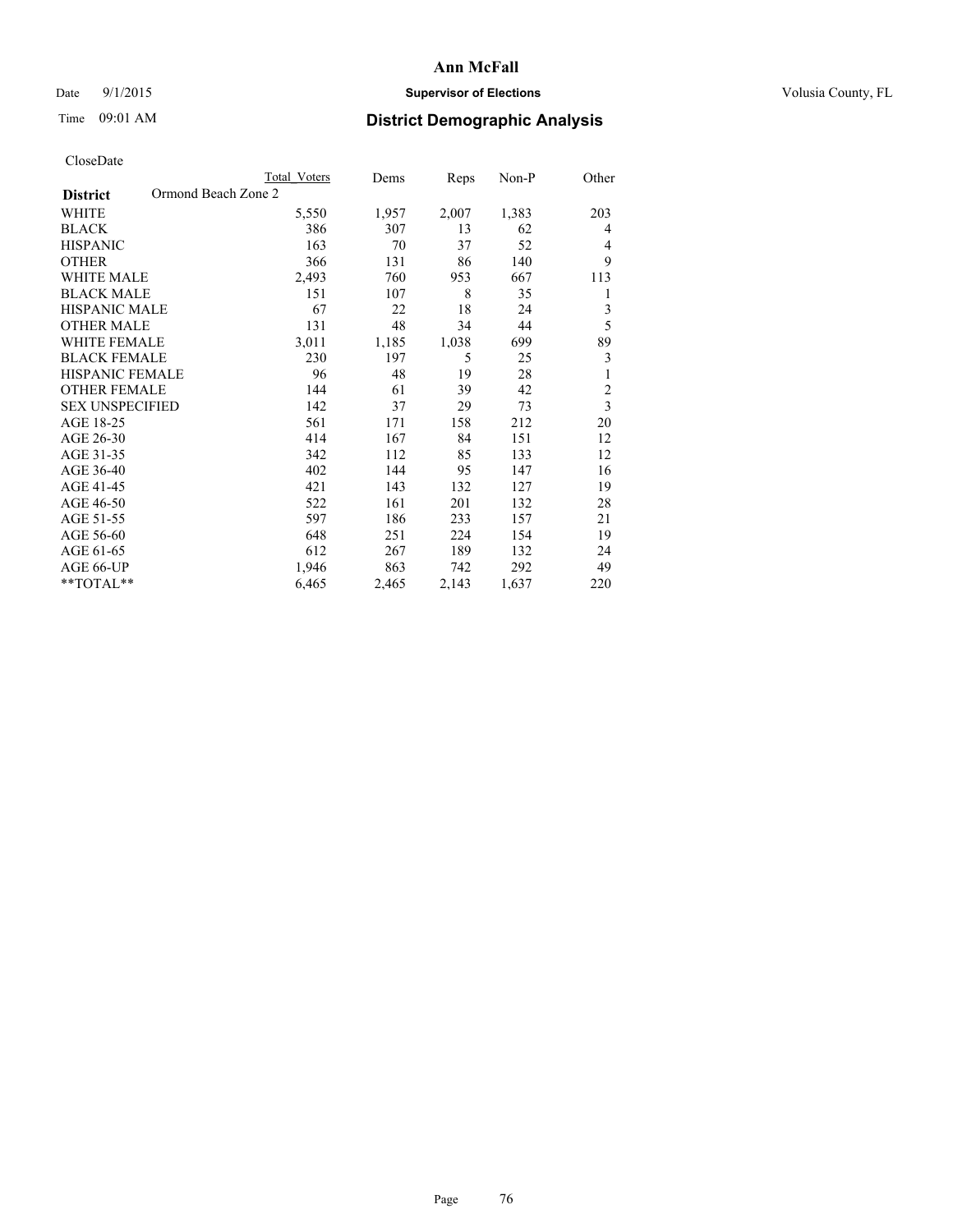# Date 9/1/2015 **Supervisor of Elections Supervisor of Elections** Volusia County, FL

# Time 09:01 AM **District Demographic Analysis**

|                                        | <b>Total Voters</b> | Dems  | Reps  | Non-P | Other                   |
|----------------------------------------|---------------------|-------|-------|-------|-------------------------|
| Ormond Beach Zone 2<br><b>District</b> |                     |       |       |       |                         |
| WHITE                                  | 5,550               | 1,957 | 2,007 | 1,383 | 203                     |
| <b>BLACK</b>                           | 386                 | 307   | 13    | 62    | 4                       |
| <b>HISPANIC</b>                        | 163                 | 70    | 37    | 52    | 4                       |
| <b>OTHER</b>                           | 366                 | 131   | 86    | 140   | 9                       |
| <b>WHITE MALE</b>                      | 2,493               | 760   | 953   | 667   | 113                     |
| <b>BLACK MALE</b>                      | 151                 | 107   | 8     | 35    | 1                       |
| HISPANIC MALE                          | 67                  | 22    | 18    | 24    | 3                       |
| <b>OTHER MALE</b>                      | 131                 | 48    | 34    | 44    | 5                       |
| <b>WHITE FEMALE</b>                    | 3,011               | 1,185 | 1,038 | 699   | 89                      |
| <b>BLACK FEMALE</b>                    | 230                 | 197   | 5     | 25    | 3                       |
| <b>HISPANIC FEMALE</b>                 | 96                  | 48    | 19    | 28    | 1                       |
| <b>OTHER FEMALE</b>                    | 144                 | 61    | 39    | 42    | $\overline{c}$          |
| <b>SEX UNSPECIFIED</b>                 | 142                 | 37    | 29    | 73    | $\overline{\mathbf{3}}$ |
| AGE 18-25                              | 561                 | 171   | 158   | 212   | 20                      |
| AGE 26-30                              | 414                 | 167   | 84    | 151   | 12                      |
| AGE 31-35                              | 342                 | 112   | 85    | 133   | 12                      |
| AGE 36-40                              | 402                 | 144   | 95    | 147   | 16                      |
| AGE 41-45                              | 421                 | 143   | 132   | 127   | 19                      |
| AGE 46-50                              | 522                 | 161   | 201   | 132   | 28                      |
| AGE 51-55                              | 597                 | 186   | 233   | 157   | 21                      |
| AGE 56-60                              | 648                 | 251   | 224   | 154   | 19                      |
| AGE 61-65                              | 612                 | 267   | 189   | 132   | 24                      |
| AGE 66-UP                              | 1,946               | 863   | 742   | 292   | 49                      |
| **TOTAL**                              | 6,465               | 2,465 | 2,143 | 1,637 | 220                     |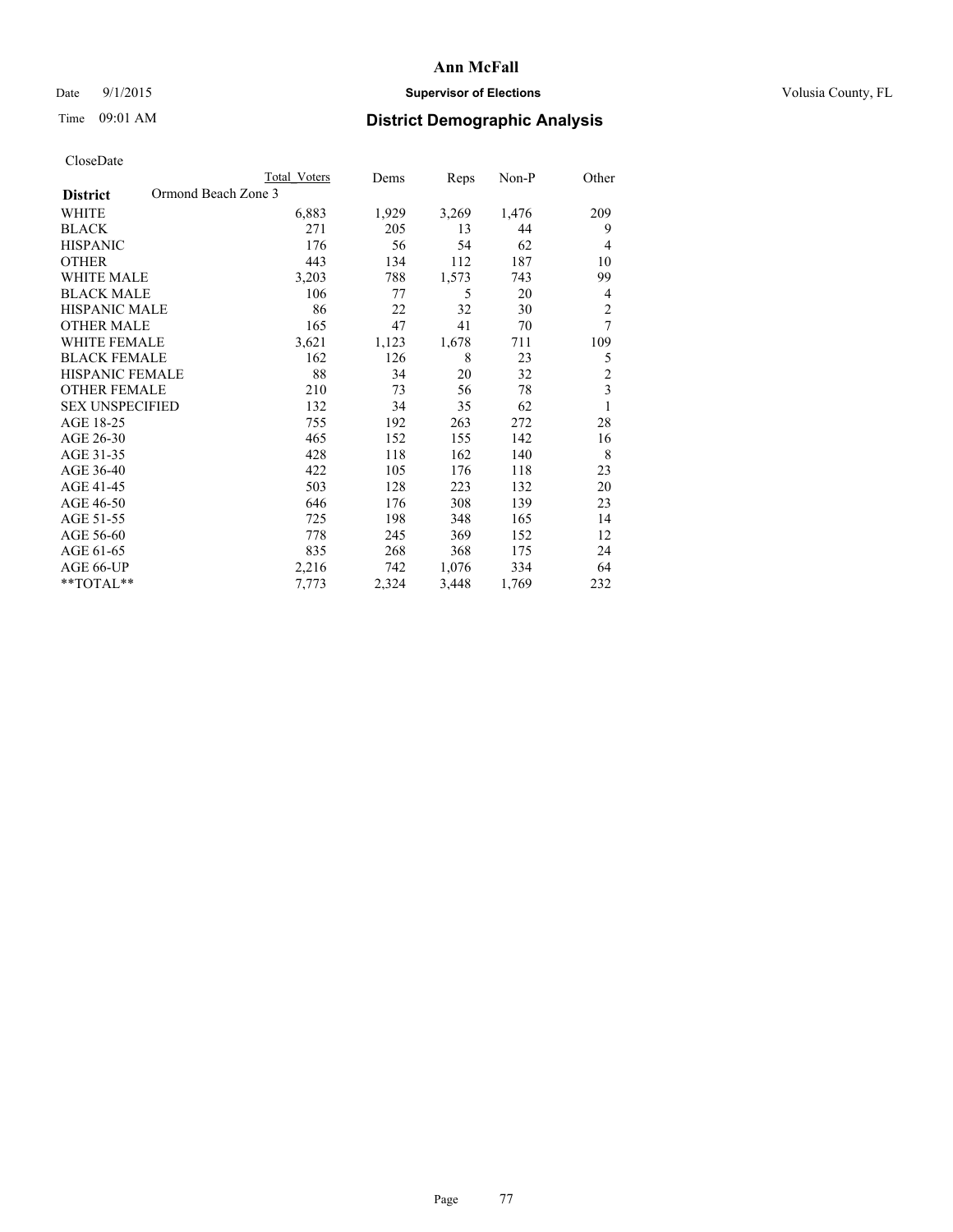# Date 9/1/2015 **Supervisor of Elections Supervisor of Elections** Volusia County, FL

# Time 09:01 AM **District Demographic Analysis**

|                                        | <b>Total Voters</b> | Dems  | Reps  | Non-P | Other                   |
|----------------------------------------|---------------------|-------|-------|-------|-------------------------|
| Ormond Beach Zone 3<br><b>District</b> |                     |       |       |       |                         |
| WHITE                                  | 6,883               | 1,929 | 3,269 | 1,476 | 209                     |
| <b>BLACK</b>                           | 271                 | 205   | 13    | 44    | 9                       |
| <b>HISPANIC</b>                        | 176                 | 56    | 54    | 62    | $\overline{4}$          |
| <b>OTHER</b>                           | 443                 | 134   | 112   | 187   | 10                      |
| WHITE MALE                             | 3,203               | 788   | 1,573 | 743   | 99                      |
| <b>BLACK MALE</b>                      | 106                 | 77    | 5     | 20    | 4                       |
| HISPANIC MALE                          | 86                  | 22    | 32    | 30    | $\overline{c}$          |
| <b>OTHER MALE</b>                      | 165                 | 47    | 41    | 70    | 7                       |
| WHITE FEMALE                           | 3,621               | 1,123 | 1,678 | 711   | 109                     |
| <b>BLACK FEMALE</b>                    | 162                 | 126   | 8     | 23    | 5                       |
| <b>HISPANIC FEMALE</b>                 | 88                  | 34    | 20    | 32    | $\overline{c}$          |
| <b>OTHER FEMALE</b>                    | 210                 | 73    | 56    | 78    | $\overline{\mathbf{3}}$ |
| <b>SEX UNSPECIFIED</b>                 | 132                 | 34    | 35    | 62    | $\mathbf{1}$            |
| AGE 18-25                              | 755                 | 192   | 263   | 272   | 28                      |
| AGE 26-30                              | 465                 | 152   | 155   | 142   | 16                      |
| AGE 31-35                              | 428                 | 118   | 162   | 140   | 8                       |
| AGE 36-40                              | 422                 | 105   | 176   | 118   | 23                      |
| AGE 41-45                              | 503                 | 128   | 223   | 132   | 20                      |
| AGE 46-50                              | 646                 | 176   | 308   | 139   | 23                      |
| AGE 51-55                              | 725                 | 198   | 348   | 165   | 14                      |
| AGE 56-60                              | 778                 | 245   | 369   | 152   | 12                      |
| AGE 61-65                              | 835                 | 268   | 368   | 175   | 24                      |
| AGE 66-UP                              | 2,216               | 742   | 1,076 | 334   | 64                      |
| **TOTAL**                              | 7,773               | 2,324 | 3,448 | 1,769 | 232                     |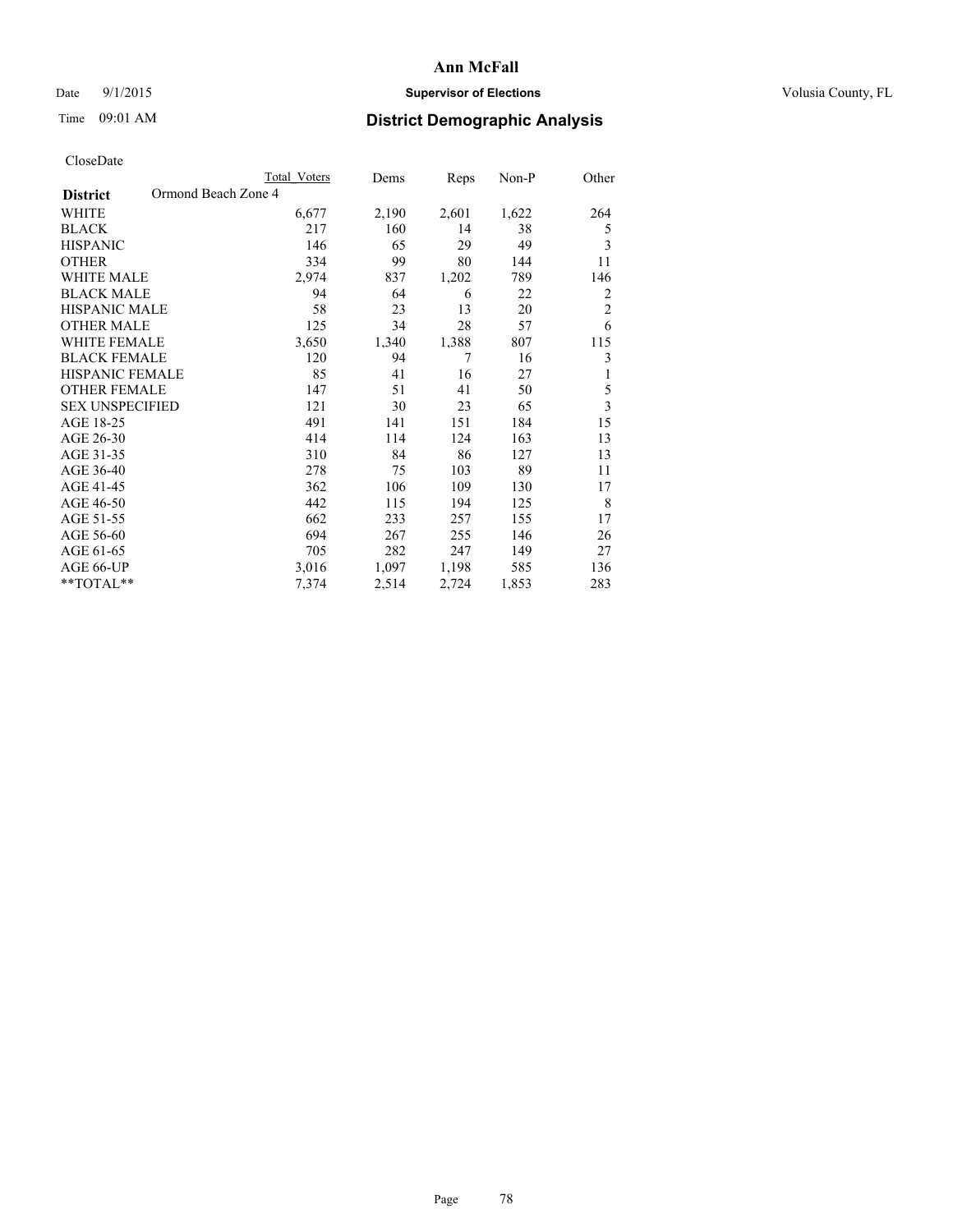# Date 9/1/2015 **Supervisor of Elections Supervisor of Elections** Volusia County, FL

# Time 09:01 AM **District Demographic Analysis**

|                                        | Total Voters | Dems  | Reps  | Non-P | Other                   |
|----------------------------------------|--------------|-------|-------|-------|-------------------------|
| Ormond Beach Zone 4<br><b>District</b> |              |       |       |       |                         |
| WHITE                                  | 6,677        | 2,190 | 2,601 | 1,622 | 264                     |
| <b>BLACK</b>                           | 217          | 160   | 14    | 38    | 5                       |
| <b>HISPANIC</b>                        | 146          | 65    | 29    | 49    | 3                       |
| <b>OTHER</b>                           | 334          | 99    | 80    | 144   | 11                      |
| WHITE MALE                             | 2,974        | 837   | 1,202 | 789   | 146                     |
| <b>BLACK MALE</b>                      | 94           | 64    | 6     | 22    | 2                       |
| HISPANIC MALE                          | 58           | 23    | 13    | 20    | $\overline{2}$          |
| <b>OTHER MALE</b>                      | 125          | 34    | 28    | 57    | 6                       |
| WHITE FEMALE                           | 3,650        | 1,340 | 1,388 | 807   | 115                     |
| <b>BLACK FEMALE</b>                    | 120          | 94    | 7     | 16    | 3                       |
| <b>HISPANIC FEMALE</b>                 | 85           | 41    | 16    | 27    | 1                       |
| <b>OTHER FEMALE</b>                    | 147          | 51    | 41    | 50    | 5                       |
| <b>SEX UNSPECIFIED</b>                 | 121          | 30    | 23    | 65    | $\overline{\mathbf{3}}$ |
| AGE 18-25                              | 491          | 141   | 151   | 184   | 15                      |
| AGE 26-30                              | 414          | 114   | 124   | 163   | 13                      |
| AGE 31-35                              | 310          | 84    | 86    | 127   | 13                      |
| AGE 36-40                              | 278          | 75    | 103   | 89    | 11                      |
| AGE 41-45                              | 362          | 106   | 109   | 130   | 17                      |
| AGE 46-50                              | 442          | 115   | 194   | 125   | 8                       |
| AGE 51-55                              | 662          | 233   | 257   | 155   | 17                      |
| AGE 56-60                              | 694          | 267   | 255   | 146   | 26                      |
| AGE 61-65                              | 705          | 282   | 247   | 149   | 27                      |
| AGE 66-UP                              | 3,016        | 1,097 | 1,198 | 585   | 136                     |
| **TOTAL**                              | 7,374        | 2,514 | 2,724 | 1,853 | 283                     |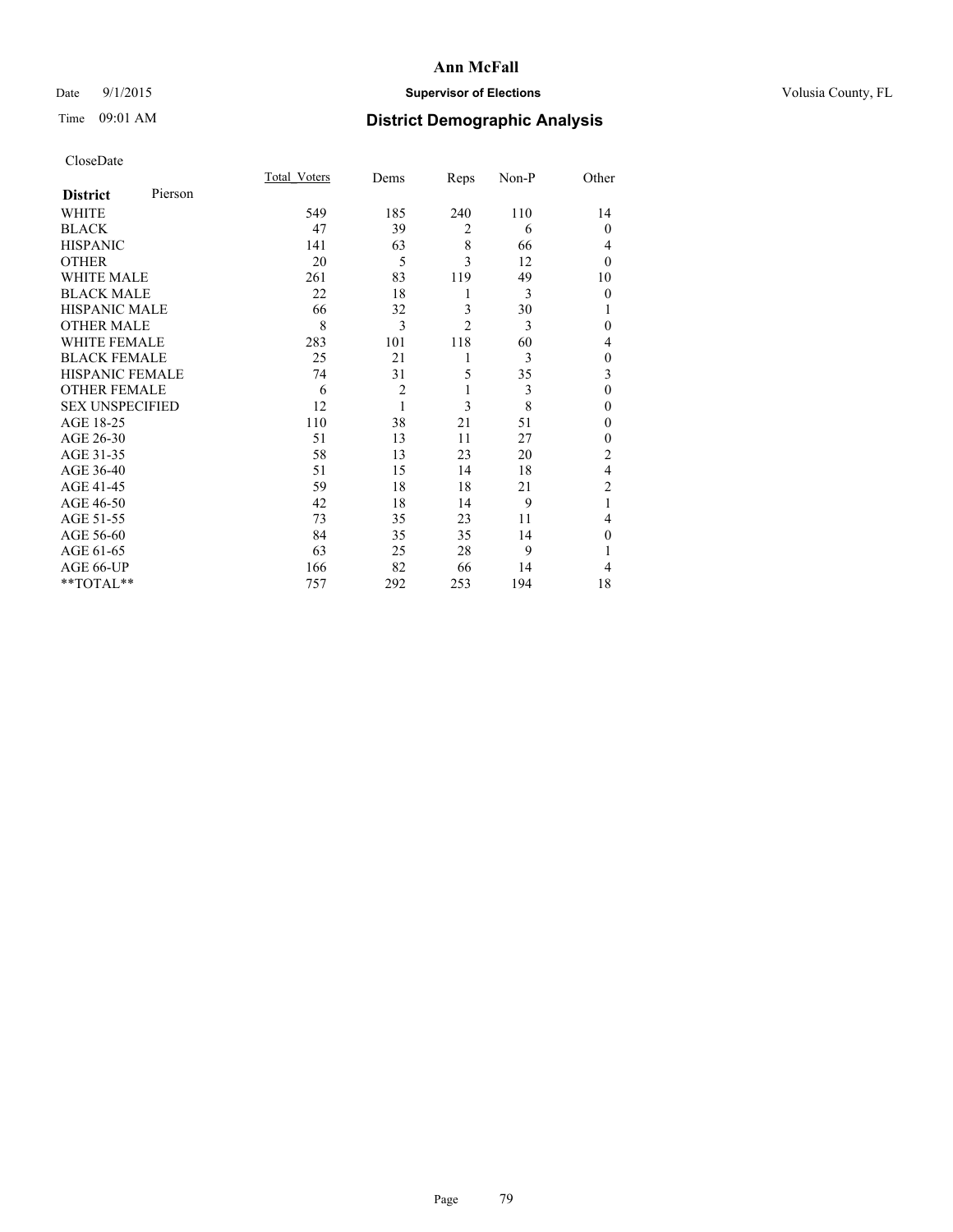# Date 9/1/2015 **Supervisor of Elections Supervisor of Elections** Volusia County, FL

# Time 09:01 AM **District Demographic Analysis**

| CloseDate |
|-----------|
|-----------|

|                        |         | <b>Total Voters</b> | Dems           | Reps           | Non-P | Other          |
|------------------------|---------|---------------------|----------------|----------------|-------|----------------|
| <b>District</b>        | Pierson |                     |                |                |       |                |
| WHITE                  |         | 549                 | 185            | 240            | 110   | 14             |
| <b>BLACK</b>           |         | 47                  | 39             | $\overline{2}$ | 6     | $\Omega$       |
| <b>HISPANIC</b>        |         | 141                 | 63             | 8              | 66    | 4              |
| <b>OTHER</b>           |         | 20                  | 5              | 3              | 12    | $\theta$       |
| WHITE MALE             |         | 261                 | 83             | 119            | 49    | 10             |
| <b>BLACK MALE</b>      |         | 22                  | 18             | 1              | 3     | $\theta$       |
| <b>HISPANIC MALE</b>   |         | 66                  | 32             | 3              | 30    |                |
| <b>OTHER MALE</b>      |         | 8                   | 3              | $\overline{2}$ | 3     | 0              |
| WHITE FEMALE           |         | 283                 | 101            | 118            | 60    | 4              |
| <b>BLACK FEMALE</b>    |         | 25                  | 21             | 1              | 3     | $\theta$       |
| <b>HISPANIC FEMALE</b> |         | 74                  | 31             | 5              | 35    | 3              |
| <b>OTHER FEMALE</b>    |         | 6                   | $\overline{c}$ | 1              | 3     | $\theta$       |
| <b>SEX UNSPECIFIED</b> |         | 12                  | 1              | 3              | 8     | $\mathbf{0}$   |
| AGE 18-25              |         | 110                 | 38             | 21             | 51    | 0              |
| AGE 26-30              |         | 51                  | 13             | 11             | 27    | $\mathbf{0}$   |
| AGE 31-35              |         | 58                  | 13             | 23             | 20    | $\overline{c}$ |
| AGE 36-40              |         | 51                  | 15             | 14             | 18    | 4              |
| AGE 41-45              |         | 59                  | 18             | 18             | 21    | $\overline{c}$ |
| AGE 46-50              |         | 42                  | 18             | 14             | 9     | 1              |
| AGE 51-55              |         | 73                  | 35             | 23             | 11    | 4              |
| AGE 56-60              |         | 84                  | 35             | 35             | 14    | $\theta$       |
| AGE 61-65              |         | 63                  | 25             | 28             | 9     |                |
| AGE 66-UP              |         | 166                 | 82             | 66             | 14    | 4              |
| **TOTAL**              |         | 757                 | 292            | 253            | 194   | 18             |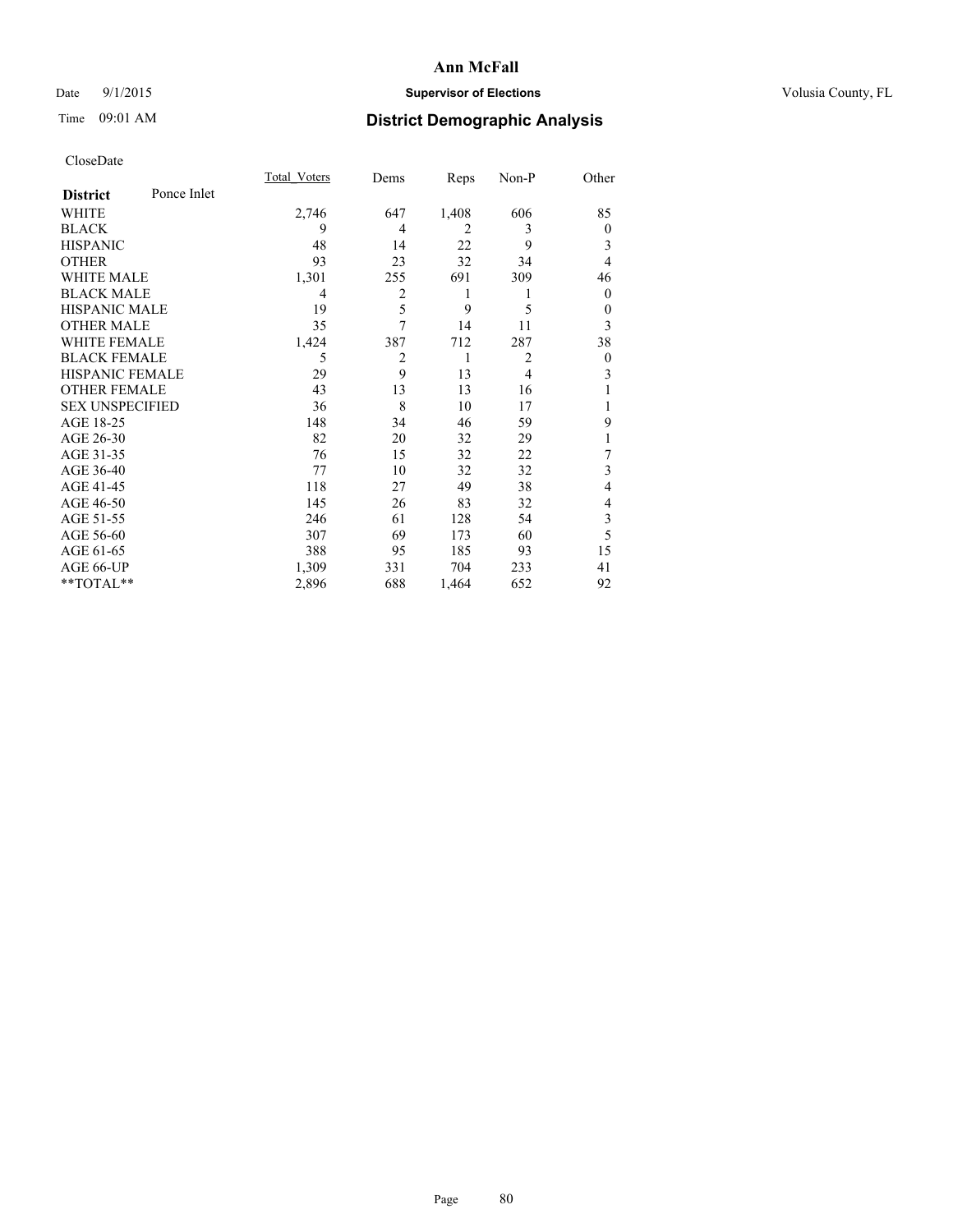# Date 9/1/2015 **Supervisor of Elections Supervisor of Elections** Volusia County, FL

# Time 09:01 AM **District Demographic Analysis**

|                        |             | Total Voters | Dems           | Reps  | Non-P          | Other          |
|------------------------|-------------|--------------|----------------|-------|----------------|----------------|
| <b>District</b>        | Ponce Inlet |              |                |       |                |                |
| WHITE                  |             | 2,746        | 647            | 1,408 | 606            | 85             |
| <b>BLACK</b>           |             | 9            | 4              | 2     | 3              | $\overline{0}$ |
| <b>HISPANIC</b>        |             | 48           | 14             | 22    | 9              | 3              |
| <b>OTHER</b>           |             | 93           | 23             | 32    | 34             | 4              |
| WHITE MALE             |             | 1,301        | 255            | 691   | 309            | 46             |
| <b>BLACK MALE</b>      |             | 4            | $\overline{2}$ | 1     |                | $\theta$       |
| <b>HISPANIC MALE</b>   |             | 19           | 5              | 9     | 5              | $\theta$       |
| <b>OTHER MALE</b>      |             | 35           | 7              | 14    | 11             | 3              |
| WHITE FEMALE           |             | 1,424        | 387            | 712   | 287            | 38             |
| <b>BLACK FEMALE</b>    |             | 5            | $\overline{2}$ | 1     | $\overline{2}$ | $\overline{0}$ |
| <b>HISPANIC FEMALE</b> |             | 29           | 9              | 13    | $\overline{4}$ | 3              |
| <b>OTHER FEMALE</b>    |             | 43           | 13             | 13    | 16             |                |
| <b>SEX UNSPECIFIED</b> |             | 36           | 8              | 10    | 17             |                |
| AGE 18-25              |             | 148          | 34             | 46    | 59             | 9              |
| AGE 26-30              |             | 82           | 20             | 32    | 29             | 1              |
| AGE 31-35              |             | 76           | 15             | 32    | 22             | 7              |
| AGE 36-40              |             | 77           | 10             | 32    | 32             | 3              |
| AGE 41-45              |             | 118          | 27             | 49    | 38             | 4              |
| AGE 46-50              |             | 145          | 26             | 83    | 32             | 4              |
| AGE 51-55              |             | 246          | 61             | 128   | 54             | 3              |
| AGE 56-60              |             | 307          | 69             | 173   | 60             | 5              |
| AGE 61-65              |             | 388          | 95             | 185   | 93             | 15             |
| AGE 66-UP              |             | 1,309        | 331            | 704   | 233            | 41             |
| **TOTAL**              |             | 2,896        | 688            | 1,464 | 652            | 92             |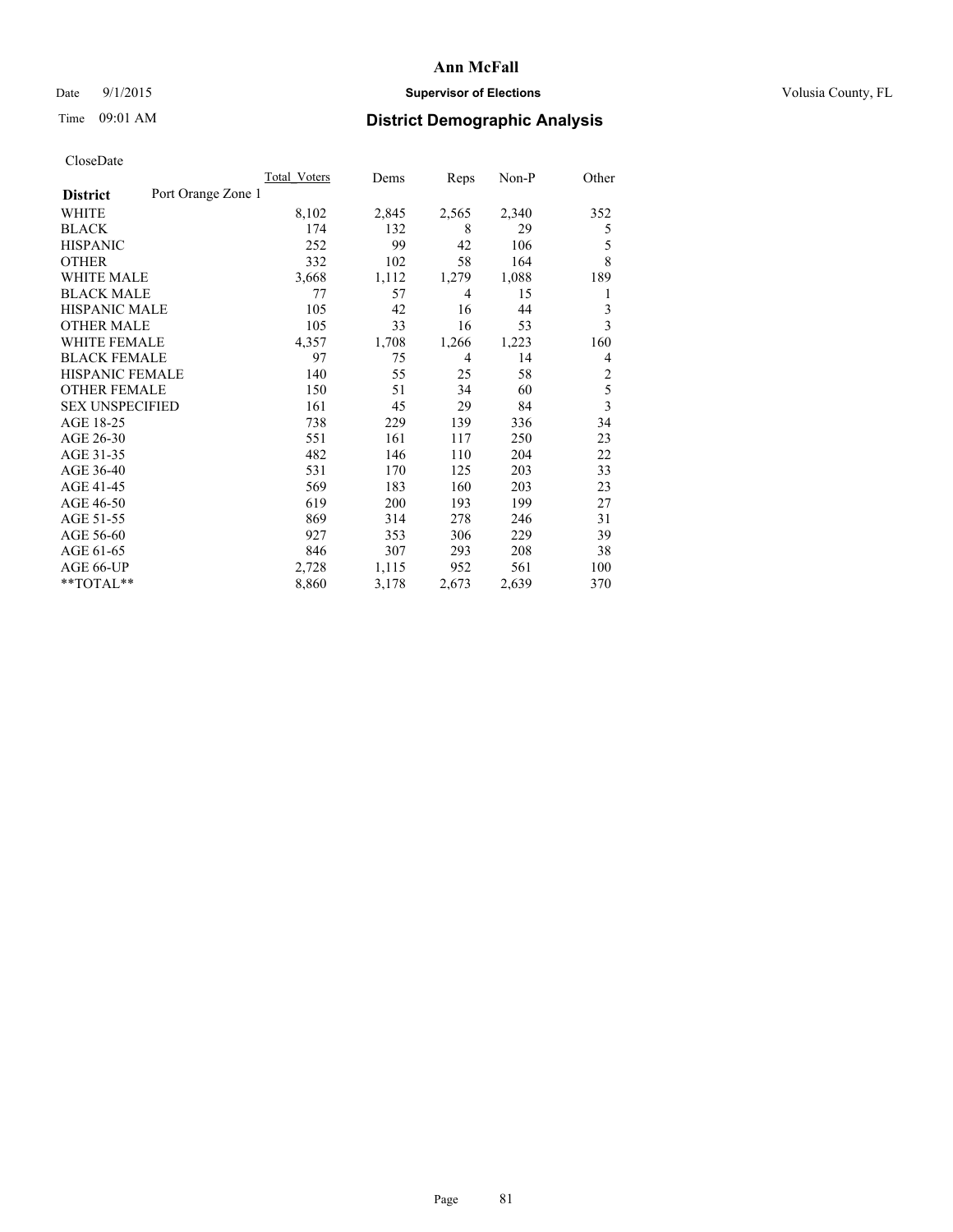# Date 9/1/2015 **Supervisor of Elections Supervisor of Elections** Volusia County, FL

# Time 09:01 AM **District Demographic Analysis**

|                        |                    | Total Voters | Dems  | Reps           | $Non-P$ | Other          |
|------------------------|--------------------|--------------|-------|----------------|---------|----------------|
| <b>District</b>        | Port Orange Zone 1 |              |       |                |         |                |
| WHITE                  |                    | 8,102        | 2,845 | 2,565          | 2,340   | 352            |
| <b>BLACK</b>           |                    | 174          | 132   | 8              | 29      | 5              |
| <b>HISPANIC</b>        |                    | 252          | 99    | 42             | 106     | 5              |
| <b>OTHER</b>           |                    | 332          | 102   | 58             | 164     | 8              |
| WHITE MALE             |                    | 3,668        | 1,112 | 1,279          | 1,088   | 189            |
| <b>BLACK MALE</b>      |                    | 77           | 57    | $\overline{4}$ | 15      | 1              |
| <b>HISPANIC MALE</b>   |                    | 105          | 42    | 16             | 44      | 3              |
| <b>OTHER MALE</b>      |                    | 105          | 33    | 16             | 53      | 3              |
| WHITE FEMALE           |                    | 4,357        | 1,708 | 1,266          | 1,223   | 160            |
| <b>BLACK FEMALE</b>    |                    | 97           | 75    | $\overline{4}$ | 14      | 4              |
| HISPANIC FEMALE        |                    | 140          | 55    | 25             | 58      | 2              |
| <b>OTHER FEMALE</b>    |                    | 150          | 51    | 34             | 60      | 5              |
| <b>SEX UNSPECIFIED</b> |                    | 161          | 45    | 29             | 84      | $\overline{3}$ |
| AGE 18-25              |                    | 738          | 229   | 139            | 336     | 34             |
| AGE 26-30              |                    | 551          | 161   | 117            | 250     | 23             |
| AGE 31-35              |                    | 482          | 146   | 110            | 204     | 22             |
| AGE 36-40              |                    | 531          | 170   | 125            | 203     | 33             |
| AGE 41-45              |                    | 569          | 183   | 160            | 203     | 23             |
| AGE 46-50              |                    | 619          | 200   | 193            | 199     | 27             |
| AGE 51-55              |                    | 869          | 314   | 278            | 246     | 31             |
| AGE 56-60              |                    | 927          | 353   | 306            | 229     | 39             |
| AGE 61-65              |                    | 846          | 307   | 293            | 208     | 38             |
| AGE 66-UP              |                    | 2,728        | 1,115 | 952            | 561     | 100            |
| **TOTAL**              |                    | 8,860        | 3,178 | 2,673          | 2,639   | 370            |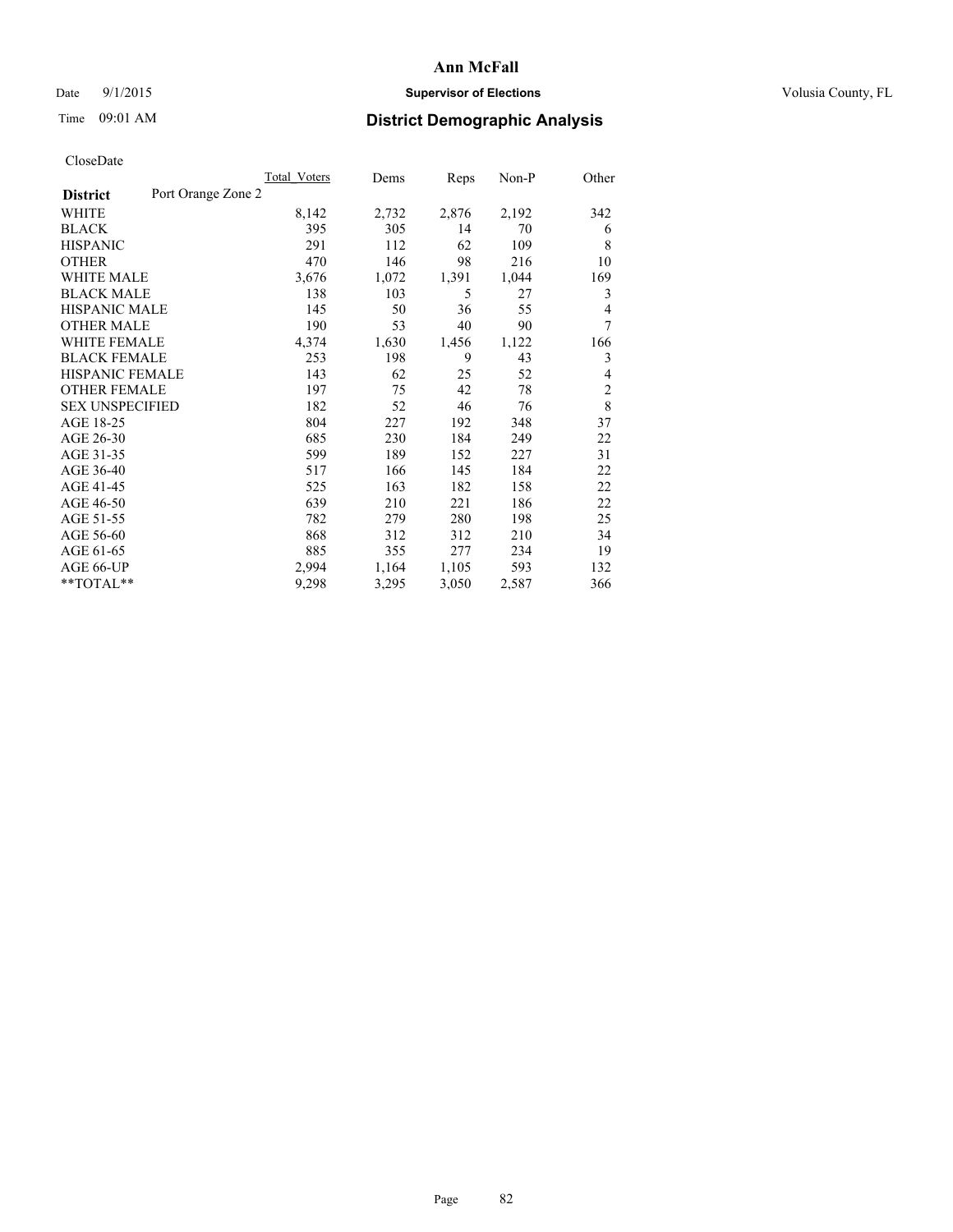# Date 9/1/2015 **Supervisor of Elections Supervisor of Elections** Volusia County, FL

# Time 09:01 AM **District Demographic Analysis**

|                        |                    | <b>Total Voters</b> | Dems  | Reps  | Non-P | Other          |
|------------------------|--------------------|---------------------|-------|-------|-------|----------------|
| <b>District</b>        | Port Orange Zone 2 |                     |       |       |       |                |
| WHITE                  |                    | 8,142               | 2,732 | 2,876 | 2,192 | 342            |
| <b>BLACK</b>           |                    | 395                 | 305   | 14    | 70    | 6              |
| <b>HISPANIC</b>        |                    | 291                 | 112   | 62    | 109   | 8              |
| <b>OTHER</b>           |                    | 470                 | 146   | 98    | 216   | 10             |
| WHITE MALE             |                    | 3,676               | 1,072 | 1,391 | 1,044 | 169            |
| <b>BLACK MALE</b>      |                    | 138                 | 103   | 5     | 27    | 3              |
| <b>HISPANIC MALE</b>   |                    | 145                 | 50    | 36    | 55    | 4              |
| <b>OTHER MALE</b>      |                    | 190                 | 53    | 40    | 90    | 7              |
| <b>WHITE FEMALE</b>    |                    | 4,374               | 1,630 | 1,456 | 1,122 | 166            |
| <b>BLACK FEMALE</b>    |                    | 253                 | 198   | 9     | 43    | 3              |
| <b>HISPANIC FEMALE</b> |                    | 143                 | 62    | 25    | 52    | 4              |
| <b>OTHER FEMALE</b>    |                    | 197                 | 75    | 42    | 78    | $\overline{2}$ |
| <b>SEX UNSPECIFIED</b> |                    | 182                 | 52    | 46    | 76    | 8              |
| AGE 18-25              |                    | 804                 | 227   | 192   | 348   | 37             |
| AGE 26-30              |                    | 685                 | 230   | 184   | 249   | 22             |
| AGE 31-35              |                    | 599                 | 189   | 152   | 227   | 31             |
| AGE 36-40              |                    | 517                 | 166   | 145   | 184   | 22             |
| AGE 41-45              |                    | 525                 | 163   | 182   | 158   | 22             |
| AGE 46-50              |                    | 639                 | 210   | 221   | 186   | 22             |
| AGE 51-55              |                    | 782                 | 279   | 280   | 198   | 25             |
| AGE 56-60              |                    | 868                 | 312   | 312   | 210   | 34             |
| AGE 61-65              |                    | 885                 | 355   | 277   | 234   | 19             |
| AGE 66-UP              |                    | 2,994               | 1,164 | 1,105 | 593   | 132            |
| **TOTAL**              |                    | 9,298               | 3,295 | 3,050 | 2,587 | 366            |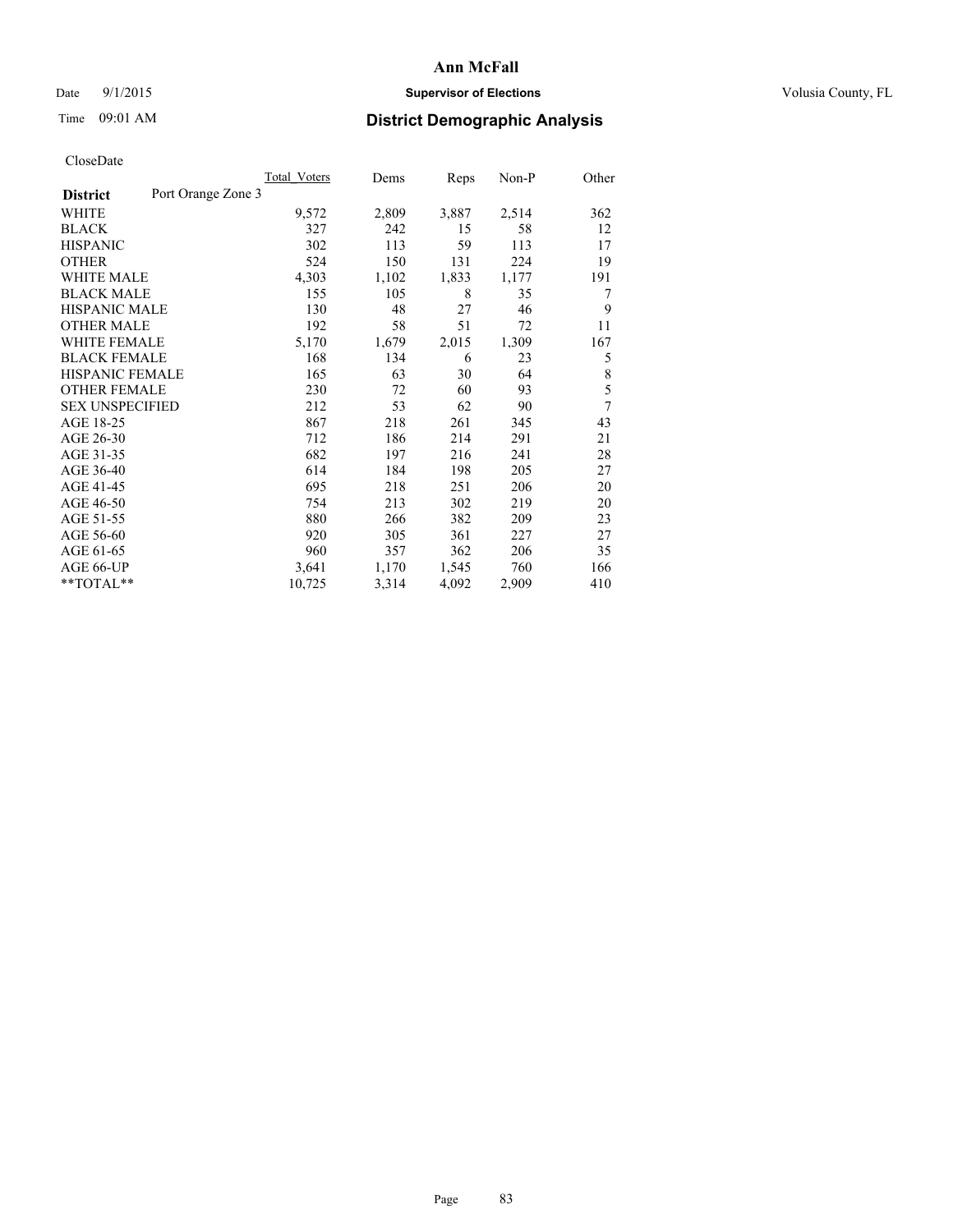# Date 9/1/2015 **Supervisor of Elections Supervisor of Elections** Volusia County, FL

# Time 09:01 AM **District Demographic Analysis**

|                        |                    | <b>Total Voters</b> | Dems  | Reps  | Non-P | Other |
|------------------------|--------------------|---------------------|-------|-------|-------|-------|
| <b>District</b>        | Port Orange Zone 3 |                     |       |       |       |       |
| WHITE                  |                    | 9,572               | 2,809 | 3,887 | 2,514 | 362   |
| <b>BLACK</b>           |                    | 327                 | 242   | 15    | 58    | 12    |
| <b>HISPANIC</b>        |                    | 302                 | 113   | 59    | 113   | 17    |
| <b>OTHER</b>           |                    | 524                 | 150   | 131   | 224   | 19    |
| WHITE MALE             |                    | 4,303               | 1,102 | 1,833 | 1,177 | 191   |
| <b>BLACK MALE</b>      |                    | 155                 | 105   | 8     | 35    | 7     |
| <b>HISPANIC MALE</b>   |                    | 130                 | 48    | 27    | 46    | 9     |
| <b>OTHER MALE</b>      |                    | 192                 | 58    | 51    | 72    | 11    |
| <b>WHITE FEMALE</b>    |                    | 5,170               | 1,679 | 2,015 | 1,309 | 167   |
| <b>BLACK FEMALE</b>    |                    | 168                 | 134   | 6     | 23    | 5     |
| HISPANIC FEMALE        |                    | 165                 | 63    | 30    | 64    | 8     |
| <b>OTHER FEMALE</b>    |                    | 230                 | 72    | 60    | 93    | 5     |
| <b>SEX UNSPECIFIED</b> |                    | 212                 | 53    | 62    | 90    | 7     |
| AGE 18-25              |                    | 867                 | 218   | 261   | 345   | 43    |
| AGE 26-30              |                    | 712                 | 186   | 214   | 291   | 21    |
| AGE 31-35              |                    | 682                 | 197   | 216   | 241   | 28    |
| AGE 36-40              |                    | 614                 | 184   | 198   | 205   | 27    |
| AGE 41-45              |                    | 695                 | 218   | 251   | 206   | 20    |
| AGE 46-50              |                    | 754                 | 213   | 302   | 219   | 20    |
| AGE 51-55              |                    | 880                 | 266   | 382   | 209   | 23    |
| AGE 56-60              |                    | 920                 | 305   | 361   | 227   | 27    |
| AGE 61-65              |                    | 960                 | 357   | 362   | 206   | 35    |
| AGE 66-UP              |                    | 3,641               | 1,170 | 1,545 | 760   | 166   |
| **TOTAL**              |                    | 10,725              | 3,314 | 4,092 | 2,909 | 410   |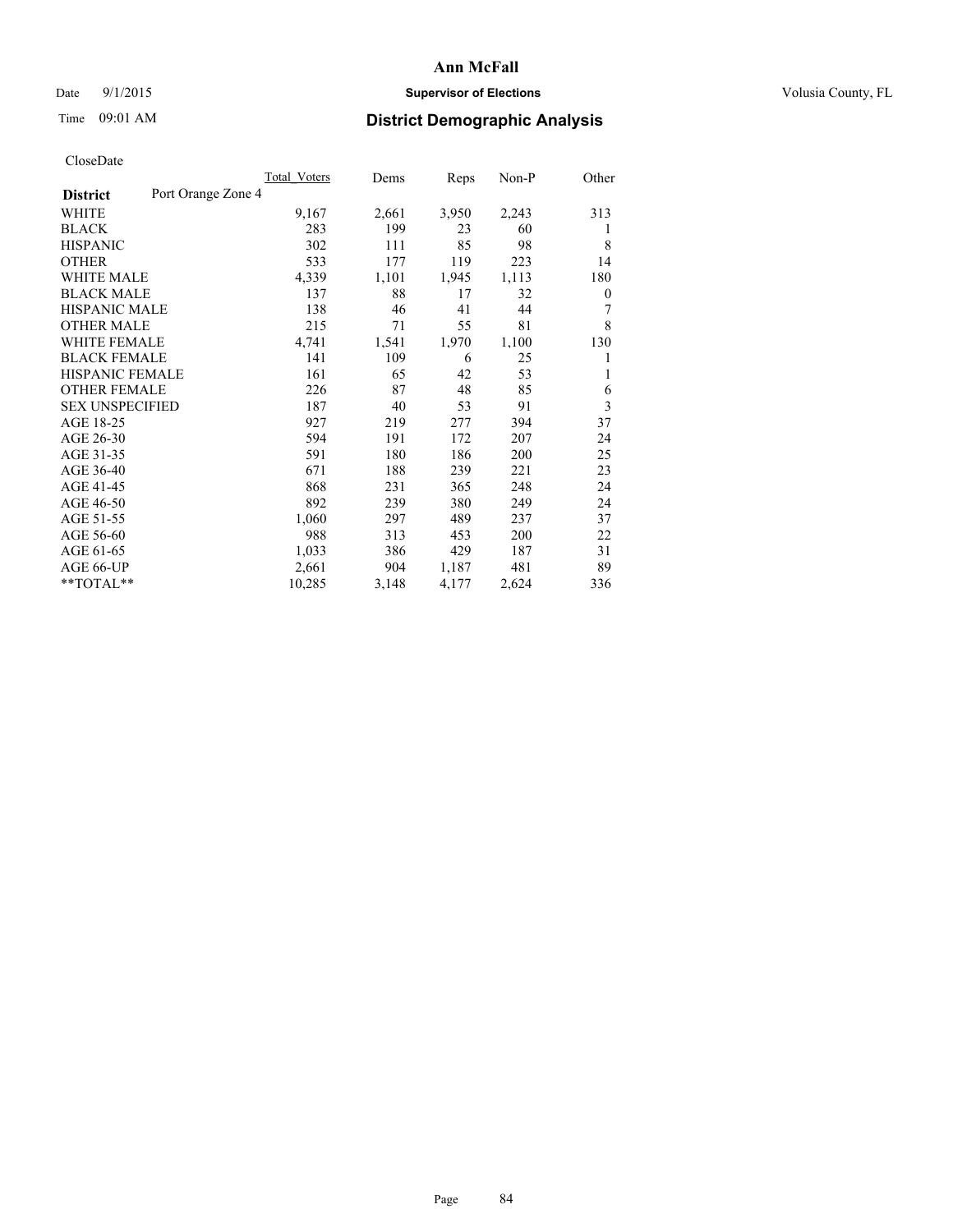# Date 9/1/2015 **Supervisor of Elections Supervisor of Elections** Volusia County, FL

# Time 09:01 AM **District Demographic Analysis**

|                        |                    | Total Voters | Dems  | Reps  | Non-P | Other |
|------------------------|--------------------|--------------|-------|-------|-------|-------|
| <b>District</b>        | Port Orange Zone 4 |              |       |       |       |       |
| WHITE                  |                    | 9,167        | 2,661 | 3,950 | 2,243 | 313   |
| <b>BLACK</b>           |                    | 283          | 199   | 23    | 60    | 1     |
| <b>HISPANIC</b>        |                    | 302          | 111   | 85    | 98    | 8     |
| <b>OTHER</b>           |                    | 533          | 177   | 119   | 223   | 14    |
| WHITE MALE             |                    | 4,339        | 1,101 | 1,945 | 1,113 | 180   |
| <b>BLACK MALE</b>      |                    | 137          | 88    | 17    | 32    | 0     |
| <b>HISPANIC MALE</b>   |                    | 138          | 46    | 41    | 44    | 7     |
| <b>OTHER MALE</b>      |                    | 215          | 71    | 55    | 81    | 8     |
| <b>WHITE FEMALE</b>    |                    | 4,741        | 1,541 | 1,970 | 1,100 | 130   |
| <b>BLACK FEMALE</b>    |                    | 141          | 109   | 6     | 25    | 1     |
| HISPANIC FEMALE        |                    | 161          | 65    | 42    | 53    | 1     |
| <b>OTHER FEMALE</b>    |                    | 226          | 87    | 48    | 85    | 6     |
| <b>SEX UNSPECIFIED</b> |                    | 187          | 40    | 53    | 91    | 3     |
| AGE 18-25              |                    | 927          | 219   | 277   | 394   | 37    |
| AGE 26-30              |                    | 594          | 191   | 172   | 207   | 24    |
| AGE 31-35              |                    | 591          | 180   | 186   | 200   | 25    |
| AGE 36-40              |                    | 671          | 188   | 239   | 221   | 23    |
| AGE 41-45              |                    | 868          | 231   | 365   | 248   | 24    |
| AGE 46-50              |                    | 892          | 239   | 380   | 249   | 24    |
| AGE 51-55              |                    | 1,060        | 297   | 489   | 237   | 37    |
| AGE 56-60              |                    | 988          | 313   | 453   | 200   | 22    |
| AGE 61-65              |                    | 1,033        | 386   | 429   | 187   | 31    |
| AGE 66-UP              |                    | 2,661        | 904   | 1,187 | 481   | 89    |
| **TOTAL**              |                    | 10,285       | 3,148 | 4,177 | 2,624 | 336   |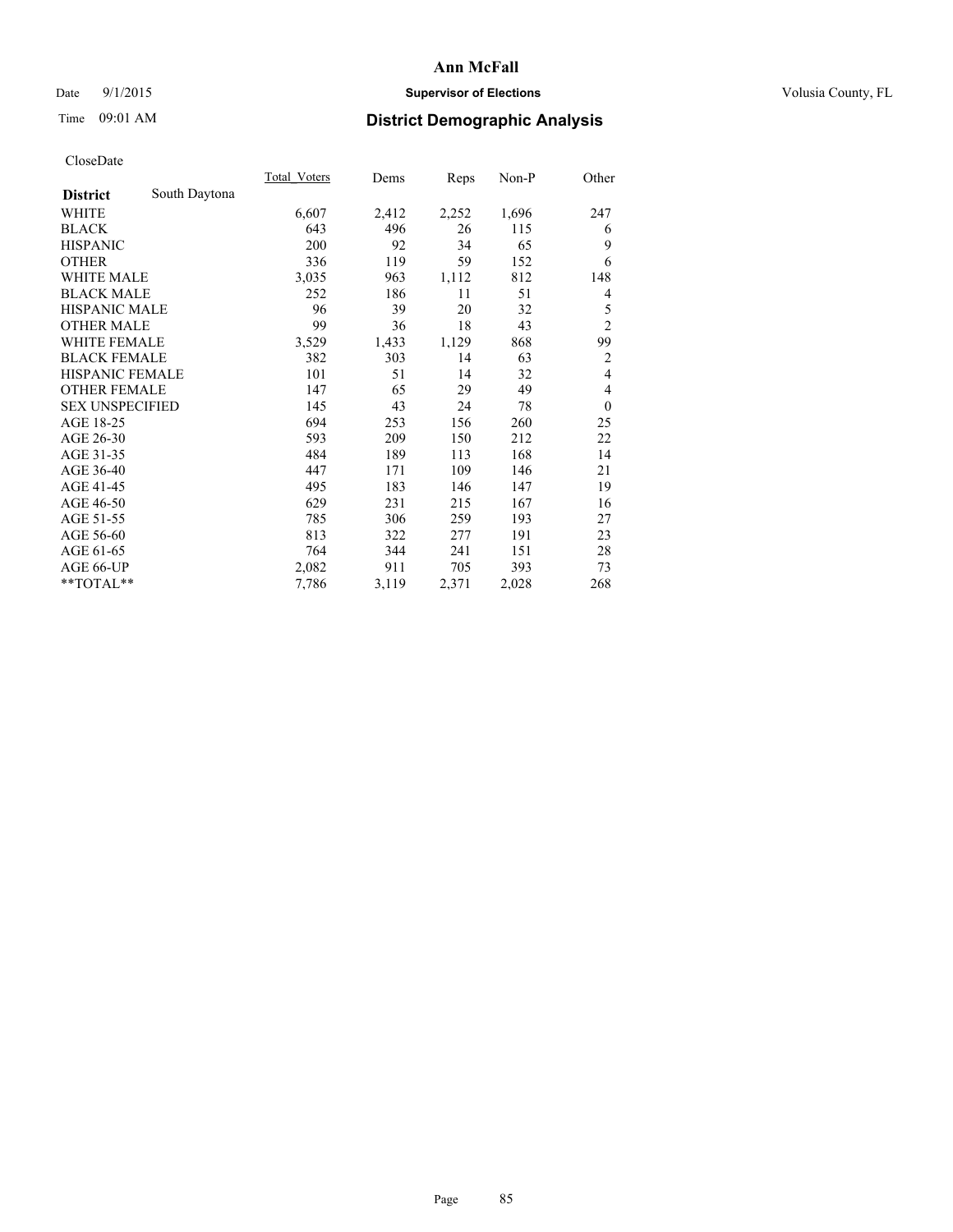# Date 9/1/2015 **Supervisor of Elections Supervisor of Elections** Volusia County, FL

# Time 09:01 AM **District Demographic Analysis**

|                        |               | Total Voters | Dems  | Reps  | Non-P | Other            |
|------------------------|---------------|--------------|-------|-------|-------|------------------|
| <b>District</b>        | South Daytona |              |       |       |       |                  |
| WHITE                  |               | 6,607        | 2,412 | 2,252 | 1,696 | 247              |
| <b>BLACK</b>           |               | 643          | 496   | 26    | 115   | 6                |
| <b>HISPANIC</b>        |               | 200          | 92    | 34    | 65    | 9                |
| <b>OTHER</b>           |               | 336          | 119   | 59    | 152   | 6                |
| <b>WHITE MALE</b>      |               | 3,035        | 963   | 1,112 | 812   | 148              |
| <b>BLACK MALE</b>      |               | 252          | 186   | 11    | 51    | 4                |
| <b>HISPANIC MALE</b>   |               | 96           | 39    | 20    | 32    | 5                |
| <b>OTHER MALE</b>      |               | 99           | 36    | 18    | 43    | $\overline{c}$   |
| <b>WHITE FEMALE</b>    |               | 3,529        | 1,433 | 1,129 | 868   | 99               |
| <b>BLACK FEMALE</b>    |               | 382          | 303   | 14    | 63    | $\overline{2}$   |
| <b>HISPANIC FEMALE</b> |               | 101          | 51    | 14    | 32    | $\overline{4}$   |
| <b>OTHER FEMALE</b>    |               | 147          | 65    | 29    | 49    | 4                |
| <b>SEX UNSPECIFIED</b> |               | 145          | 43    | 24    | 78    | $\boldsymbol{0}$ |
| AGE 18-25              |               | 694          | 253   | 156   | 260   | 25               |
| AGE 26-30              |               | 593          | 209   | 150   | 212   | 22               |
| AGE 31-35              |               | 484          | 189   | 113   | 168   | 14               |
| AGE 36-40              |               | 447          | 171   | 109   | 146   | 21               |
| AGE 41-45              |               | 495          | 183   | 146   | 147   | 19               |
| AGE 46-50              |               | 629          | 231   | 215   | 167   | 16               |
| AGE 51-55              |               | 785          | 306   | 259   | 193   | 27               |
| AGE 56-60              |               | 813          | 322   | 277   | 191   | 23               |
| AGE 61-65              |               | 764          | 344   | 241   | 151   | 28               |
| AGE 66-UP              |               | 2,082        | 911   | 705   | 393   | 73               |
| **TOTAL**              |               | 7,786        | 3,119 | 2,371 | 2,028 | 268              |